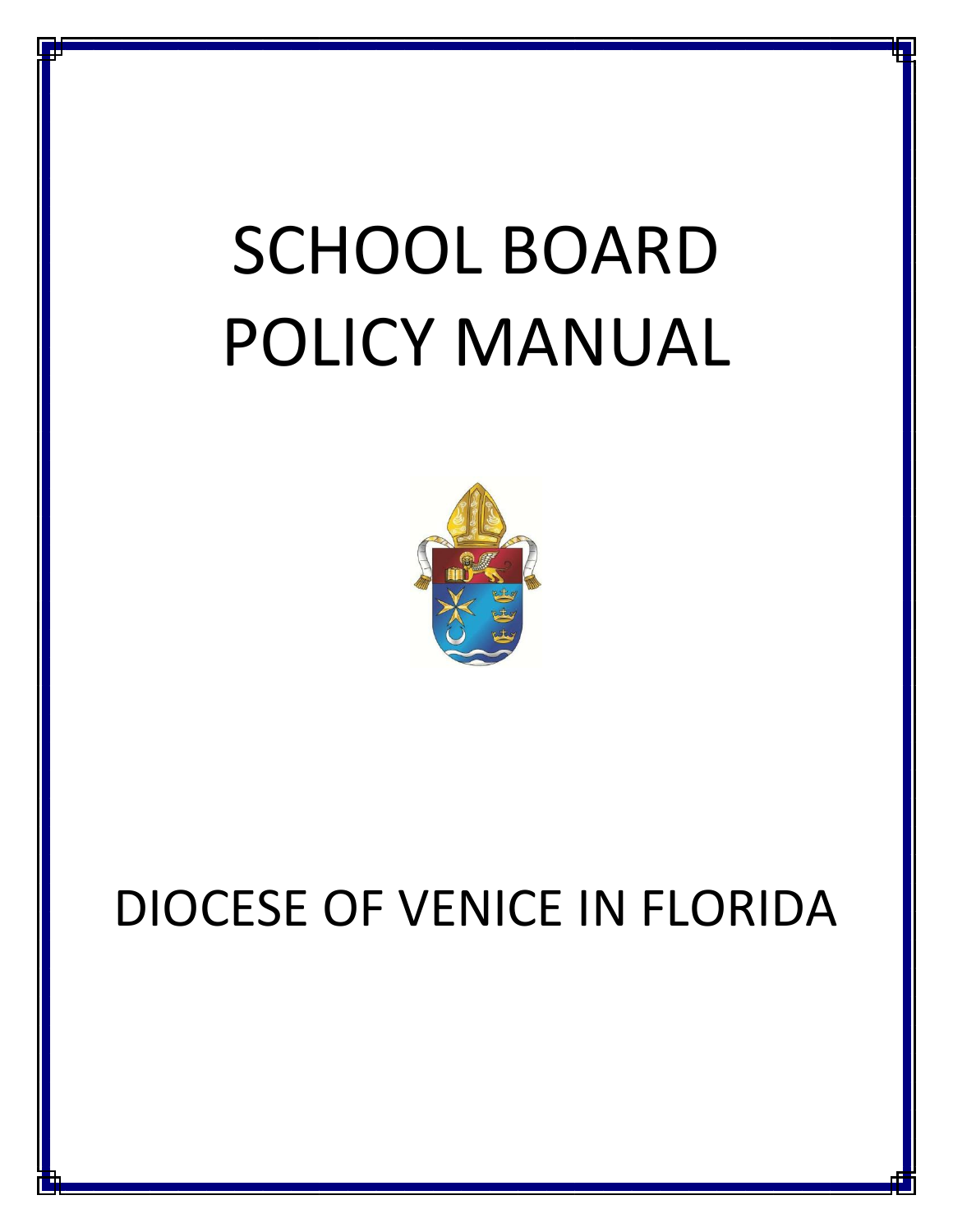# SCHOOL BOARD POLICY MANUAL



# DIOCESE OF VENICE IN FLORIDA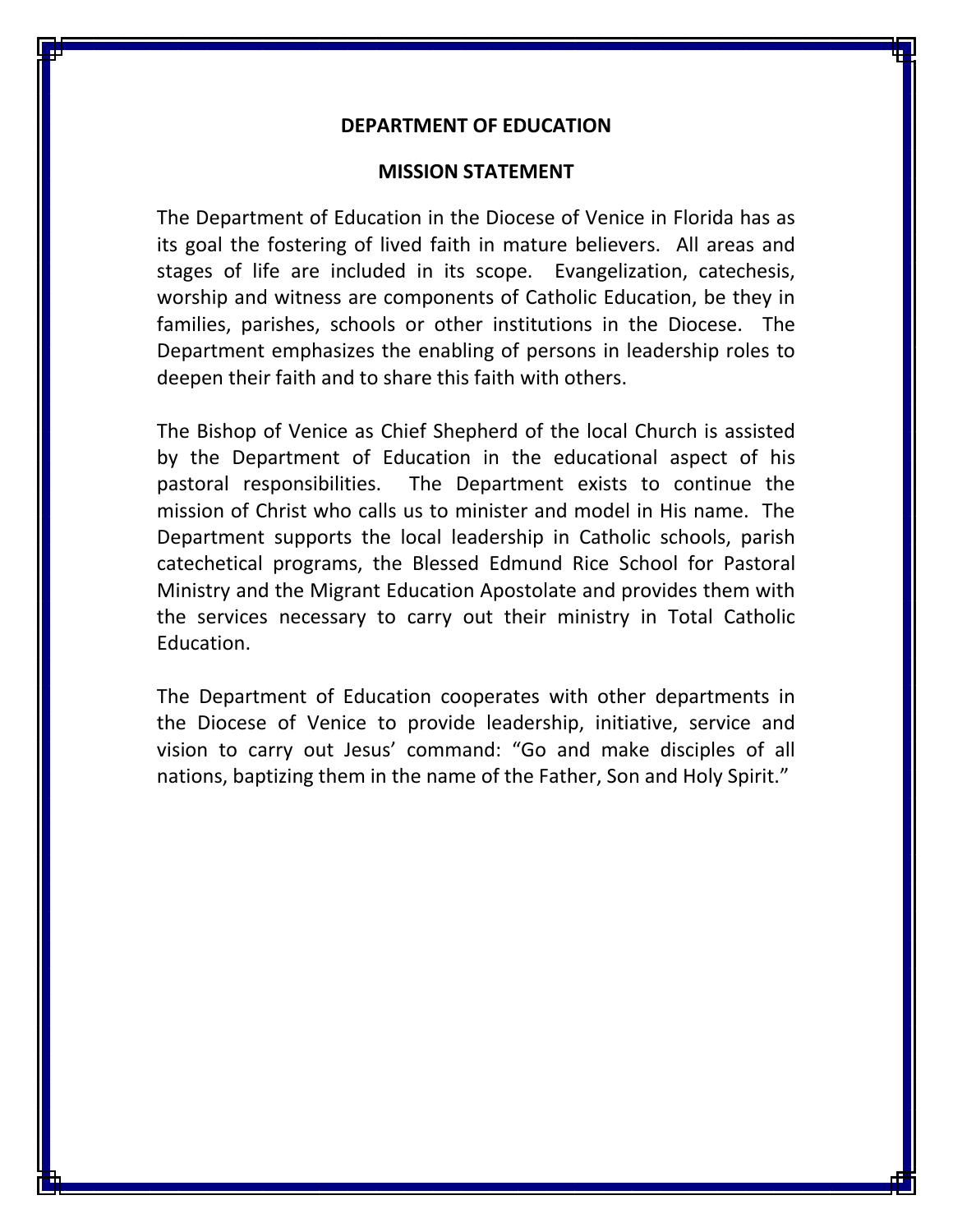#### **DEPARTMENT OF EDUCATION**

#### **MISSION STATEMENT**

The Department of Education in the Diocese of Venice in Florida has as its goal the fostering of lived faith in mature believers. All areas and stages of life are included in its scope. Evangelization, catechesis, worship and witness are components of Catholic Education, be they in families, parishes, schools or other institutions in the Diocese. The Department emphasizes the enabling of persons in leadership roles to deepen their faith and to share this faith with others.

The Bishop of Venice as Chief Shepherd of the local Church is assisted by the Department of Education in the educational aspect of his pastoral responsibilities. The Department exists to continue the mission of Christ who calls us to minister and model in His name. The Department supports the local leadership in Catholic schools, parish catechetical programs, the Blessed Edmund Rice School for Pastoral Ministry and the Migrant Education Apostolate and provides them with the services necessary to carry out their ministry in Total Catholic Education.

The Department of Education cooperates with other departments in the Diocese of Venice to provide leadership, initiative, service and vision to carry out Jesus' command: "Go and make disciples of all nations, baptizing them in the name of the Father, Son and Holy Spirit."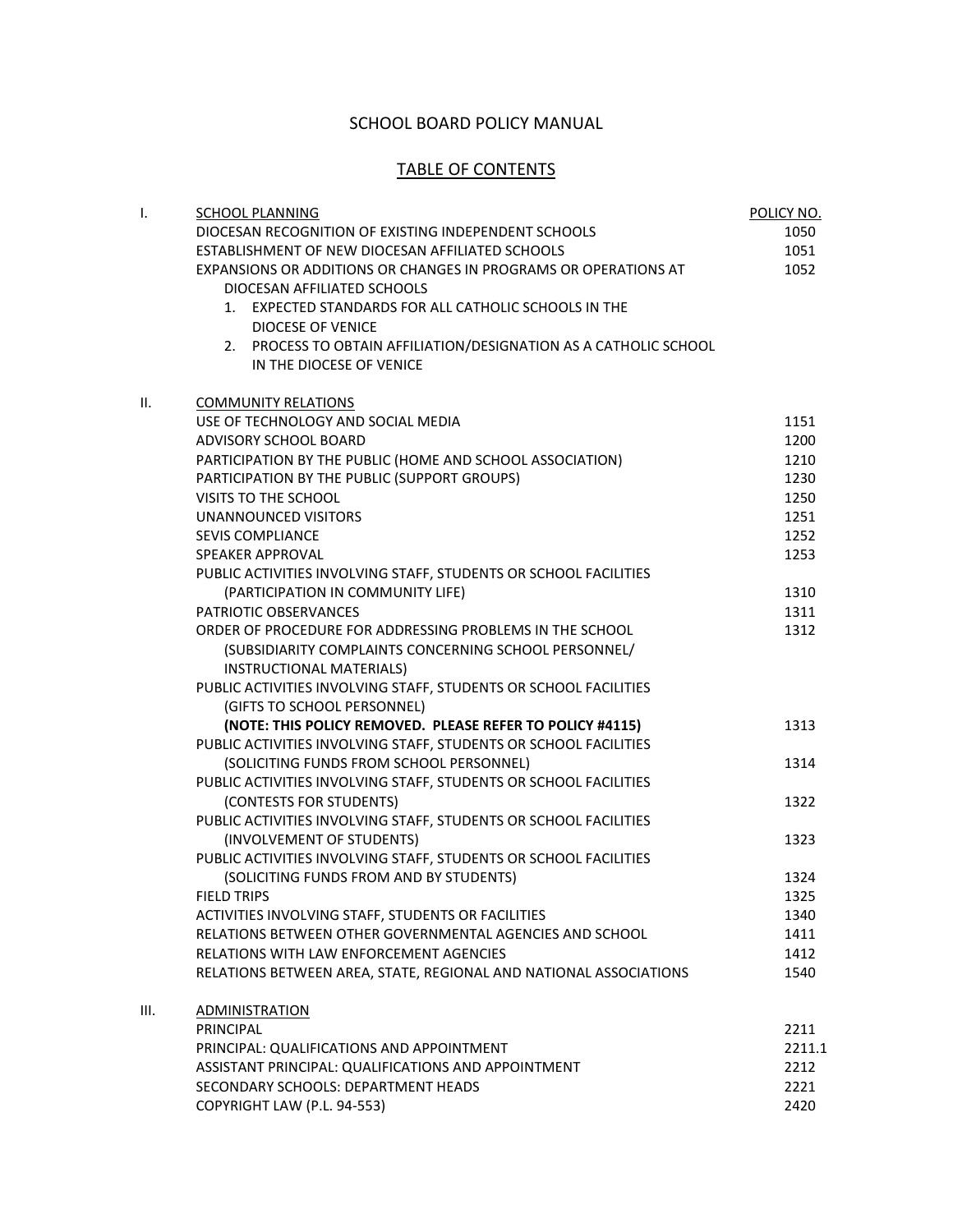#### SCHOOL BOARD POLICY MANUAL

#### TABLE OF CONTENTS

| I. | <b>SCHOOL PLANNING</b>                                            | POLICY NO. |
|----|-------------------------------------------------------------------|------------|
|    | DIOCESAN RECOGNITION OF EXISTING INDEPENDENT SCHOOLS              | 1050       |
|    | ESTABLISHMENT OF NEW DIOCESAN AFFILIATED SCHOOLS                  | 1051       |
|    | EXPANSIONS OR ADDITIONS OR CHANGES IN PROGRAMS OR OPERATIONS AT   | 1052       |
|    | DIOCESAN AFFILIATED SCHOOLS                                       |            |
|    | 1. EXPECTED STANDARDS FOR ALL CATHOLIC SCHOOLS IN THE             |            |
|    | <b>DIOCESE OF VENICE</b>                                          |            |
|    | 2. PROCESS TO OBTAIN AFFILIATION/DESIGNATION AS A CATHOLIC SCHOOL |            |
|    | IN THE DIOCESE OF VENICE                                          |            |
| Ш. | <b>COMMUNITY RELATIONS</b>                                        |            |
|    | USE OF TECHNOLOGY AND SOCIAL MEDIA                                | 1151       |
|    | ADVISORY SCHOOL BOARD                                             | 1200       |
|    | PARTICIPATION BY THE PUBLIC (HOME AND SCHOOL ASSOCIATION)         | 1210       |
|    | PARTICIPATION BY THE PUBLIC (SUPPORT GROUPS)                      | 1230       |
|    | VISITS TO THE SCHOOL                                              | 1250       |
|    | <b>UNANNOUNCED VISITORS</b>                                       | 1251       |
|    | <b>SEVIS COMPLIANCE</b>                                           | 1252       |
|    | <b>SPEAKER APPROVAL</b>                                           | 1253       |
|    | PUBLIC ACTIVITIES INVOLVING STAFF, STUDENTS OR SCHOOL FACILITIES  |            |
|    | (PARTICIPATION IN COMMUNITY LIFE)                                 | 1310       |
|    | PATRIOTIC OBSERVANCES                                             | 1311       |
|    | ORDER OF PROCEDURE FOR ADDRESSING PROBLEMS IN THE SCHOOL          | 1312       |
|    | (SUBSIDIARITY COMPLAINTS CONCERNING SCHOOL PERSONNEL/             |            |
|    | INSTRUCTIONAL MATERIALS)                                          |            |
|    | PUBLIC ACTIVITIES INVOLVING STAFF, STUDENTS OR SCHOOL FACILITIES  |            |
|    | (GIFTS TO SCHOOL PERSONNEL)                                       |            |
|    | (NOTE: THIS POLICY REMOVED. PLEASE REFER TO POLICY #4115)         | 1313       |
|    | PUBLIC ACTIVITIES INVOLVING STAFF, STUDENTS OR SCHOOL FACILITIES  |            |
|    | (SOLICITING FUNDS FROM SCHOOL PERSONNEL)                          | 1314       |
|    | PUBLIC ACTIVITIES INVOLVING STAFF, STUDENTS OR SCHOOL FACILITIES  |            |
|    | (CONTESTS FOR STUDENTS)                                           | 1322       |
|    | PUBLIC ACTIVITIES INVOLVING STAFF, STUDENTS OR SCHOOL FACILITIES  |            |
|    | (INVOLVEMENT OF STUDENTS)                                         | 1323       |
|    | PUBLIC ACTIVITIES INVOLVING STAFF, STUDENTS OR SCHOOL FACILITIES  |            |
|    | (SOLICITING FUNDS FROM AND BY STUDENTS)                           | 1324       |
|    | <b>FIELD TRIPS</b>                                                | 1325       |
|    | ACTIVITIES INVOLVING STAFF, STUDENTS OR FACILITIES                | 1340       |
|    | RELATIONS BETWEEN OTHER GOVERNMENTAL AGENCIES AND SCHOOL          | 1411       |
|    | RELATIONS WITH LAW ENFORCEMENT AGENCIES                           | 1412       |
|    | RELATIONS BETWEEN AREA, STATE, REGIONAL AND NATIONAL ASSOCIATIONS | 1540       |
| Ш. | <b>ADMINISTRATION</b>                                             |            |
|    | PRINCIPAL                                                         | 2211       |
|    | PRINCIPAL: QUALIFICATIONS AND APPOINTMENT                         | 2211.1     |
|    | ASSISTANT PRINCIPAL: QUALIFICATIONS AND APPOINTMENT               | 2212       |
|    | SECONDARY SCHOOLS: DEPARTMENT HEADS                               | 2221       |
|    | COPYRIGHT LAW (P.L. 94-553)                                       | 2420       |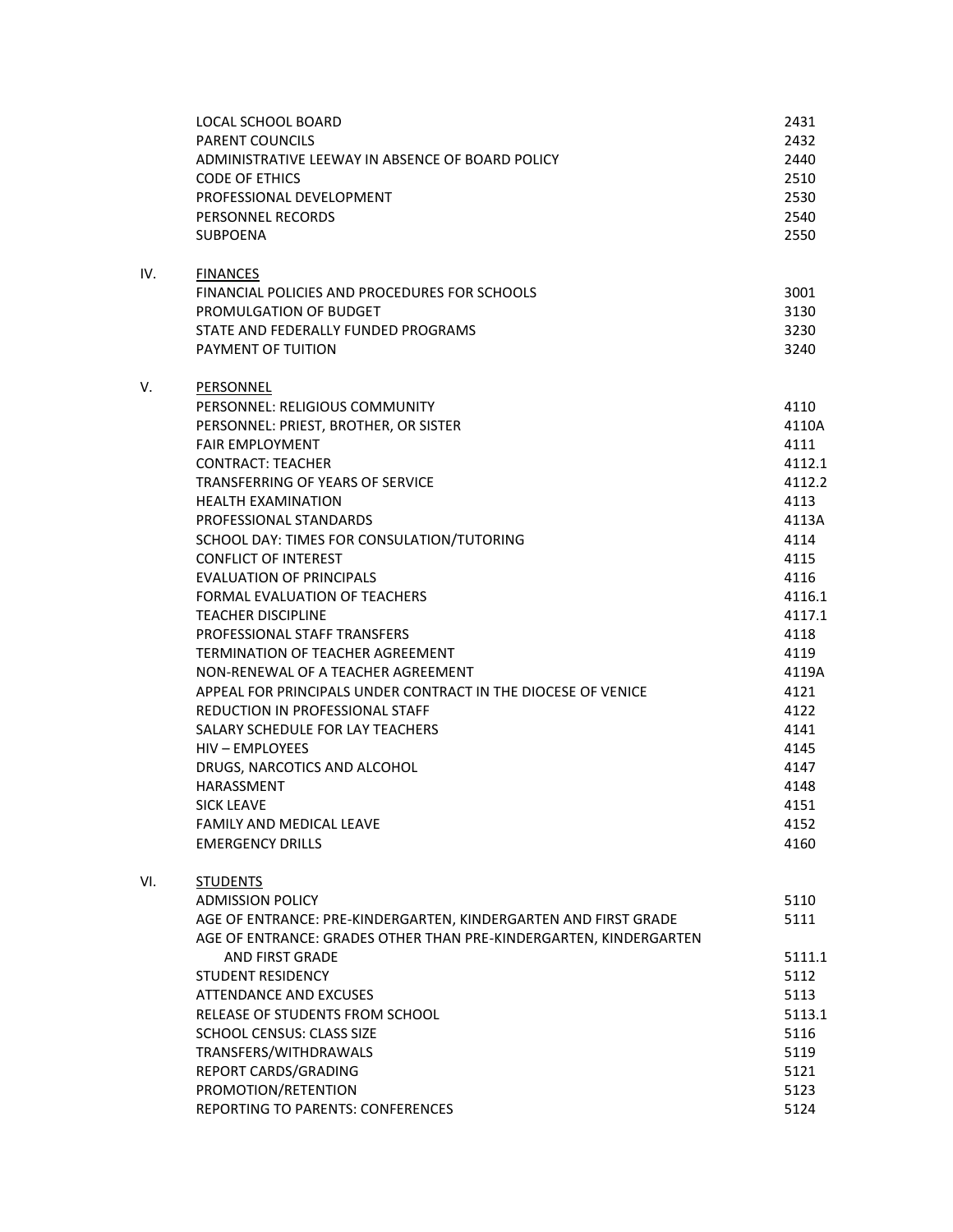|     | LOCAL SCHOOL BOARD<br>PARENT COUNCILS<br>ADMINISTRATIVE LEEWAY IN ABSENCE OF BOARD POLICY<br><b>CODE OF ETHICS</b><br>PROFESSIONAL DEVELOPMENT<br>PERSONNEL RECORDS<br><b>SUBPOENA</b> | 2431<br>2432<br>2440<br>2510<br>2530<br>2540<br>2550 |
|-----|----------------------------------------------------------------------------------------------------------------------------------------------------------------------------------------|------------------------------------------------------|
|     |                                                                                                                                                                                        |                                                      |
| IV. | <b>FINANCES</b><br>FINANCIAL POLICIES AND PROCEDURES FOR SCHOOLS                                                                                                                       | 3001                                                 |
|     | PROMULGATION OF BUDGET                                                                                                                                                                 | 3130                                                 |
|     | STATE AND FEDERALLY FUNDED PROGRAMS                                                                                                                                                    | 3230                                                 |
|     | PAYMENT OF TUITION                                                                                                                                                                     | 3240                                                 |
| V.  | <b>PERSONNEL</b>                                                                                                                                                                       |                                                      |
|     | PERSONNEL: RELIGIOUS COMMUNITY                                                                                                                                                         | 4110                                                 |
|     | PERSONNEL: PRIEST, BROTHER, OR SISTER                                                                                                                                                  | 4110A                                                |
|     | <b>FAIR EMPLOYMENT</b>                                                                                                                                                                 | 4111                                                 |
|     | <b>CONTRACT: TEACHER</b>                                                                                                                                                               | 4112.1                                               |
|     | TRANSFERRING OF YEARS OF SERVICE                                                                                                                                                       | 4112.2                                               |
|     | <b>HEALTH EXAMINATION</b>                                                                                                                                                              | 4113                                                 |
|     | PROFESSIONAL STANDARDS                                                                                                                                                                 | 4113A                                                |
|     | SCHOOL DAY: TIMES FOR CONSULATION/TUTORING                                                                                                                                             | 4114                                                 |
|     | <b>CONFLICT OF INTEREST</b>                                                                                                                                                            | 4115                                                 |
|     | <b>EVALUATION OF PRINCIPALS</b>                                                                                                                                                        | 4116                                                 |
|     | FORMAL EVALUATION OF TEACHERS                                                                                                                                                          | 4116.1                                               |
|     | <b>TEACHER DISCIPLINE</b>                                                                                                                                                              | 4117.1                                               |
|     | PROFESSIONAL STAFF TRANSFERS                                                                                                                                                           | 4118                                                 |
|     | <b>TERMINATION OF TEACHER AGREEMENT</b>                                                                                                                                                | 4119                                                 |
|     | NON-RENEWAL OF A TEACHER AGREEMENT                                                                                                                                                     | 4119A                                                |
|     | APPEAL FOR PRINCIPALS UNDER CONTRACT IN THE DIOCESE OF VENICE                                                                                                                          | 4121                                                 |
|     | REDUCTION IN PROFESSIONAL STAFF<br>SALARY SCHEDULE FOR LAY TEACHERS                                                                                                                    | 4122                                                 |
|     | HIV - EMPLOYEES                                                                                                                                                                        | 4141                                                 |
|     |                                                                                                                                                                                        | 4145                                                 |
|     | DRUGS, NARCOTICS AND ALCOHOL<br><b>HARASSMENT</b>                                                                                                                                      | 4147<br>4148                                         |
|     | <b>SICK LEAVE</b>                                                                                                                                                                      | 4151                                                 |
|     | FAMILY AND MEDICAL LEAVE                                                                                                                                                               | 4152                                                 |
|     | <b>EMERGENCY DRILLS</b>                                                                                                                                                                | 4160                                                 |
| VI. | <b>STUDENTS</b>                                                                                                                                                                        |                                                      |
|     | <b>ADMISSION POLICY</b>                                                                                                                                                                | 5110                                                 |
|     | AGE OF ENTRANCE: PRE-KINDERGARTEN, KINDERGARTEN AND FIRST GRADE                                                                                                                        | 5111                                                 |
|     | AGE OF ENTRANCE: GRADES OTHER THAN PRE-KINDERGARTEN, KINDERGARTEN                                                                                                                      |                                                      |
|     | <b>AND FIRST GRADE</b>                                                                                                                                                                 | 5111.1                                               |
|     | STUDENT RESIDENCY                                                                                                                                                                      | 5112                                                 |
|     | ATTENDANCE AND EXCUSES                                                                                                                                                                 | 5113                                                 |
|     | RELEASE OF STUDENTS FROM SCHOOL                                                                                                                                                        | 5113.1                                               |
|     | SCHOOL CENSUS: CLASS SIZE                                                                                                                                                              | 5116                                                 |
|     | TRANSFERS/WITHDRAWALS                                                                                                                                                                  | 5119                                                 |
|     | REPORT CARDS/GRADING                                                                                                                                                                   | 5121                                                 |
|     | PROMOTION/RETENTION                                                                                                                                                                    | 5123                                                 |
|     | REPORTING TO PARENTS: CONFERENCES                                                                                                                                                      | 5124                                                 |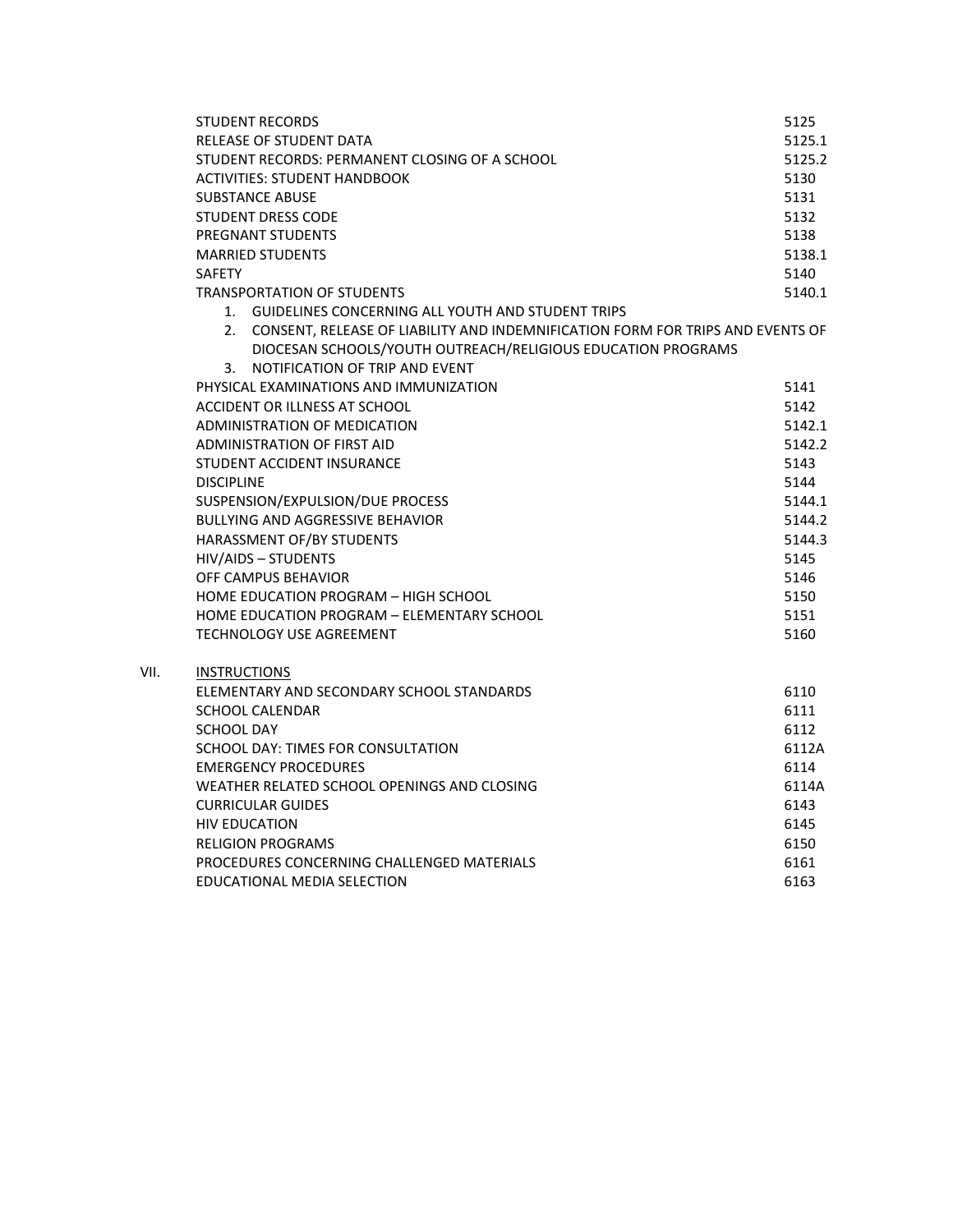| <b>STUDENT RECORDS</b>                                                            | 5125   |
|-----------------------------------------------------------------------------------|--------|
| RELEASE OF STUDENT DATA                                                           | 5125.1 |
| STUDENT RECORDS: PERMANENT CLOSING OF A SCHOOL                                    | 5125.2 |
| <b>ACTIVITIES: STUDENT HANDBOOK</b>                                               | 5130   |
| <b>SUBSTANCE ABUSE</b>                                                            | 5131   |
| <b>STUDENT DRESS CODE</b>                                                         | 5132   |
| PREGNANT STUDENTS                                                                 | 5138   |
| <b>MARRIED STUDENTS</b>                                                           | 5138.1 |
| <b>SAFETY</b>                                                                     | 5140   |
| <b>TRANSPORTATION OF STUDENTS</b>                                                 | 5140.1 |
| 1. GUIDELINES CONCERNING ALL YOUTH AND STUDENT TRIPS                              |        |
| 2. CONSENT, RELEASE OF LIABILITY AND INDEMNIFICATION FORM FOR TRIPS AND EVENTS OF |        |
| DIOCESAN SCHOOLS/YOUTH OUTREACH/RELIGIOUS EDUCATION PROGRAMS                      |        |
| 3. NOTIFICATION OF TRIP AND EVENT                                                 |        |
| PHYSICAL EXAMINATIONS AND IMMUNIZATION                                            | 5141   |
| ACCIDENT OR ILLNESS AT SCHOOL                                                     | 5142   |
| ADMINISTRATION OF MEDICATION                                                      | 5142.1 |
| <b>ADMINISTRATION OF FIRST AID</b>                                                | 5142.2 |
| <b>STUDENT ACCIDENT INSURANCE</b>                                                 | 5143   |
| <b>DISCIPLINE</b>                                                                 | 5144   |
| SUSPENSION/EXPULSION/DUE PROCESS                                                  | 5144.1 |
| <b>BULLYING AND AGGRESSIVE BEHAVIOR</b>                                           | 5144.2 |
| HARASSMENT OF/BY STUDENTS                                                         | 5144.3 |
| HIV/AIDS - STUDENTS                                                               | 5145   |
| OFF CAMPUS BEHAVIOR                                                               | 5146   |
| HOME EDUCATION PROGRAM - HIGH SCHOOL                                              | 5150   |
| HOME EDUCATION PROGRAM - ELEMENTARY SCHOOL                                        | 5151   |
| <b>TECHNOLOGY USE AGREEMENT</b>                                                   | 5160   |
|                                                                                   |        |
| <b>INSTRUCTIONS</b>                                                               |        |
| ELEMENTARY AND SECONDARY SCHOOL STANDARDS                                         | 6110   |
| <b>SCHOOL CALENDAR</b>                                                            | 6111   |
| <b>SCHOOL DAY</b>                                                                 | 6112   |
| SCHOOL DAY: TIMES FOR CONSULTATION                                                | 6112A  |
| <b>EMERGENCY PROCEDURES</b>                                                       | 6114   |
| WEATHER RELATED SCHOOL OPENINGS AND CLOSING                                       | 6114A  |
| <b>CURRICULAR GUIDES</b>                                                          | 6143   |
| <b>HIV EDUCATION</b>                                                              | 6145   |
| <b>RELIGION PROGRAMS</b>                                                          | 6150   |
| PROCEDURES CONCERNING CHALLENGED MATERIALS                                        | 6161   |
| EDUCATIONAL MEDIA SELECTION                                                       | 6163   |

VII.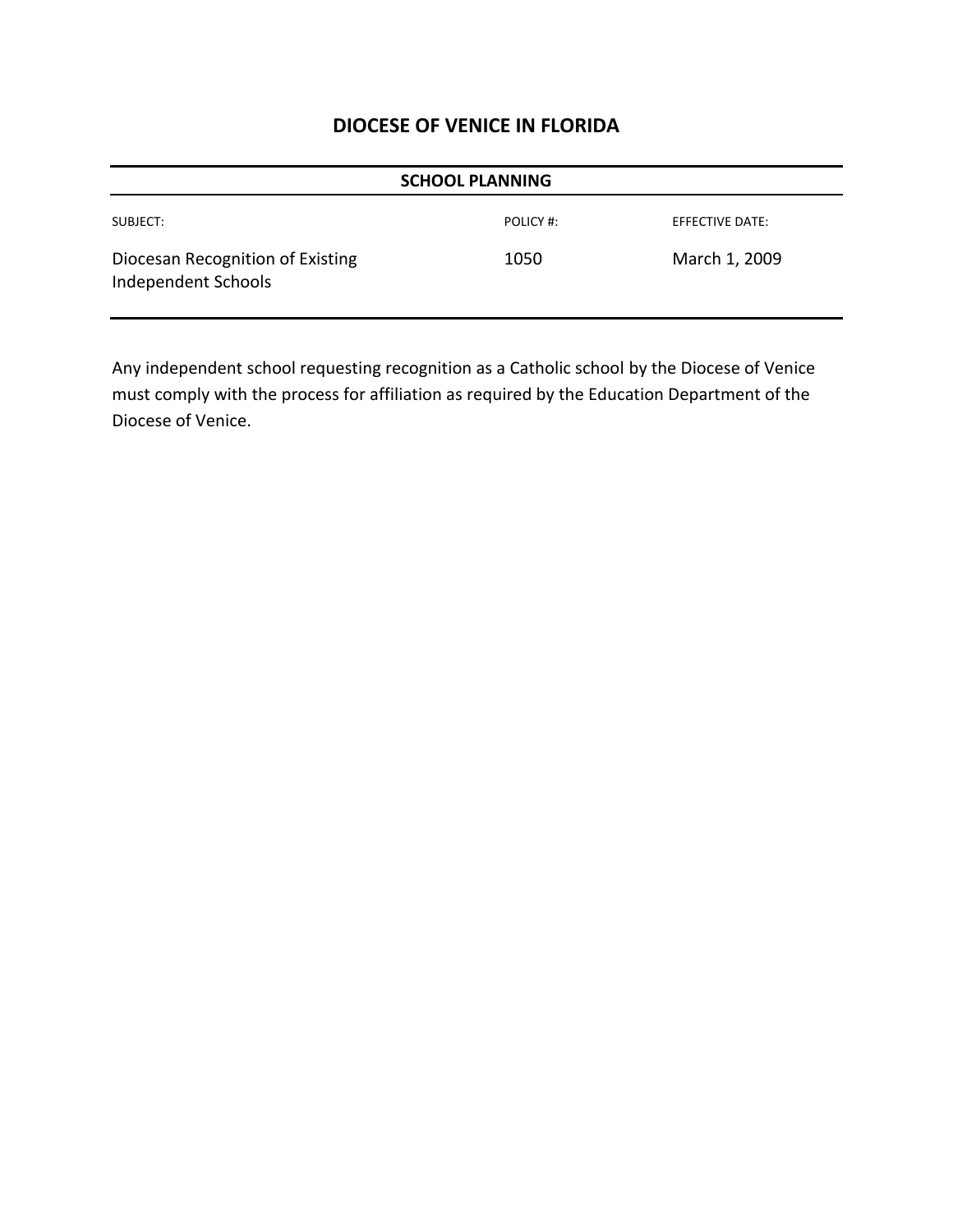| <b>SCHOOL PLANNING</b>                                  |           |                        |  |
|---------------------------------------------------------|-----------|------------------------|--|
| SUBJECT:                                                | POLICY #: | <b>EFFECTIVE DATE:</b> |  |
| Diocesan Recognition of Existing<br>Independent Schools | 1050      | March 1, 2009          |  |

Any independent school requesting recognition as a Catholic school by the Diocese of Venice must comply with the process for affiliation as required by the Education Department of the Diocese of Venice.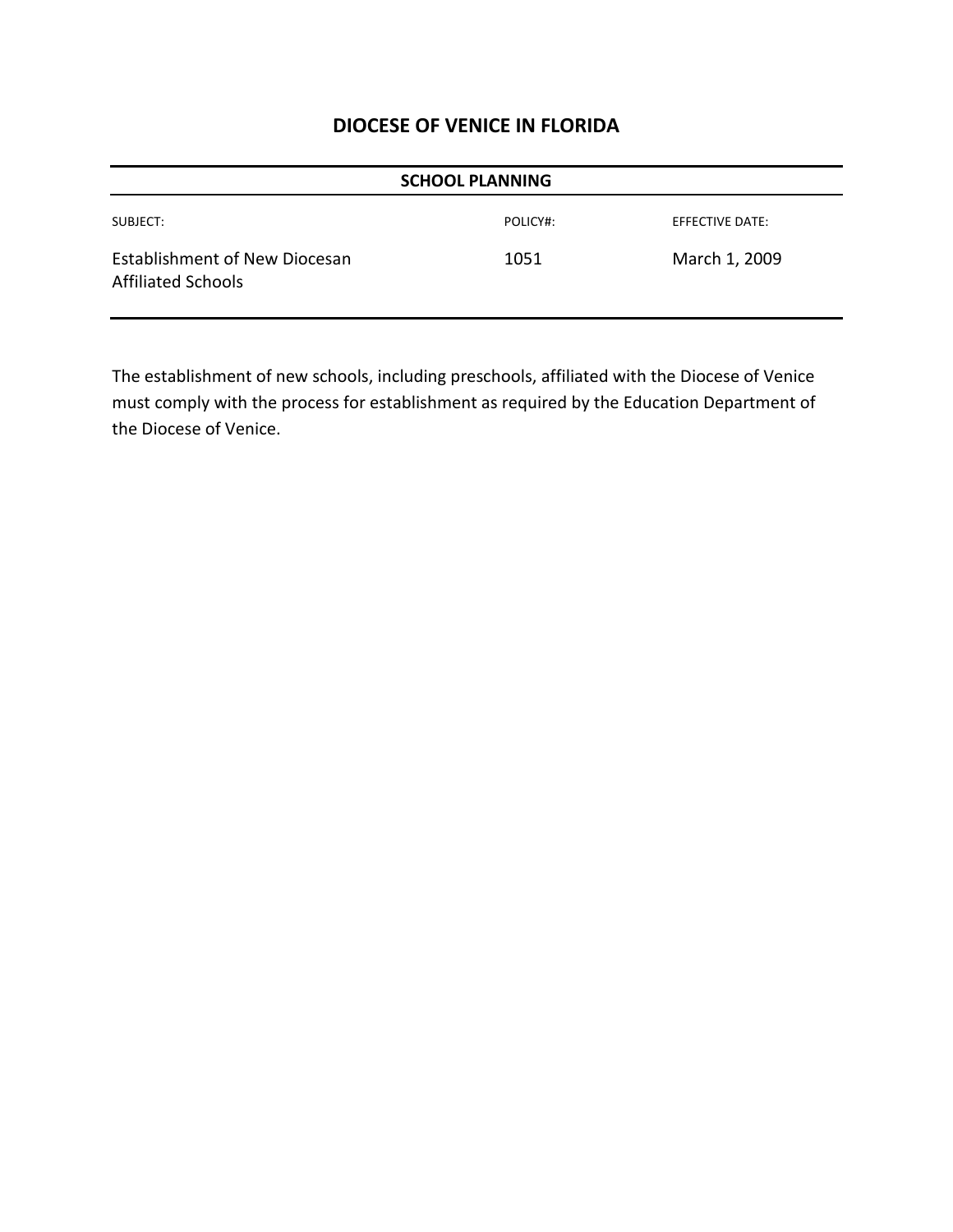| <b>SCHOOL PLANNING</b>                                            |          |                        |  |
|-------------------------------------------------------------------|----------|------------------------|--|
| SUBJECT:                                                          | POLICY#: | <b>EFFECTIVE DATE:</b> |  |
| <b>Establishment of New Diocesan</b><br><b>Affiliated Schools</b> | 1051     | March 1, 2009          |  |

The establishment of new schools, including preschools, affiliated with the Diocese of Venice must comply with the process for establishment as required by the Education Department of the Diocese of Venice.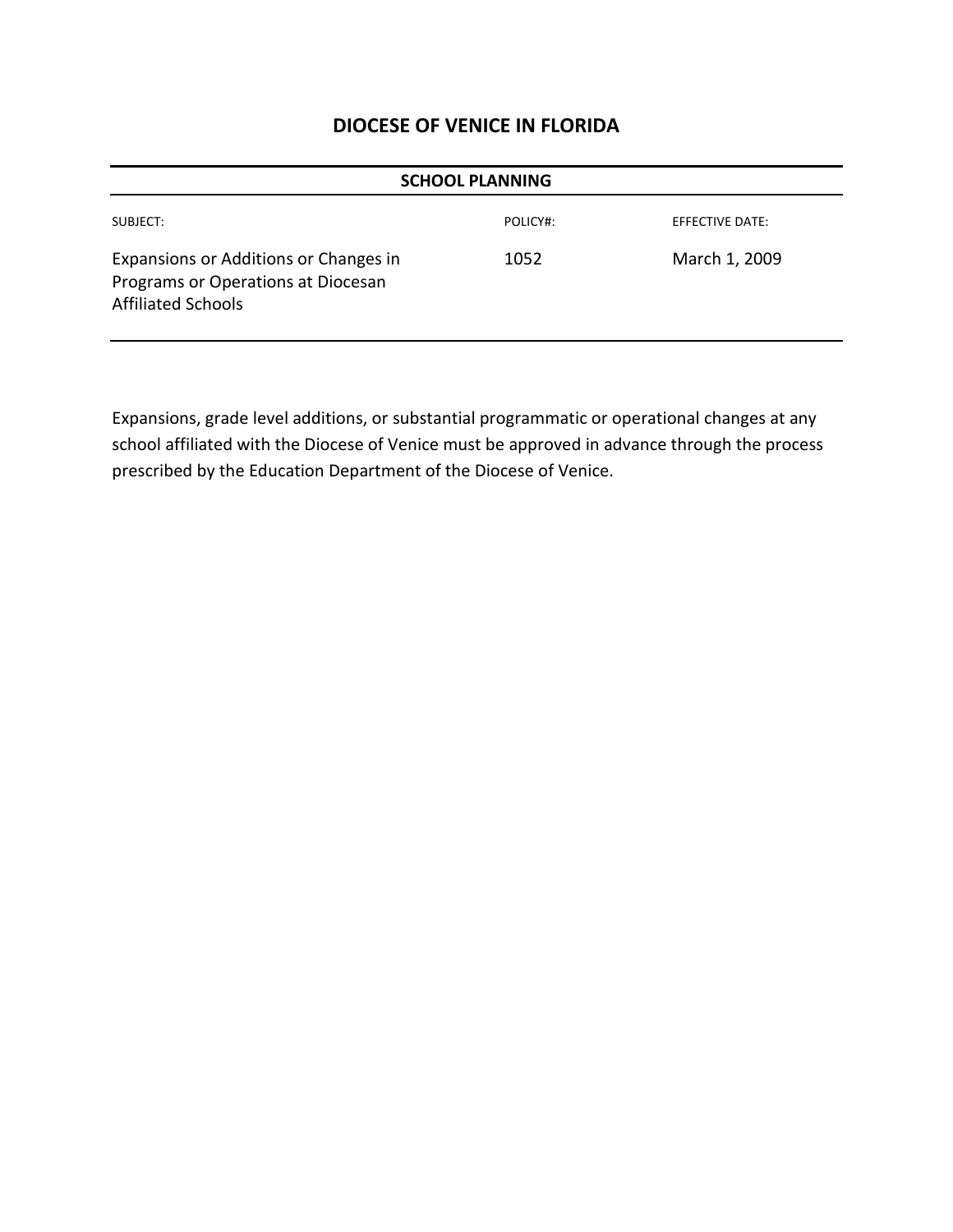| <b>SCHOOL PLANNING</b>                                                                                   |          |                 |  |
|----------------------------------------------------------------------------------------------------------|----------|-----------------|--|
| SUBJECT:                                                                                                 | POLICY#: | EFFECTIVE DATE: |  |
| Expansions or Additions or Changes in<br>Programs or Operations at Diocesan<br><b>Affiliated Schools</b> | 1052     | March 1, 2009   |  |

Expansions, grade level additions, or substantial programmatic or operational changes at any school affiliated with the Diocese of Venice must be approved in advance through the process prescribed by the Education Department of the Diocese of Venice.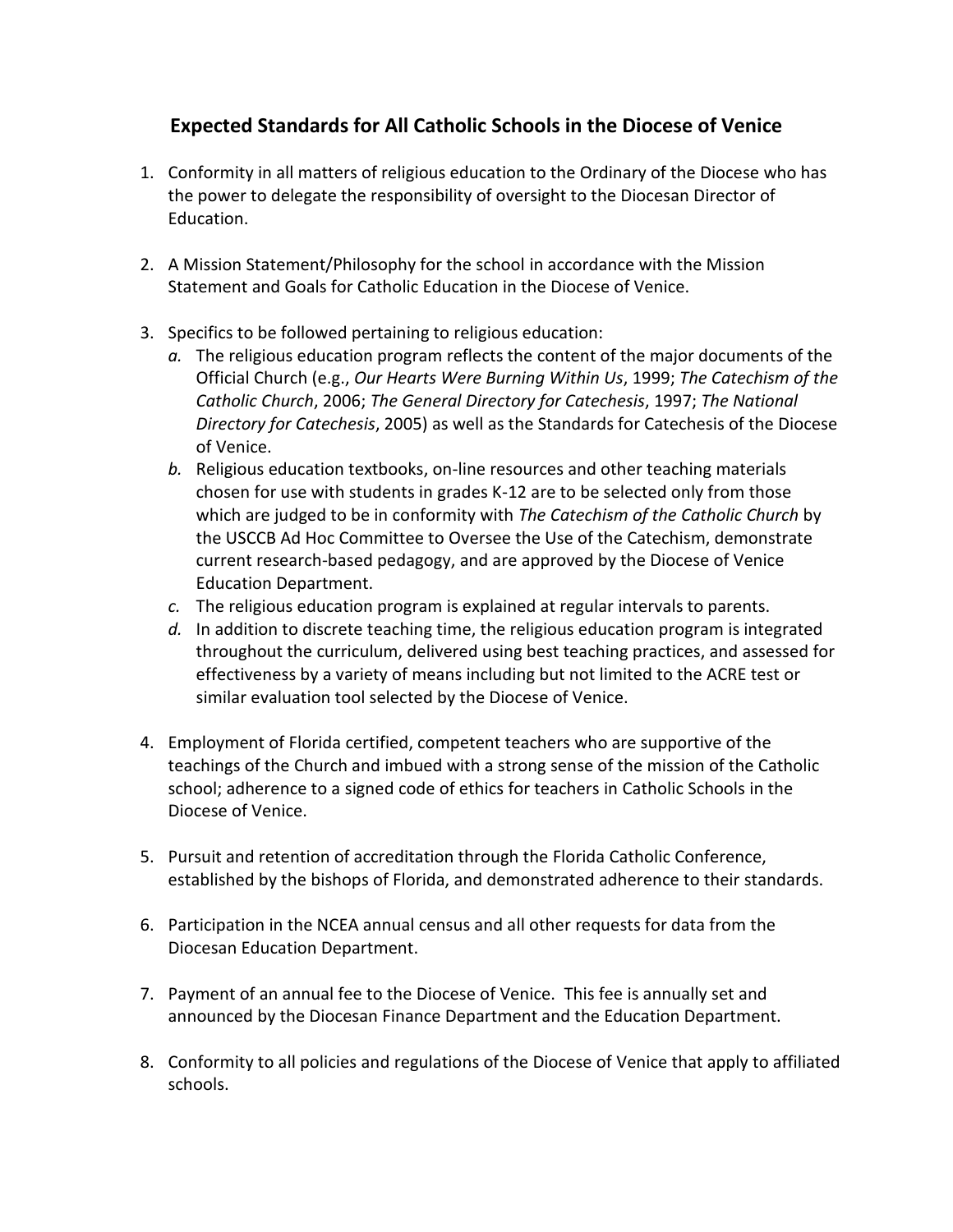# **Expected Standards for All Catholic Schools in the Diocese of Venice**

- 1. Conformity in all matters of religious education to the Ordinary of the Diocese who has the power to delegate the responsibility of oversight to the Diocesan Director of Education.
- 2. A Mission Statement/Philosophy for the school in accordance with the Mission Statement and Goals for Catholic Education in the Diocese of Venice.
- 3. Specifics to be followed pertaining to religious education:
	- *a.* The religious education program reflects the content of the major documents of the Official Church (e.g., *Our Hearts Were Burning Within Us*, 1999; *The Catechism of the Catholic Church*, 2006; *The General Directory for Catechesis*, 1997; *The National Directory for Catechesis*, 2005) as well as the Standards for Catechesis of the Diocese of Venice.
	- *b.* Religious education textbooks, on-line resources and other teaching materials chosen for use with students in grades K-12 are to be selected only from those which are judged to be in conformity with *The Catechism of the Catholic Church* by the USCCB Ad Hoc Committee to Oversee the Use of the Catechism, demonstrate current research-based pedagogy, and are approved by the Diocese of Venice Education Department.
	- *c.* The religious education program is explained at regular intervals to parents.
	- *d.* In addition to discrete teaching time, the religious education program is integrated throughout the curriculum, delivered using best teaching practices, and assessed for effectiveness by a variety of means including but not limited to the ACRE test or similar evaluation tool selected by the Diocese of Venice.
- 4. Employment of Florida certified, competent teachers who are supportive of the teachings of the Church and imbued with a strong sense of the mission of the Catholic school; adherence to a signed code of ethics for teachers in Catholic Schools in the Diocese of Venice.
- 5. Pursuit and retention of accreditation through the Florida Catholic Conference, established by the bishops of Florida, and demonstrated adherence to their standards.
- 6. Participation in the NCEA annual census and all other requests for data from the Diocesan Education Department.
- 7. Payment of an annual fee to the Diocese of Venice. This fee is annually set and announced by the Diocesan Finance Department and the Education Department.
- 8. Conformity to all policies and regulations of the Diocese of Venice that apply to affiliated schools.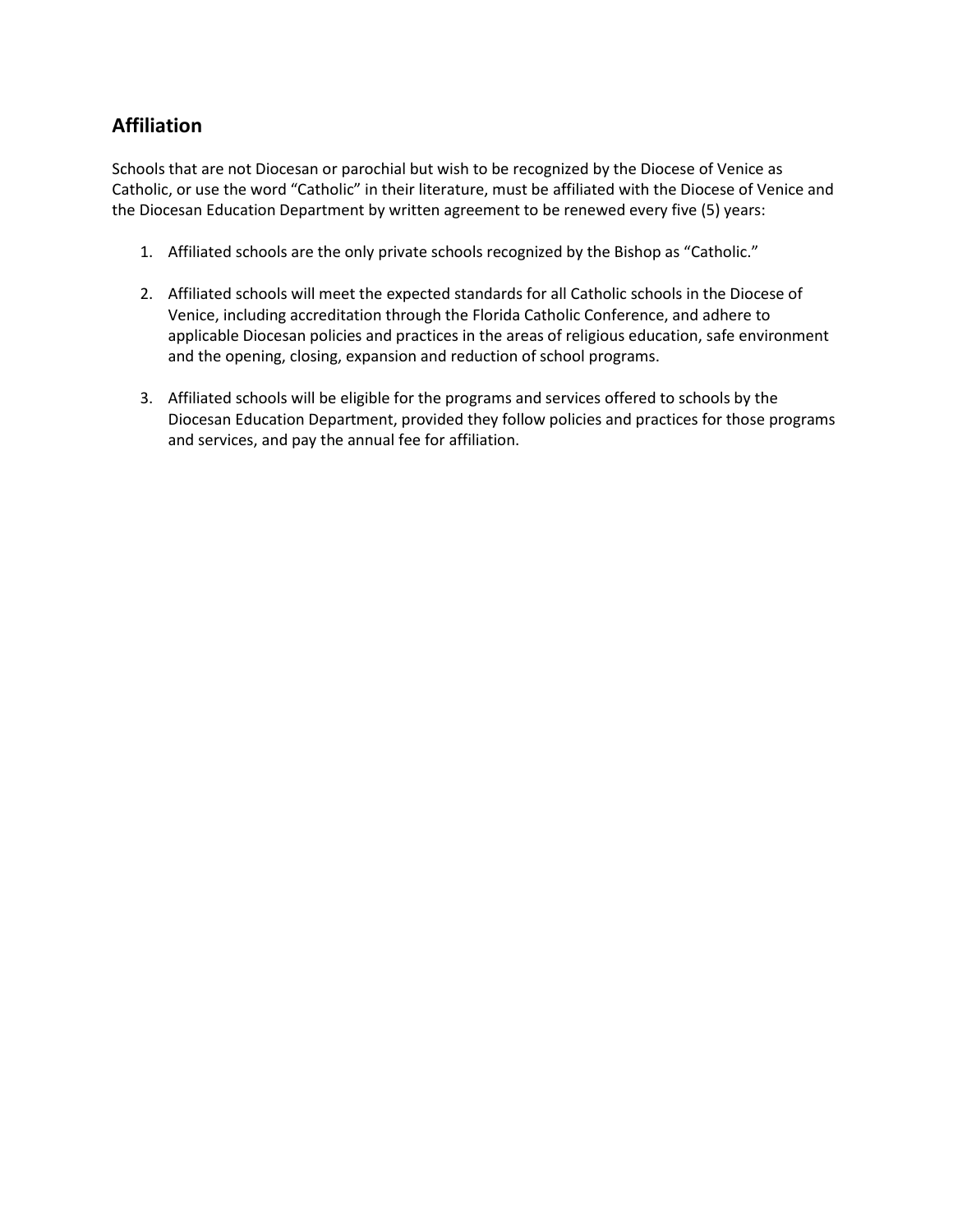#### **Affiliation**

Schools that are not Diocesan or parochial but wish to be recognized by the Diocese of Venice as Catholic, or use the word "Catholic" in their literature, must be affiliated with the Diocese of Venice and the Diocesan Education Department by written agreement to be renewed every five (5) years:

- 1. Affiliated schools are the only private schools recognized by the Bishop as "Catholic."
- 2. Affiliated schools will meet the expected standards for all Catholic schools in the Diocese of Venice, including accreditation through the Florida Catholic Conference, and adhere to applicable Diocesan policies and practices in the areas of religious education, safe environment and the opening, closing, expansion and reduction of school programs.
- 3. Affiliated schools will be eligible for the programs and services offered to schools by the Diocesan Education Department, provided they follow policies and practices for those programs and services, and pay the annual fee for affiliation.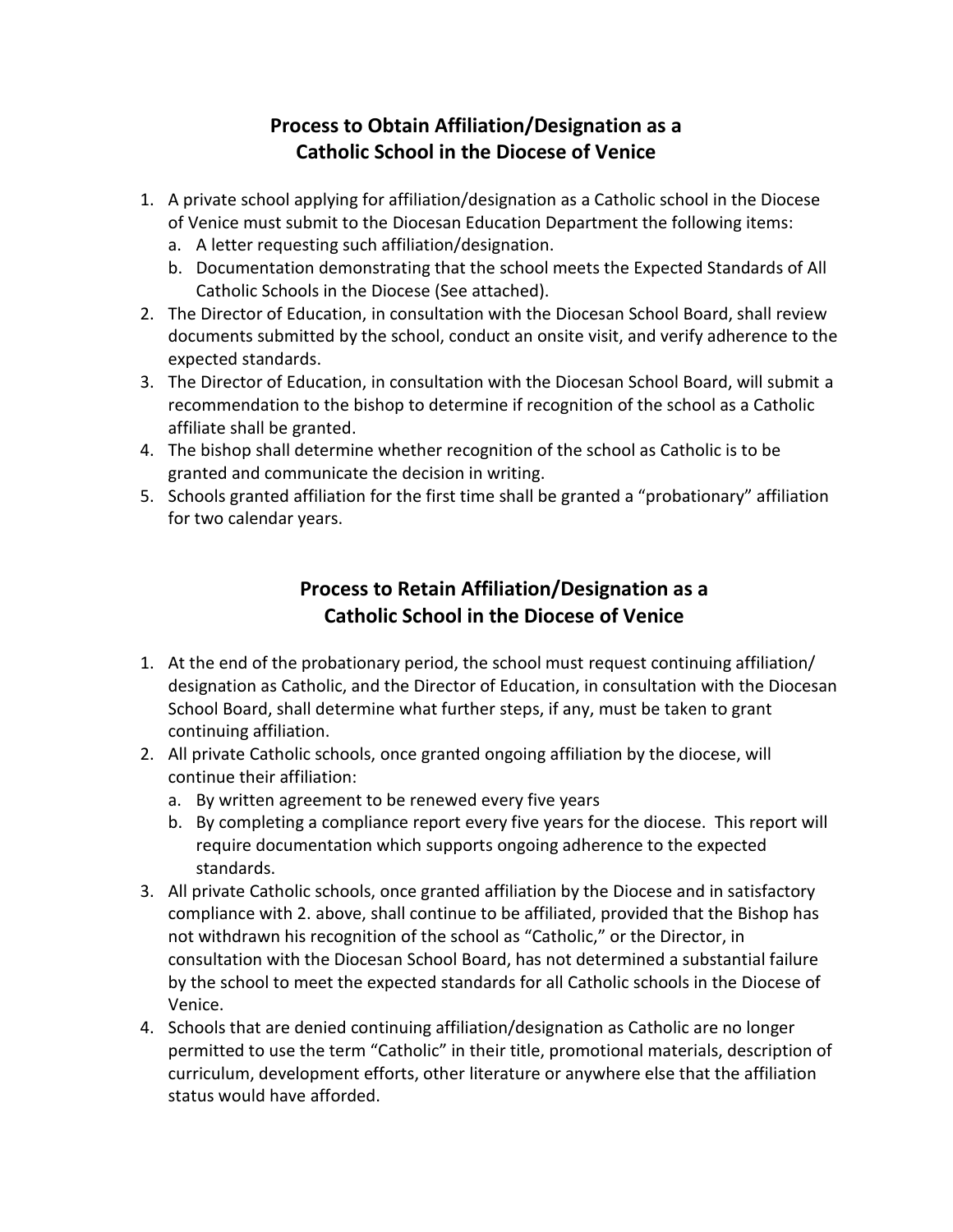# **Process to Obtain Affiliation/Designation as a Catholic School in the Diocese of Venice**

- 1. A private school applying for affiliation/designation as a Catholic school in the Diocese of Venice must submit to the Diocesan Education Department the following items:
	- a. A letter requesting such affiliation/designation.
	- b. Documentation demonstrating that the school meets the Expected Standards of All Catholic Schools in the Diocese (See attached).
- 2. The Director of Education, in consultation with the Diocesan School Board, shall review documents submitted by the school, conduct an onsite visit, and verify adherence to the expected standards.
- 3. The Director of Education, in consultation with the Diocesan School Board, will submit a recommendation to the bishop to determine if recognition of the school as a Catholic affiliate shall be granted.
- 4. The bishop shall determine whether recognition of the school as Catholic is to be granted and communicate the decision in writing.
- 5. Schools granted affiliation for the first time shall be granted a "probationary" affiliation for two calendar years.

# **Process to Retain Affiliation/Designation as a Catholic School in the Diocese of Venice**

- 1. At the end of the probationary period, the school must request continuing affiliation/ designation as Catholic, and the Director of Education, in consultation with the Diocesan School Board, shall determine what further steps, if any, must be taken to grant continuing affiliation.
- 2. All private Catholic schools, once granted ongoing affiliation by the diocese, will continue their affiliation:
	- a. By written agreement to be renewed every five years
	- b. By completing a compliance report every five years for the diocese. This report will require documentation which supports ongoing adherence to the expected standards.
- 3. All private Catholic schools, once granted affiliation by the Diocese and in satisfactory compliance with 2. above, shall continue to be affiliated, provided that the Bishop has not withdrawn his recognition of the school as "Catholic," or the Director, in consultation with the Diocesan School Board, has not determined a substantial failure by the school to meet the expected standards for all Catholic schools in the Diocese of Venice.
- 4. Schools that are denied continuing affiliation/designation as Catholic are no longer permitted to use the term "Catholic" in their title, promotional materials, description of curriculum, development efforts, other literature or anywhere else that the affiliation status would have afforded.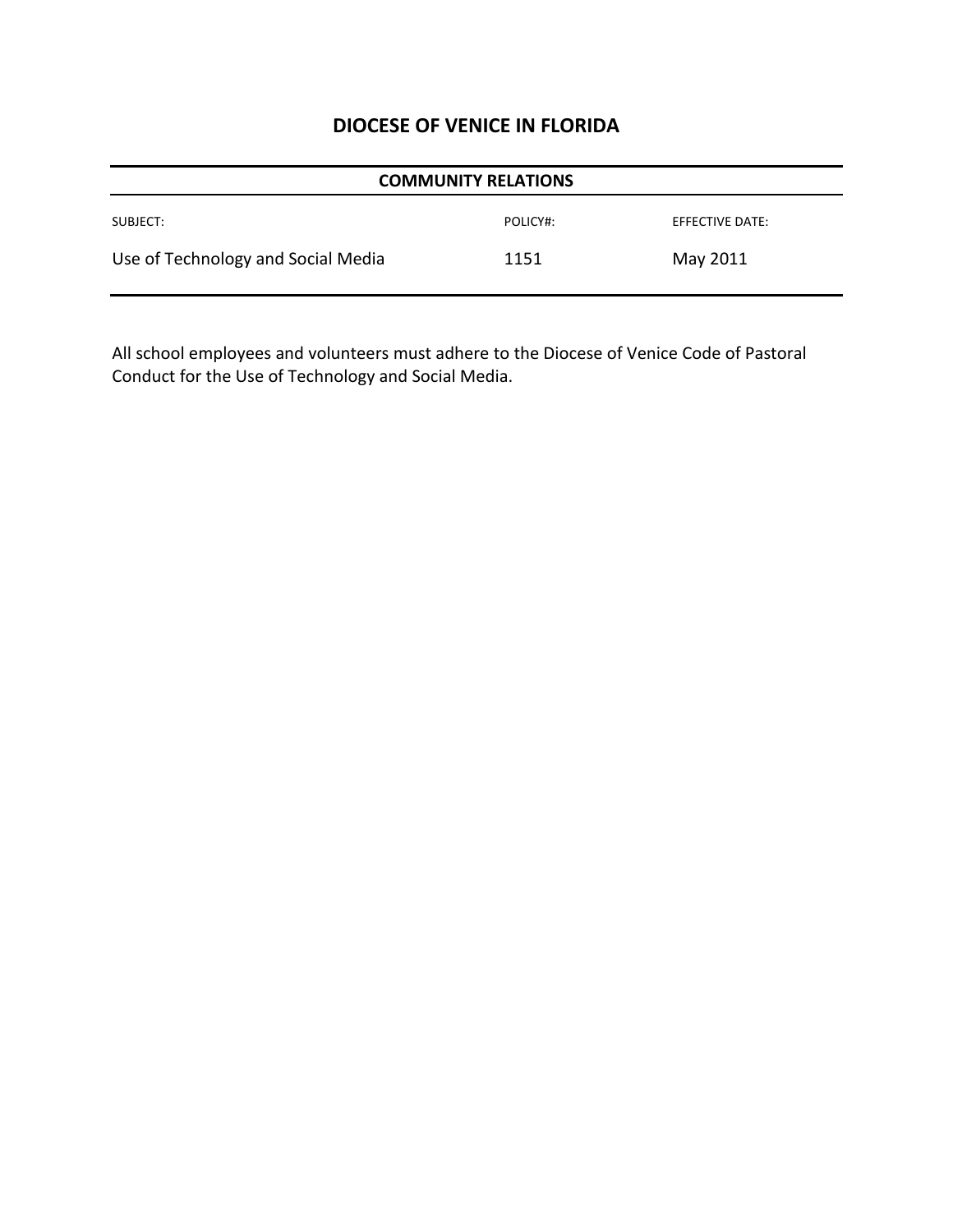| <b>COMMUNITY RELATIONS</b>         |          |                 |  |
|------------------------------------|----------|-----------------|--|
| SUBJECT:                           | POLICY#: | EFFECTIVE DATE: |  |
| Use of Technology and Social Media | 1151     | May 2011        |  |

All school employees and volunteers must adhere to the Diocese of Venice Code of Pastoral Conduct for the Use of Technology and Social Media.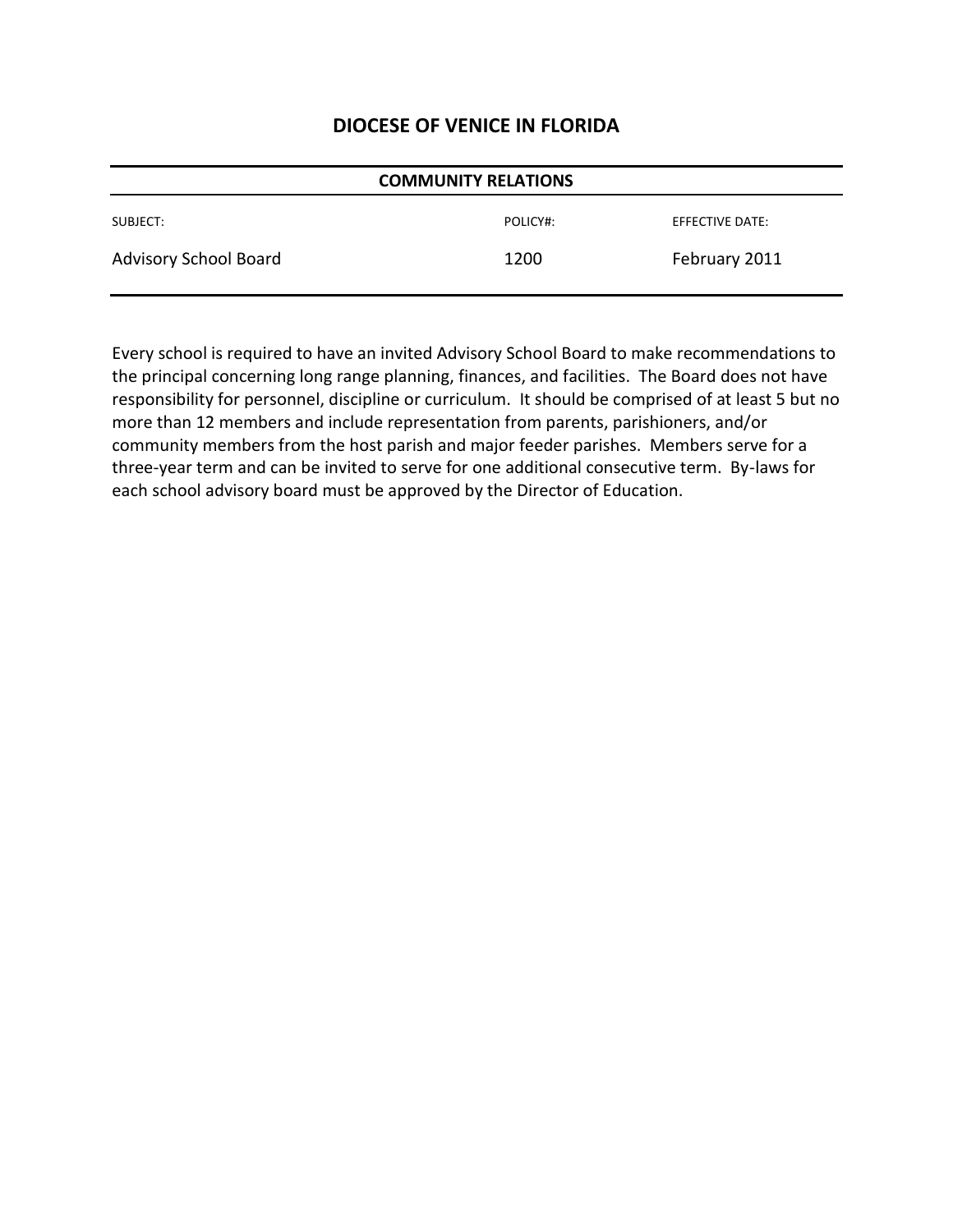| <b>COMMUNITY RELATIONS</b> |          |                 |
|----------------------------|----------|-----------------|
| SUBJECT:                   | POLICY#: | EFFECTIVE DATE: |
| Advisory School Board      | 1200     | February 2011   |

Every school is required to have an invited Advisory School Board to make recommendations to the principal concerning long range planning, finances, and facilities. The Board does not have responsibility for personnel, discipline or curriculum. It should be comprised of at least 5 but no more than 12 members and include representation from parents, parishioners, and/or community members from the host parish and major feeder parishes. Members serve for a three-year term and can be invited to serve for one additional consecutive term. By-laws for each school advisory board must be approved by the Director of Education.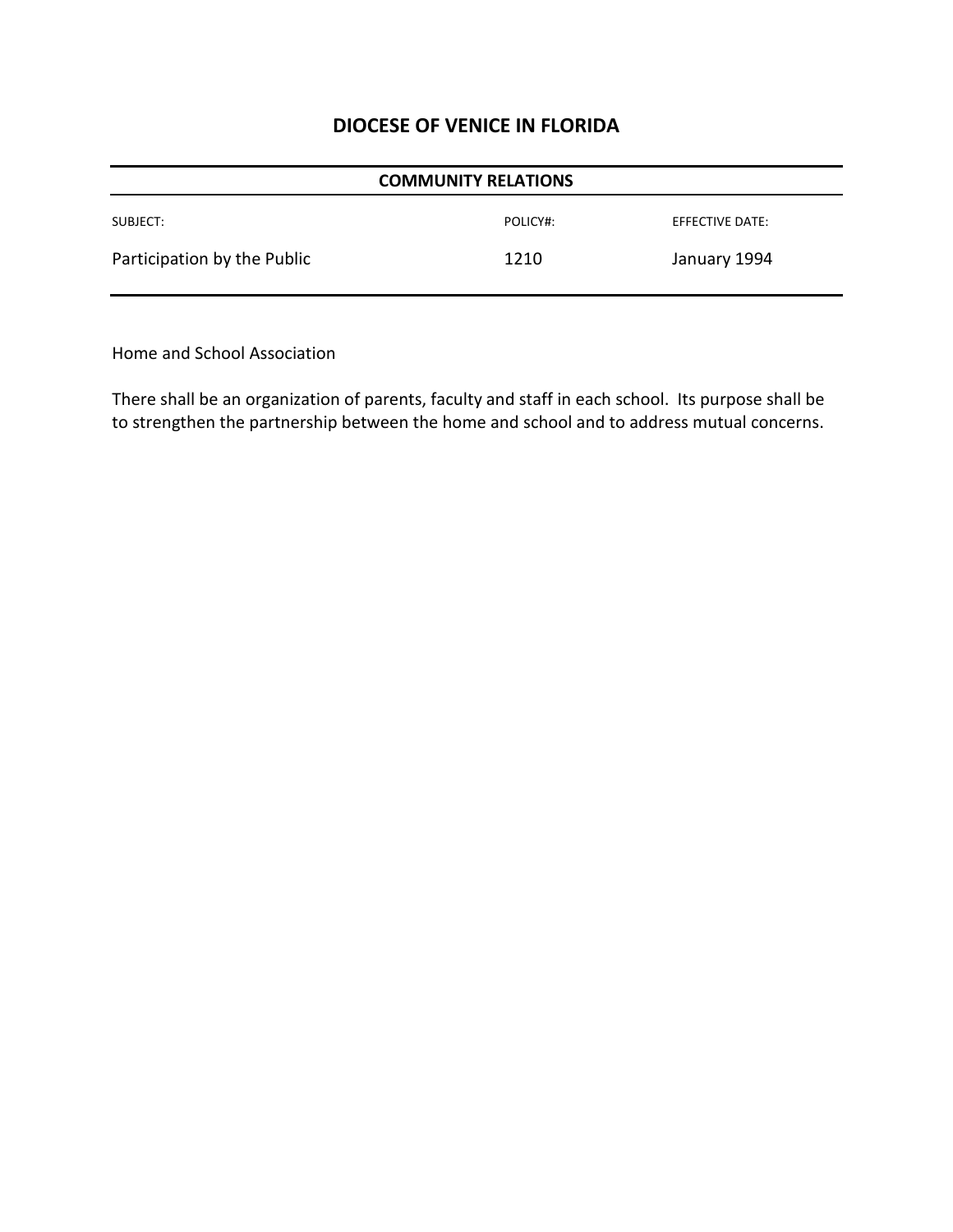| <b>COMMUNITY RELATIONS</b>  |          |                 |  |
|-----------------------------|----------|-----------------|--|
| SUBJECT:                    | POLICY#: | EFFECTIVE DATE: |  |
| Participation by the Public | 1210     | January 1994    |  |

Home and School Association

There shall be an organization of parents, faculty and staff in each school. Its purpose shall be to strengthen the partnership between the home and school and to address mutual concerns.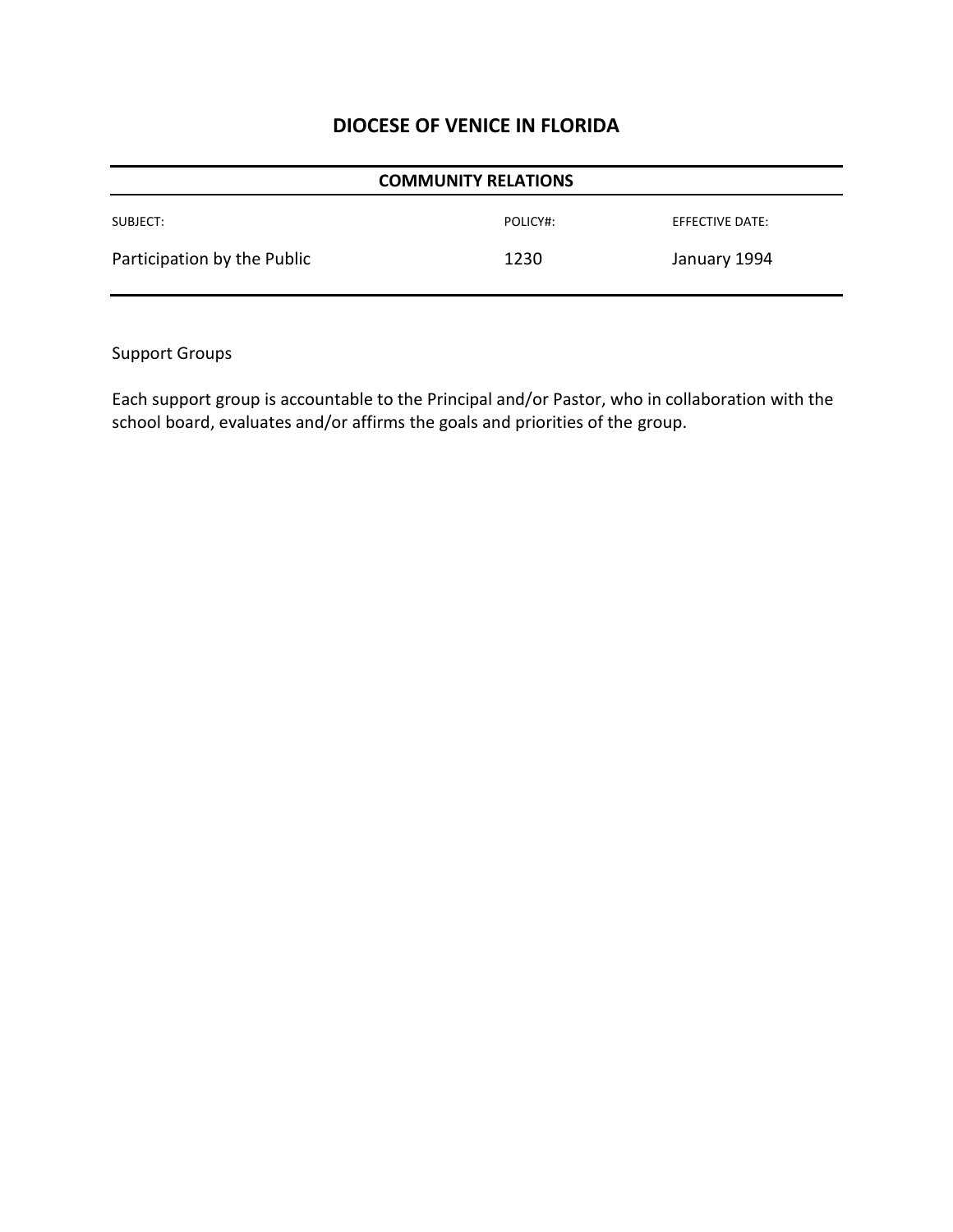| <b>COMMUNITY RELATIONS</b>  |          |                 |  |
|-----------------------------|----------|-----------------|--|
| SUBJECT:                    | POLICY#: | EFFECTIVE DATE: |  |
| Participation by the Public | 1230     | January 1994    |  |

Support Groups

Each support group is accountable to the Principal and/or Pastor, who in collaboration with the school board, evaluates and/or affirms the goals and priorities of the group.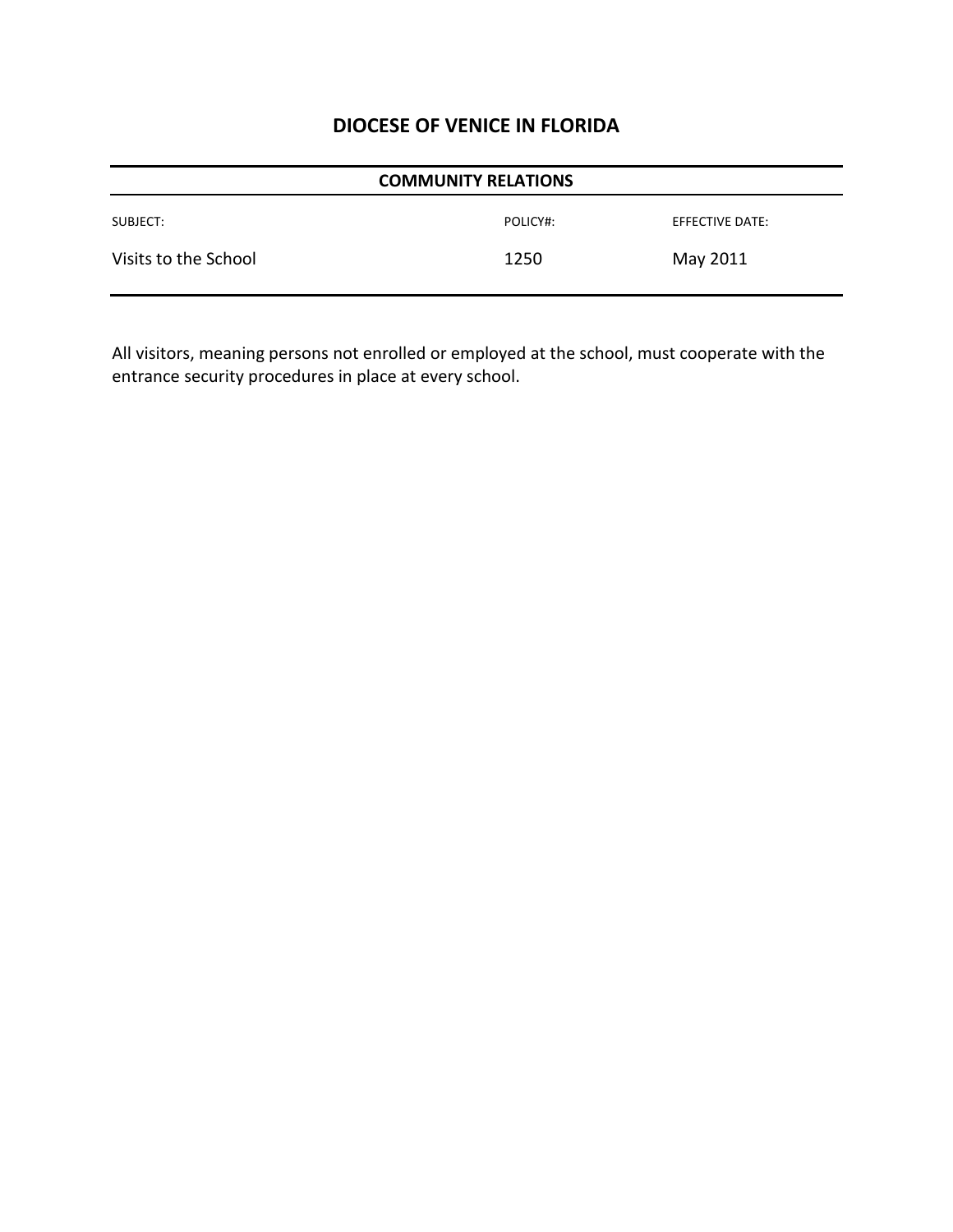| <b>COMMUNITY RELATIONS</b> |          |                 |
|----------------------------|----------|-----------------|
| SUBJECT:                   | POLICY#: | EFFECTIVE DATE: |
| Visits to the School       | 1250     | May 2011        |

All visitors, meaning persons not enrolled or employed at the school, must cooperate with the entrance security procedures in place at every school.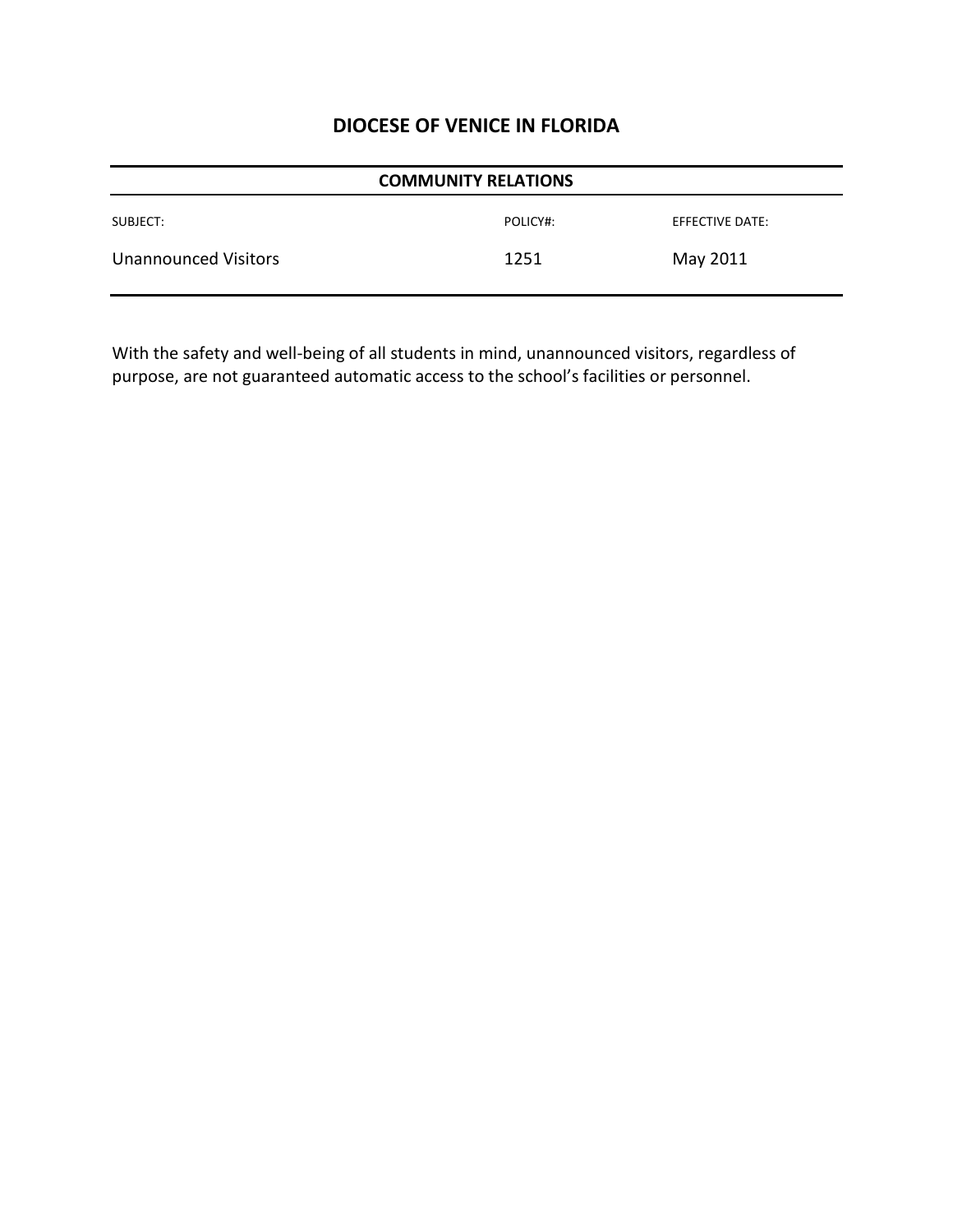| <b>COMMUNITY RELATIONS</b>  |          |                 |  |
|-----------------------------|----------|-----------------|--|
| SUBJECT:                    | POLICY#: | EFFECTIVE DATE: |  |
| <b>Unannounced Visitors</b> | 1251     | May 2011        |  |

With the safety and well-being of all students in mind, unannounced visitors, regardless of purpose, are not guaranteed automatic access to the school's facilities or personnel.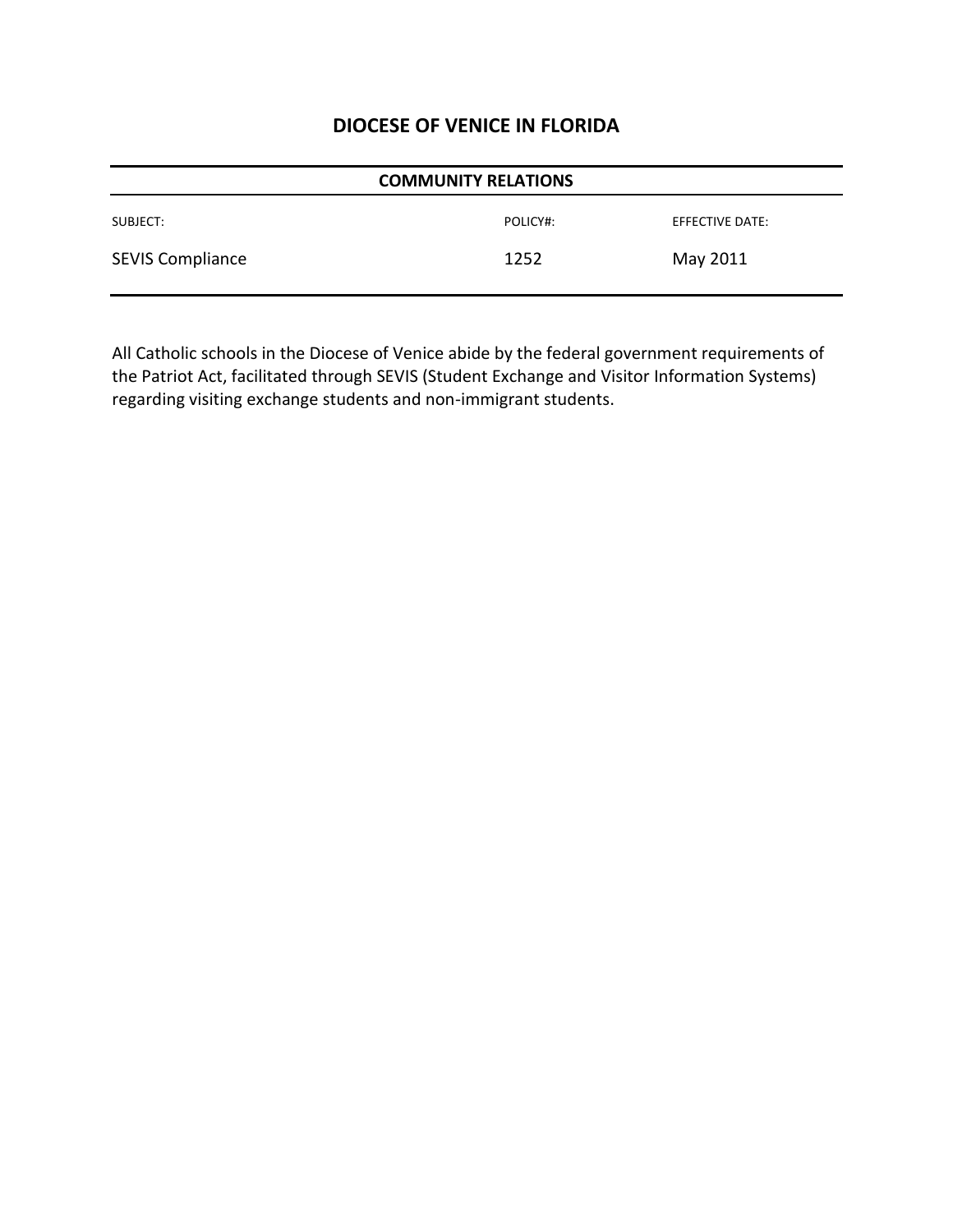| <b>COMMUNITY RELATIONS</b> |          |                 |
|----------------------------|----------|-----------------|
| SUBJECT:                   | POLICY#: | EFFECTIVE DATE: |
| <b>SEVIS Compliance</b>    | 1252     | May 2011        |

All Catholic schools in the Diocese of Venice abide by the federal government requirements of the Patriot Act, facilitated through SEVIS (Student Exchange and Visitor Information Systems) regarding visiting exchange students and non-immigrant students.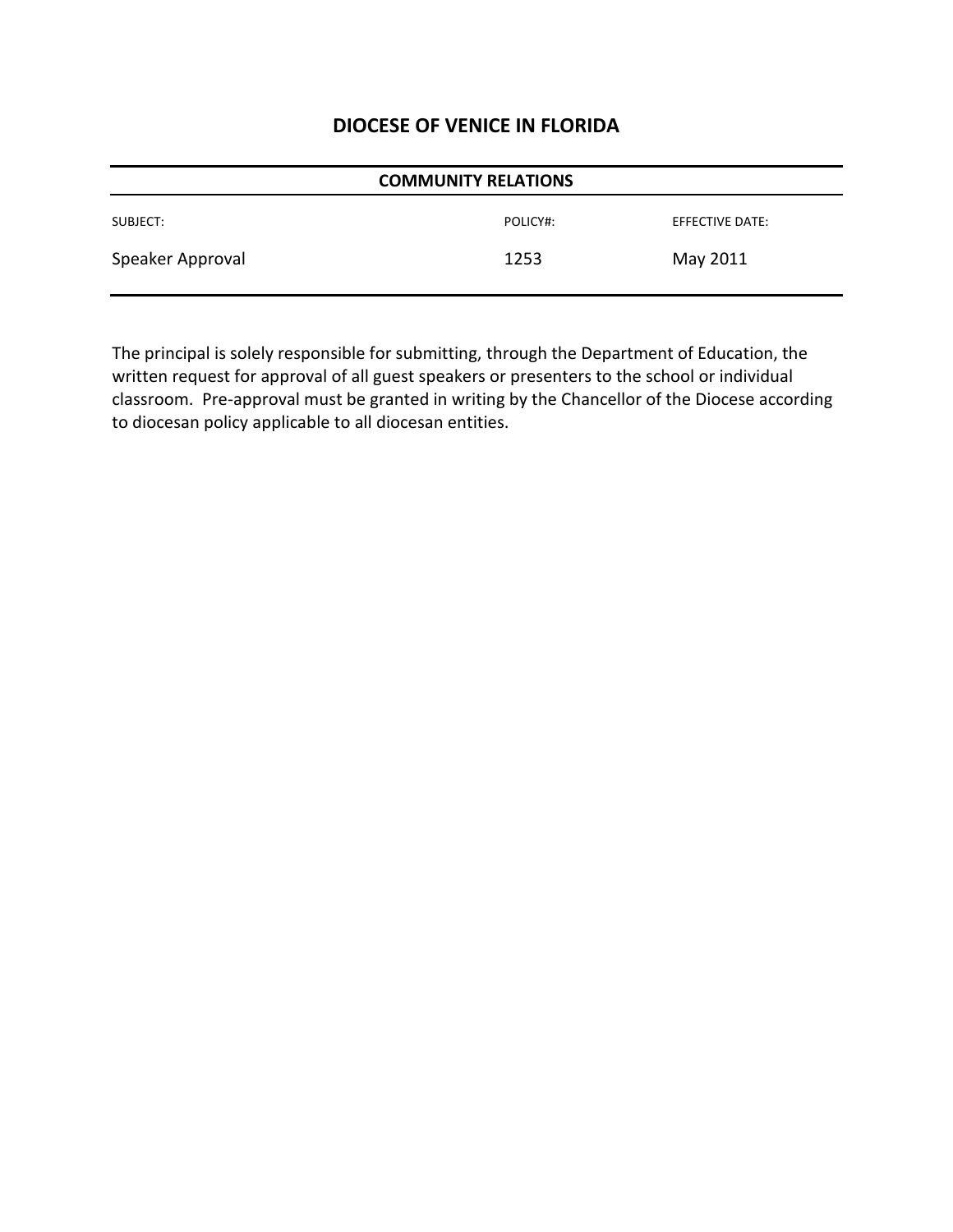| <b>COMMUNITY RELATIONS</b> |          |                 |
|----------------------------|----------|-----------------|
| SUBJECT:                   | POLICY#: | EFFECTIVE DATE: |
| Speaker Approval           | 1253     | May 2011        |

The principal is solely responsible for submitting, through the Department of Education, the written request for approval of all guest speakers or presenters to the school or individual classroom. Pre-approval must be granted in writing by the Chancellor of the Diocese according to diocesan policy applicable to all diocesan entities.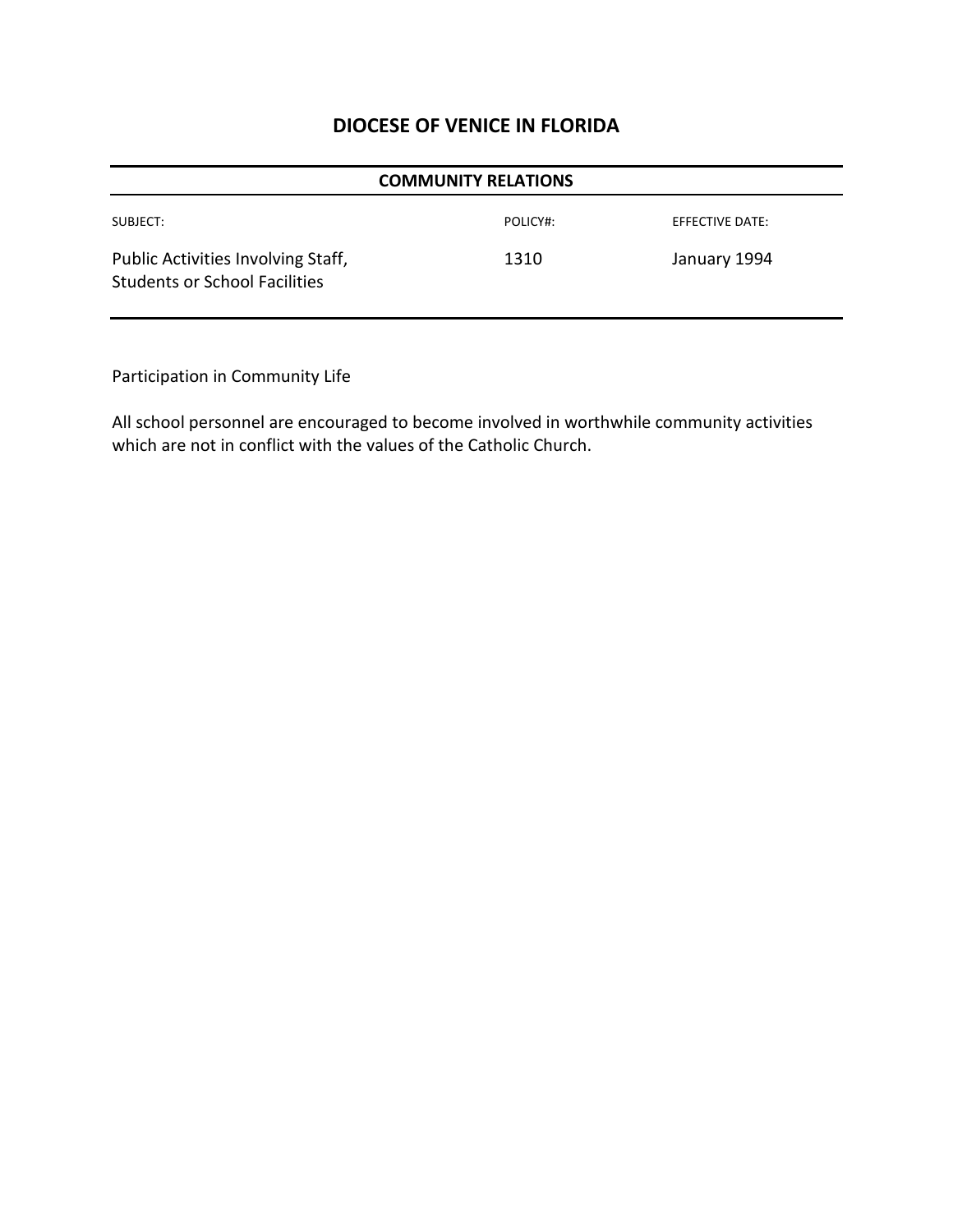| <b>COMMUNITY RELATIONS</b>                                                 |          |                 |
|----------------------------------------------------------------------------|----------|-----------------|
| SUBJECT:                                                                   | POLICY#: | EFFECTIVE DATE: |
| Public Activities Involving Staff,<br><b>Students or School Facilities</b> | 1310     | January 1994    |

Participation in Community Life

All school personnel are encouraged to become involved in worthwhile community activities which are not in conflict with the values of the Catholic Church.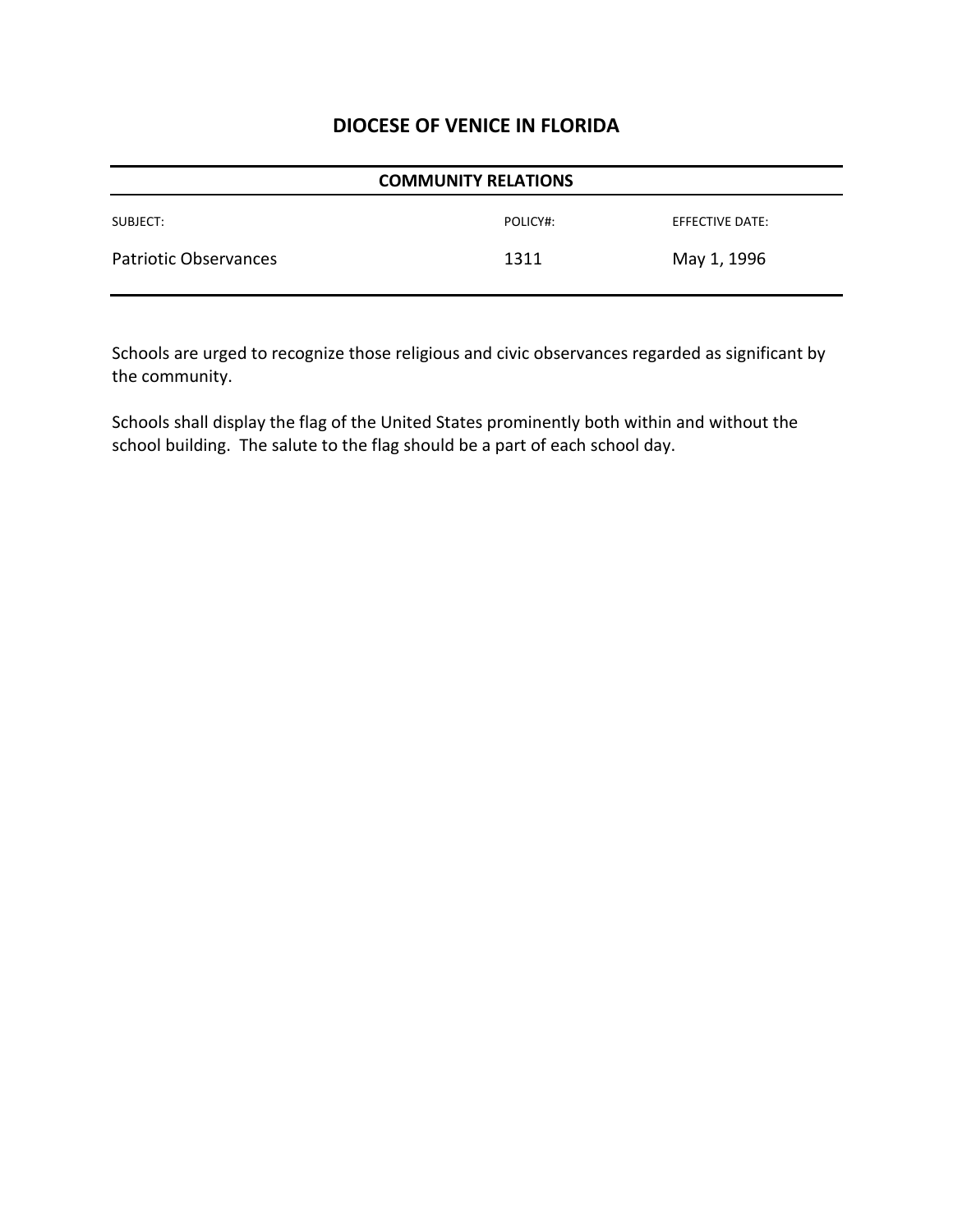| <b>COMMUNITY RELATIONS</b>   |          |                 |
|------------------------------|----------|-----------------|
| SUBJECT:                     | POLICY#: | EFFECTIVE DATE: |
| <b>Patriotic Observances</b> | 1311     | May 1, 1996     |

Schools are urged to recognize those religious and civic observances regarded as significant by the community.

Schools shall display the flag of the United States prominently both within and without the school building. The salute to the flag should be a part of each school day.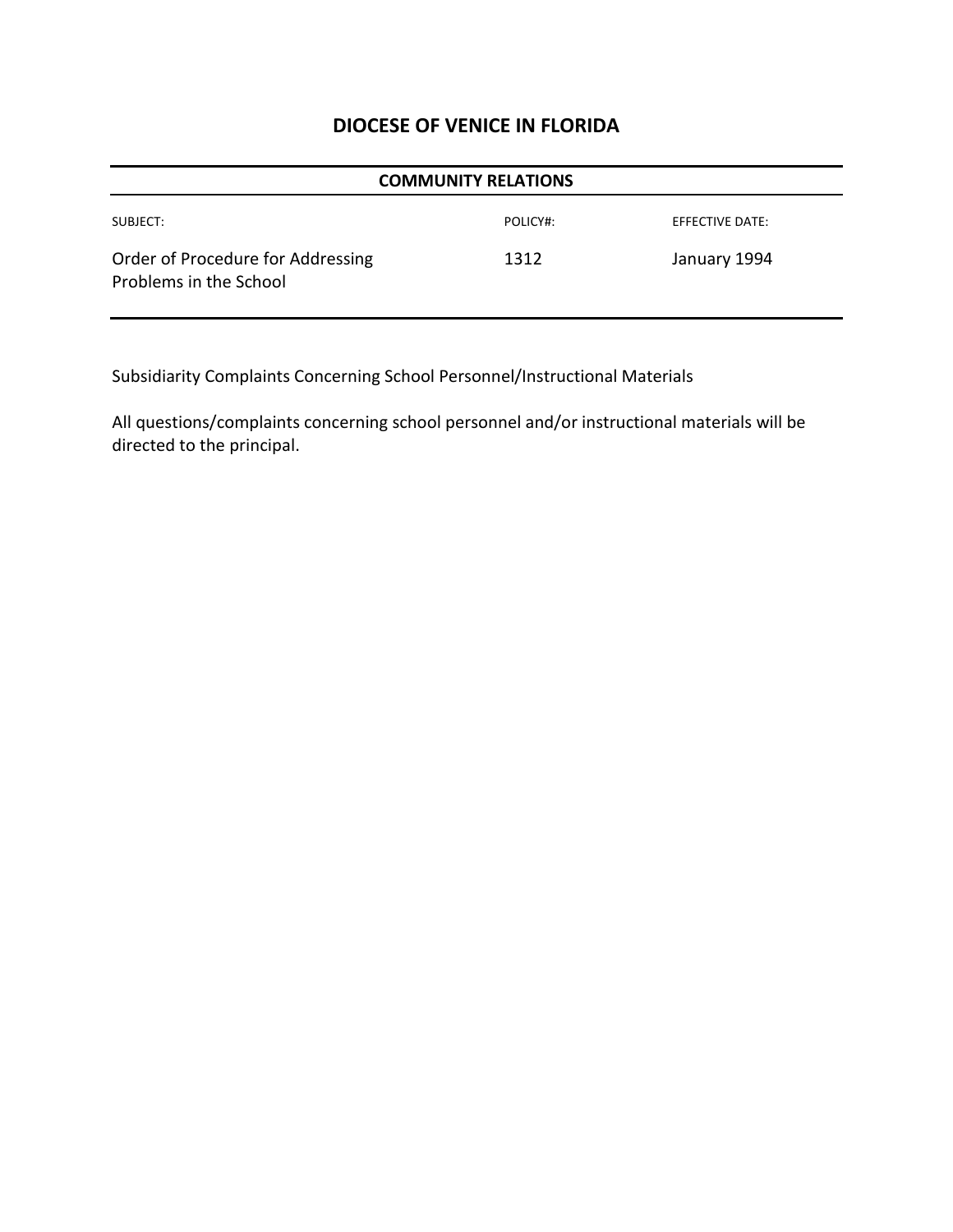| <b>COMMUNITY RELATIONS</b>                                  |          |                 |
|-------------------------------------------------------------|----------|-----------------|
| SUBJECT:                                                    | POLICY#: | EFFECTIVE DATE: |
| Order of Procedure for Addressing<br>Problems in the School | 1312     | January 1994    |

Subsidiarity Complaints Concerning School Personnel/Instructional Materials

All questions/complaints concerning school personnel and/or instructional materials will be directed to the principal.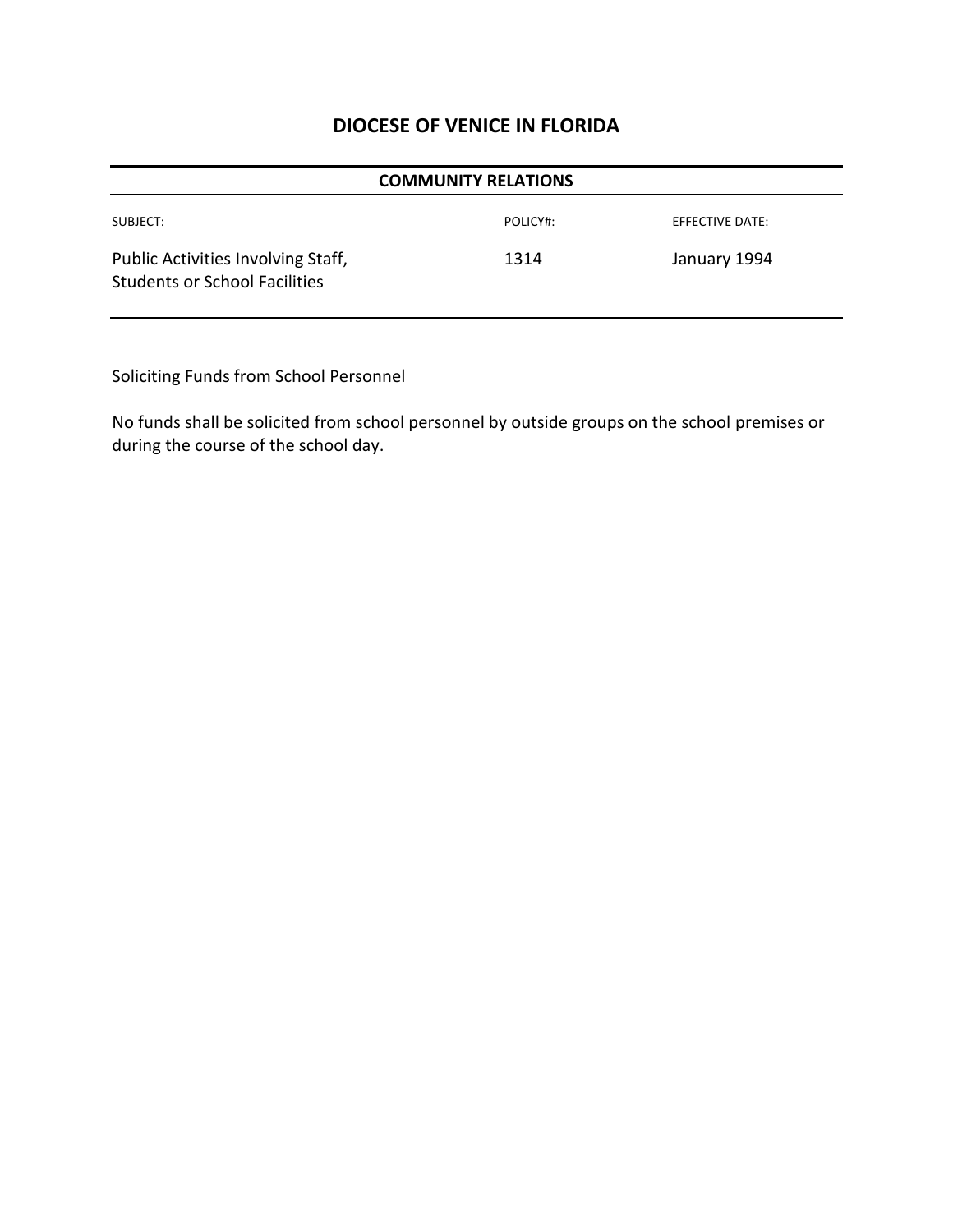| <b>COMMUNITY RELATIONS</b>                                                 |          |                        |
|----------------------------------------------------------------------------|----------|------------------------|
| SUBJECT:                                                                   | POLICY#: | <b>EFFECTIVE DATE:</b> |
| Public Activities Involving Staff,<br><b>Students or School Facilities</b> | 1314     | January 1994           |

Soliciting Funds from School Personnel

No funds shall be solicited from school personnel by outside groups on the school premises or during the course of the school day.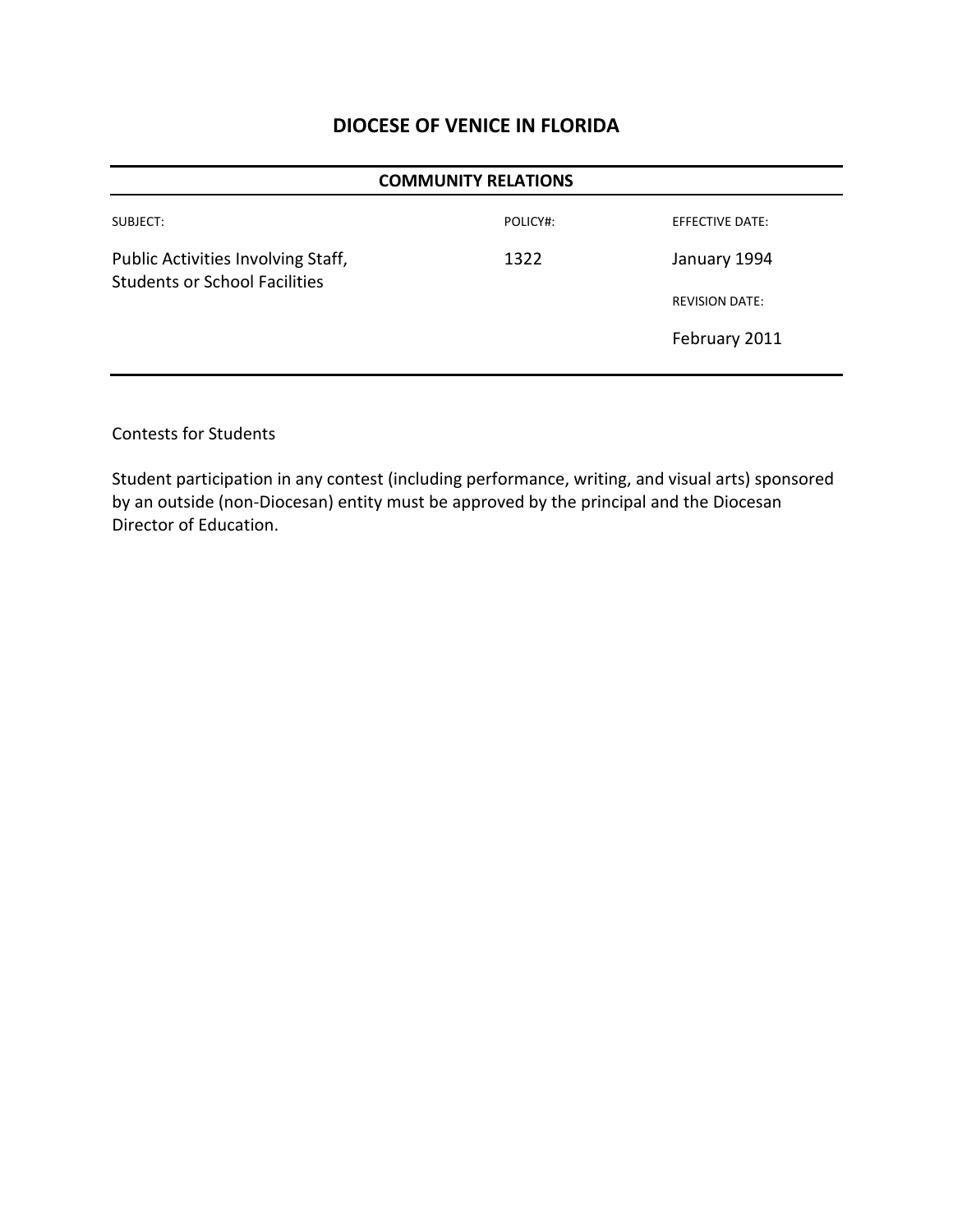| <b>COMMUNITY RELATIONS</b>                                                 |          |                        |  |
|----------------------------------------------------------------------------|----------|------------------------|--|
| SUBJECT:                                                                   | POLICY#: | <b>EFFECTIVE DATE:</b> |  |
| Public Activities Involving Staff,<br><b>Students or School Facilities</b> | 1322     | January 1994           |  |
|                                                                            |          | <b>REVISION DATE:</b>  |  |
|                                                                            |          | February 2011          |  |
|                                                                            |          |                        |  |

#### Contests for Students

Student participation in any contest (including performance, writing, and visual arts) sponsored by an outside (non-Diocesan) entity must be approved by the principal and the Diocesan Director of Education.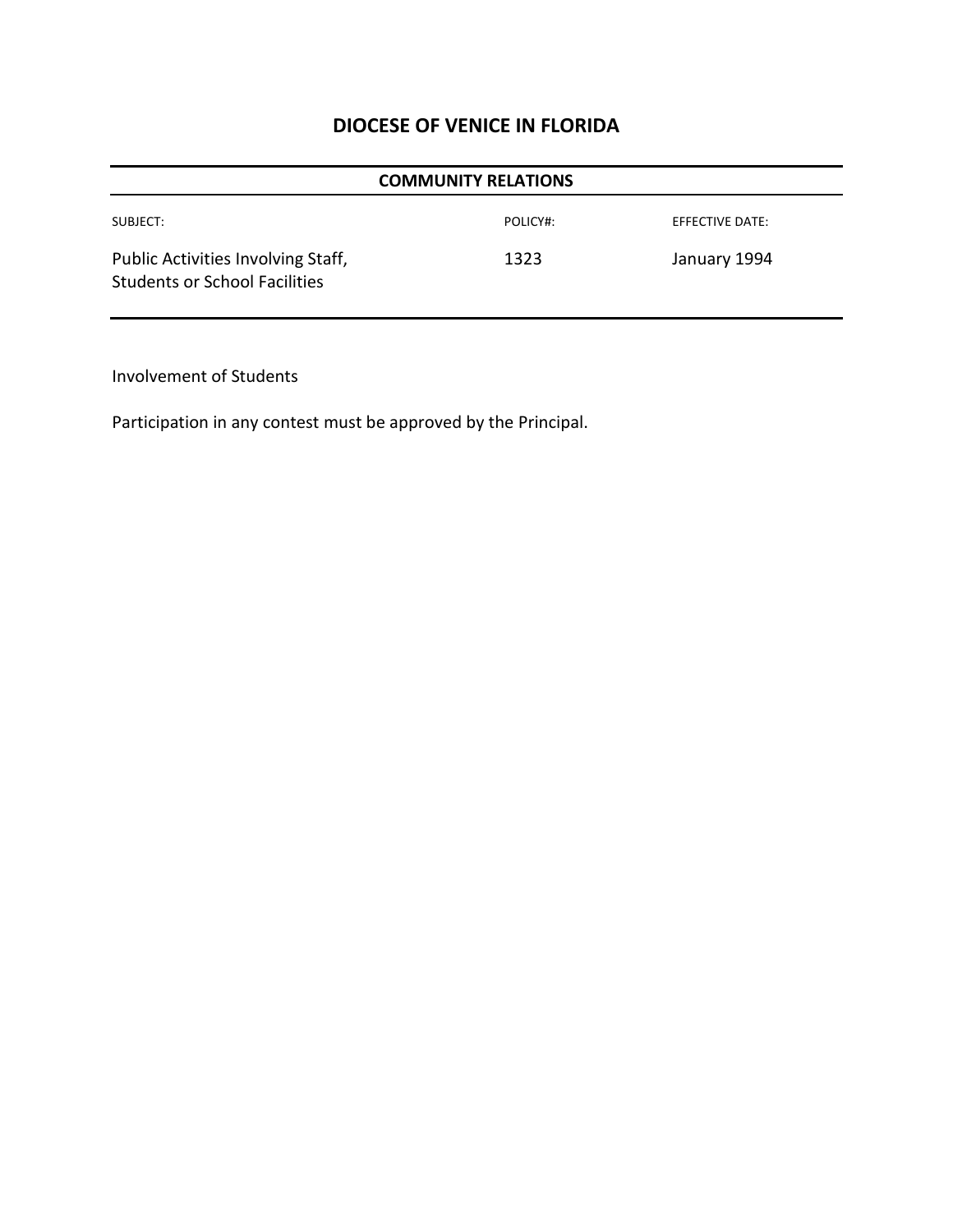| <b>COMMUNITY RELATIONS</b>                                                 |          |                 |  |
|----------------------------------------------------------------------------|----------|-----------------|--|
| SUBJECT:                                                                   | POLICY#: | EFFECTIVE DATE: |  |
| Public Activities Involving Staff,<br><b>Students or School Facilities</b> | 1323     | January 1994    |  |

Involvement of Students

Participation in any contest must be approved by the Principal.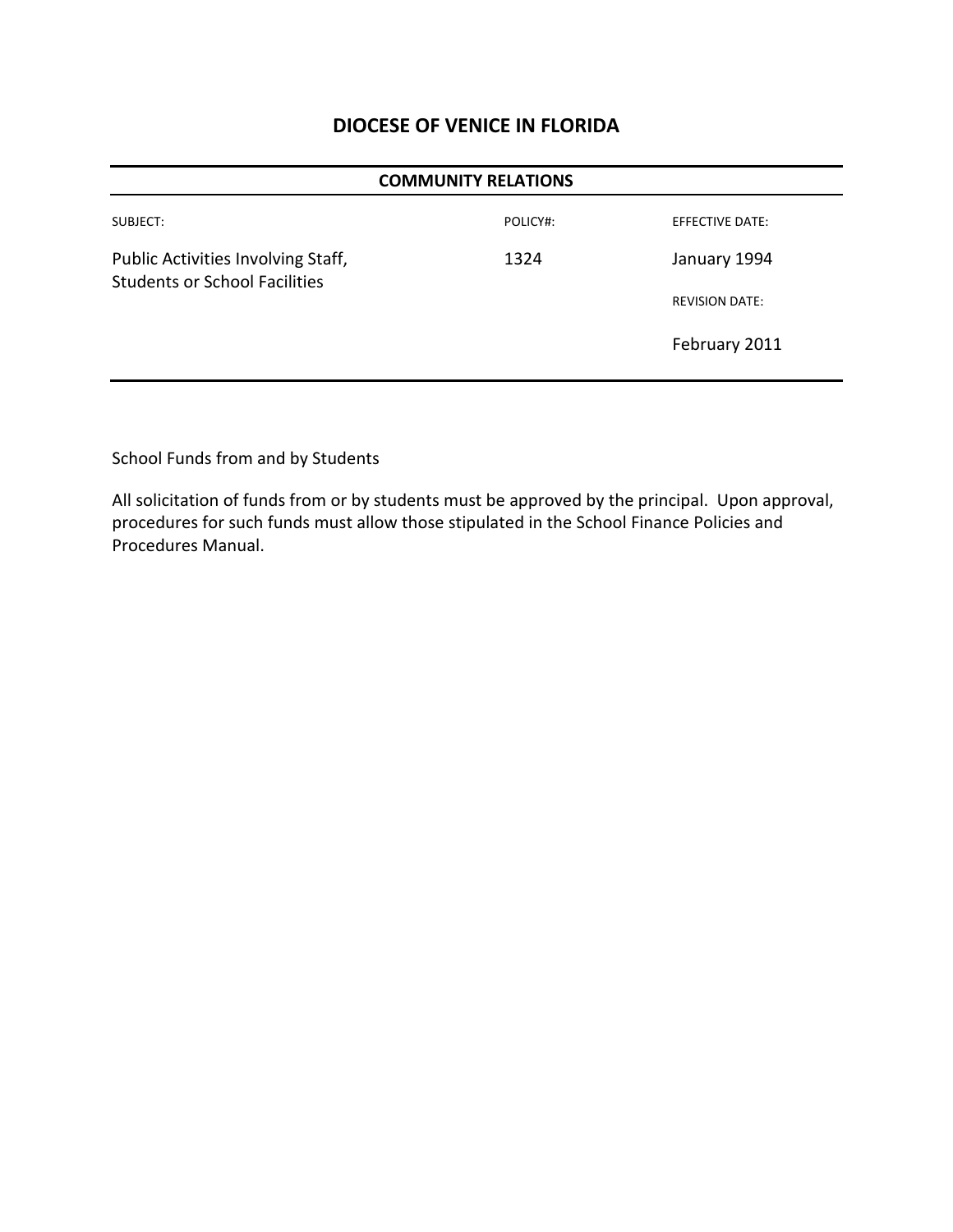| <b>COMMUNITY RELATIONS</b>                                                 |          |                        |
|----------------------------------------------------------------------------|----------|------------------------|
| SUBJECT:                                                                   | POLICY#: | <b>EFFECTIVE DATE:</b> |
| Public Activities Involving Staff,<br><b>Students or School Facilities</b> | 1324     | January 1994           |
|                                                                            |          | <b>REVISION DATE:</b>  |
|                                                                            |          | February 2011          |

School Funds from and by Students

All solicitation of funds from or by students must be approved by the principal. Upon approval, procedures for such funds must allow those stipulated in the School Finance Policies and Procedures Manual.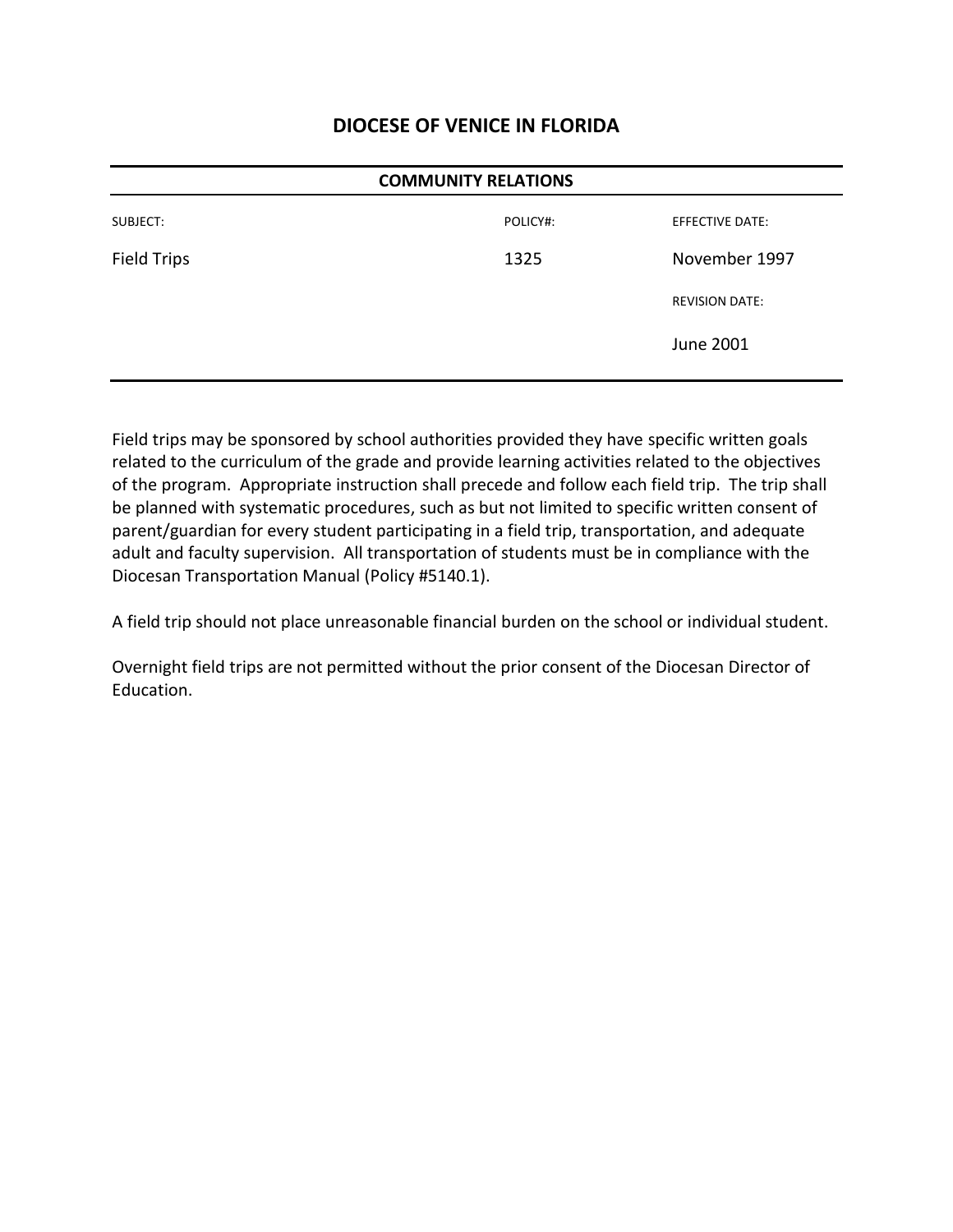| <b>COMMUNITY RELATIONS</b> |          |                        |
|----------------------------|----------|------------------------|
| SUBJECT:                   | POLICY#: | <b>EFFECTIVE DATE:</b> |
| Field Trips                | 1325     | November 1997          |
|                            |          | <b>REVISION DATE:</b>  |
|                            |          | <b>June 2001</b>       |

Field trips may be sponsored by school authorities provided they have specific written goals related to the curriculum of the grade and provide learning activities related to the objectives of the program. Appropriate instruction shall precede and follow each field trip. The trip shall be planned with systematic procedures, such as but not limited to specific written consent of parent/guardian for every student participating in a field trip, transportation, and adequate adult and faculty supervision. All transportation of students must be in compliance with the Diocesan Transportation Manual (Policy #5140.1).

A field trip should not place unreasonable financial burden on the school or individual student.

Overnight field trips are not permitted without the prior consent of the Diocesan Director of Education.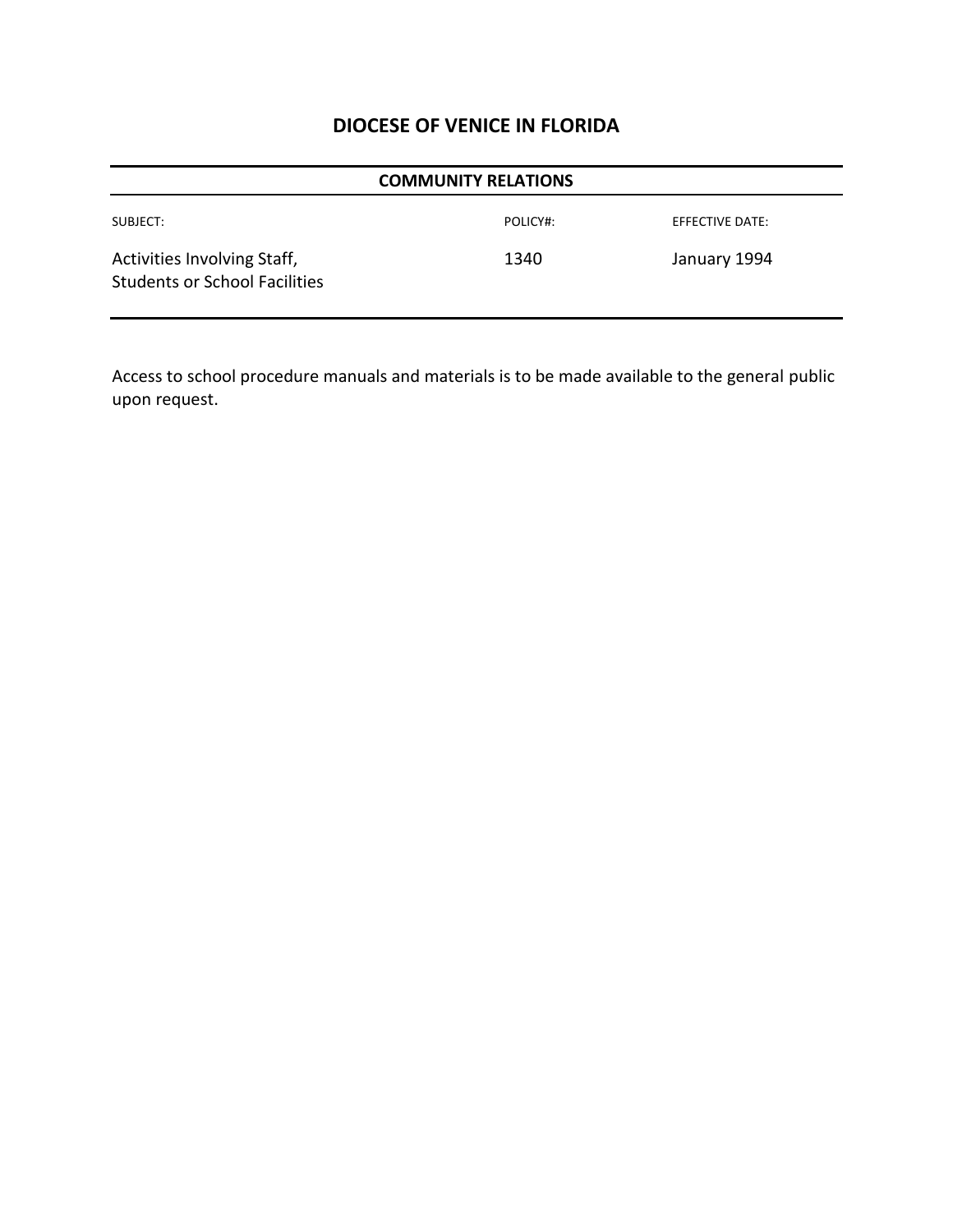|                                                                     | <b>COMMUNITY RELATIONS</b> |                 |
|---------------------------------------------------------------------|----------------------------|-----------------|
| SUBJECT:                                                            | POLICY#:                   | EFFECTIVE DATE: |
| Activities Involving Staff,<br><b>Students or School Facilities</b> | 1340                       | January 1994    |

Access to school procedure manuals and materials is to be made available to the general public upon request.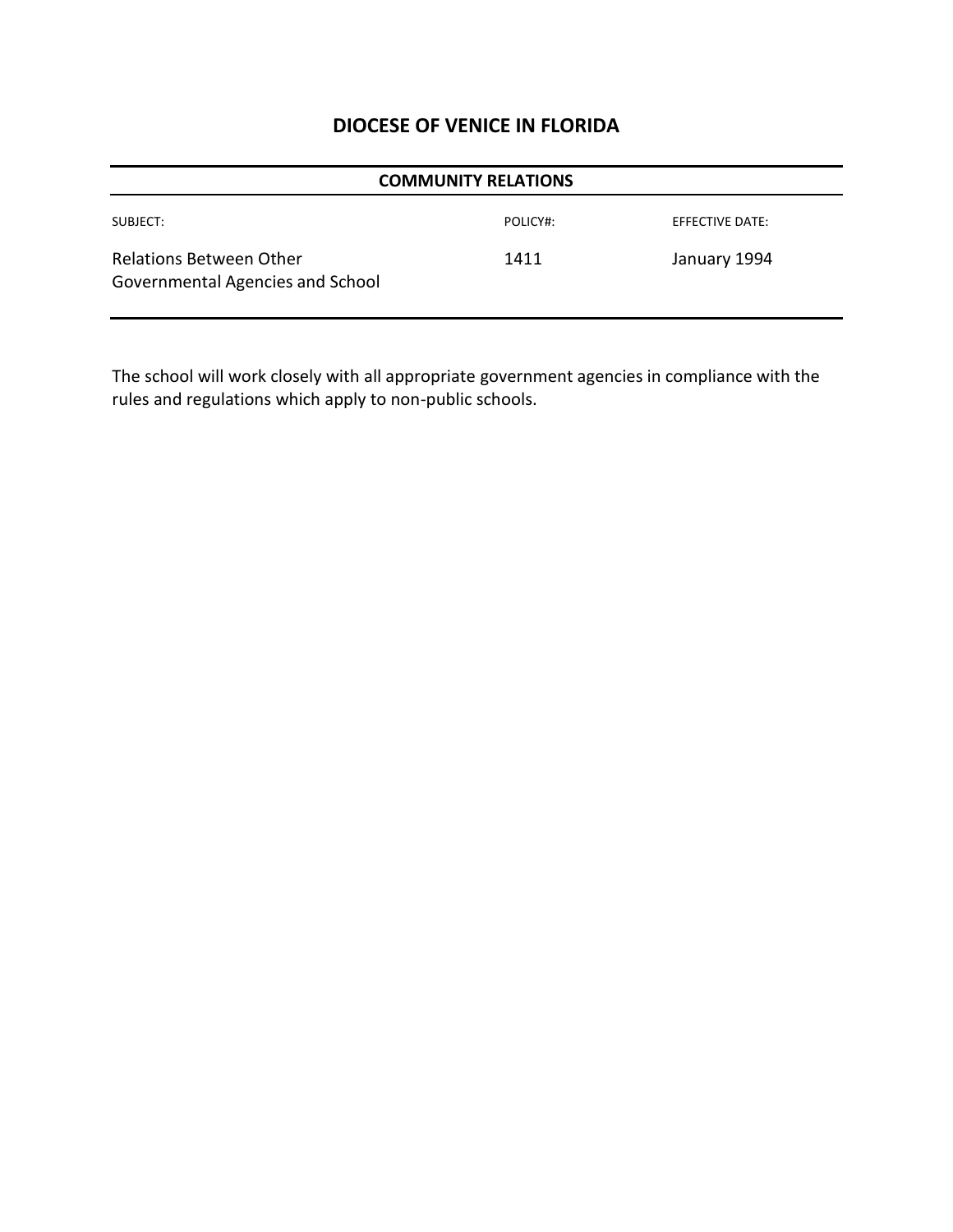| <b>COMMUNITY RELATIONS</b>                                  |          |                        |
|-------------------------------------------------------------|----------|------------------------|
| SUBJECT:                                                    | POLICY#: | <b>EFFECTIVE DATE:</b> |
| Relations Between Other<br>Governmental Agencies and School | 1411     | January 1994           |

The school will work closely with all appropriate government agencies in compliance with the rules and regulations which apply to non-public schools.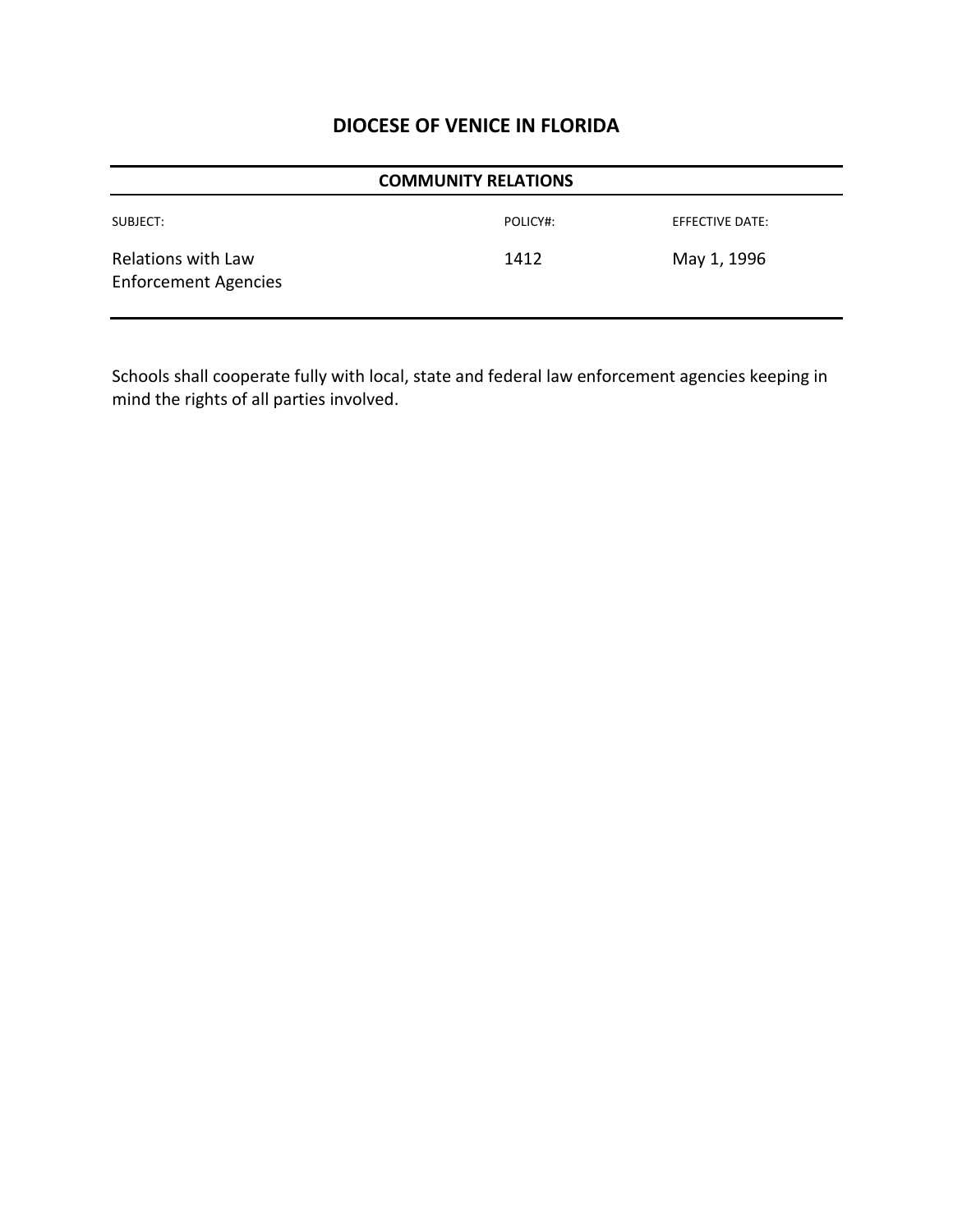| <b>COMMUNITY RELATIONS</b>                        |          |                 |  |
|---------------------------------------------------|----------|-----------------|--|
| SUBJECT:                                          | POLICY#: | EFFECTIVE DATE: |  |
| Relations with Law<br><b>Enforcement Agencies</b> | 1412     | May 1, 1996     |  |

Schools shall cooperate fully with local, state and federal law enforcement agencies keeping in mind the rights of all parties involved.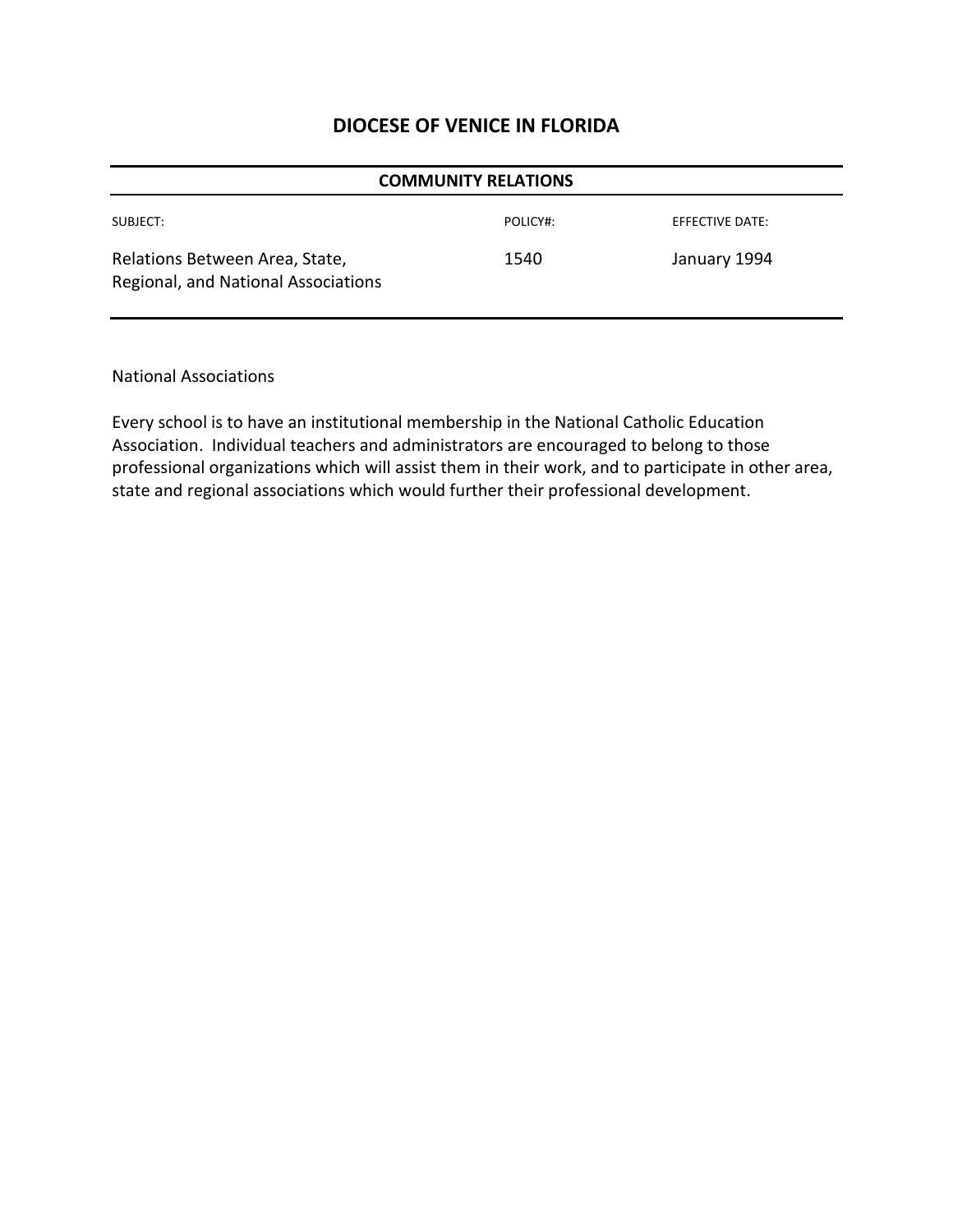| <b>COMMUNITY RELATIONS</b>                                            |          |                 |  |
|-----------------------------------------------------------------------|----------|-----------------|--|
| SUBJECT:                                                              | POLICY#: | EFFECTIVE DATE: |  |
| Relations Between Area, State,<br>Regional, and National Associations | 1540     | January 1994    |  |

National Associations

Every school is to have an institutional membership in the National Catholic Education Association. Individual teachers and administrators are encouraged to belong to those professional organizations which will assist them in their work, and to participate in other area, state and regional associations which would further their professional development.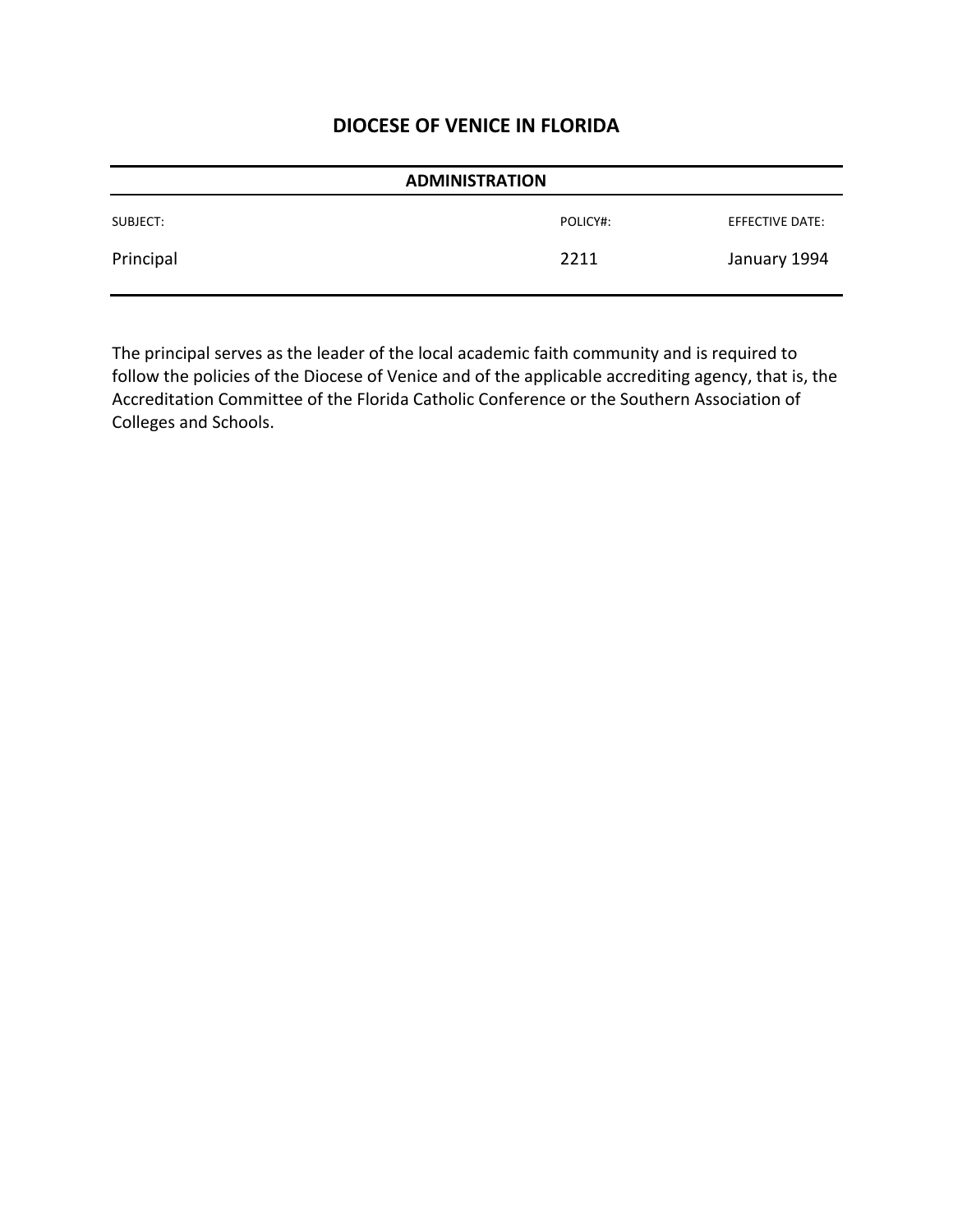| <b>ADMINISTRATION</b> |          |                 |
|-----------------------|----------|-----------------|
| SUBJECT:              | POLICY#: | EFFECTIVE DATE: |
| Principal             | 2211     | January 1994    |

The principal serves as the leader of the local academic faith community and is required to follow the policies of the Diocese of Venice and of the applicable accrediting agency, that is, the Accreditation Committee of the Florida Catholic Conference or the Southern Association of Colleges and Schools.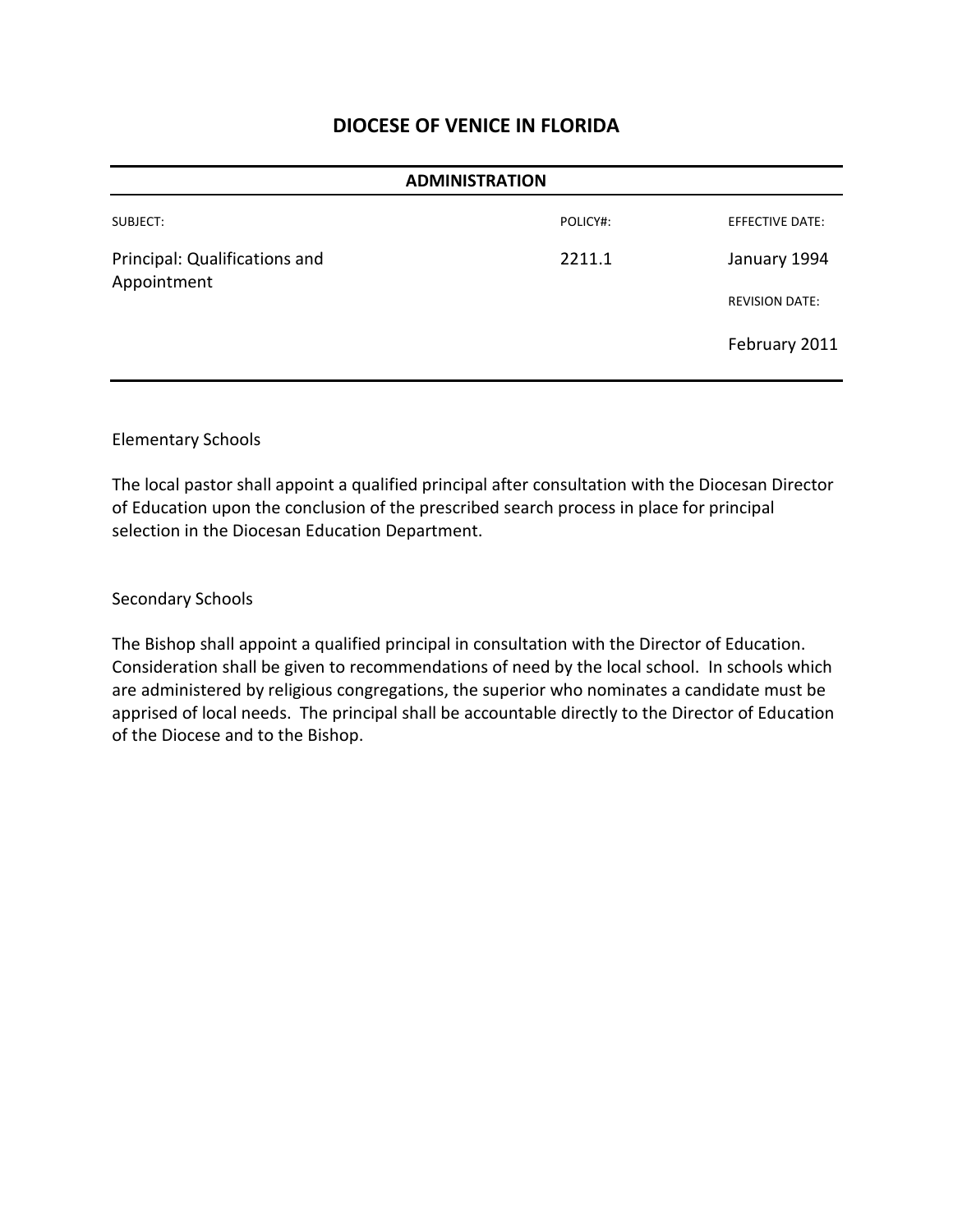| <b>ADMINISTRATION</b>                        |          |                        |
|----------------------------------------------|----------|------------------------|
| SUBJECT:                                     | POLICY#: | <b>EFFECTIVE DATE:</b> |
| Principal: Qualifications and<br>Appointment | 2211.1   | January 1994           |
|                                              |          | <b>REVISION DATE:</b>  |
|                                              |          | February 2011          |

#### Elementary Schools

The local pastor shall appoint a qualified principal after consultation with the Diocesan Director of Education upon the conclusion of the prescribed search process in place for principal selection in the Diocesan Education Department.

#### Secondary Schools

The Bishop shall appoint a qualified principal in consultation with the Director of Education. Consideration shall be given to recommendations of need by the local school. In schools which are administered by religious congregations, the superior who nominates a candidate must be apprised of local needs. The principal shall be accountable directly to the Director of Education of the Diocese and to the Bishop.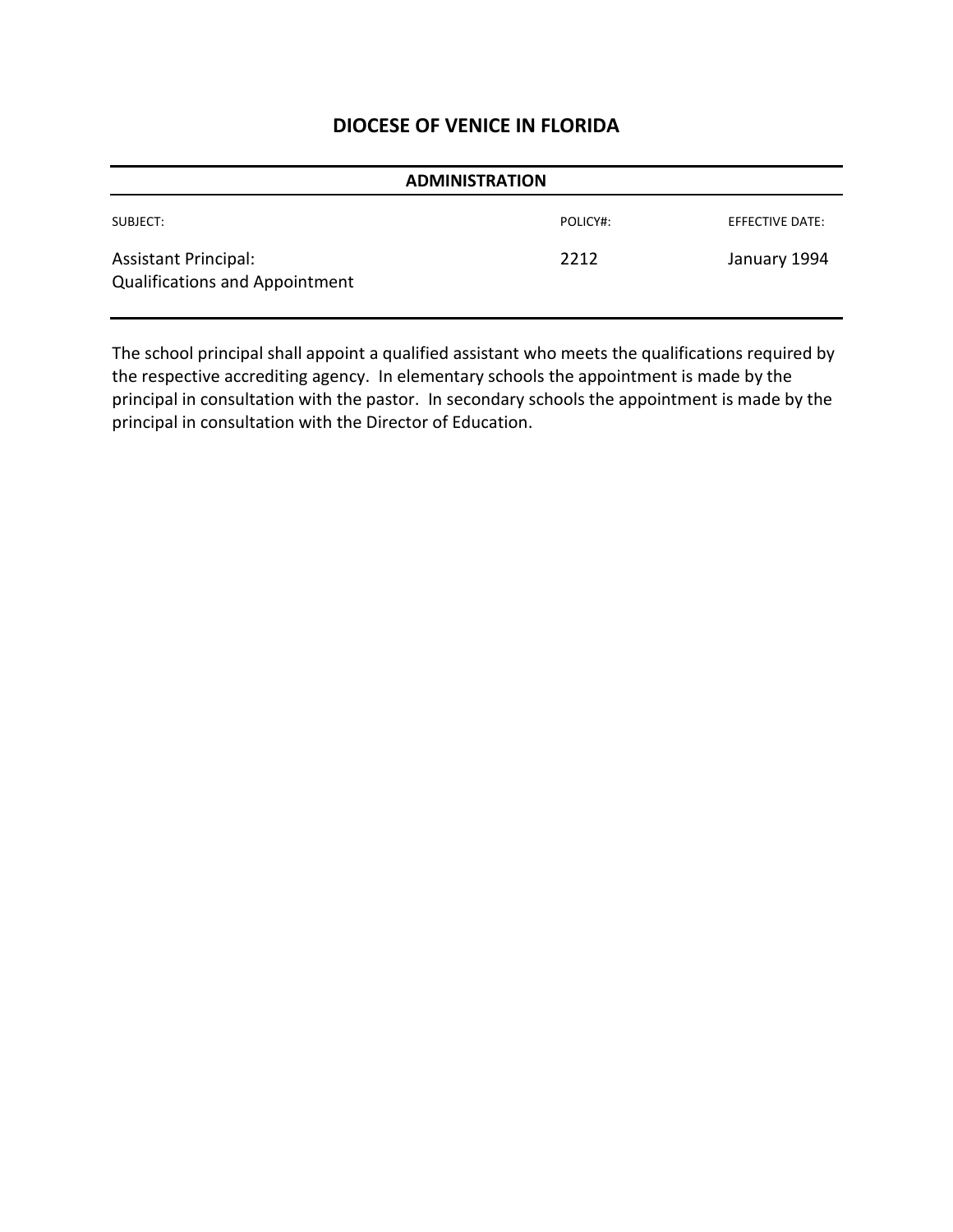| <b>ADMINISTRATION</b>                                                |          |                 |  |
|----------------------------------------------------------------------|----------|-----------------|--|
| SUBJECT:                                                             | POLICY#: | EFFECTIVE DATE: |  |
| <b>Assistant Principal:</b><br><b>Qualifications and Appointment</b> | 2212     | January 1994    |  |

The school principal shall appoint a qualified assistant who meets the qualifications required by the respective accrediting agency. In elementary schools the appointment is made by the principal in consultation with the pastor. In secondary schools the appointment is made by the principal in consultation with the Director of Education.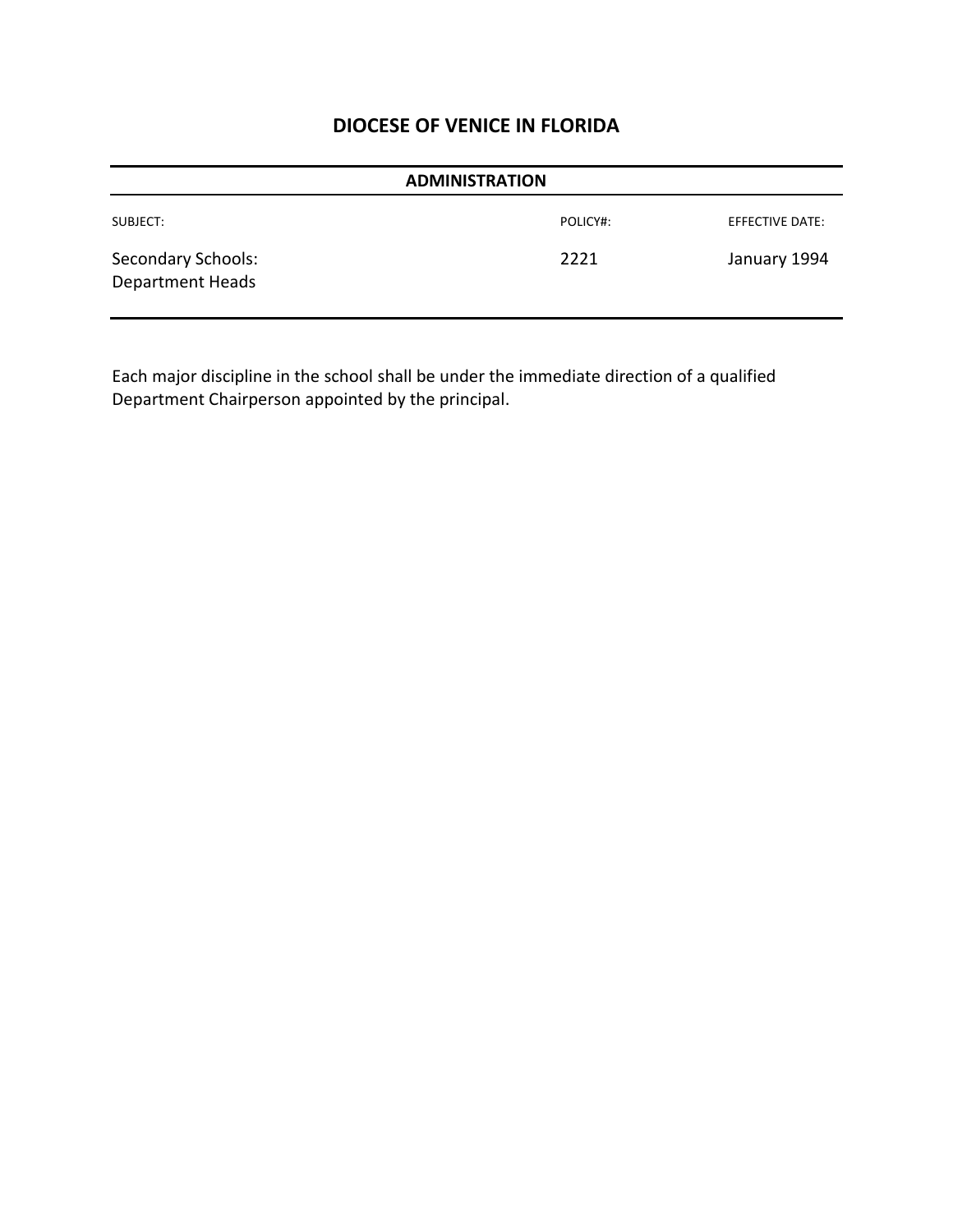| <b>ADMINISTRATION</b>                                |          |                 |  |
|------------------------------------------------------|----------|-----------------|--|
| SUBJECT:                                             | POLICY#: | EFFECTIVE DATE: |  |
| <b>Secondary Schools:</b><br><b>Department Heads</b> | 2221     | January 1994    |  |

Each major discipline in the school shall be under the immediate direction of a qualified Department Chairperson appointed by the principal.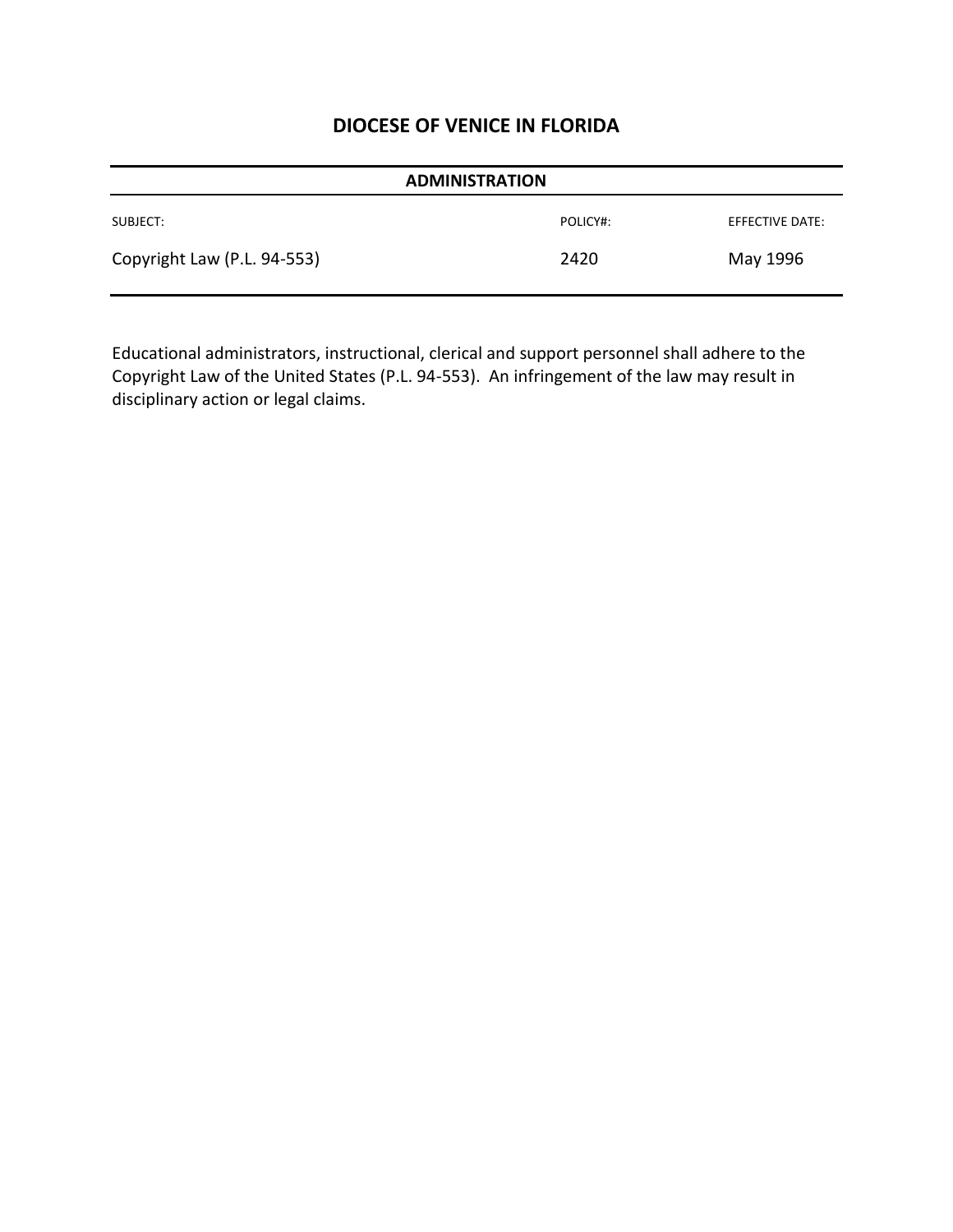| <b>ADMINISTRATION</b>       |          |                        |
|-----------------------------|----------|------------------------|
| SUBJECT:                    | POLICY#: | <b>EFFECTIVE DATE:</b> |
| Copyright Law (P.L. 94-553) | 2420     | May 1996               |

Educational administrators, instructional, clerical and support personnel shall adhere to the Copyright Law of the United States (P.L. 94-553). An infringement of the law may result in disciplinary action or legal claims.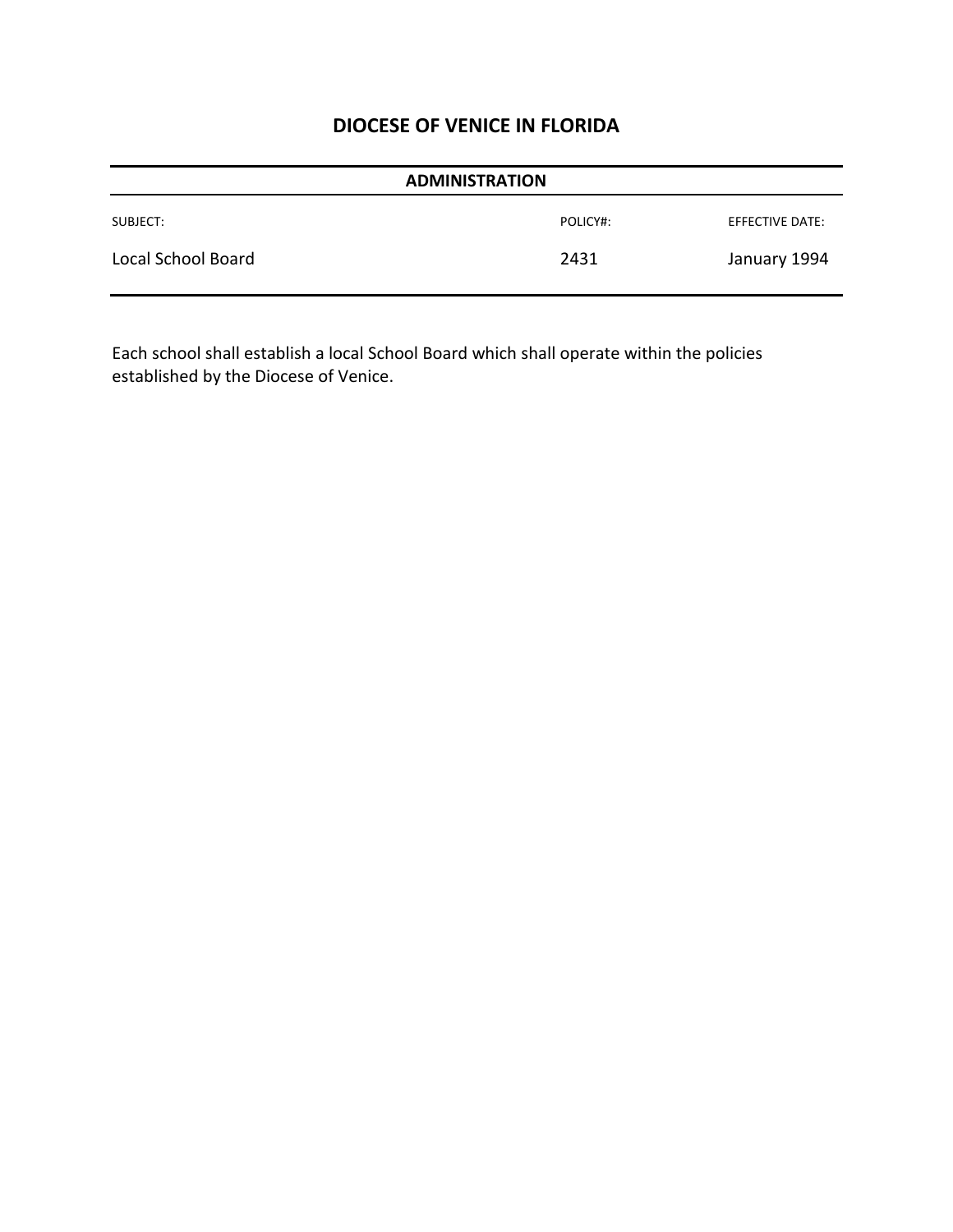| <b>ADMINISTRATION</b> |          |                 |
|-----------------------|----------|-----------------|
| SUBJECT:              | POLICY#: | EFFECTIVE DATE: |
| Local School Board    | 2431     | January 1994    |

Each school shall establish a local School Board which shall operate within the policies established by the Diocese of Venice.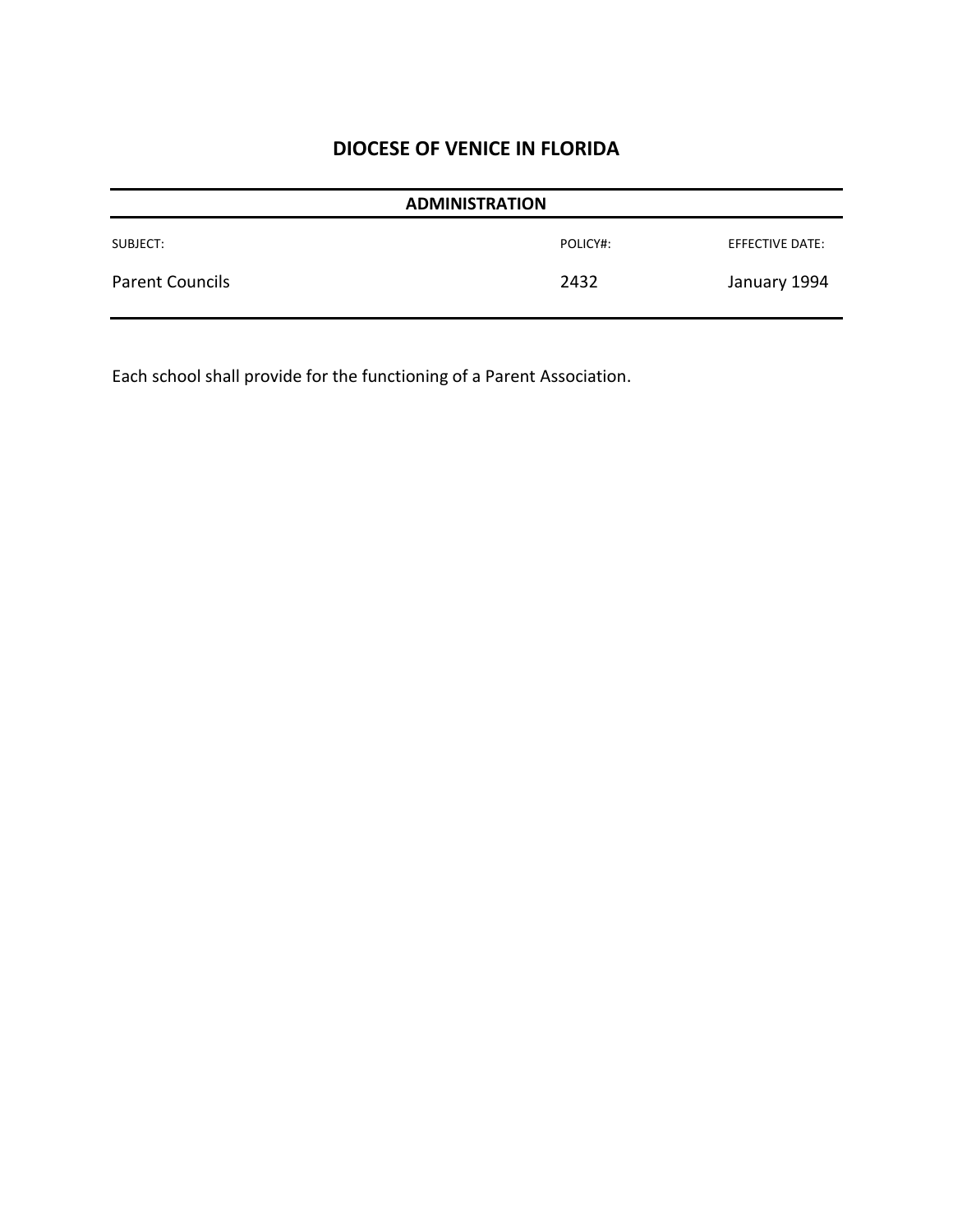| <b>ADMINISTRATION</b>  |          |                 |
|------------------------|----------|-----------------|
| SUBJECT:               | POLICY#: | EFFECTIVE DATE: |
| <b>Parent Councils</b> | 2432     | January 1994    |

Each school shall provide for the functioning of a Parent Association.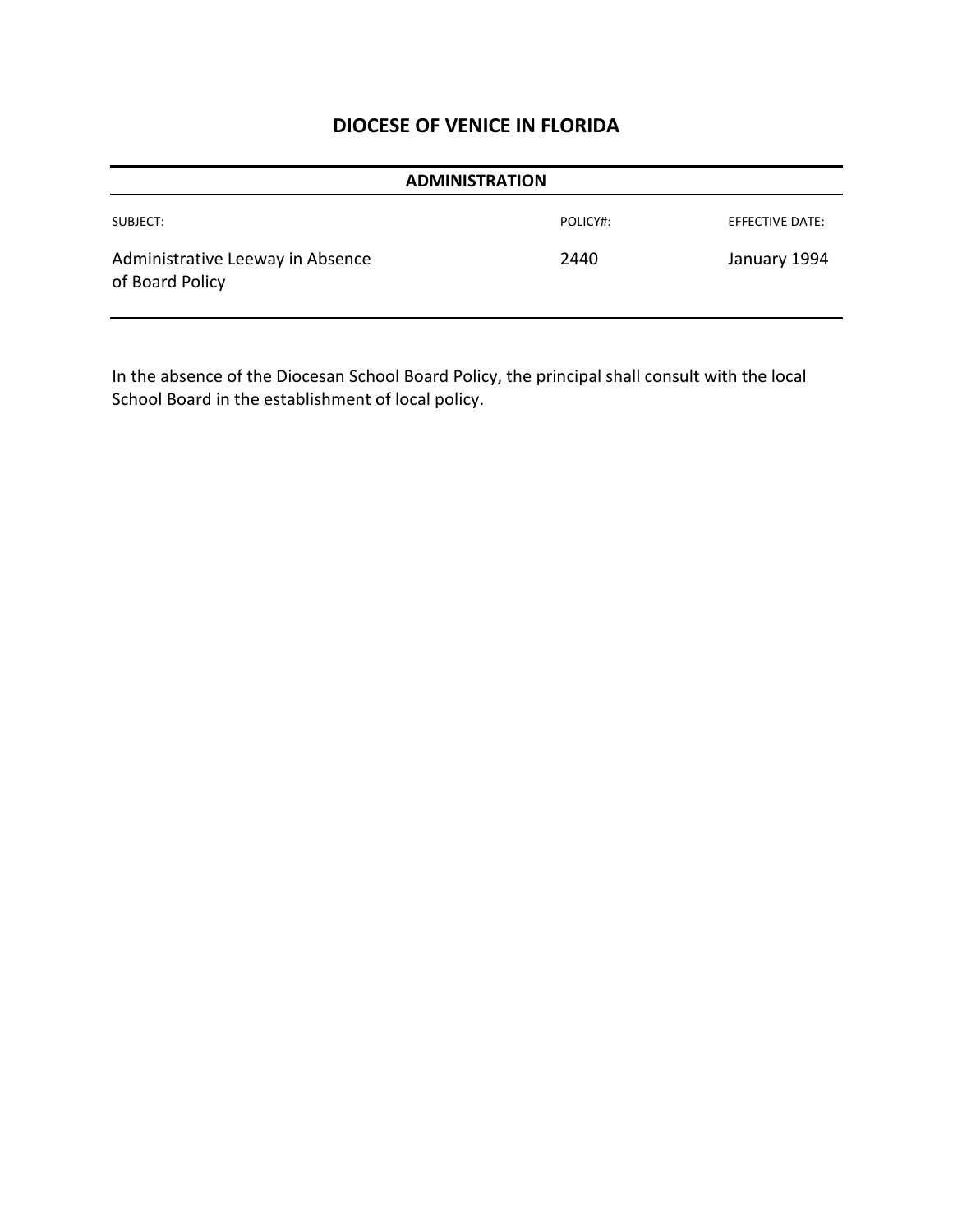| <b>ADMINISTRATION</b>                               |          |                 |  |
|-----------------------------------------------------|----------|-----------------|--|
| SUBJECT:                                            | POLICY#: | EFFECTIVE DATE: |  |
| Administrative Leeway in Absence<br>of Board Policy | 2440     | January 1994    |  |

In the absence of the Diocesan School Board Policy, the principal shall consult with the local School Board in the establishment of local policy.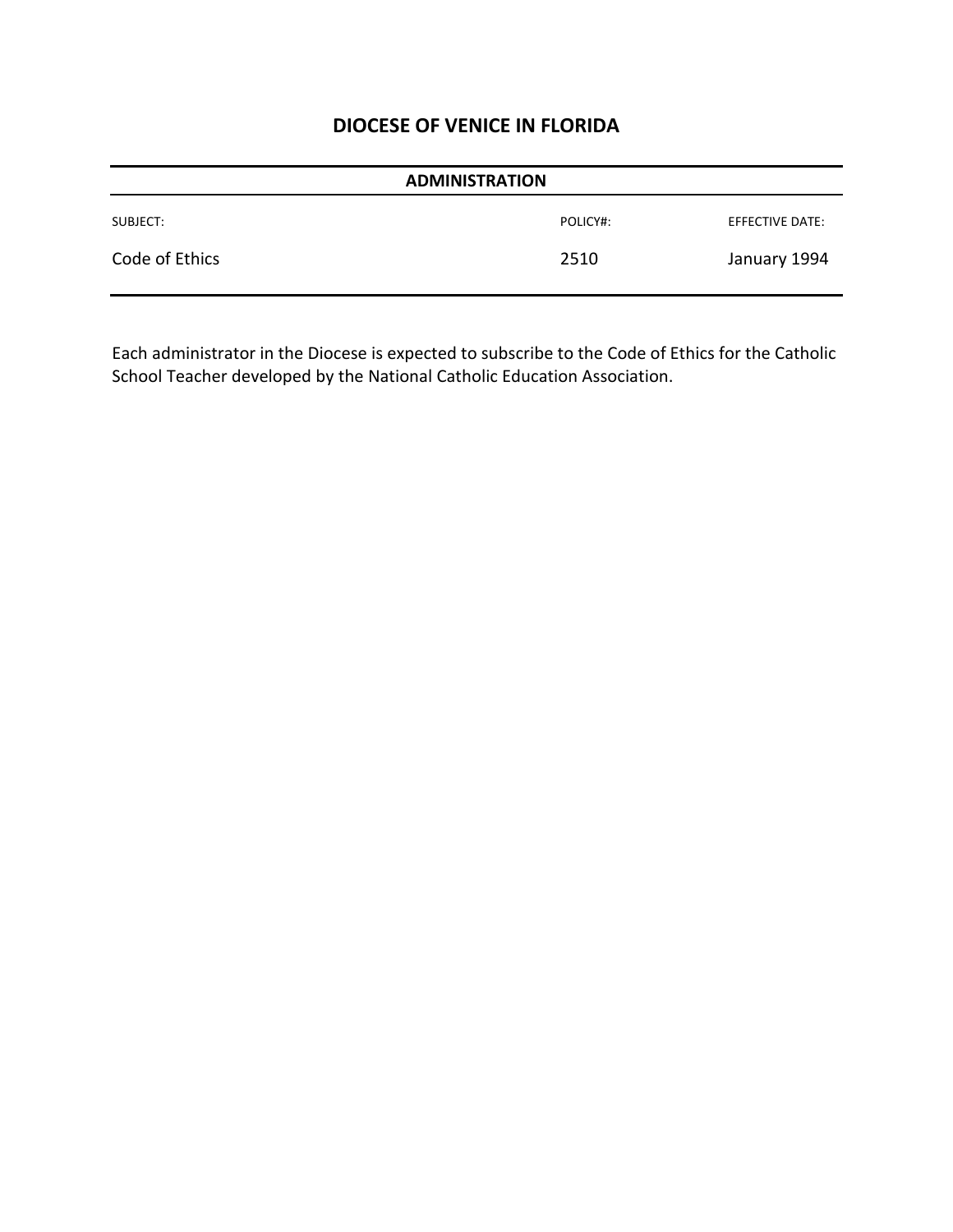| <b>ADMINISTRATION</b> |          |                 |
|-----------------------|----------|-----------------|
| SUBJECT:              | POLICY#: | EFFECTIVE DATE: |
| Code of Ethics        | 2510     | January 1994    |

Each administrator in the Diocese is expected to subscribe to the Code of Ethics for the Catholic School Teacher developed by the National Catholic Education Association.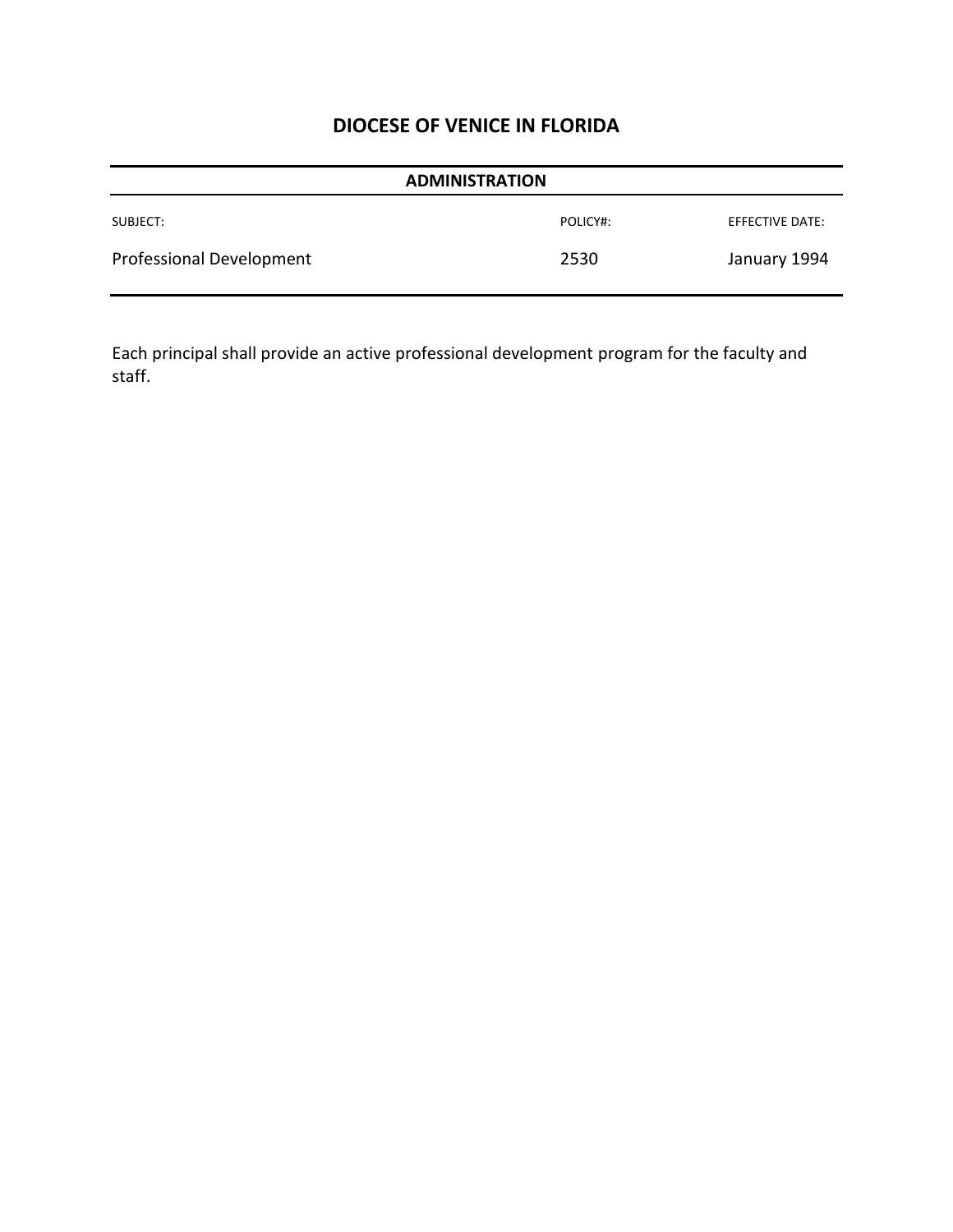| <b>ADMINISTRATION</b>    |          |                 |
|--------------------------|----------|-----------------|
| SUBJECT:                 | POLICY#: | EFFECTIVE DATE: |
| Professional Development | 2530     | January 1994    |

Each principal shall provide an active professional development program for the faculty and staff.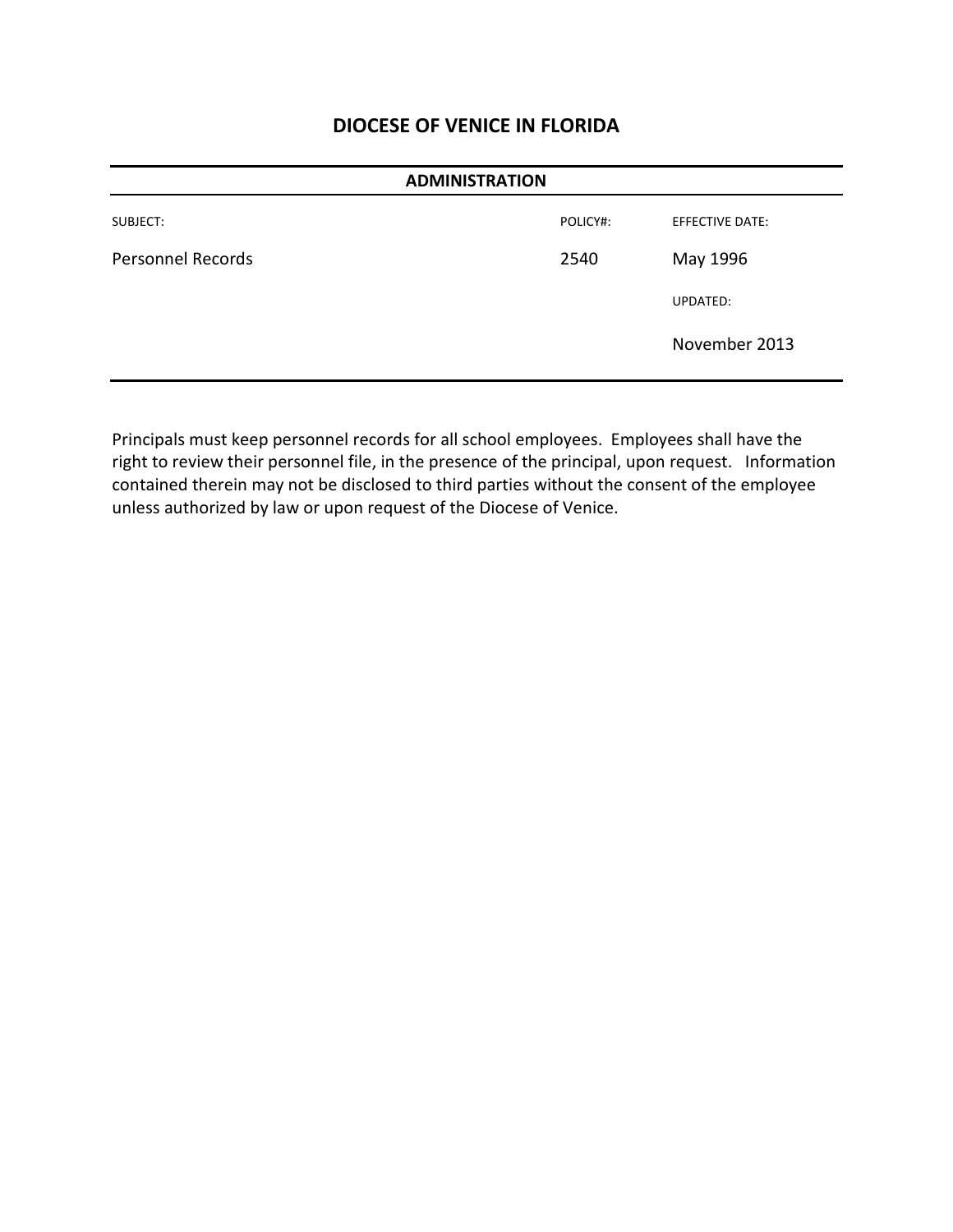| <b>ADMINISTRATION</b>    |          |                 |
|--------------------------|----------|-----------------|
| SUBJECT:                 | POLICY#: | EFFECTIVE DATE: |
| <b>Personnel Records</b> | 2540     | May 1996        |
|                          |          | UPDATED:        |
|                          |          | November 2013   |

Principals must keep personnel records for all school employees. Employees shall have the right to review their personnel file, in the presence of the principal, upon request. Information contained therein may not be disclosed to third parties without the consent of the employee unless authorized by law or upon request of the Diocese of Venice.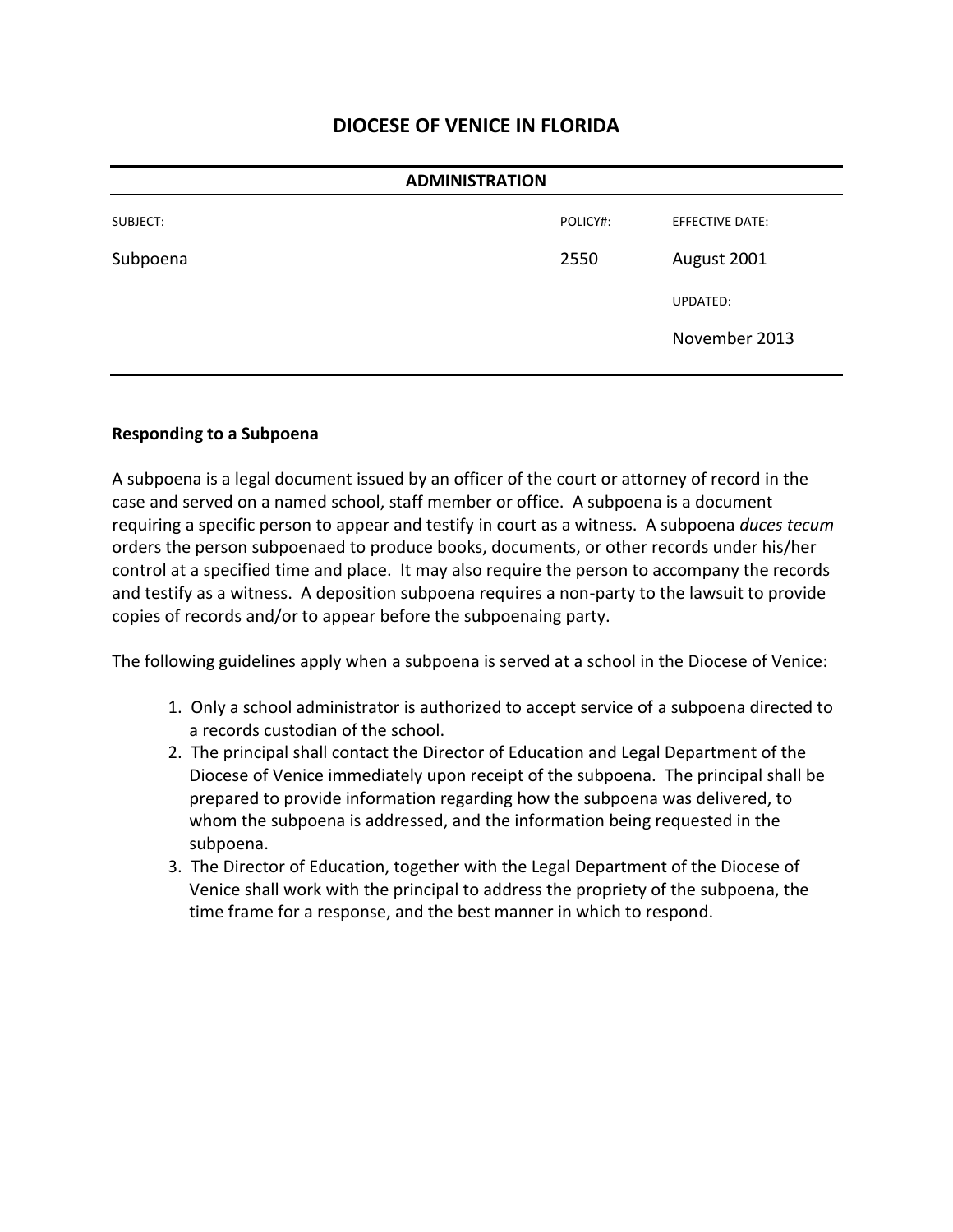| <b>ADMINISTRATION</b> |          |                        |
|-----------------------|----------|------------------------|
| SUBJECT:              | POLICY#: | <b>EFFECTIVE DATE:</b> |
| Subpoena              | 2550     | August 2001            |
|                       |          | UPDATED:               |
|                       |          | November 2013          |
|                       |          |                        |

#### **Responding to a Subpoena**

A subpoena is a legal document issued by an officer of the court or attorney of record in the case and served on a named school, staff member or office. A subpoena is a document requiring a specific person to appear and testify in court as a witness. A subpoena *duces tecum* orders the person subpoenaed to produce books, documents, or other records under his/her control at a specified time and place. It may also require the person to accompany the records and testify as a witness. A deposition subpoena requires a non-party to the lawsuit to provide copies of records and/or to appear before the subpoenaing party.

The following guidelines apply when a subpoena is served at a school in the Diocese of Venice:

- 1. Only a school administrator is authorized to accept service of a subpoena directed to a records custodian of the school.
- 2. The principal shall contact the Director of Education and Legal Department of the Diocese of Venice immediately upon receipt of the subpoena. The principal shall be prepared to provide information regarding how the subpoena was delivered, to whom the subpoena is addressed, and the information being requested in the subpoena.
- 3. The Director of Education, together with the Legal Department of the Diocese of Venice shall work with the principal to address the propriety of the subpoena, the time frame for a response, and the best manner in which to respond.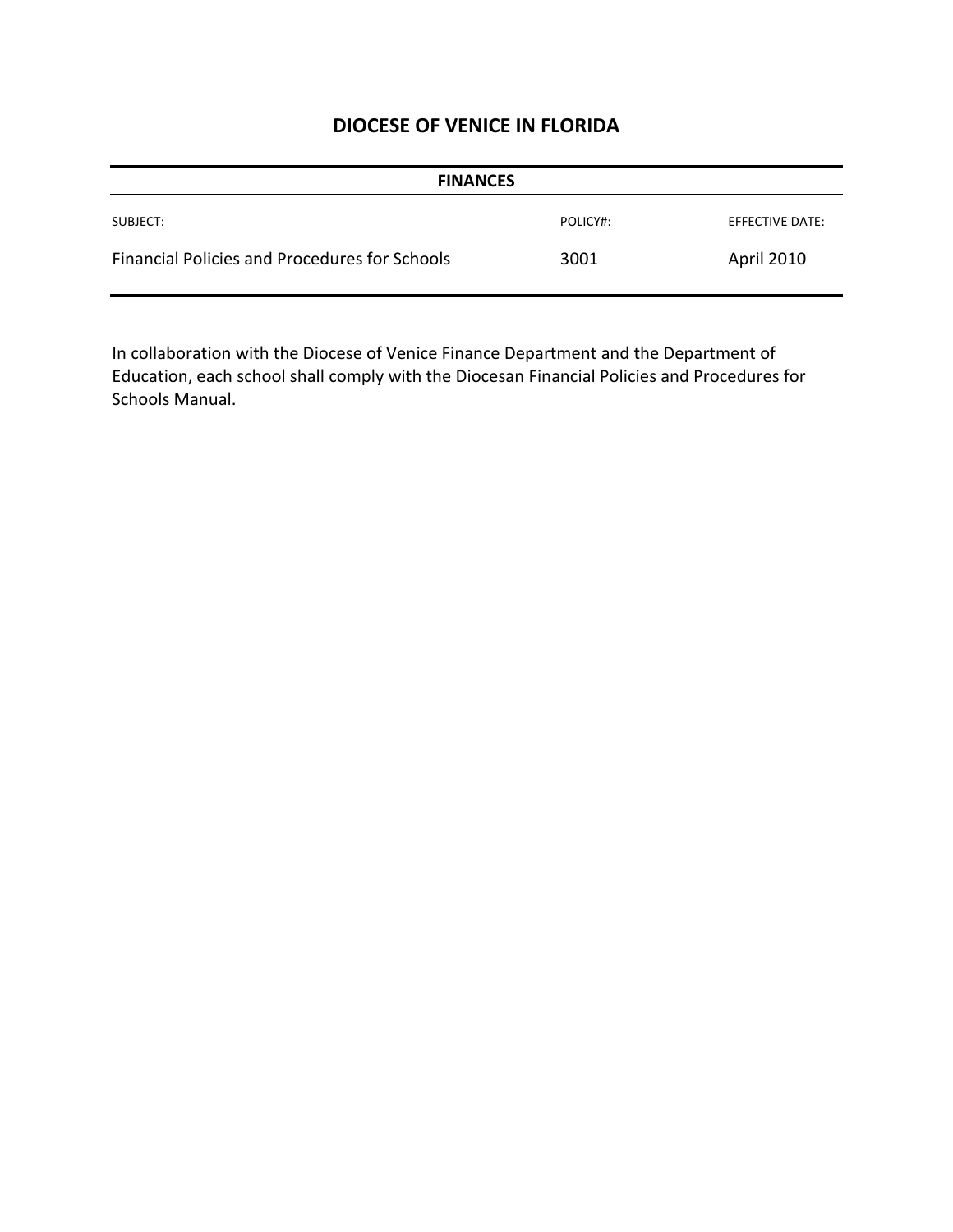| <b>FINANCES</b>                               |          |                 |
|-----------------------------------------------|----------|-----------------|
| SUBJECT:                                      | POLICY#: | EFFECTIVE DATE: |
| Financial Policies and Procedures for Schools | 3001     | April 2010      |

In collaboration with the Diocese of Venice Finance Department and the Department of Education, each school shall comply with the Diocesan Financial Policies and Procedures for Schools Manual.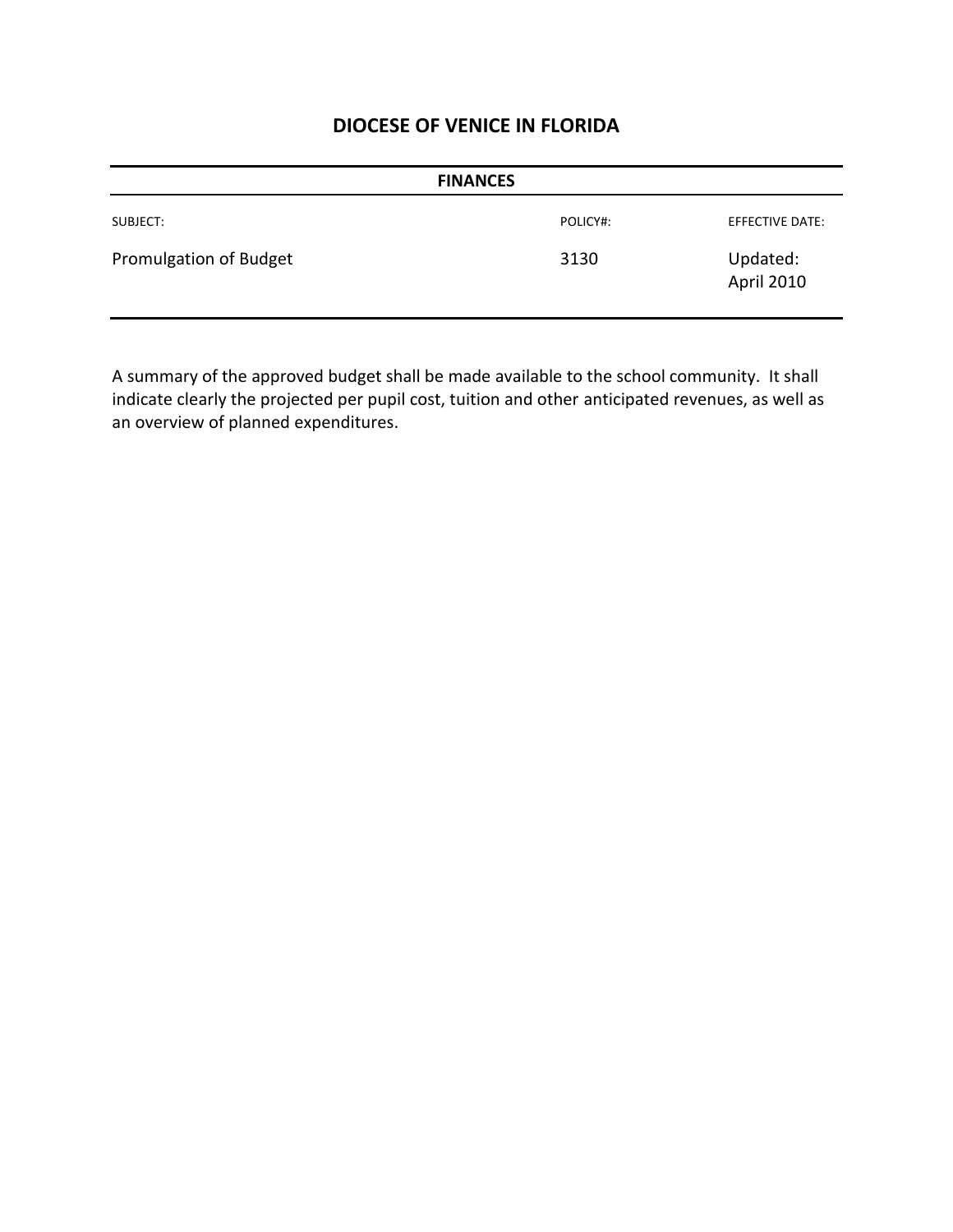| <b>FINANCES</b>        |          |                        |
|------------------------|----------|------------------------|
| SUBJECT:               | POLICY#: | EFFECTIVE DATE:        |
| Promulgation of Budget | 3130     | Updated:<br>April 2010 |

A summary of the approved budget shall be made available to the school community. It shall indicate clearly the projected per pupil cost, tuition and other anticipated revenues, as well as an overview of planned expenditures.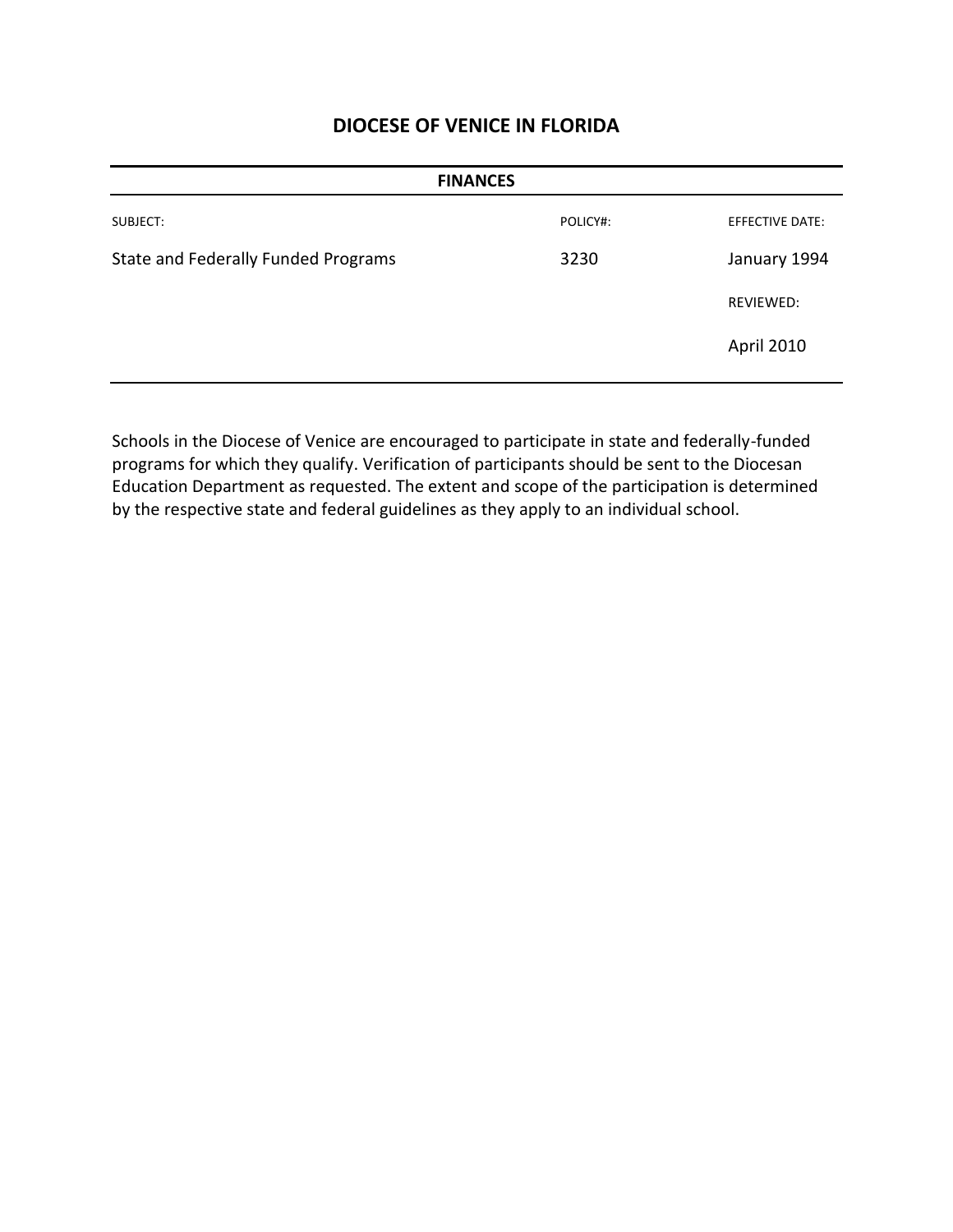| <b>FINANCES</b>                     |          |                        |
|-------------------------------------|----------|------------------------|
| SUBJECT:                            | POLICY#: | <b>EFFECTIVE DATE:</b> |
| State and Federally Funded Programs | 3230     | January 1994           |
|                                     |          | <b>REVIEWED:</b>       |
|                                     |          | April 2010             |
|                                     |          |                        |

Schools in the Diocese of Venice are encouraged to participate in state and federally-funded programs for which they qualify. Verification of participants should be sent to the Diocesan Education Department as requested. The extent and scope of the participation is determined by the respective state and federal guidelines as they apply to an individual school.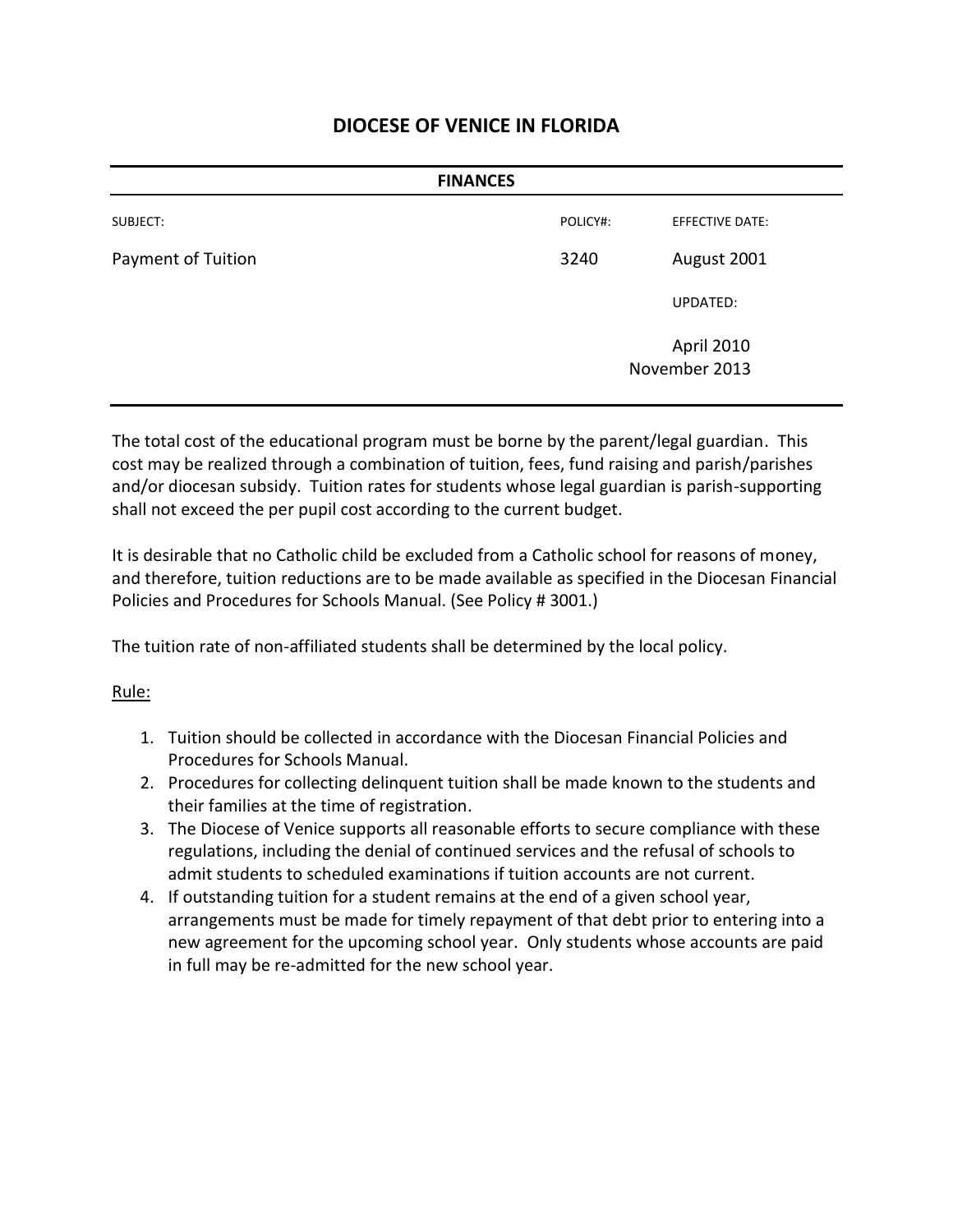| <b>FINANCES</b>           |          |                             |  |
|---------------------------|----------|-----------------------------|--|
| SUBJECT:                  | POLICY#: | <b>EFFECTIVE DATE:</b>      |  |
| <b>Payment of Tuition</b> | 3240     | August 2001                 |  |
|                           |          | UPDATED:                    |  |
|                           |          | April 2010<br>November 2013 |  |

The total cost of the educational program must be borne by the parent/legal guardian. This cost may be realized through a combination of tuition, fees, fund raising and parish/parishes and/or diocesan subsidy. Tuition rates for students whose legal guardian is parish-supporting shall not exceed the per pupil cost according to the current budget.

It is desirable that no Catholic child be excluded from a Catholic school for reasons of money, and therefore, tuition reductions are to be made available as specified in the Diocesan Financial Policies and Procedures for Schools Manual. (See Policy # 3001.)

The tuition rate of non-affiliated students shall be determined by the local policy.

### Rule:

- 1. Tuition should be collected in accordance with the Diocesan Financial Policies and Procedures for Schools Manual.
- 2. Procedures for collecting delinquent tuition shall be made known to the students and their families at the time of registration.
- 3. The Diocese of Venice supports all reasonable efforts to secure compliance with these regulations, including the denial of continued services and the refusal of schools to admit students to scheduled examinations if tuition accounts are not current.
- 4. If outstanding tuition for a student remains at the end of a given school year, arrangements must be made for timely repayment of that debt prior to entering into a new agreement for the upcoming school year. Only students whose accounts are paid in full may be re-admitted for the new school year.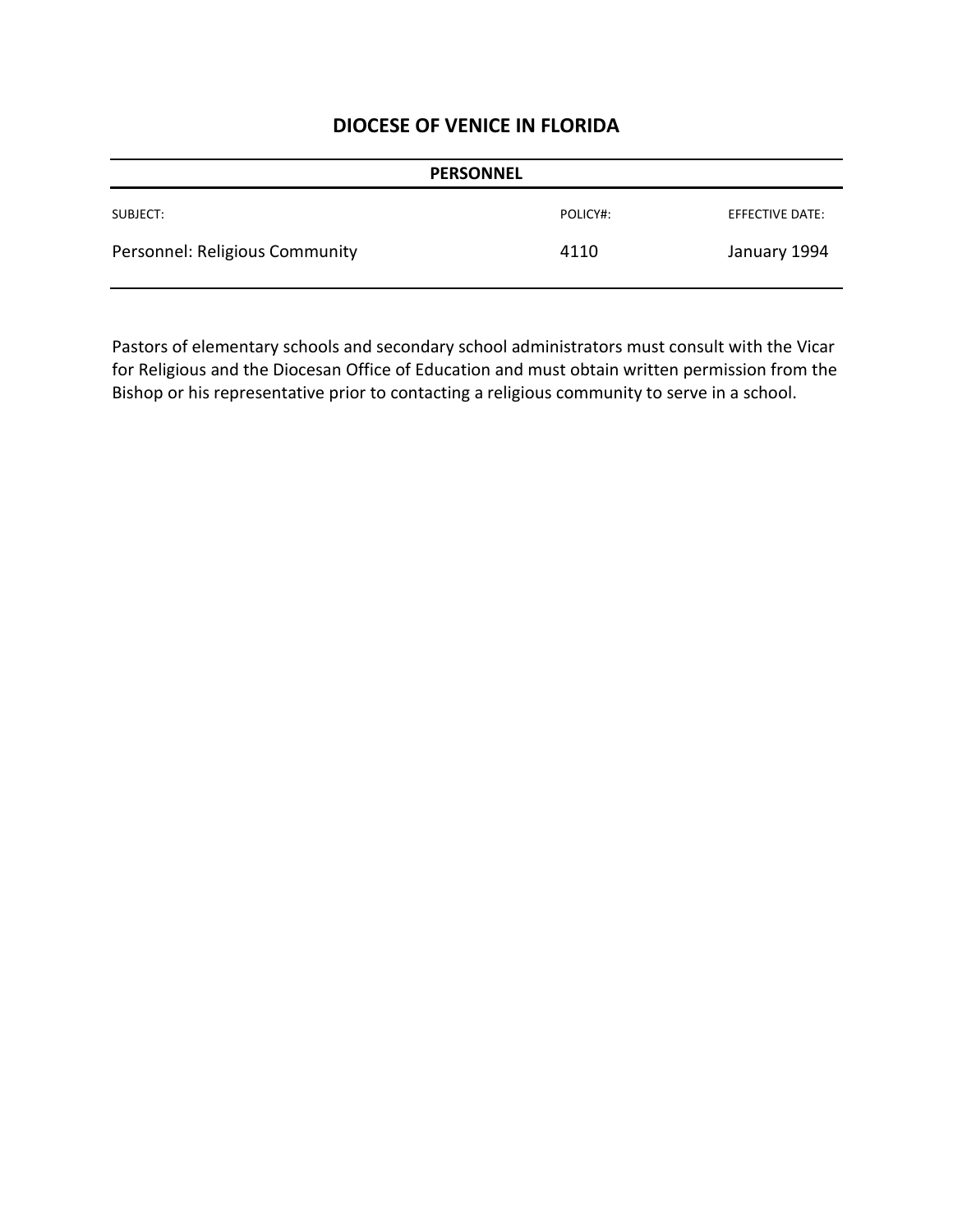| <b>PERSONNEL</b>               |          |                        |
|--------------------------------|----------|------------------------|
| SUBJECT:                       | POLICY#: | <b>EFFECTIVE DATE:</b> |
| Personnel: Religious Community | 4110     | January 1994           |

Pastors of elementary schools and secondary school administrators must consult with the Vicar for Religious and the Diocesan Office of Education and must obtain written permission from the Bishop or his representative prior to contacting a religious community to serve in a school.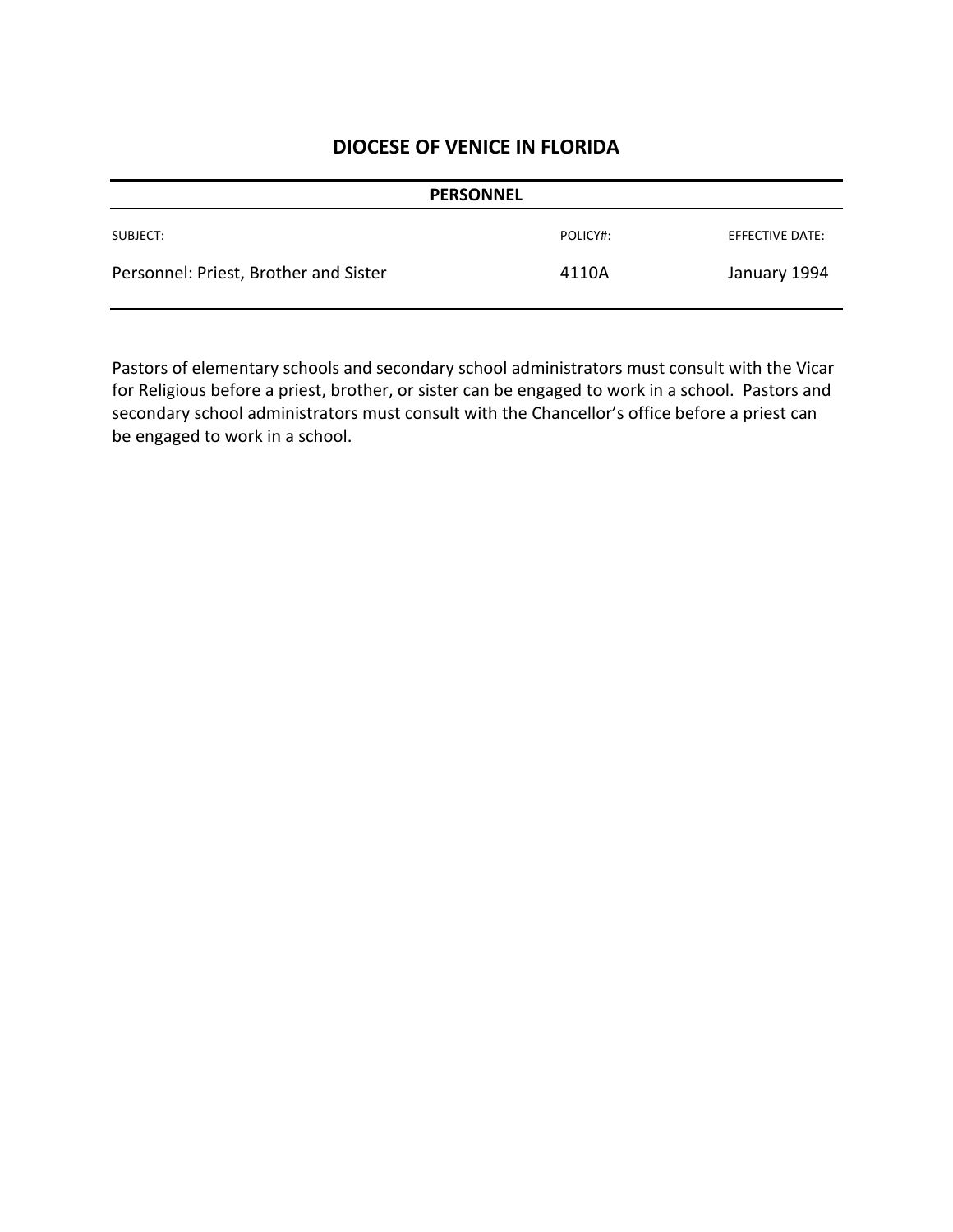|                                       | <b>PERSONNEL</b> |                 |
|---------------------------------------|------------------|-----------------|
| SUBJECT:                              | POLICY#:         | EFFECTIVE DATE: |
| Personnel: Priest, Brother and Sister | 4110A            | January 1994    |

Pastors of elementary schools and secondary school administrators must consult with the Vicar for Religious before a priest, brother, or sister can be engaged to work in a school. Pastors and secondary school administrators must consult with the Chancellor's office before a priest can be engaged to work in a school.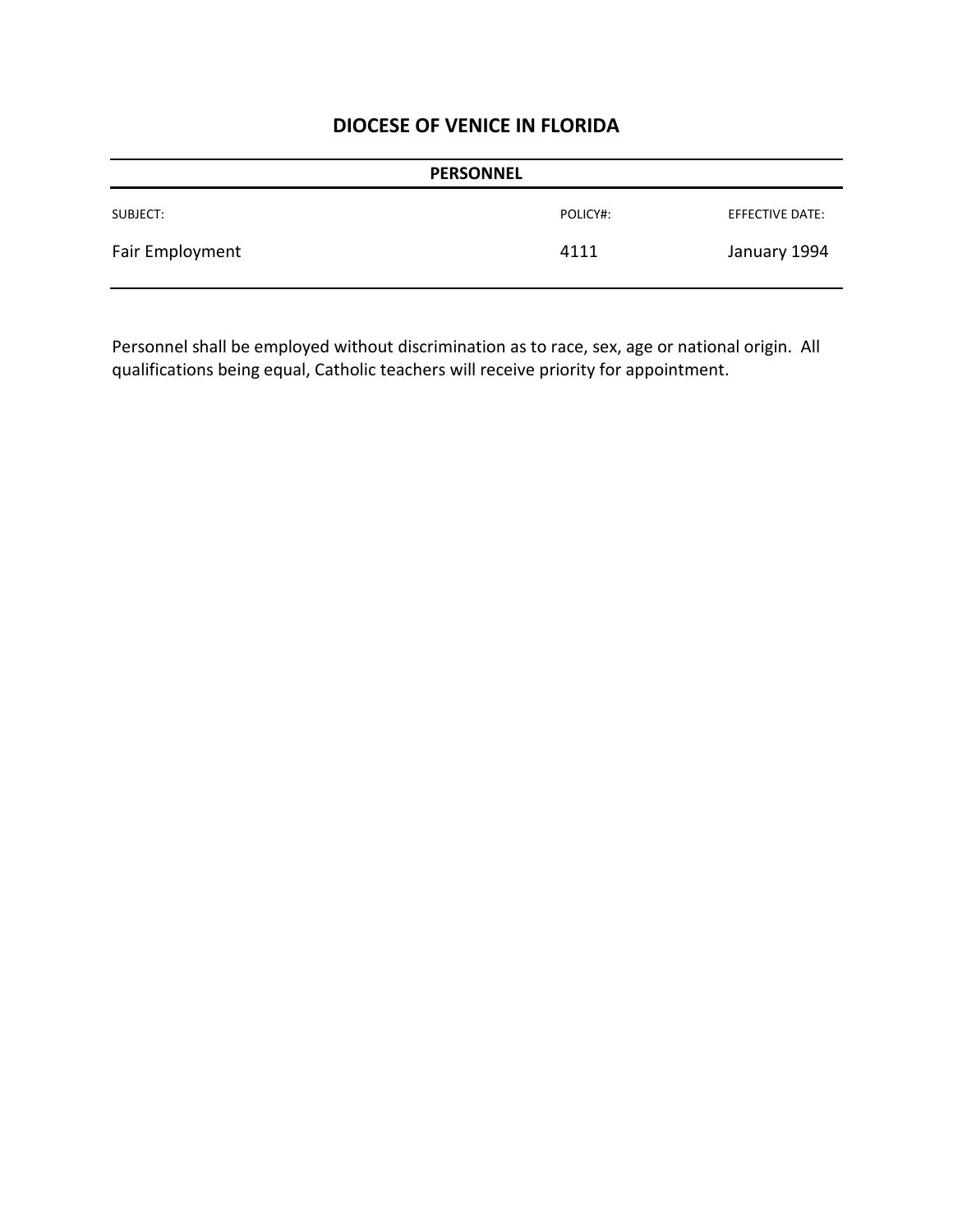| <b>PERSONNEL</b> |          |                 |
|------------------|----------|-----------------|
| SUBJECT:         | POLICY#: | EFFECTIVE DATE: |
| Fair Employment  | 4111     | January 1994    |

Personnel shall be employed without discrimination as to race, sex, age or national origin. All qualifications being equal, Catholic teachers will receive priority for appointment.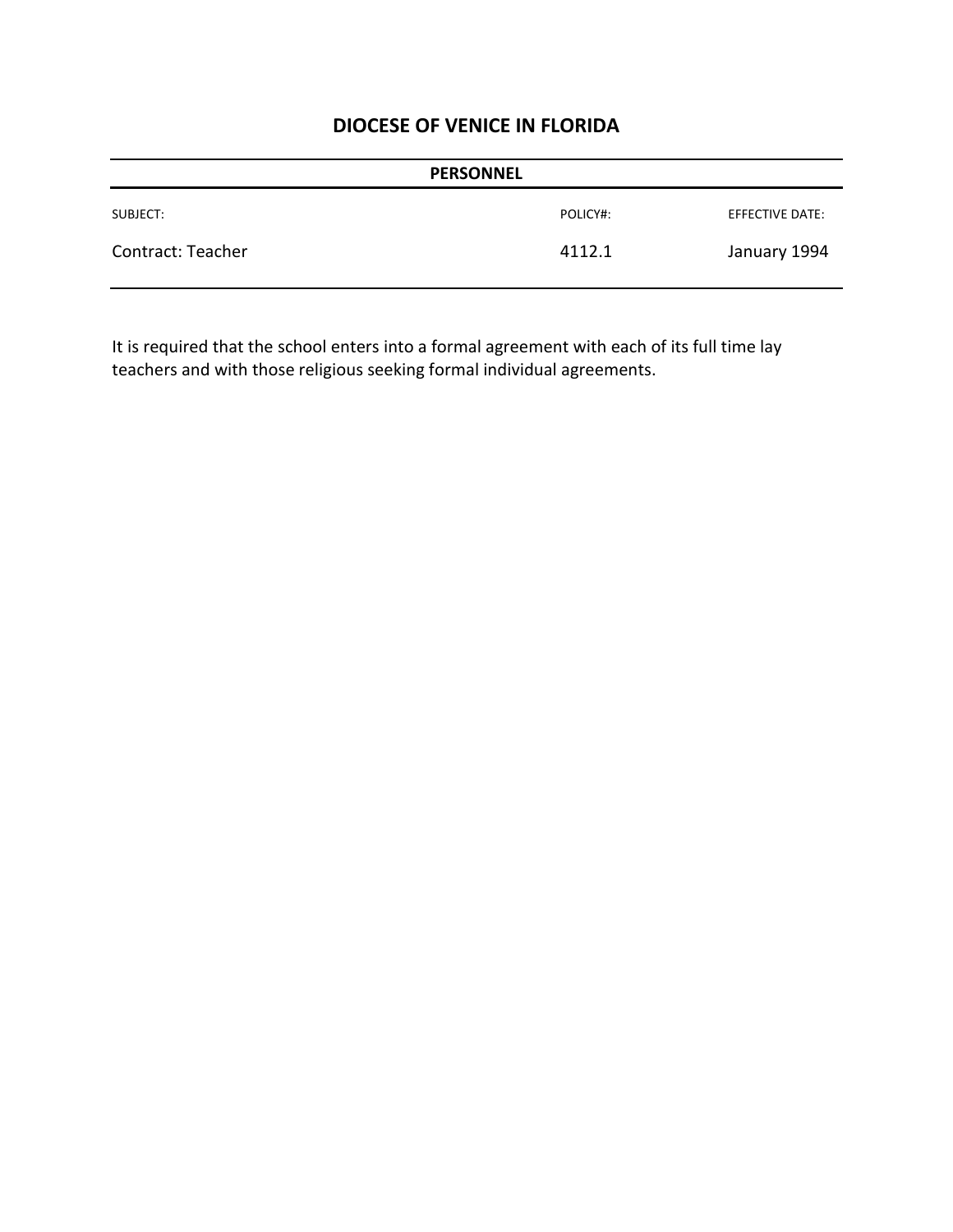|                   | <b>PERSONNEL</b> |                 |
|-------------------|------------------|-----------------|
| SUBJECT:          | POLICY#:         | EFFECTIVE DATE: |
| Contract: Teacher | 4112.1           | January 1994    |

It is required that the school enters into a formal agreement with each of its full time lay teachers and with those religious seeking formal individual agreements.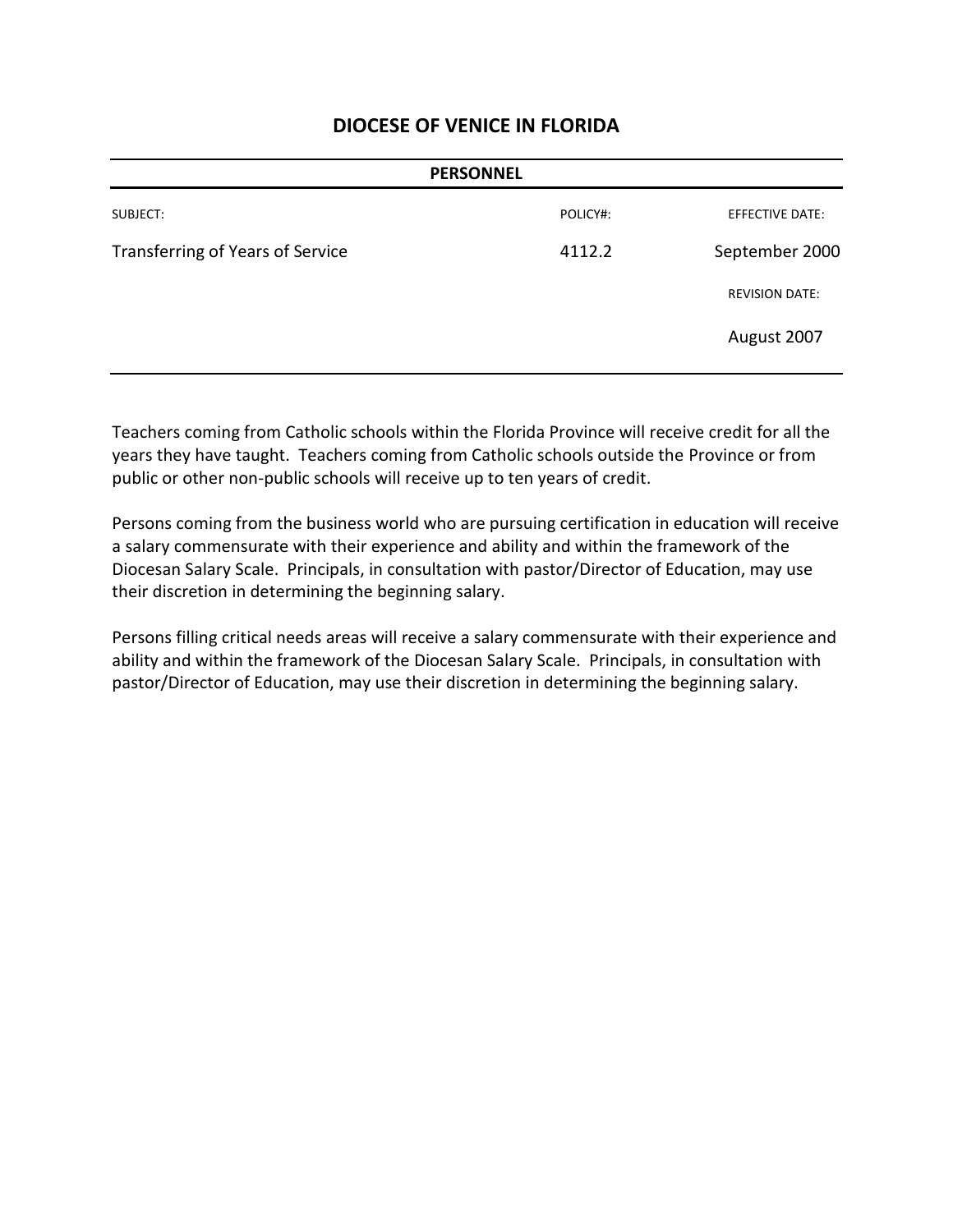| <b>PERSONNEL</b> |                        |
|------------------|------------------------|
| POLICY#:         | <b>EFFECTIVE DATE:</b> |
| 4112.2           | September 2000         |
|                  | <b>REVISION DATE:</b>  |
|                  | August 2007            |
|                  |                        |

Teachers coming from Catholic schools within the Florida Province will receive credit for all the years they have taught. Teachers coming from Catholic schools outside the Province or from public or other non-public schools will receive up to ten years of credit.

Persons coming from the business world who are pursuing certification in education will receive a salary commensurate with their experience and ability and within the framework of the Diocesan Salary Scale. Principals, in consultation with pastor/Director of Education, may use their discretion in determining the beginning salary.

Persons filling critical needs areas will receive a salary commensurate with their experience and ability and within the framework of the Diocesan Salary Scale. Principals, in consultation with pastor/Director of Education, may use their discretion in determining the beginning salary.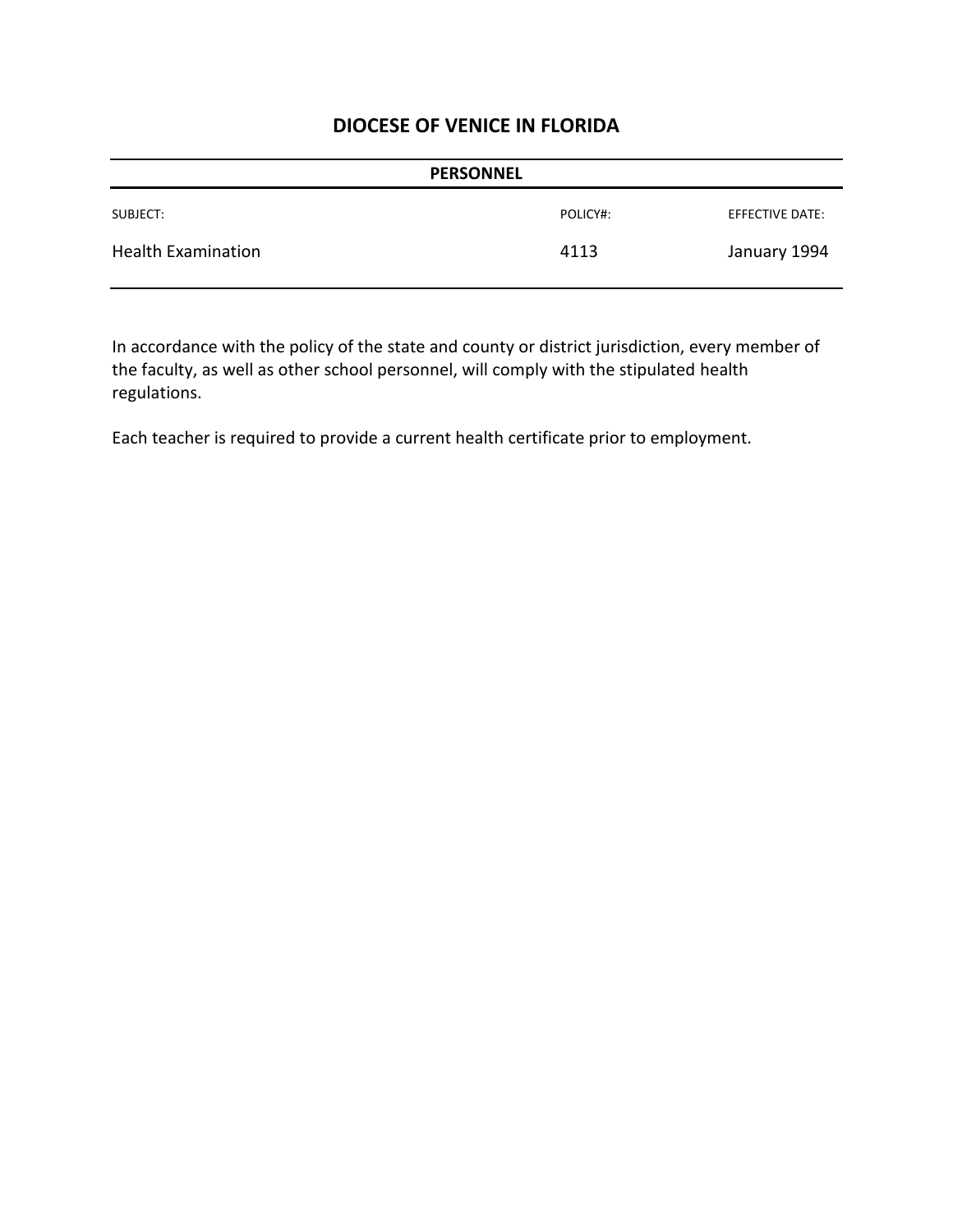| <b>PERSONNEL</b>          |          |                 |
|---------------------------|----------|-----------------|
| SUBJECT:                  | POLICY#: | EFFECTIVE DATE: |
| <b>Health Examination</b> | 4113     | January 1994    |

In accordance with the policy of the state and county or district jurisdiction, every member of the faculty, as well as other school personnel, will comply with the stipulated health regulations.

Each teacher is required to provide a current health certificate prior to employment.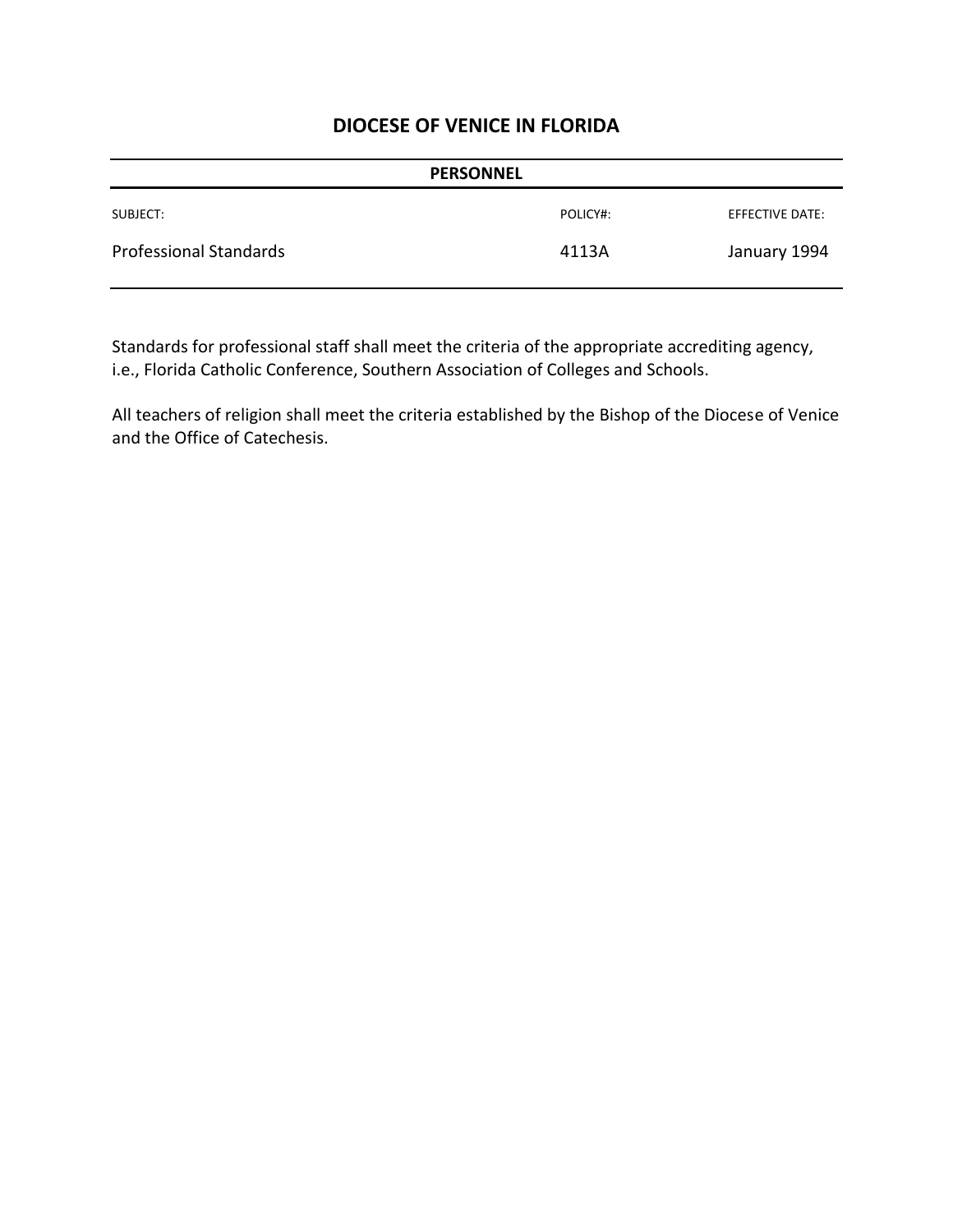| <b>PERSONNEL</b>              |          |                 |
|-------------------------------|----------|-----------------|
| SUBJECT:                      | POLICY#: | EFFECTIVE DATE: |
| <b>Professional Standards</b> | 4113A    | January 1994    |

Standards for professional staff shall meet the criteria of the appropriate accrediting agency, i.e., Florida Catholic Conference, Southern Association of Colleges and Schools.

All teachers of religion shall meet the criteria established by the Bishop of the Diocese of Venice and the Office of Catechesis.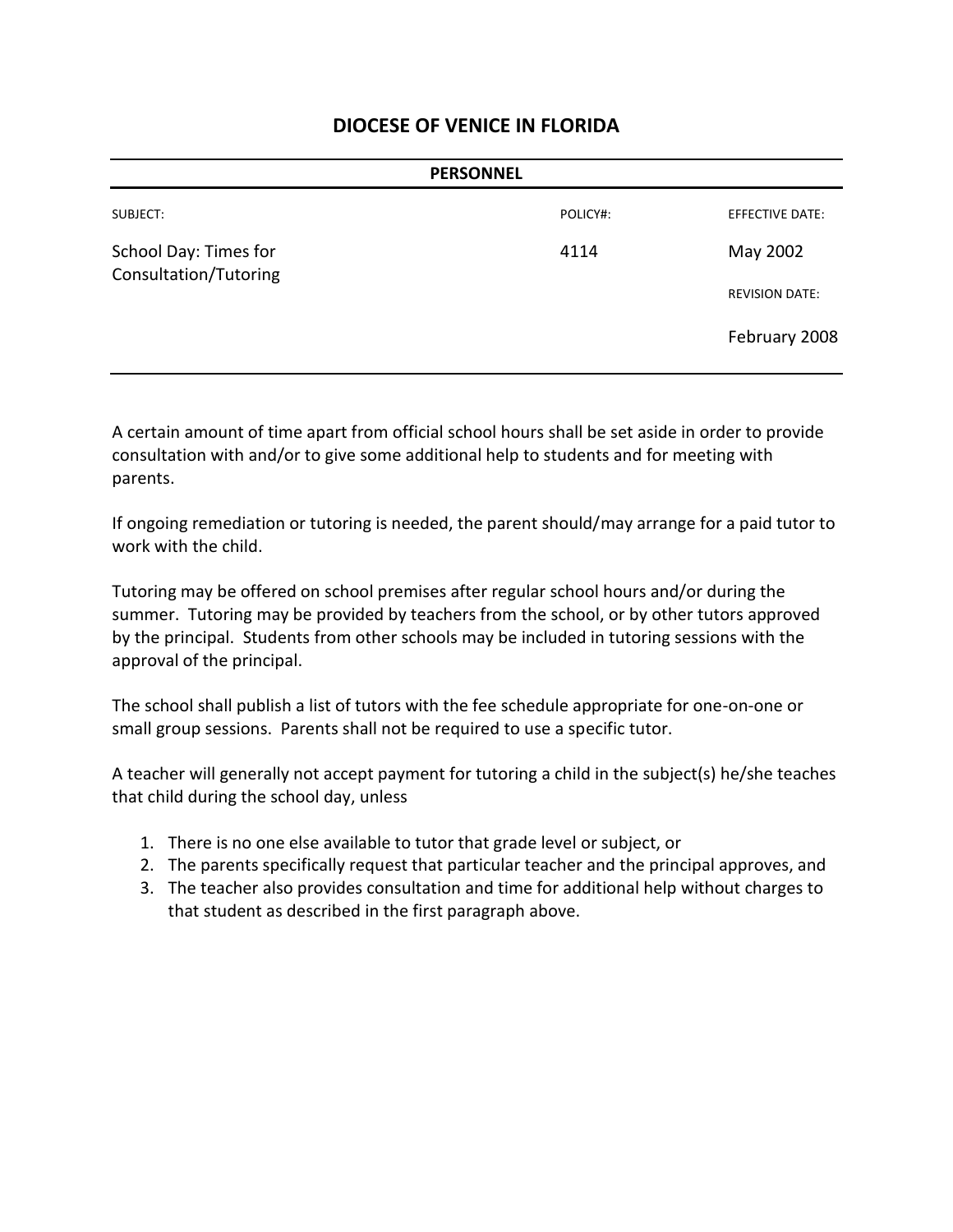|                                                | <b>PERSONNEL</b> |                        |
|------------------------------------------------|------------------|------------------------|
| SUBJECT:                                       | POLICY#:         | <b>EFFECTIVE DATE:</b> |
| School Day: Times for<br>Consultation/Tutoring | 4114             | May 2002               |
|                                                |                  | <b>REVISION DATE:</b>  |
|                                                |                  | February 2008          |
|                                                |                  |                        |

A certain amount of time apart from official school hours shall be set aside in order to provide consultation with and/or to give some additional help to students and for meeting with parents.

If ongoing remediation or tutoring is needed, the parent should/may arrange for a paid tutor to work with the child.

Tutoring may be offered on school premises after regular school hours and/or during the summer. Tutoring may be provided by teachers from the school, or by other tutors approved by the principal. Students from other schools may be included in tutoring sessions with the approval of the principal.

The school shall publish a list of tutors with the fee schedule appropriate for one-on-one or small group sessions. Parents shall not be required to use a specific tutor.

A teacher will generally not accept payment for tutoring a child in the subject(s) he/she teaches that child during the school day, unless

- 1. There is no one else available to tutor that grade level or subject, or
- 2. The parents specifically request that particular teacher and the principal approves, and
- 3. The teacher also provides consultation and time for additional help without charges to that student as described in the first paragraph above.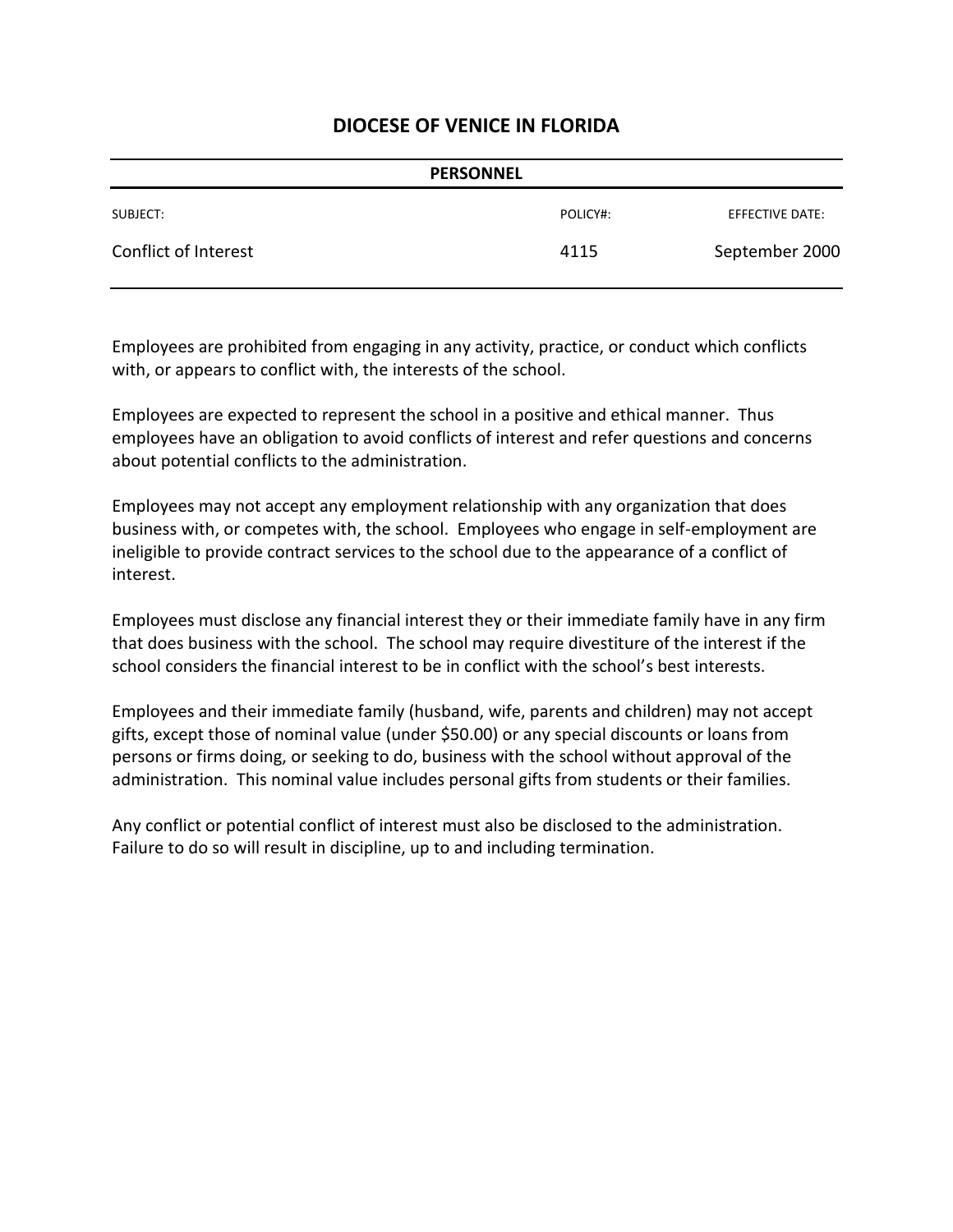|                      | <b>PERSONNEL</b> |                 |
|----------------------|------------------|-----------------|
| SUBJECT:             | POLICY#:         | EFFECTIVE DATE: |
| Conflict of Interest | 4115             | September 2000  |

Employees are prohibited from engaging in any activity, practice, or conduct which conflicts with, or appears to conflict with, the interests of the school.

Employees are expected to represent the school in a positive and ethical manner. Thus employees have an obligation to avoid conflicts of interest and refer questions and concerns about potential conflicts to the administration.

Employees may not accept any employment relationship with any organization that does business with, or competes with, the school. Employees who engage in self-employment are ineligible to provide contract services to the school due to the appearance of a conflict of interest.

Employees must disclose any financial interest they or their immediate family have in any firm that does business with the school. The school may require divestiture of the interest if the school considers the financial interest to be in conflict with the school's best interests.

Employees and their immediate family (husband, wife, parents and children) may not accept gifts, except those of nominal value (under \$50.00) or any special discounts or loans from persons or firms doing, or seeking to do, business with the school without approval of the administration. This nominal value includes personal gifts from students or their families.

Any conflict or potential conflict of interest must also be disclosed to the administration. Failure to do so will result in discipline, up to and including termination.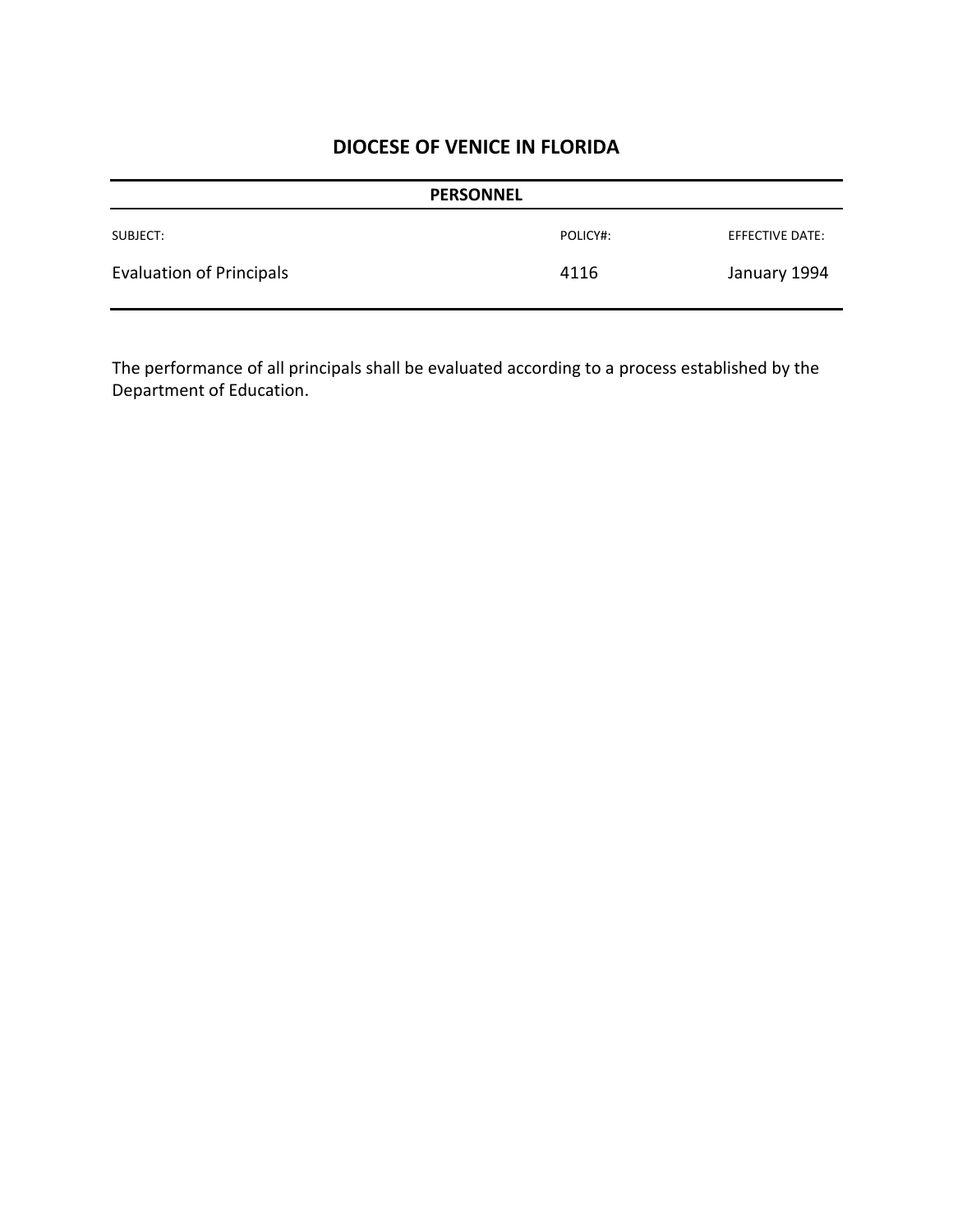| <b>PERSONNEL</b>                |          |                 |
|---------------------------------|----------|-----------------|
| SUBJECT:                        | POLICY#: | EFFECTIVE DATE: |
| <b>Evaluation of Principals</b> | 4116     | January 1994    |

The performance of all principals shall be evaluated according to a process established by the Department of Education.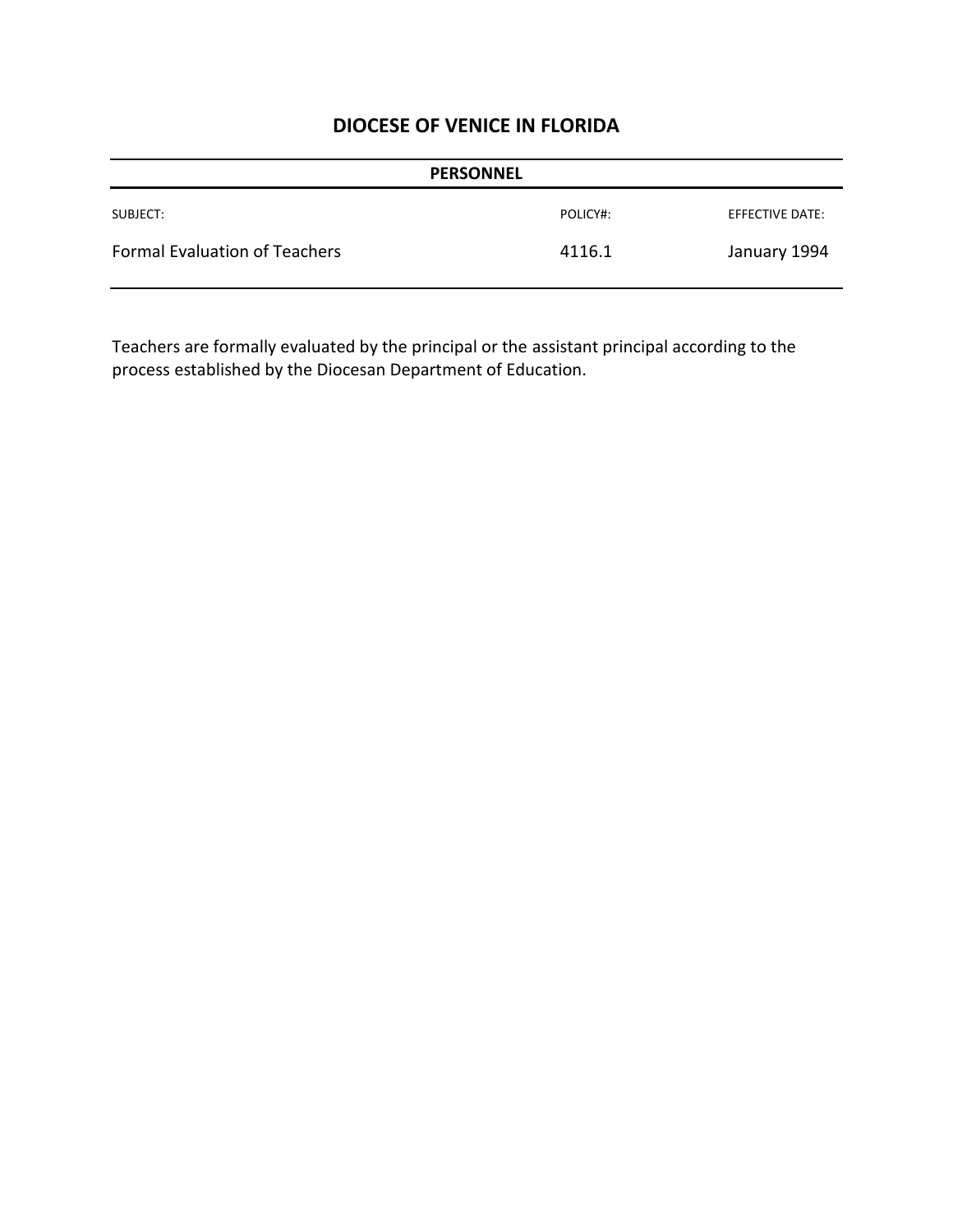|                                      | <b>PERSONNEL</b> |                 |
|--------------------------------------|------------------|-----------------|
| SUBJECT:                             | POLICY#:         | EFFECTIVE DATE: |
| <b>Formal Evaluation of Teachers</b> | 4116.1           | January 1994    |

Teachers are formally evaluated by the principal or the assistant principal according to the process established by the Diocesan Department of Education.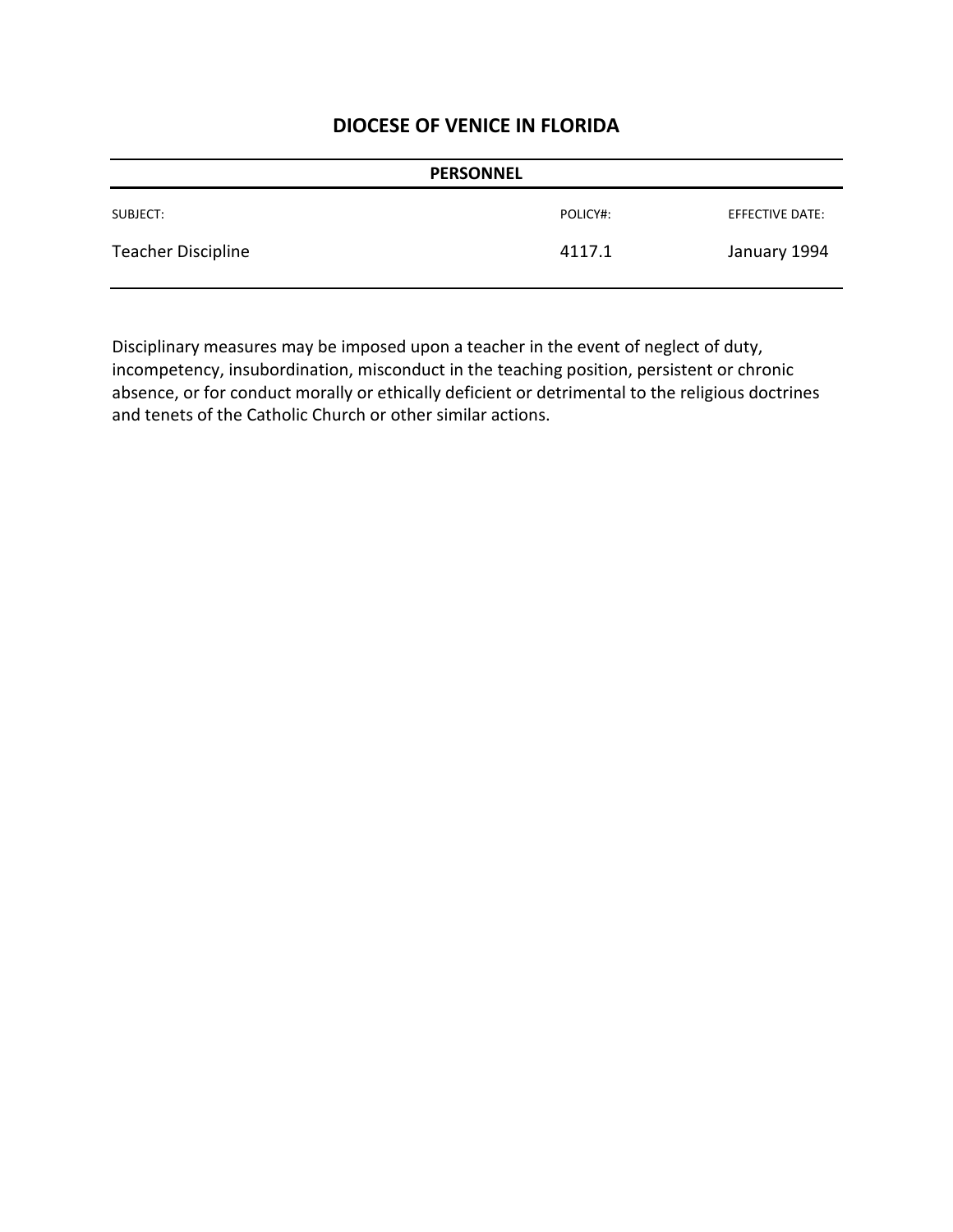|                    | <b>PERSONNEL</b> |                        |
|--------------------|------------------|------------------------|
| SUBJECT:           | POLICY#:         | <b>EFFECTIVE DATE:</b> |
| Teacher Discipline | 4117.1           | January 1994           |

Disciplinary measures may be imposed upon a teacher in the event of neglect of duty, incompetency, insubordination, misconduct in the teaching position, persistent or chronic absence, or for conduct morally or ethically deficient or detrimental to the religious doctrines and tenets of the Catholic Church or other similar actions.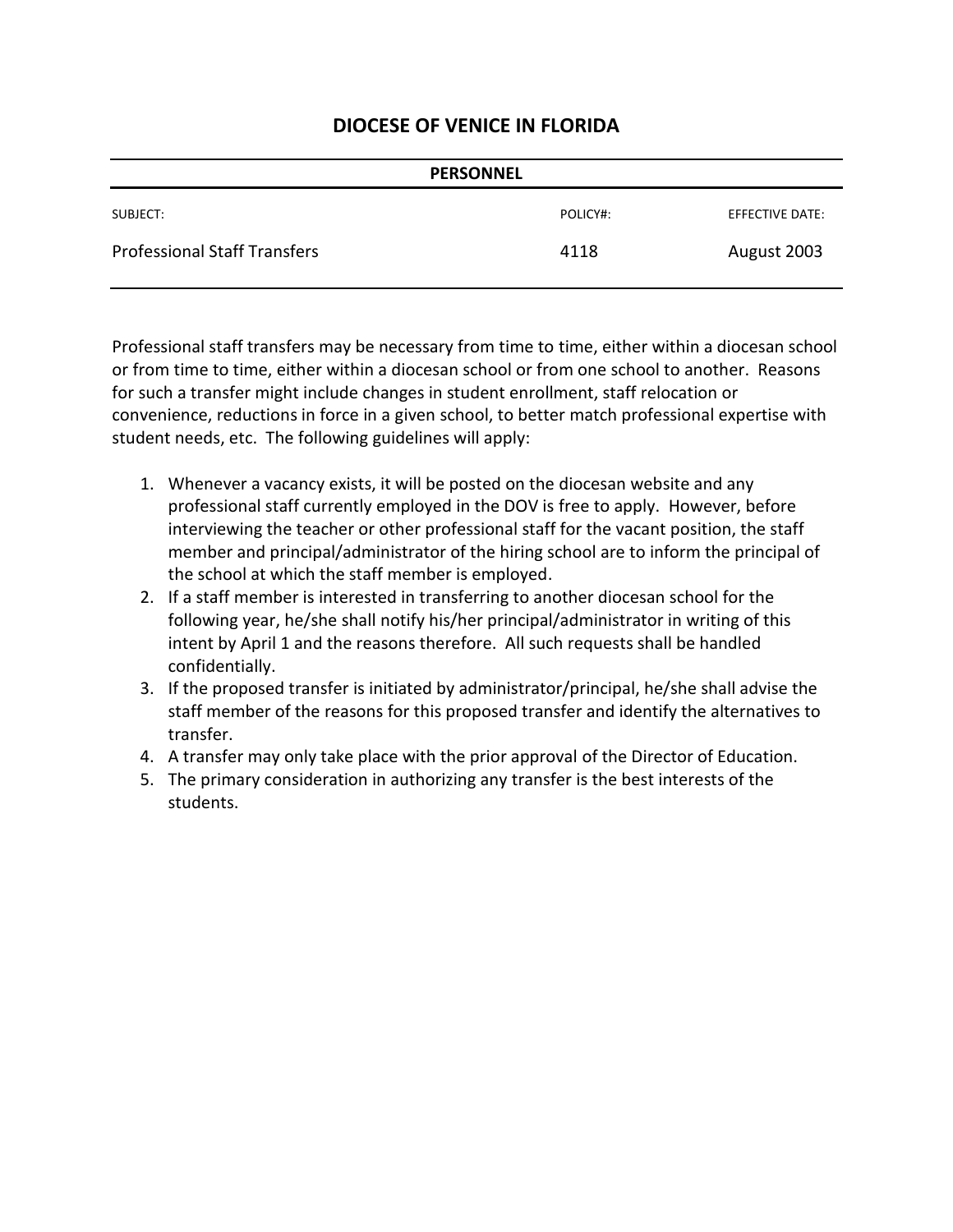| <b>PERSONNEL</b>                    |          |                 |
|-------------------------------------|----------|-----------------|
| SUBJECT:                            | POLICY#: | EFFECTIVE DATE: |
| <b>Professional Staff Transfers</b> | 4118     | August 2003     |

Professional staff transfers may be necessary from time to time, either within a diocesan school or from time to time, either within a diocesan school or from one school to another. Reasons for such a transfer might include changes in student enrollment, staff relocation or convenience, reductions in force in a given school, to better match professional expertise with student needs, etc. The following guidelines will apply:

- 1. Whenever a vacancy exists, it will be posted on the diocesan website and any professional staff currently employed in the DOV is free to apply. However, before interviewing the teacher or other professional staff for the vacant position, the staff member and principal/administrator of the hiring school are to inform the principal of the school at which the staff member is employed.
- 2. If a staff member is interested in transferring to another diocesan school for the following year, he/she shall notify his/her principal/administrator in writing of this intent by April 1 and the reasons therefore. All such requests shall be handled confidentially.
- 3. If the proposed transfer is initiated by administrator/principal, he/she shall advise the staff member of the reasons for this proposed transfer and identify the alternatives to transfer.
- 4. A transfer may only take place with the prior approval of the Director of Education.
- 5. The primary consideration in authorizing any transfer is the best interests of the students.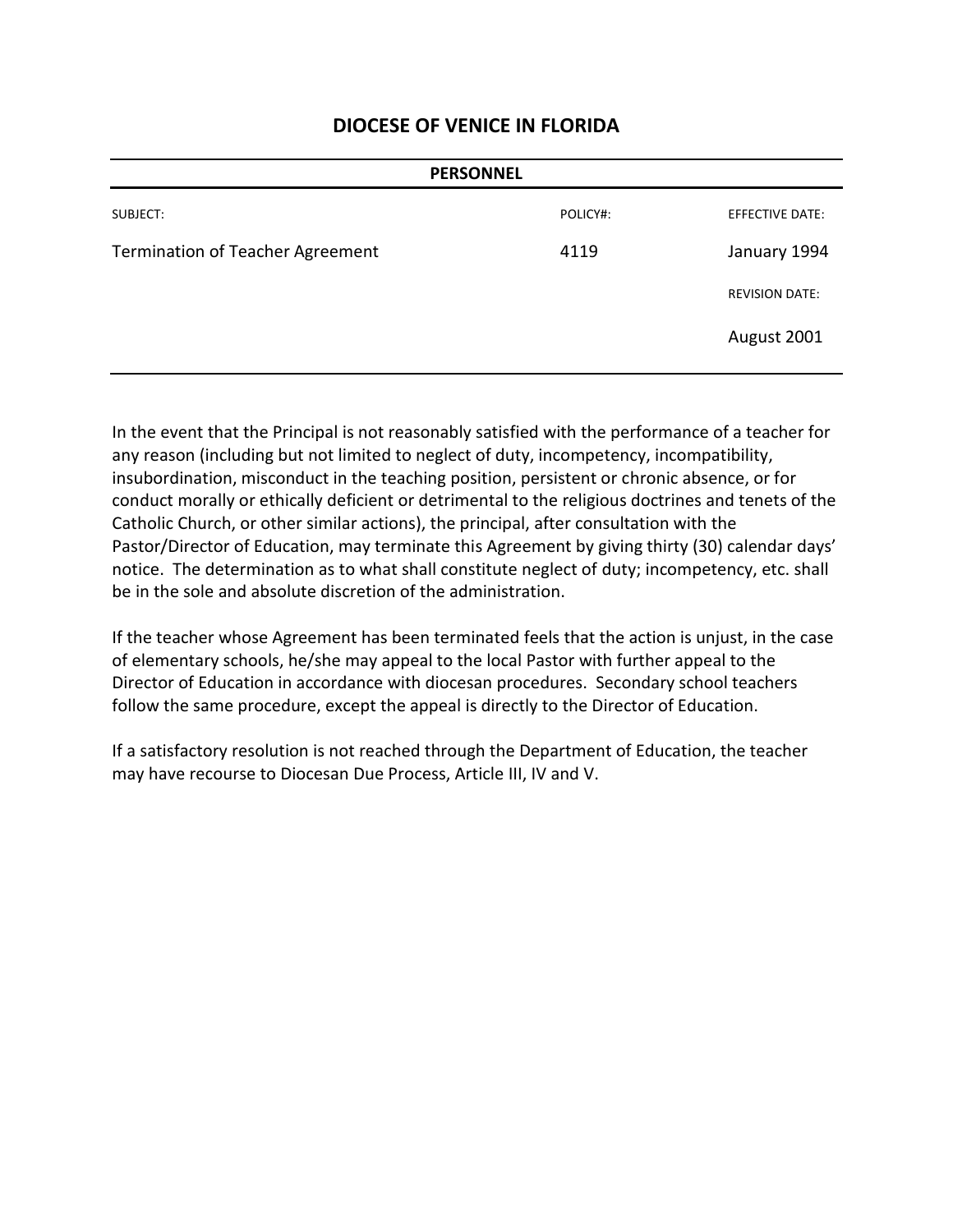|                                  | <b>PERSONNEL</b> |                        |
|----------------------------------|------------------|------------------------|
| SUBJECT:                         | POLICY#:         | <b>EFFECTIVE DATE:</b> |
| Termination of Teacher Agreement | 4119             | January 1994           |
|                                  |                  | <b>REVISION DATE:</b>  |
|                                  |                  | August 2001            |
|                                  |                  |                        |

In the event that the Principal is not reasonably satisfied with the performance of a teacher for any reason (including but not limited to neglect of duty, incompetency, incompatibility, insubordination, misconduct in the teaching position, persistent or chronic absence, or for conduct morally or ethically deficient or detrimental to the religious doctrines and tenets of the Catholic Church, or other similar actions), the principal, after consultation with the Pastor/Director of Education, may terminate this Agreement by giving thirty (30) calendar days' notice. The determination as to what shall constitute neglect of duty; incompetency, etc. shall be in the sole and absolute discretion of the administration.

If the teacher whose Agreement has been terminated feels that the action is unjust, in the case of elementary schools, he/she may appeal to the local Pastor with further appeal to the Director of Education in accordance with diocesan procedures. Secondary school teachers follow the same procedure, except the appeal is directly to the Director of Education.

If a satisfactory resolution is not reached through the Department of Education, the teacher may have recourse to Diocesan Due Process, Article III, IV and V.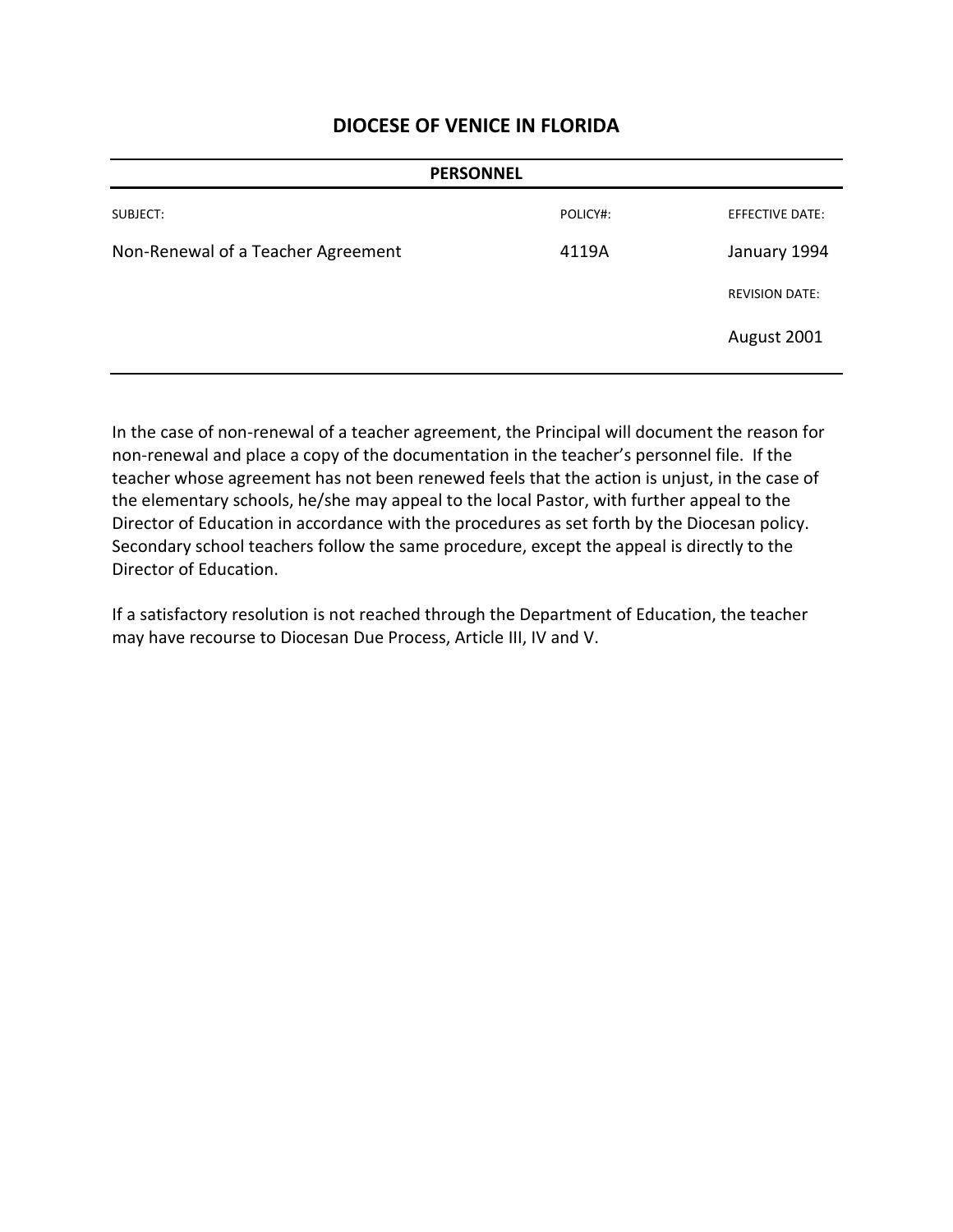|                                    | <b>PERSONNEL</b> |                        |
|------------------------------------|------------------|------------------------|
| SUBJECT:                           | POLICY#:         | <b>EFFECTIVE DATE:</b> |
| Non-Renewal of a Teacher Agreement | 4119A            | January 1994           |
|                                    |                  | <b>REVISION DATE:</b>  |
|                                    |                  | August 2001            |

In the case of non-renewal of a teacher agreement, the Principal will document the reason for non-renewal and place a copy of the documentation in the teacher's personnel file. If the teacher whose agreement has not been renewed feels that the action is unjust, in the case of the elementary schools, he/she may appeal to the local Pastor, with further appeal to the Director of Education in accordance with the procedures as set forth by the Diocesan policy. Secondary school teachers follow the same procedure, except the appeal is directly to the Director of Education.

If a satisfactory resolution is not reached through the Department of Education, the teacher may have recourse to Diocesan Due Process, Article III, IV and V.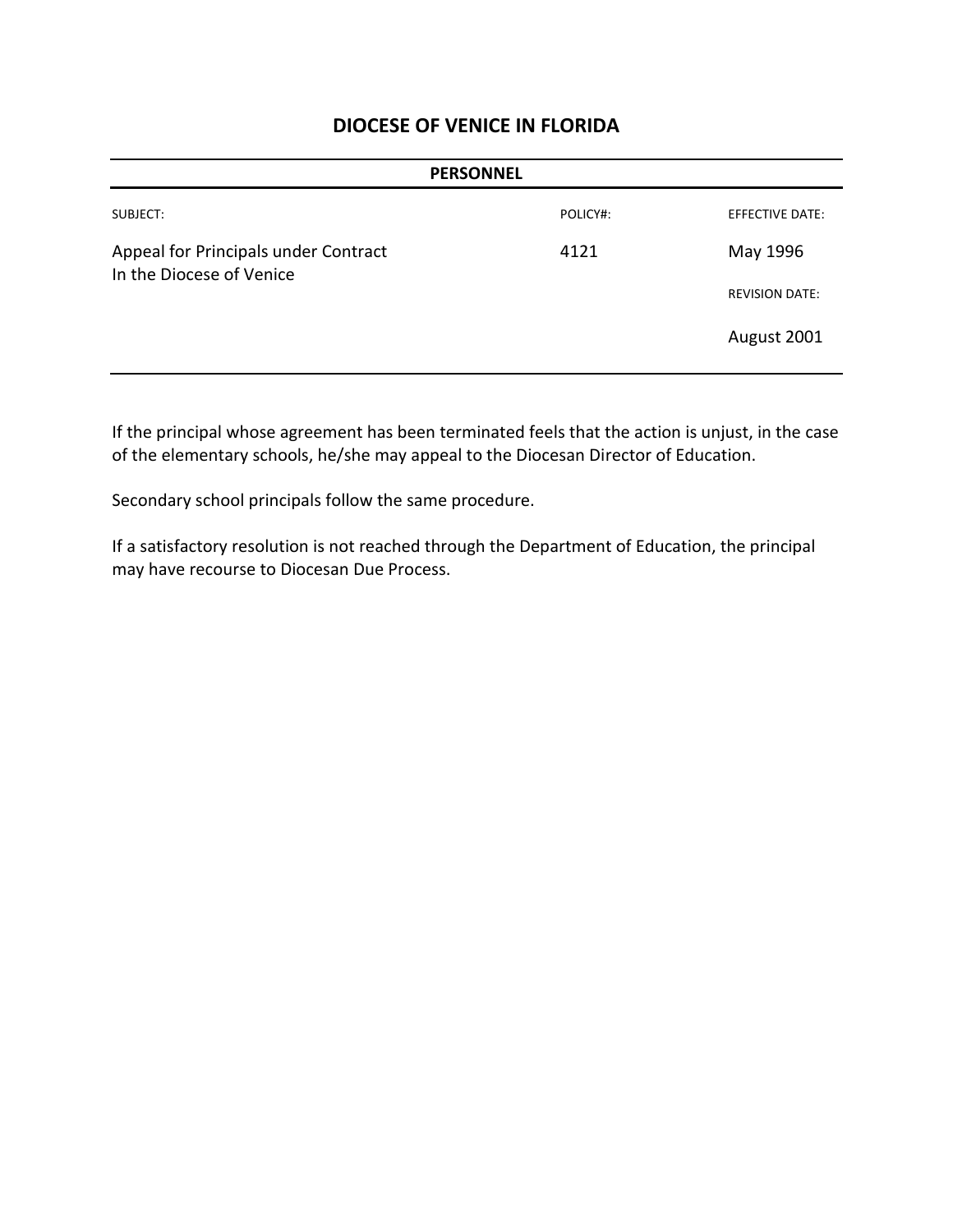| <b>PERSONNEL</b>                                                 |          |                        |
|------------------------------------------------------------------|----------|------------------------|
| SUBJECT:                                                         | POLICY#: | <b>EFFECTIVE DATE:</b> |
| Appeal for Principals under Contract<br>In the Diocese of Venice | 4121     | May 1996               |
|                                                                  |          | <b>REVISION DATE:</b>  |
|                                                                  |          | August 2001            |

If the principal whose agreement has been terminated feels that the action is unjust, in the case of the elementary schools, he/she may appeal to the Diocesan Director of Education.

Secondary school principals follow the same procedure.

If a satisfactory resolution is not reached through the Department of Education, the principal may have recourse to Diocesan Due Process.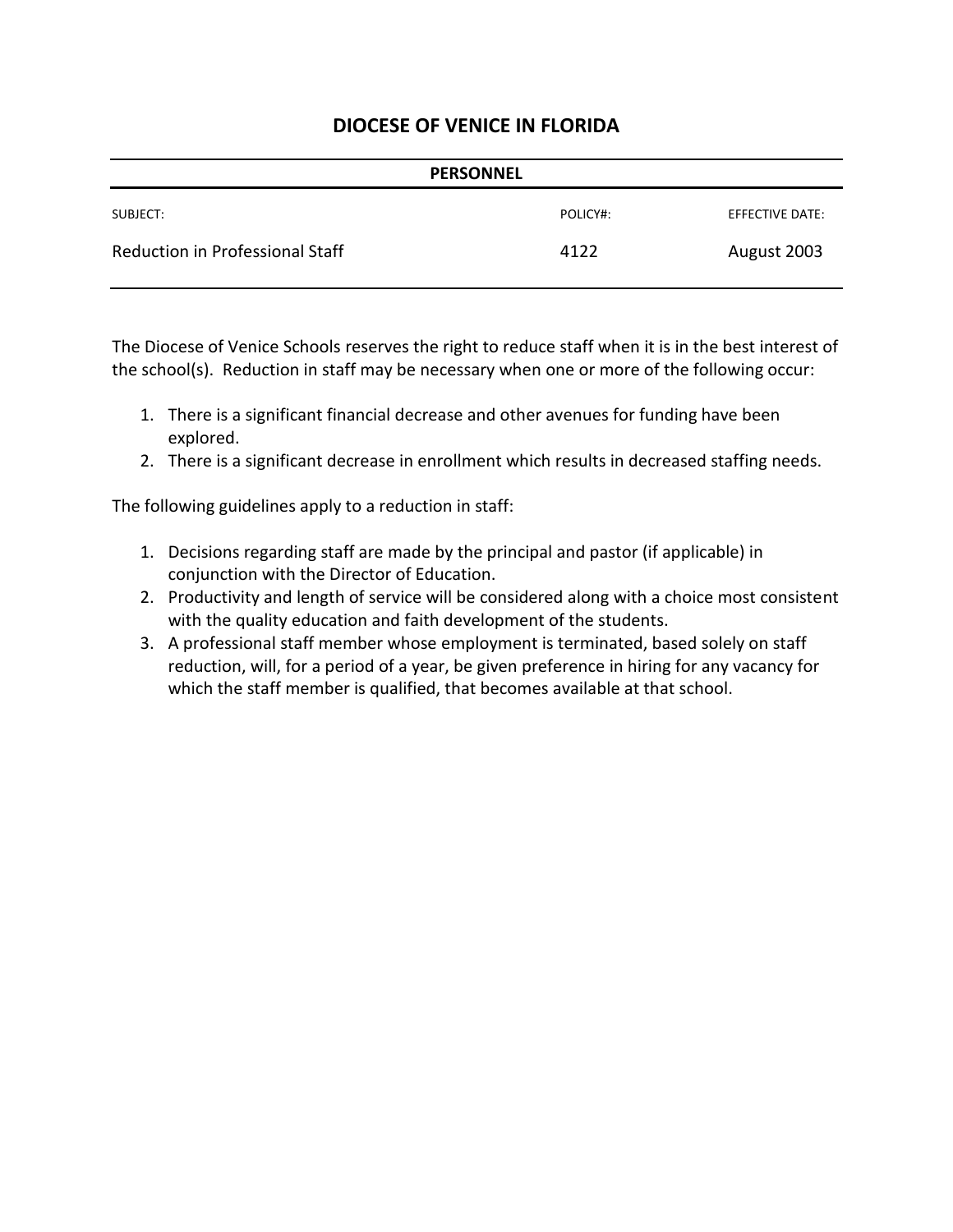| <b>PERSONNEL</b>                       |          |                 |
|----------------------------------------|----------|-----------------|
| SUBJECT:                               | POLICY#: | EFFECTIVE DATE: |
| <b>Reduction in Professional Staff</b> | 4122     | August 2003     |

The Diocese of Venice Schools reserves the right to reduce staff when it is in the best interest of the school(s). Reduction in staff may be necessary when one or more of the following occur:

- 1. There is a significant financial decrease and other avenues for funding have been explored.
- 2. There is a significant decrease in enrollment which results in decreased staffing needs.

The following guidelines apply to a reduction in staff:

- 1. Decisions regarding staff are made by the principal and pastor (if applicable) in conjunction with the Director of Education.
- 2. Productivity and length of service will be considered along with a choice most consistent with the quality education and faith development of the students.
- 3. A professional staff member whose employment is terminated, based solely on staff reduction, will, for a period of a year, be given preference in hiring for any vacancy for which the staff member is qualified, that becomes available at that school.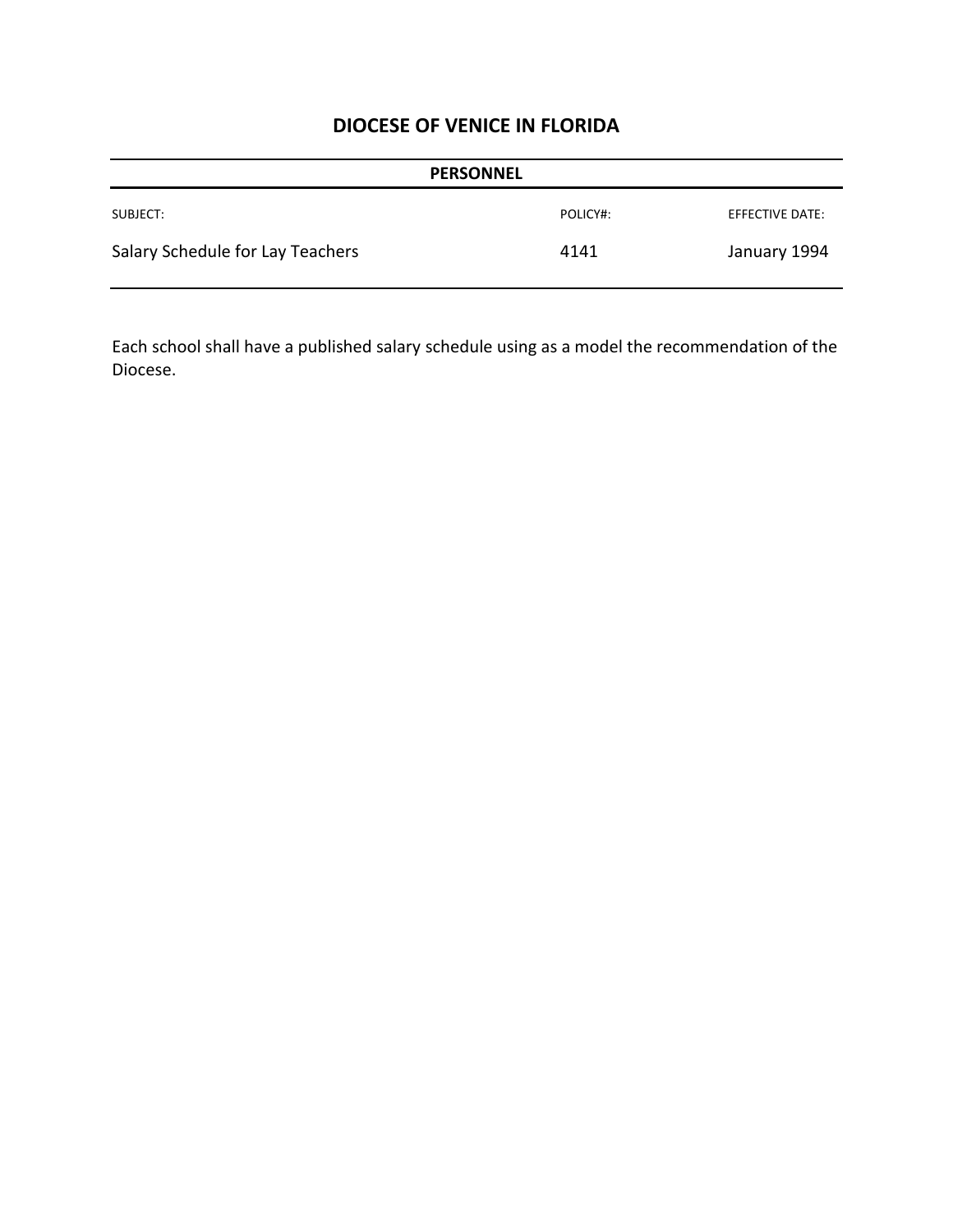| <b>PERSONNEL</b>                 |          |                 |
|----------------------------------|----------|-----------------|
| SUBJECT:                         | POLICY#: | EFFECTIVE DATE: |
| Salary Schedule for Lay Teachers | 4141     | January 1994    |

Each school shall have a published salary schedule using as a model the recommendation of the Diocese.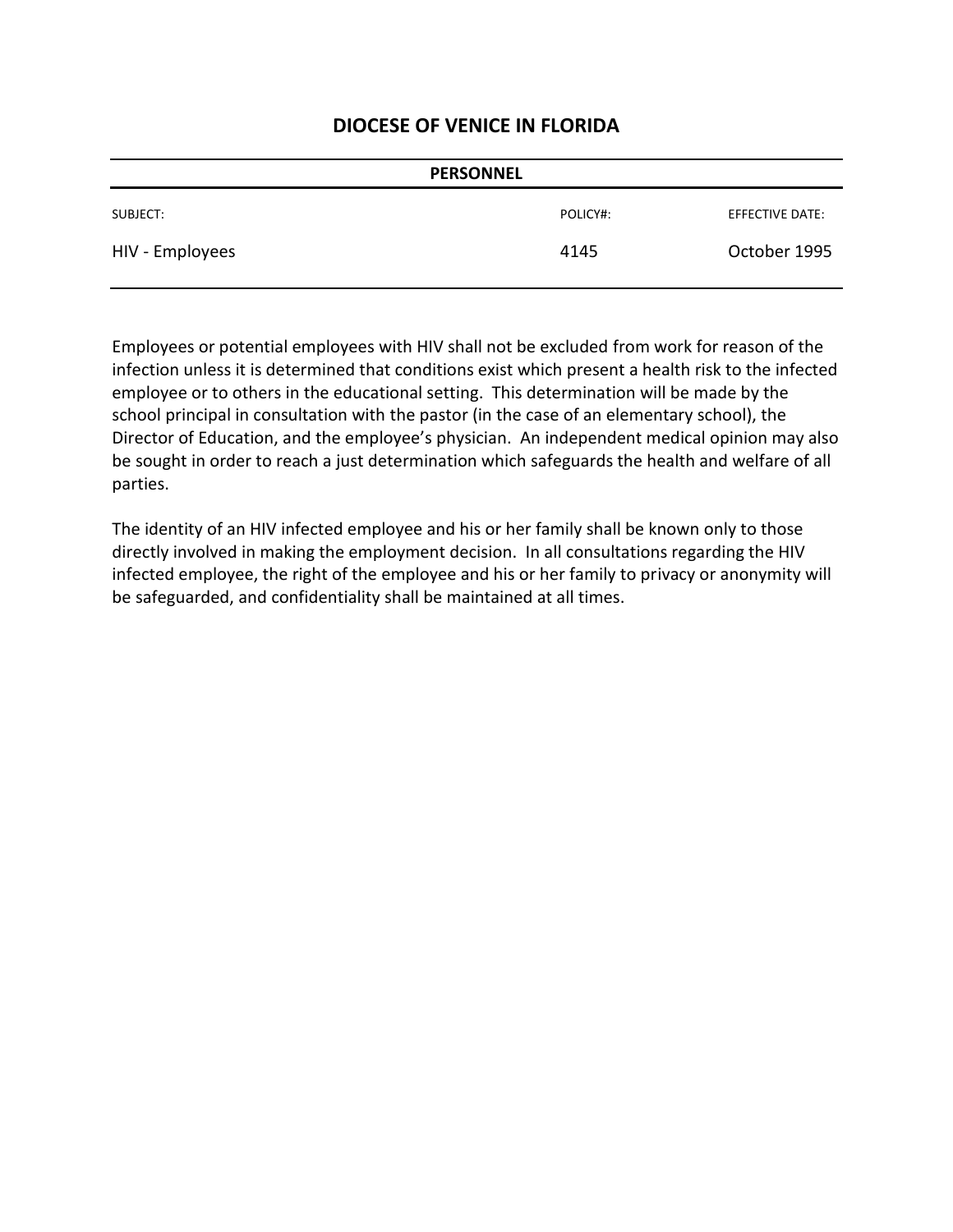| <b>PERSONNEL</b> |          |                 |
|------------------|----------|-----------------|
| SUBJECT:         | POLICY#: | EFFECTIVE DATE: |
| HIV - Employees  | 4145     | October 1995    |

Employees or potential employees with HIV shall not be excluded from work for reason of the infection unless it is determined that conditions exist which present a health risk to the infected employee or to others in the educational setting. This determination will be made by the school principal in consultation with the pastor (in the case of an elementary school), the Director of Education, and the employee's physician. An independent medical opinion may also be sought in order to reach a just determination which safeguards the health and welfare of all parties.

The identity of an HIV infected employee and his or her family shall be known only to those directly involved in making the employment decision. In all consultations regarding the HIV infected employee, the right of the employee and his or her family to privacy or anonymity will be safeguarded, and confidentiality shall be maintained at all times.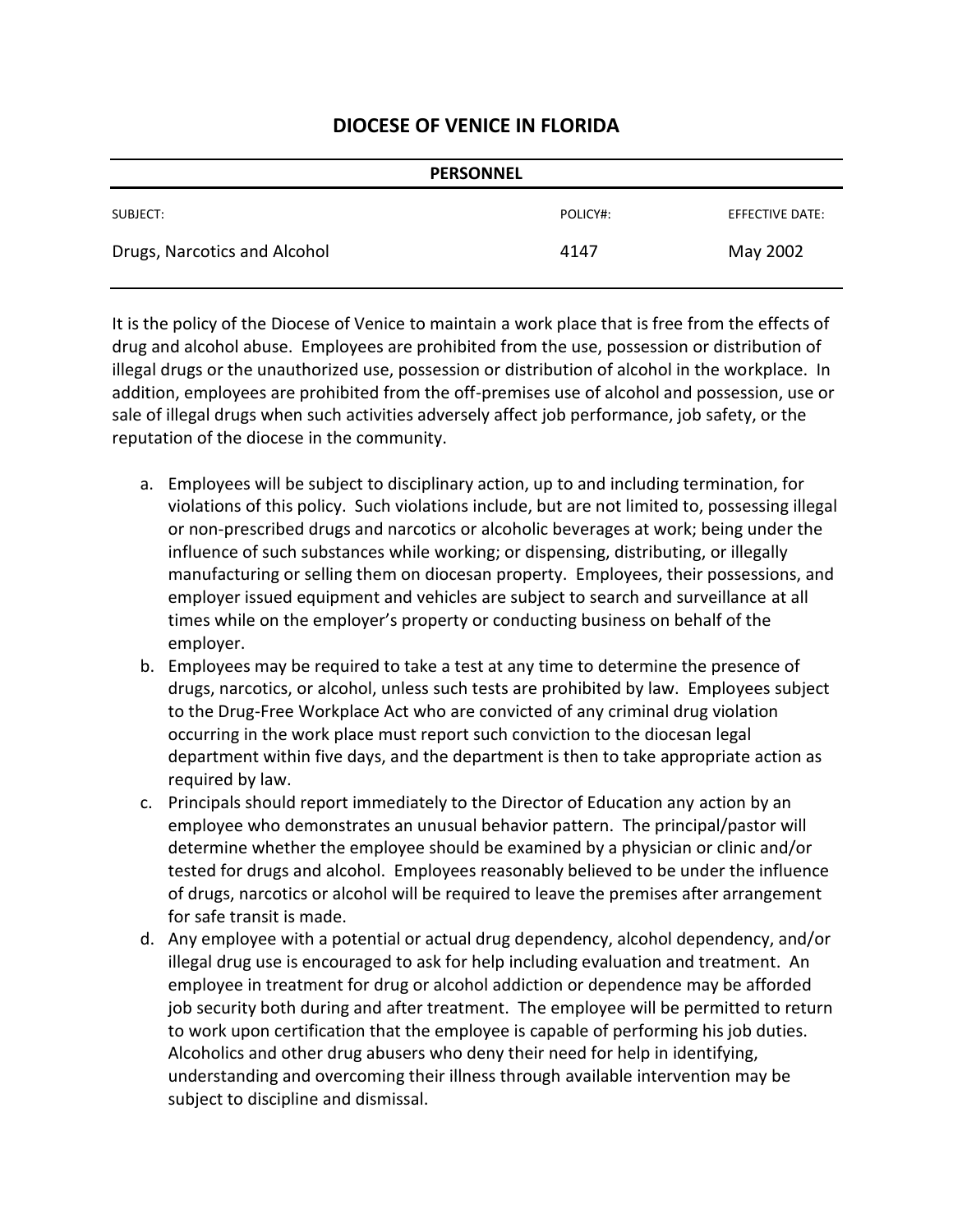| <b>PERSONNEL</b>             |          |                 |
|------------------------------|----------|-----------------|
| SUBJECT:                     | POLICY#: | EFFECTIVE DATE: |
| Drugs, Narcotics and Alcohol | 4147     | May 2002        |

It is the policy of the Diocese of Venice to maintain a work place that is free from the effects of drug and alcohol abuse. Employees are prohibited from the use, possession or distribution of illegal drugs or the unauthorized use, possession or distribution of alcohol in the workplace. In addition, employees are prohibited from the off-premises use of alcohol and possession, use or sale of illegal drugs when such activities adversely affect job performance, job safety, or the reputation of the diocese in the community.

- a. Employees will be subject to disciplinary action, up to and including termination, for violations of this policy. Such violations include, but are not limited to, possessing illegal or non-prescribed drugs and narcotics or alcoholic beverages at work; being under the influence of such substances while working; or dispensing, distributing, or illegally manufacturing or selling them on diocesan property. Employees, their possessions, and employer issued equipment and vehicles are subject to search and surveillance at all times while on the employer's property or conducting business on behalf of the employer.
- b. Employees may be required to take a test at any time to determine the presence of drugs, narcotics, or alcohol, unless such tests are prohibited by law. Employees subject to the Drug-Free Workplace Act who are convicted of any criminal drug violation occurring in the work place must report such conviction to the diocesan legal department within five days, and the department is then to take appropriate action as required by law.
- c. Principals should report immediately to the Director of Education any action by an employee who demonstrates an unusual behavior pattern. The principal/pastor will determine whether the employee should be examined by a physician or clinic and/or tested for drugs and alcohol. Employees reasonably believed to be under the influence of drugs, narcotics or alcohol will be required to leave the premises after arrangement for safe transit is made.
- d. Any employee with a potential or actual drug dependency, alcohol dependency, and/or illegal drug use is encouraged to ask for help including evaluation and treatment. An employee in treatment for drug or alcohol addiction or dependence may be afforded job security both during and after treatment. The employee will be permitted to return to work upon certification that the employee is capable of performing his job duties. Alcoholics and other drug abusers who deny their need for help in identifying, understanding and overcoming their illness through available intervention may be subject to discipline and dismissal.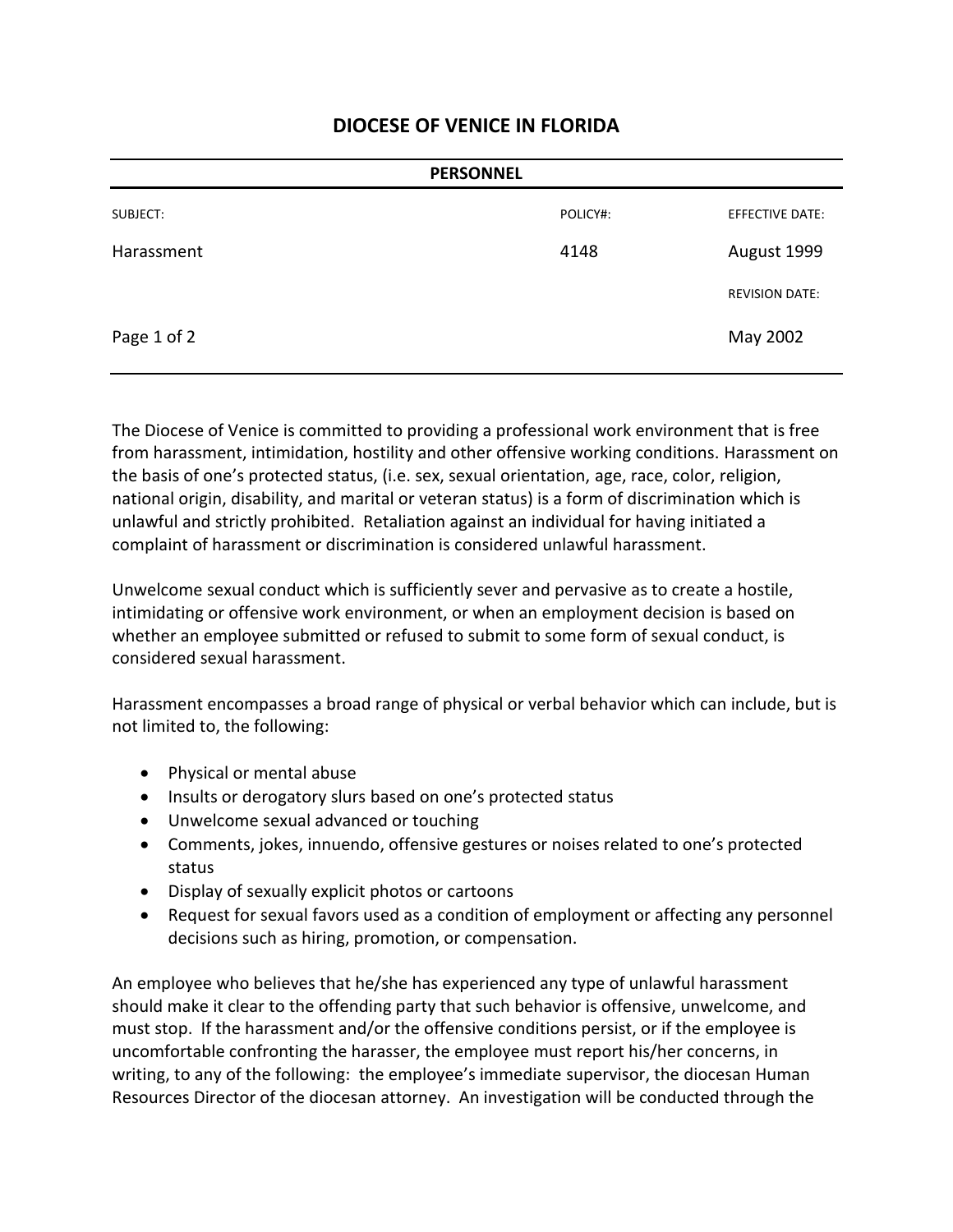| <b>PERSONNEL</b> |          |                        |
|------------------|----------|------------------------|
| SUBJECT:         | POLICY#: | <b>EFFECTIVE DATE:</b> |
| Harassment       | 4148     | August 1999            |
|                  |          | <b>REVISION DATE:</b>  |
| Page 1 of 2      |          | May 2002               |

The Diocese of Venice is committed to providing a professional work environment that is free from harassment, intimidation, hostility and other offensive working conditions. Harassment on the basis of one's protected status, (i.e. sex, sexual orientation, age, race, color, religion, national origin, disability, and marital or veteran status) is a form of discrimination which is unlawful and strictly prohibited. Retaliation against an individual for having initiated a complaint of harassment or discrimination is considered unlawful harassment.

Unwelcome sexual conduct which is sufficiently sever and pervasive as to create a hostile, intimidating or offensive work environment, or when an employment decision is based on whether an employee submitted or refused to submit to some form of sexual conduct, is considered sexual harassment.

Harassment encompasses a broad range of physical or verbal behavior which can include, but is not limited to, the following:

- Physical or mental abuse
- Insults or derogatory slurs based on one's protected status
- Unwelcome sexual advanced or touching
- Comments, jokes, innuendo, offensive gestures or noises related to one's protected status
- Display of sexually explicit photos or cartoons
- Request for sexual favors used as a condition of employment or affecting any personnel decisions such as hiring, promotion, or compensation.

An employee who believes that he/she has experienced any type of unlawful harassment should make it clear to the offending party that such behavior is offensive, unwelcome, and must stop. If the harassment and/or the offensive conditions persist, or if the employee is uncomfortable confronting the harasser, the employee must report his/her concerns, in writing, to any of the following: the employee's immediate supervisor, the diocesan Human Resources Director of the diocesan attorney. An investigation will be conducted through the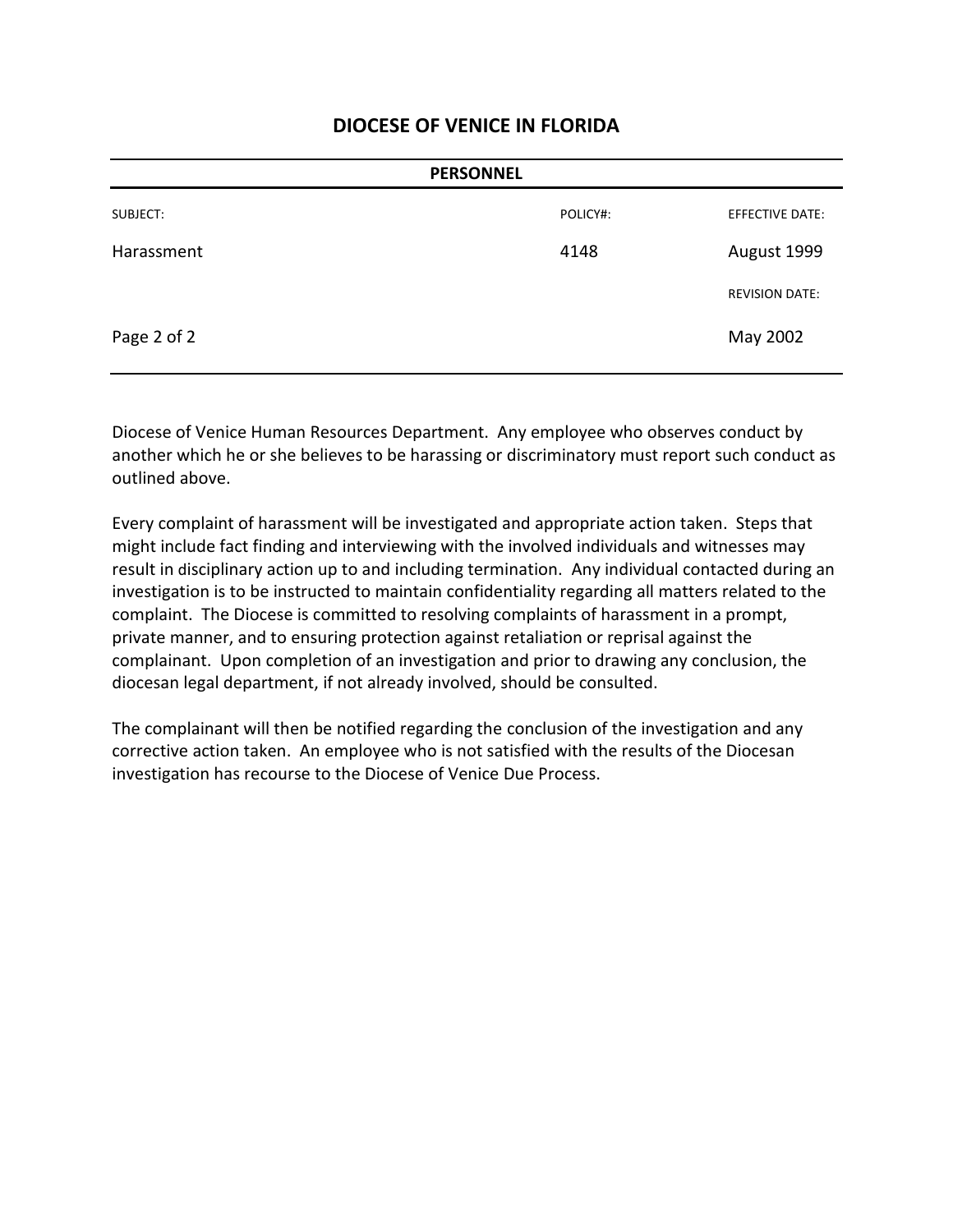| <b>PERSONNEL</b> |          |                       |
|------------------|----------|-----------------------|
| SUBJECT:         | POLICY#: | EFFECTIVE DATE:       |
| Harassment       | 4148     | August 1999           |
|                  |          | <b>REVISION DATE:</b> |
| Page 2 of 2      |          | May 2002              |

Diocese of Venice Human Resources Department. Any employee who observes conduct by another which he or she believes to be harassing or discriminatory must report such conduct as outlined above.

Every complaint of harassment will be investigated and appropriate action taken. Steps that might include fact finding and interviewing with the involved individuals and witnesses may result in disciplinary action up to and including termination. Any individual contacted during an investigation is to be instructed to maintain confidentiality regarding all matters related to the complaint. The Diocese is committed to resolving complaints of harassment in a prompt, private manner, and to ensuring protection against retaliation or reprisal against the complainant. Upon completion of an investigation and prior to drawing any conclusion, the diocesan legal department, if not already involved, should be consulted.

The complainant will then be notified regarding the conclusion of the investigation and any corrective action taken. An employee who is not satisfied with the results of the Diocesan investigation has recourse to the Diocese of Venice Due Process.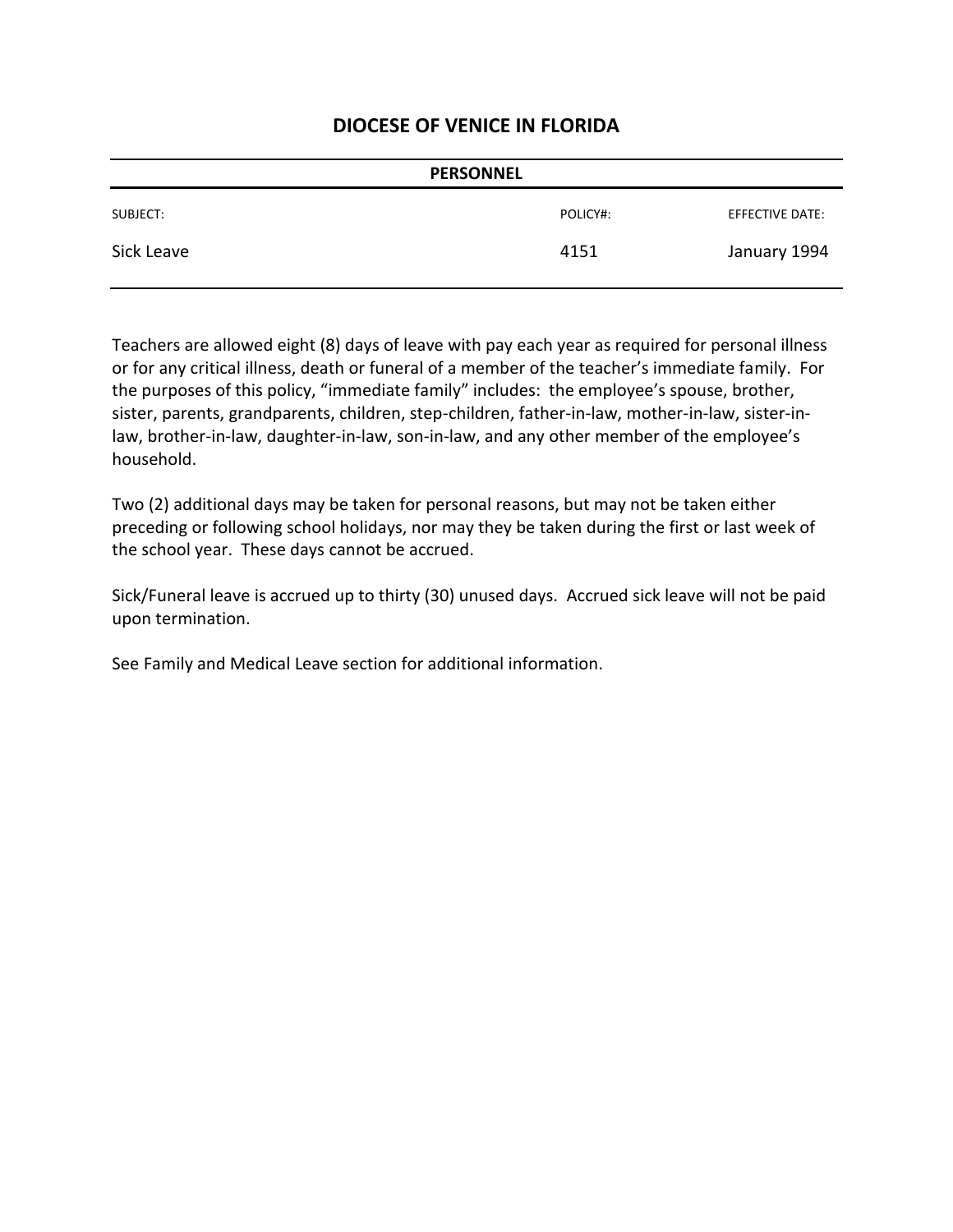| <b>PERSONNEL</b> |          |                 |
|------------------|----------|-----------------|
| SUBJECT:         | POLICY#: | EFFECTIVE DATE: |
| Sick Leave       | 4151     | January 1994    |

Teachers are allowed eight (8) days of leave with pay each year as required for personal illness or for any critical illness, death or funeral of a member of the teacher's immediate family. For the purposes of this policy, "immediate family" includes: the employee's spouse, brother, sister, parents, grandparents, children, step-children, father-in-law, mother-in-law, sister-inlaw, brother-in-law, daughter-in-law, son-in-law, and any other member of the employee's household.

Two (2) additional days may be taken for personal reasons, but may not be taken either preceding or following school holidays, nor may they be taken during the first or last week of the school year. These days cannot be accrued.

Sick/Funeral leave is accrued up to thirty (30) unused days. Accrued sick leave will not be paid upon termination.

See Family and Medical Leave section for additional information.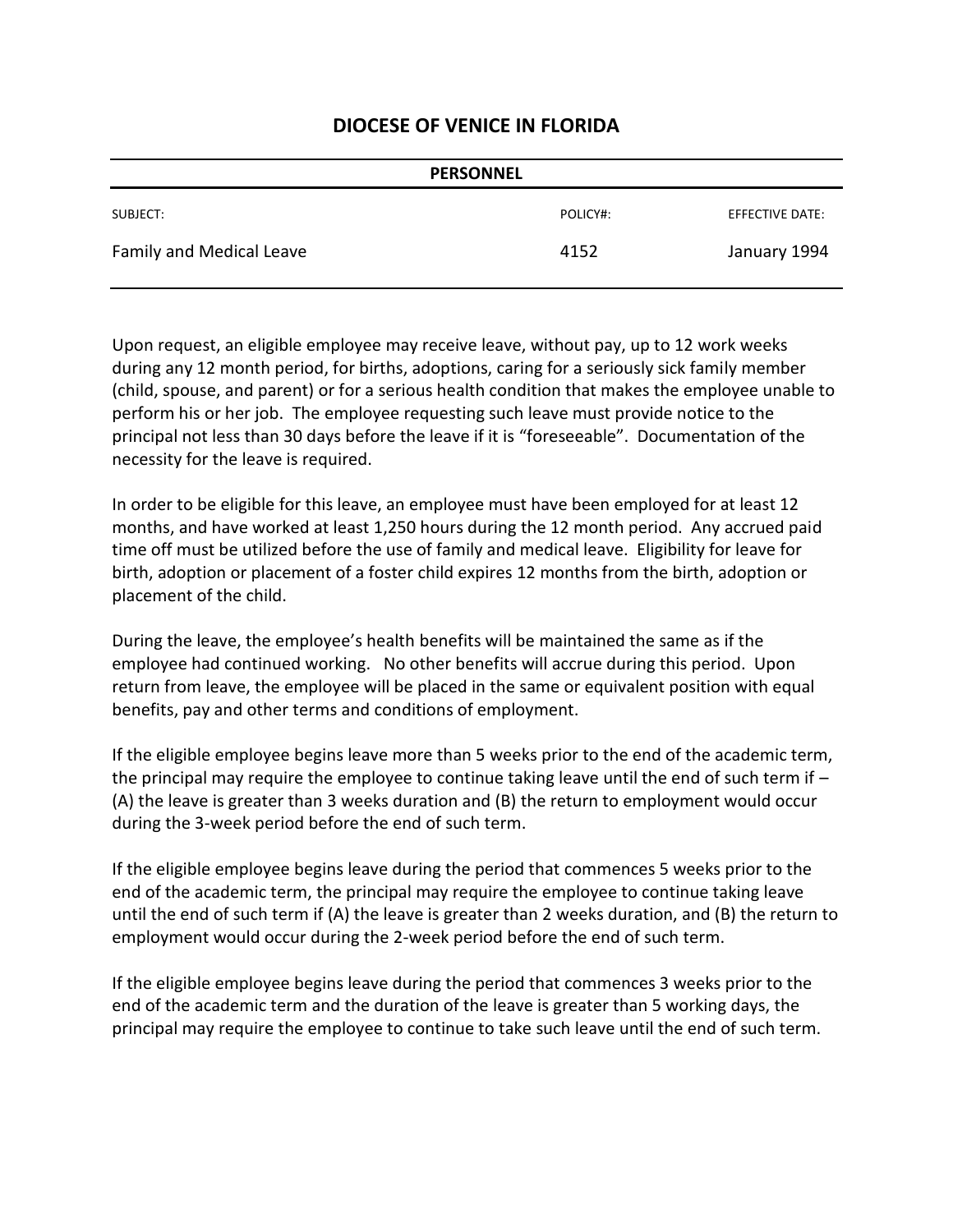| <b>PERSONNEL</b>         |          |                 |
|--------------------------|----------|-----------------|
| SUBJECT:                 | POLICY#: | EFFECTIVE DATE: |
| Family and Medical Leave | 4152     | January 1994    |

Upon request, an eligible employee may receive leave, without pay, up to 12 work weeks during any 12 month period, for births, adoptions, caring for a seriously sick family member (child, spouse, and parent) or for a serious health condition that makes the employee unable to perform his or her job. The employee requesting such leave must provide notice to the principal not less than 30 days before the leave if it is "foreseeable". Documentation of the necessity for the leave is required.

In order to be eligible for this leave, an employee must have been employed for at least 12 months, and have worked at least 1,250 hours during the 12 month period. Any accrued paid time off must be utilized before the use of family and medical leave. Eligibility for leave for birth, adoption or placement of a foster child expires 12 months from the birth, adoption or placement of the child.

During the leave, the employee's health benefits will be maintained the same as if the employee had continued working. No other benefits will accrue during this period. Upon return from leave, the employee will be placed in the same or equivalent position with equal benefits, pay and other terms and conditions of employment.

If the eligible employee begins leave more than 5 weeks prior to the end of the academic term, the principal may require the employee to continue taking leave until the end of such term if – (A) the leave is greater than 3 weeks duration and (B) the return to employment would occur during the 3-week period before the end of such term.

If the eligible employee begins leave during the period that commences 5 weeks prior to the end of the academic term, the principal may require the employee to continue taking leave until the end of such term if (A) the leave is greater than 2 weeks duration, and (B) the return to employment would occur during the 2-week period before the end of such term.

If the eligible employee begins leave during the period that commences 3 weeks prior to the end of the academic term and the duration of the leave is greater than 5 working days, the principal may require the employee to continue to take such leave until the end of such term.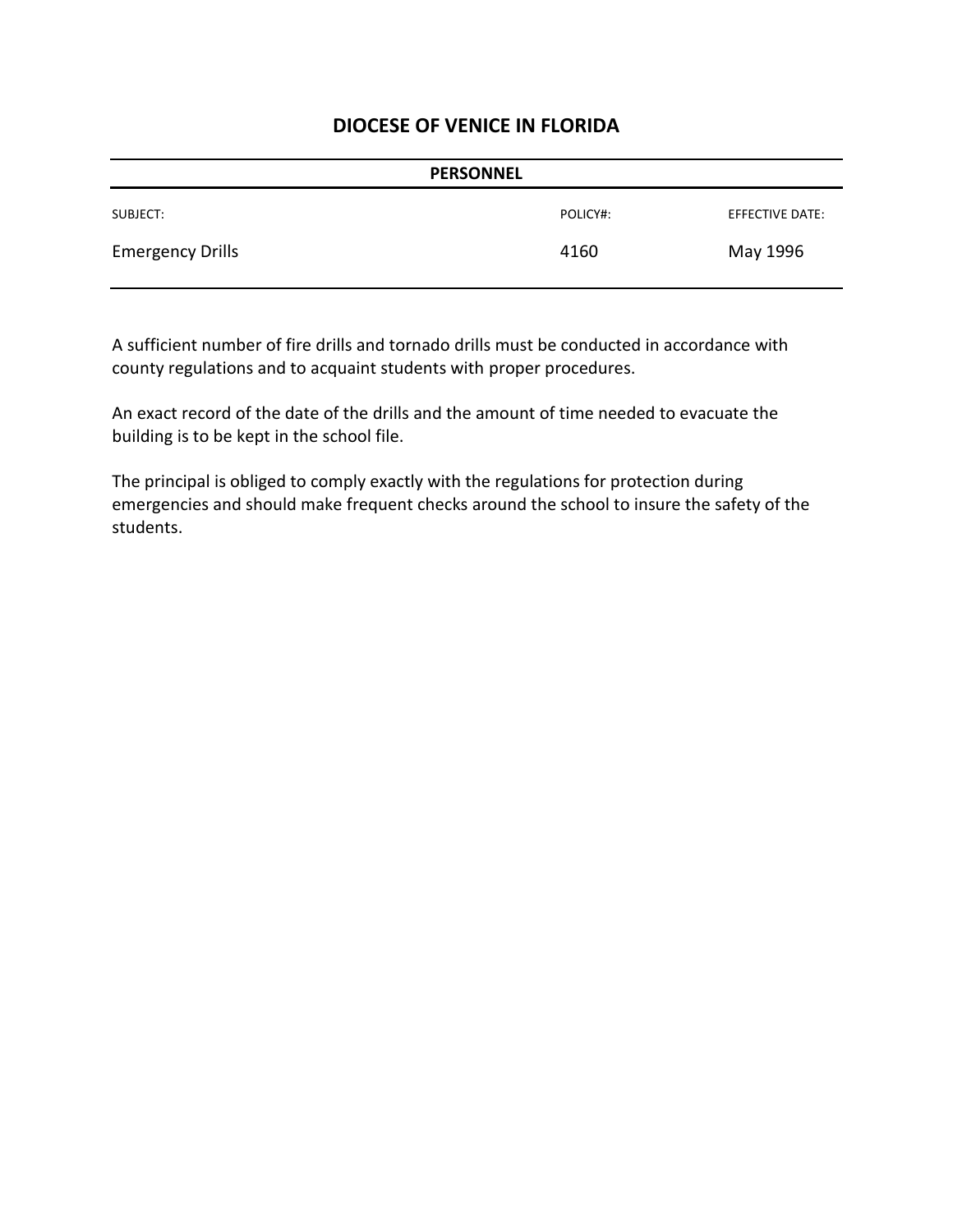| <b>PERSONNEL</b>        |          |                 |
|-------------------------|----------|-----------------|
| SUBJECT:                | POLICY#: | EFFECTIVE DATE: |
| <b>Emergency Drills</b> | 4160     | May 1996        |

A sufficient number of fire drills and tornado drills must be conducted in accordance with county regulations and to acquaint students with proper procedures.

An exact record of the date of the drills and the amount of time needed to evacuate the building is to be kept in the school file.

The principal is obliged to comply exactly with the regulations for protection during emergencies and should make frequent checks around the school to insure the safety of the students.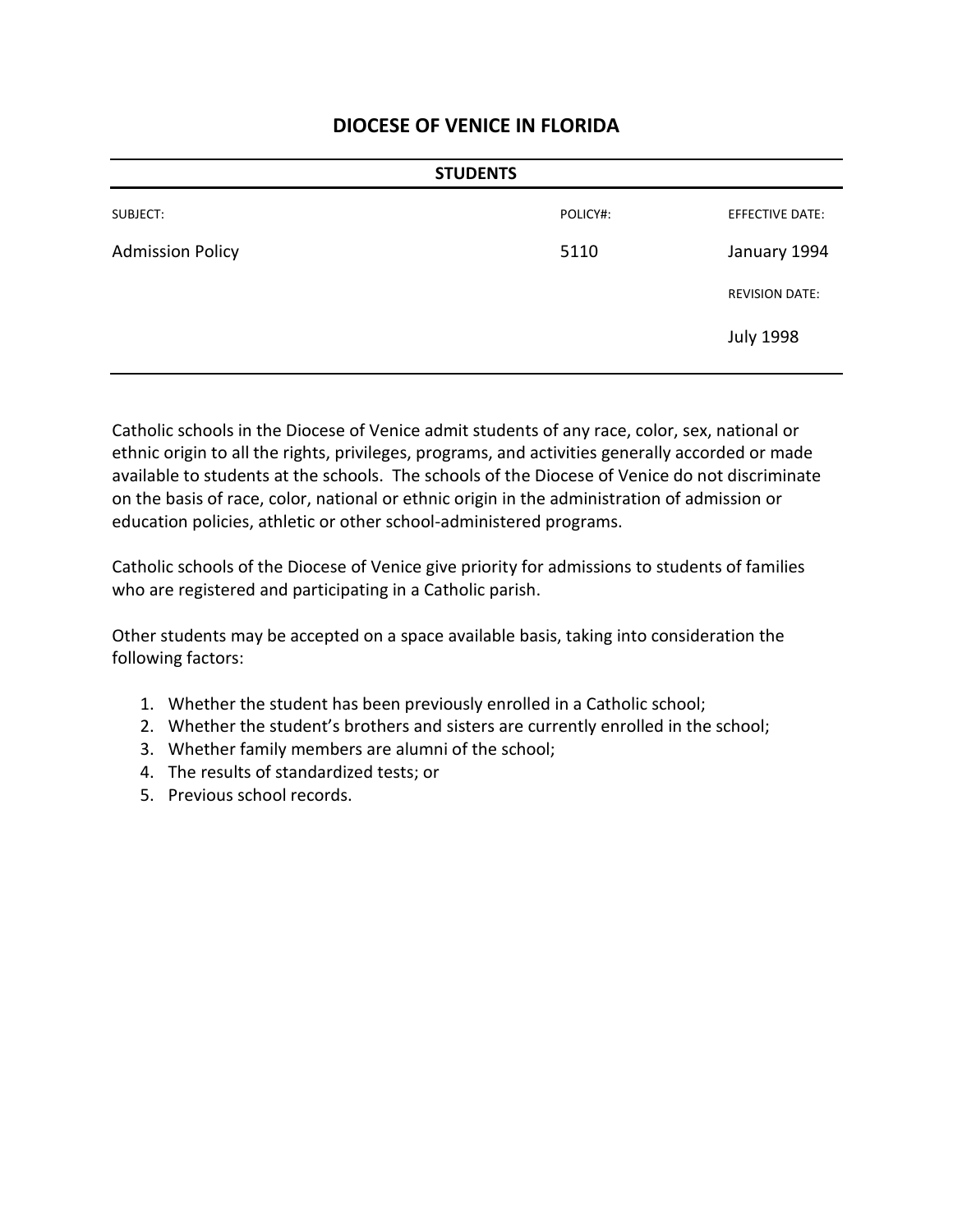| <b>STUDENTS</b>         |          |                        |
|-------------------------|----------|------------------------|
| SUBJECT:                | POLICY#: | <b>EFFECTIVE DATE:</b> |
| <b>Admission Policy</b> | 5110     | January 1994           |
|                         |          | <b>REVISION DATE:</b>  |
|                         |          | <b>July 1998</b>       |
|                         |          |                        |

Catholic schools in the Diocese of Venice admit students of any race, color, sex, national or ethnic origin to all the rights, privileges, programs, and activities generally accorded or made available to students at the schools. The schools of the Diocese of Venice do not discriminate on the basis of race, color, national or ethnic origin in the administration of admission or education policies, athletic or other school-administered programs.

Catholic schools of the Diocese of Venice give priority for admissions to students of families who are registered and participating in a Catholic parish.

Other students may be accepted on a space available basis, taking into consideration the following factors:

- 1. Whether the student has been previously enrolled in a Catholic school;
- 2. Whether the student's brothers and sisters are currently enrolled in the school;
- 3. Whether family members are alumni of the school;
- 4. The results of standardized tests; or
- 5. Previous school records.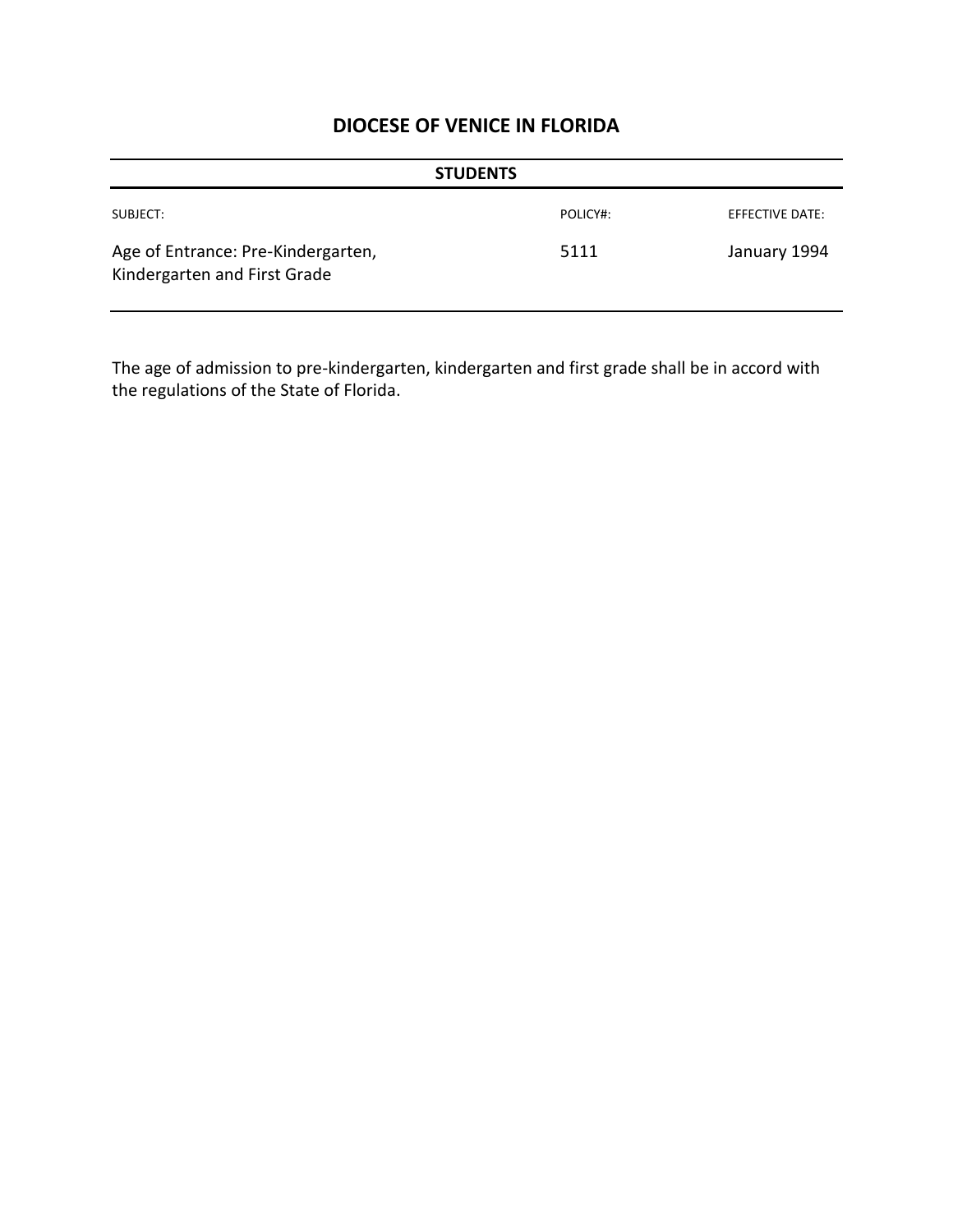| <b>STUDENTS</b>                                                    |          |                 |  |
|--------------------------------------------------------------------|----------|-----------------|--|
| SUBJECT:                                                           | POLICY#: | EFFECTIVE DATE: |  |
| Age of Entrance: Pre-Kindergarten,<br>Kindergarten and First Grade | 5111     | January 1994    |  |

The age of admission to pre-kindergarten, kindergarten and first grade shall be in accord with the regulations of the State of Florida.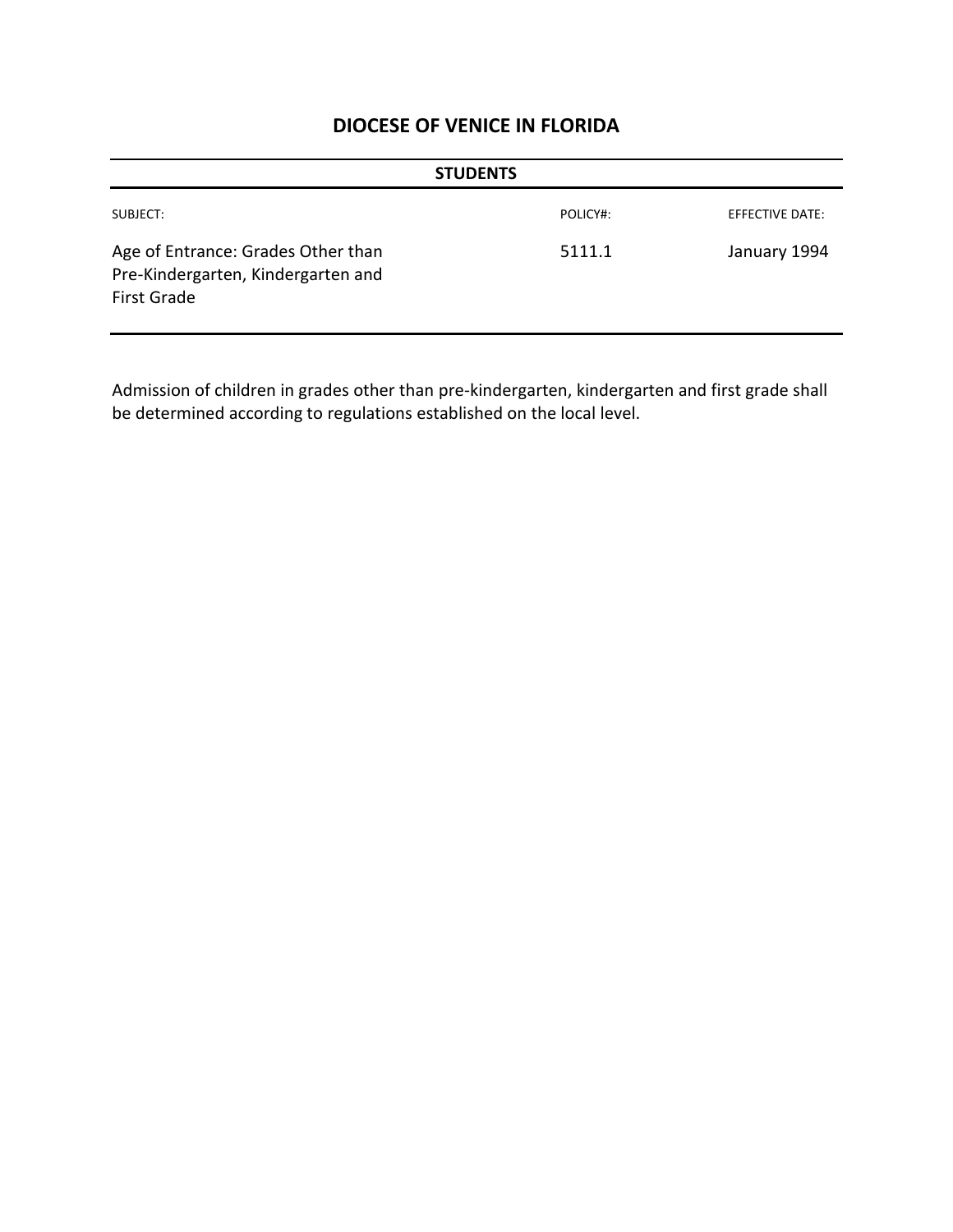| <b>STUDENTS</b>                                                                                |          |                 |  |
|------------------------------------------------------------------------------------------------|----------|-----------------|--|
| SUBJECT:                                                                                       | POLICY#: | EFFECTIVE DATE: |  |
| Age of Entrance: Grades Other than<br>Pre-Kindergarten, Kindergarten and<br><b>First Grade</b> | 5111.1   | January 1994    |  |

Admission of children in grades other than pre-kindergarten, kindergarten and first grade shall be determined according to regulations established on the local level.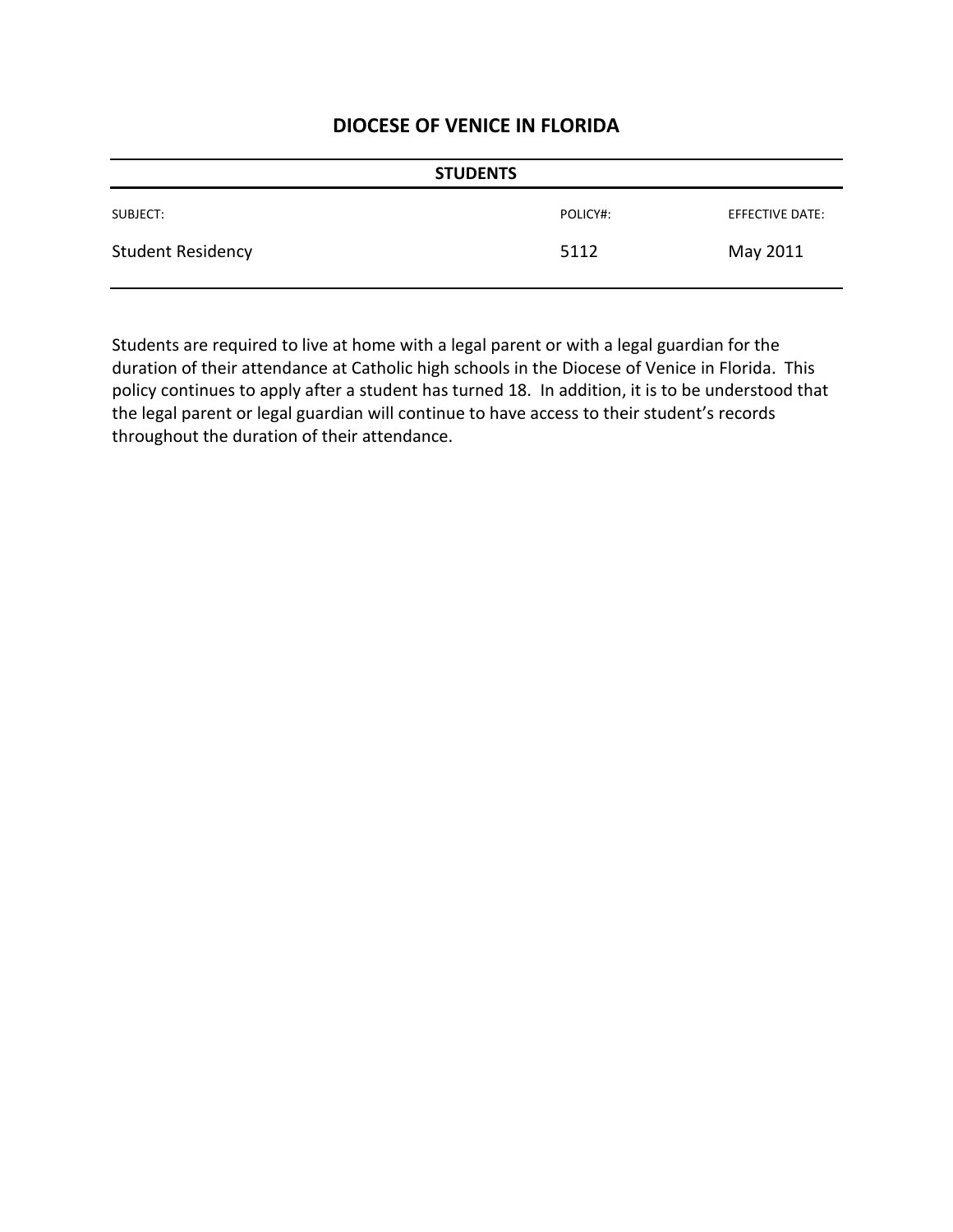| <b>STUDENTS</b>          |          |                 |
|--------------------------|----------|-----------------|
| SUBJECT:                 | POLICY#: | EFFECTIVE DATE: |
| <b>Student Residency</b> | 5112     | May 2011        |

Students are required to live at home with a legal parent or with a legal guardian for the duration of their attendance at Catholic high schools in the Diocese of Venice in Florida. This policy continues to apply after a student has turned 18. In addition, it is to be understood that the legal parent or legal guardian will continue to have access to their student's records throughout the duration of their attendance.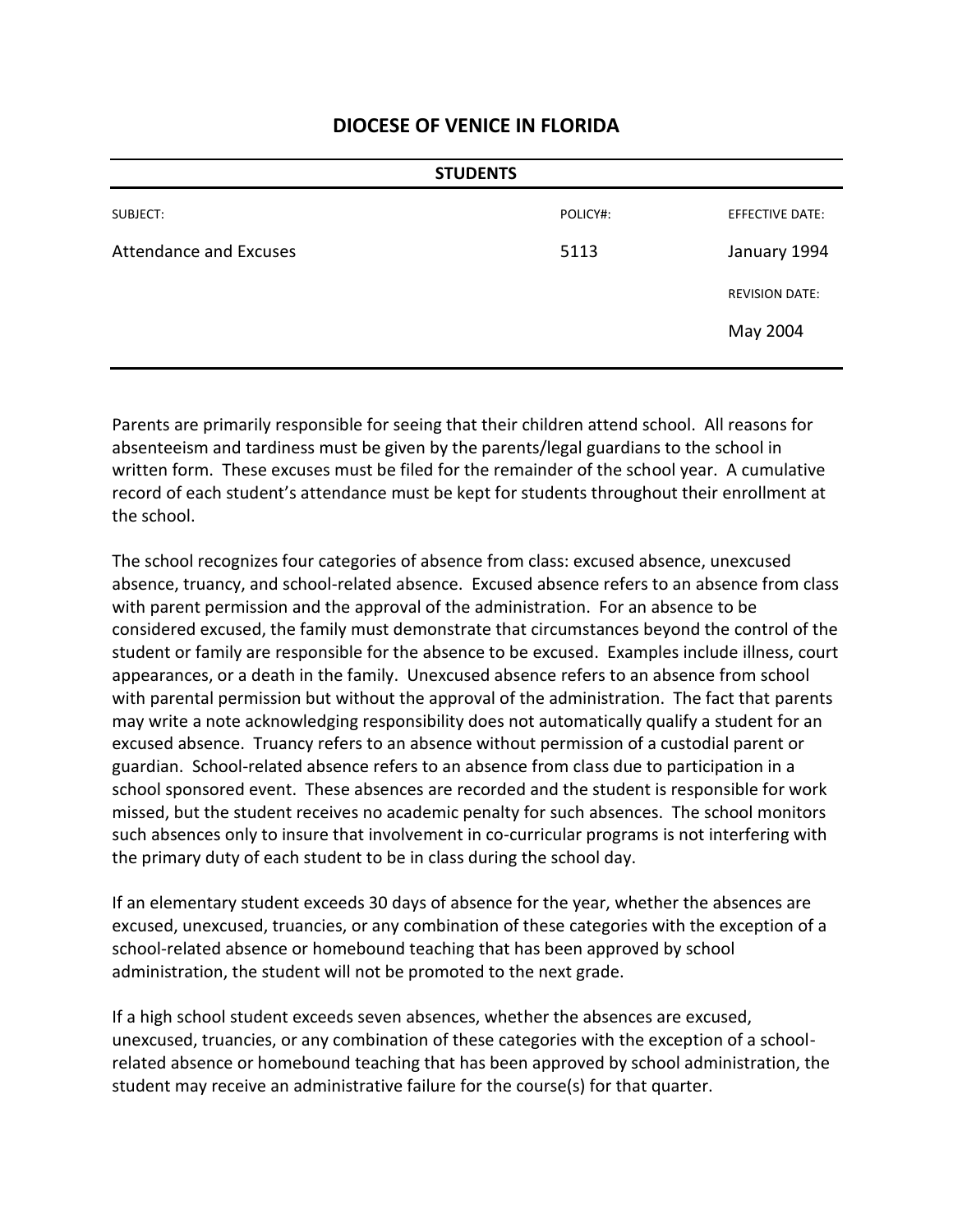| <b>STUDENTS</b>               |          |                       |
|-------------------------------|----------|-----------------------|
| SUBJECT:                      | POLICY#: | EFFECTIVE DATE:       |
| <b>Attendance and Excuses</b> | 5113     | January 1994          |
|                               |          | <b>REVISION DATE:</b> |
|                               |          | May 2004              |
|                               |          |                       |

Parents are primarily responsible for seeing that their children attend school. All reasons for absenteeism and tardiness must be given by the parents/legal guardians to the school in written form. These excuses must be filed for the remainder of the school year. A cumulative record of each student's attendance must be kept for students throughout their enrollment at the school.

The school recognizes four categories of absence from class: excused absence, unexcused absence, truancy, and school-related absence. Excused absence refers to an absence from class with parent permission and the approval of the administration. For an absence to be considered excused, the family must demonstrate that circumstances beyond the control of the student or family are responsible for the absence to be excused. Examples include illness, court appearances, or a death in the family. Unexcused absence refers to an absence from school with parental permission but without the approval of the administration. The fact that parents may write a note acknowledging responsibility does not automatically qualify a student for an excused absence. Truancy refers to an absence without permission of a custodial parent or guardian. School-related absence refers to an absence from class due to participation in a school sponsored event. These absences are recorded and the student is responsible for work missed, but the student receives no academic penalty for such absences. The school monitors such absences only to insure that involvement in co-curricular programs is not interfering with the primary duty of each student to be in class during the school day.

If an elementary student exceeds 30 days of absence for the year, whether the absences are excused, unexcused, truancies, or any combination of these categories with the exception of a school-related absence or homebound teaching that has been approved by school administration, the student will not be promoted to the next grade.

If a high school student exceeds seven absences, whether the absences are excused, unexcused, truancies, or any combination of these categories with the exception of a schoolrelated absence or homebound teaching that has been approved by school administration, the student may receive an administrative failure for the course(s) for that quarter.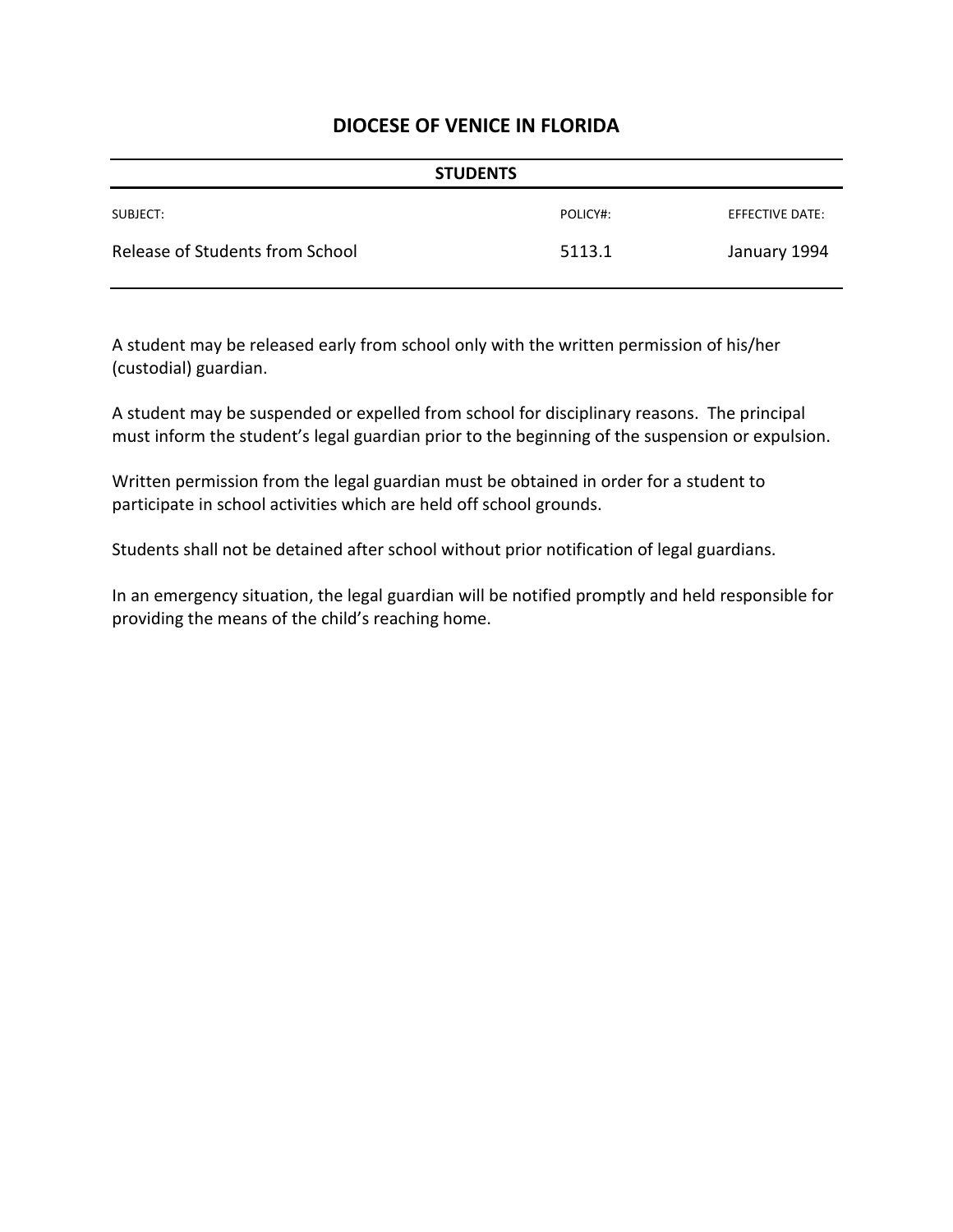| <b>STUDENTS</b>                 |          |                 |
|---------------------------------|----------|-----------------|
| SUBJECT:                        | POLICY#: | EFFECTIVE DATE: |
| Release of Students from School | 5113.1   | January 1994    |

A student may be released early from school only with the written permission of his/her (custodial) guardian.

A student may be suspended or expelled from school for disciplinary reasons. The principal must inform the student's legal guardian prior to the beginning of the suspension or expulsion.

Written permission from the legal guardian must be obtained in order for a student to participate in school activities which are held off school grounds.

Students shall not be detained after school without prior notification of legal guardians.

In an emergency situation, the legal guardian will be notified promptly and held responsible for providing the means of the child's reaching home.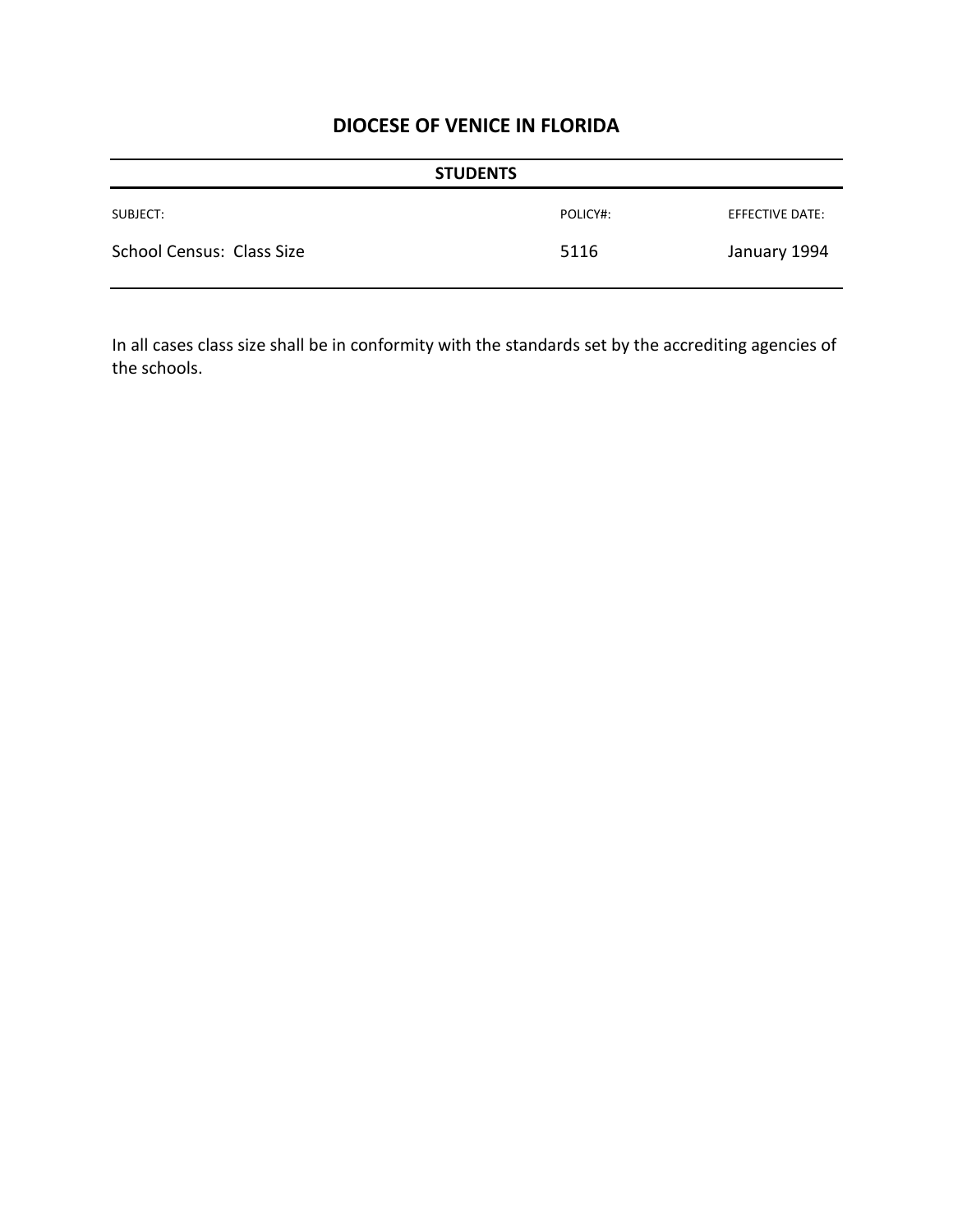| <b>STUDENTS</b>           |          |                 |
|---------------------------|----------|-----------------|
| SUBJECT:                  | POLICY#: | EFFECTIVE DATE: |
| School Census: Class Size | 5116     | January 1994    |

In all cases class size shall be in conformity with the standards set by the accrediting agencies of the schools.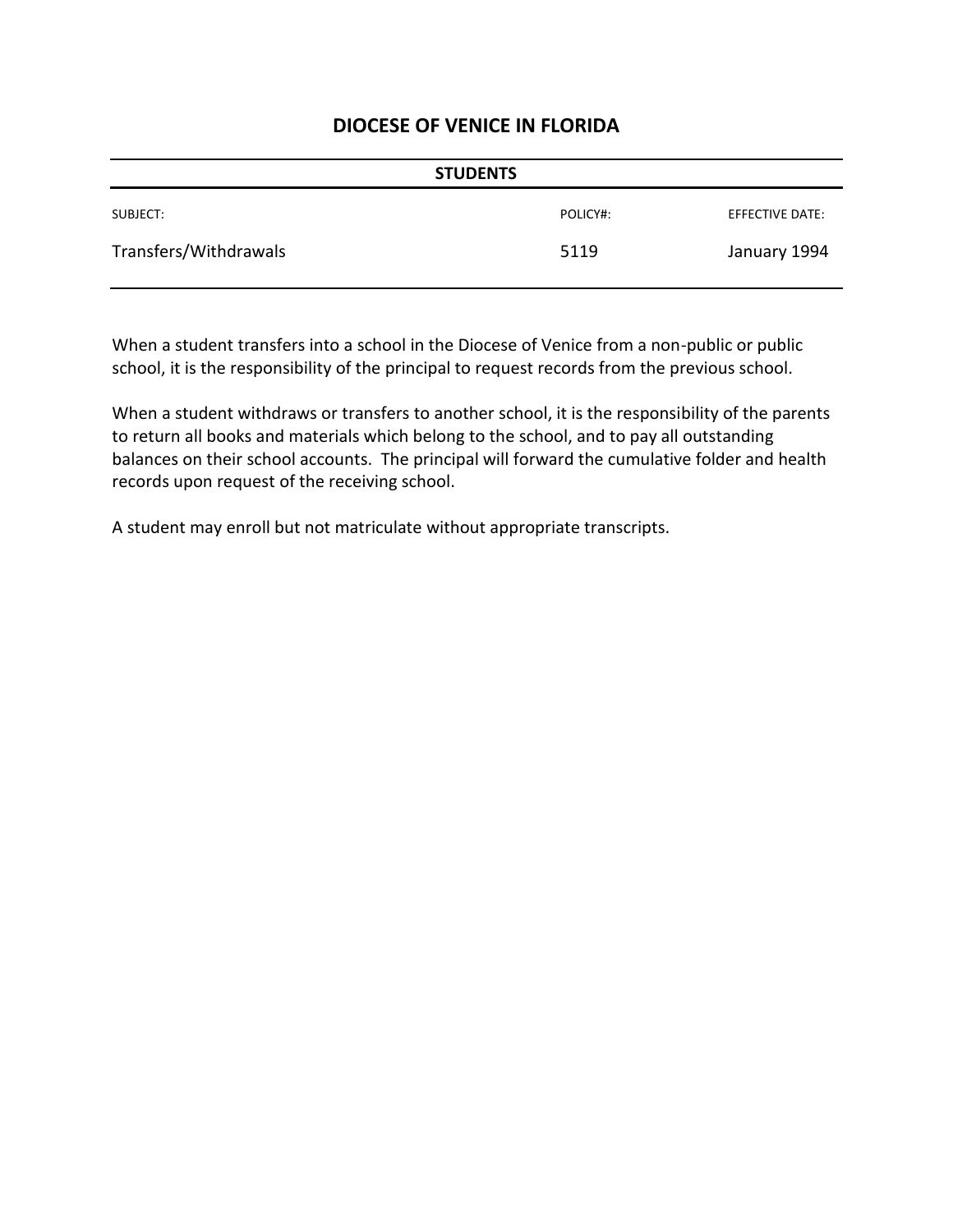| <b>STUDENTS</b>       |          |                 |
|-----------------------|----------|-----------------|
| SUBJECT:              | POLICY#: | EFFECTIVE DATE: |
| Transfers/Withdrawals | 5119     | January 1994    |

When a student transfers into a school in the Diocese of Venice from a non-public or public school, it is the responsibility of the principal to request records from the previous school.

When a student withdraws or transfers to another school, it is the responsibility of the parents to return all books and materials which belong to the school, and to pay all outstanding balances on their school accounts. The principal will forward the cumulative folder and health records upon request of the receiving school.

A student may enroll but not matriculate without appropriate transcripts.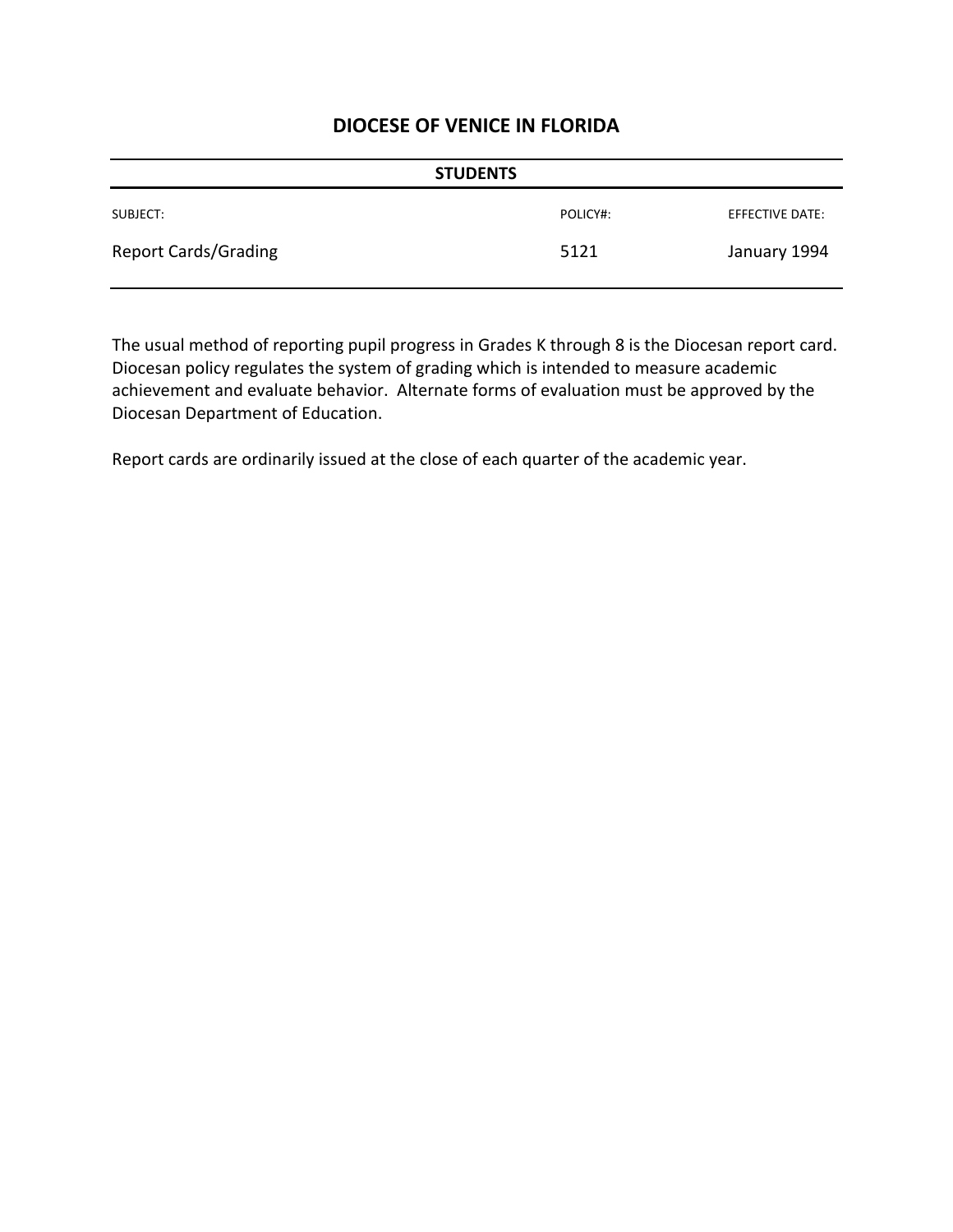| <b>STUDENTS</b>             |          |                 |
|-----------------------------|----------|-----------------|
| SUBJECT:                    | POLICY#: | EFFECTIVE DATE: |
| <b>Report Cards/Grading</b> | 5121     | January 1994    |

The usual method of reporting pupil progress in Grades K through 8 is the Diocesan report card. Diocesan policy regulates the system of grading which is intended to measure academic achievement and evaluate behavior. Alternate forms of evaluation must be approved by the Diocesan Department of Education.

Report cards are ordinarily issued at the close of each quarter of the academic year.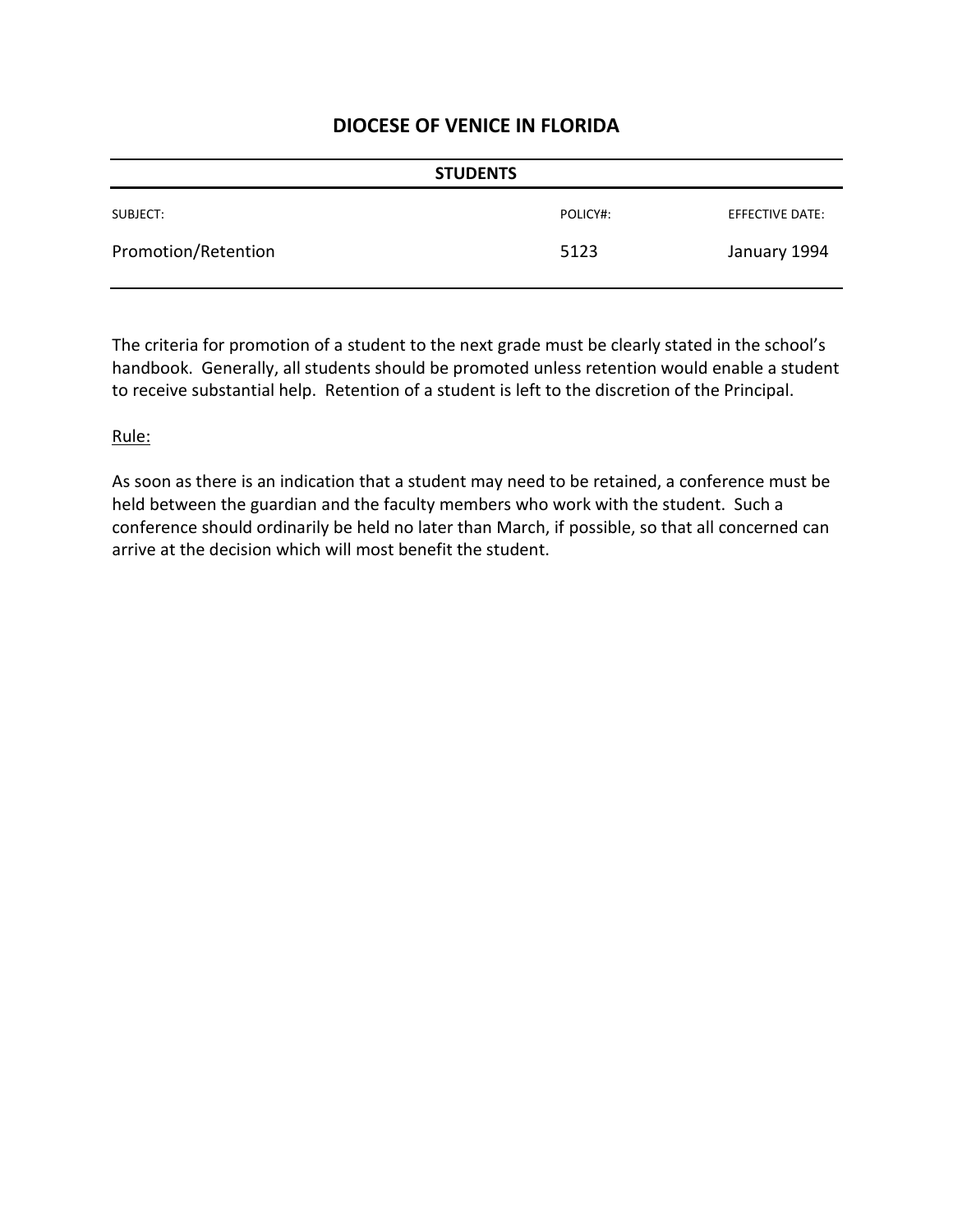| <b>STUDENTS</b>     |          |                 |
|---------------------|----------|-----------------|
| SUBJECT:            | POLICY#: | EFFECTIVE DATE: |
| Promotion/Retention | 5123     | January 1994    |

The criteria for promotion of a student to the next grade must be clearly stated in the school's handbook. Generally, all students should be promoted unless retention would enable a student to receive substantial help. Retention of a student is left to the discretion of the Principal.

#### Rule:

As soon as there is an indication that a student may need to be retained, a conference must be held between the guardian and the faculty members who work with the student. Such a conference should ordinarily be held no later than March, if possible, so that all concerned can arrive at the decision which will most benefit the student.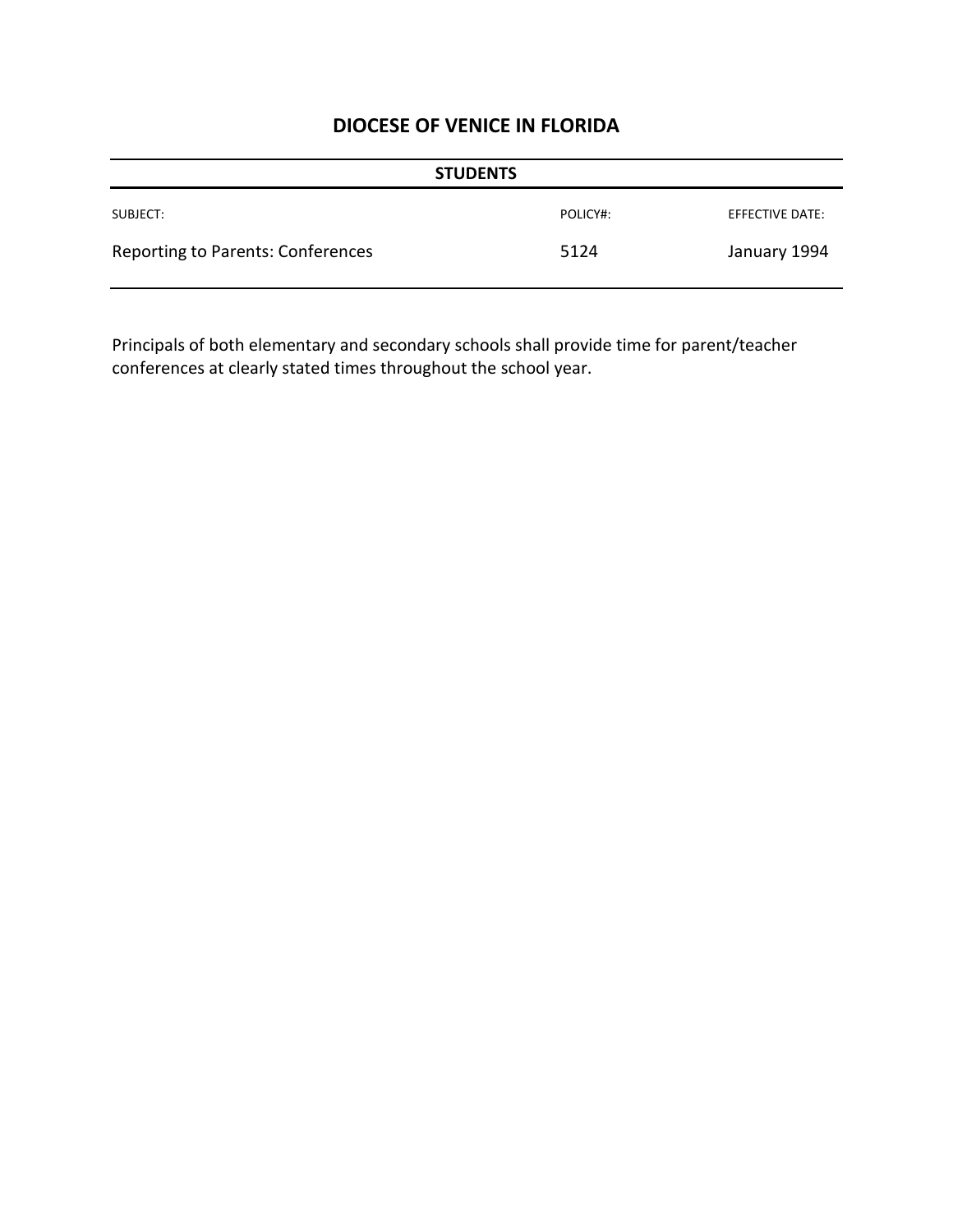| <b>STUDENTS</b>                   |          |                        |
|-----------------------------------|----------|------------------------|
| SUBJECT:                          | POLICY#: | <b>EFFECTIVE DATE:</b> |
| Reporting to Parents: Conferences | 5124     | January 1994           |

Principals of both elementary and secondary schools shall provide time for parent/teacher conferences at clearly stated times throughout the school year.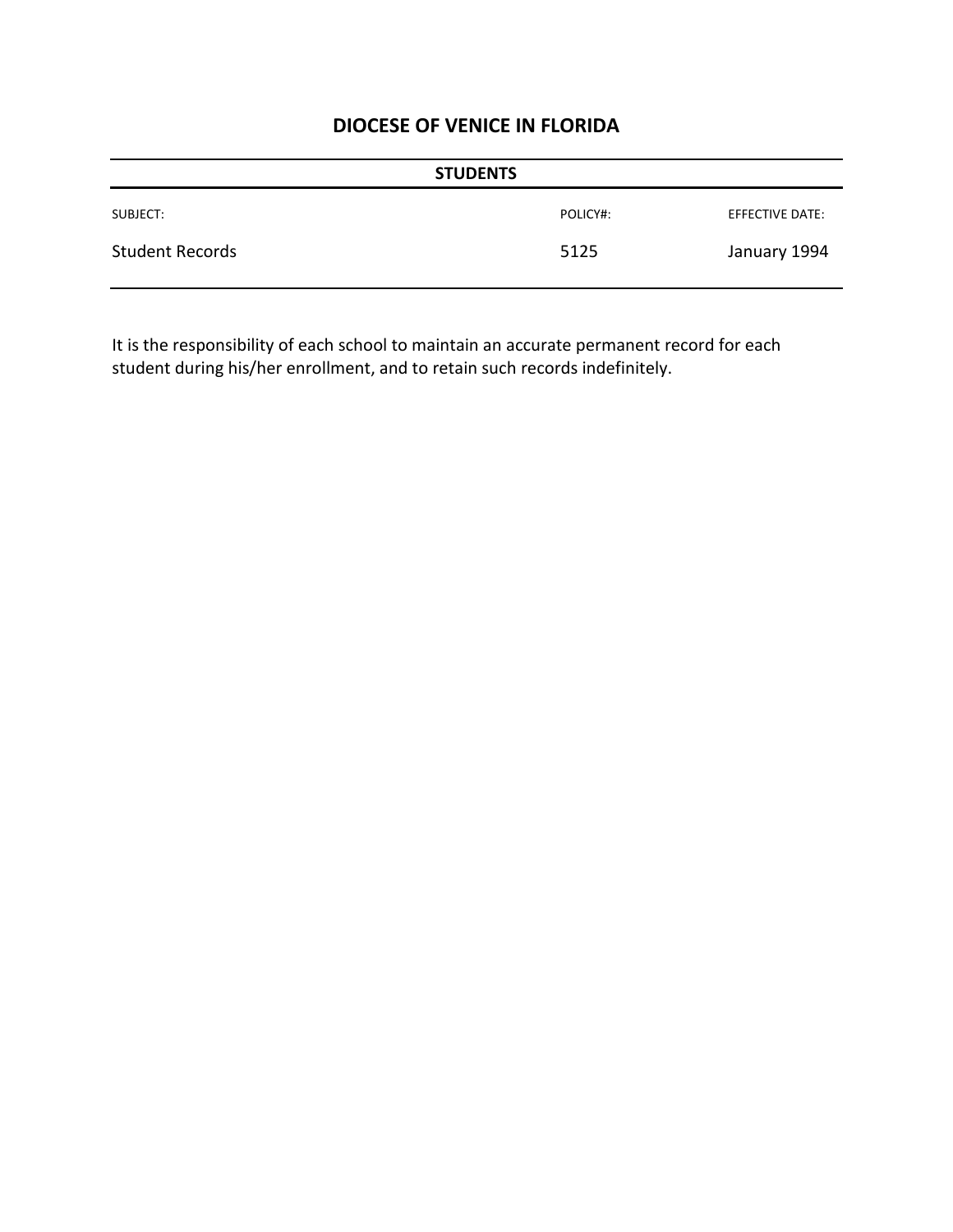| <b>STUDENTS</b>        |          |                 |
|------------------------|----------|-----------------|
| SUBJECT:               | POLICY#: | EFFECTIVE DATE: |
| <b>Student Records</b> | 5125     | January 1994    |

It is the responsibility of each school to maintain an accurate permanent record for each student during his/her enrollment, and to retain such records indefinitely.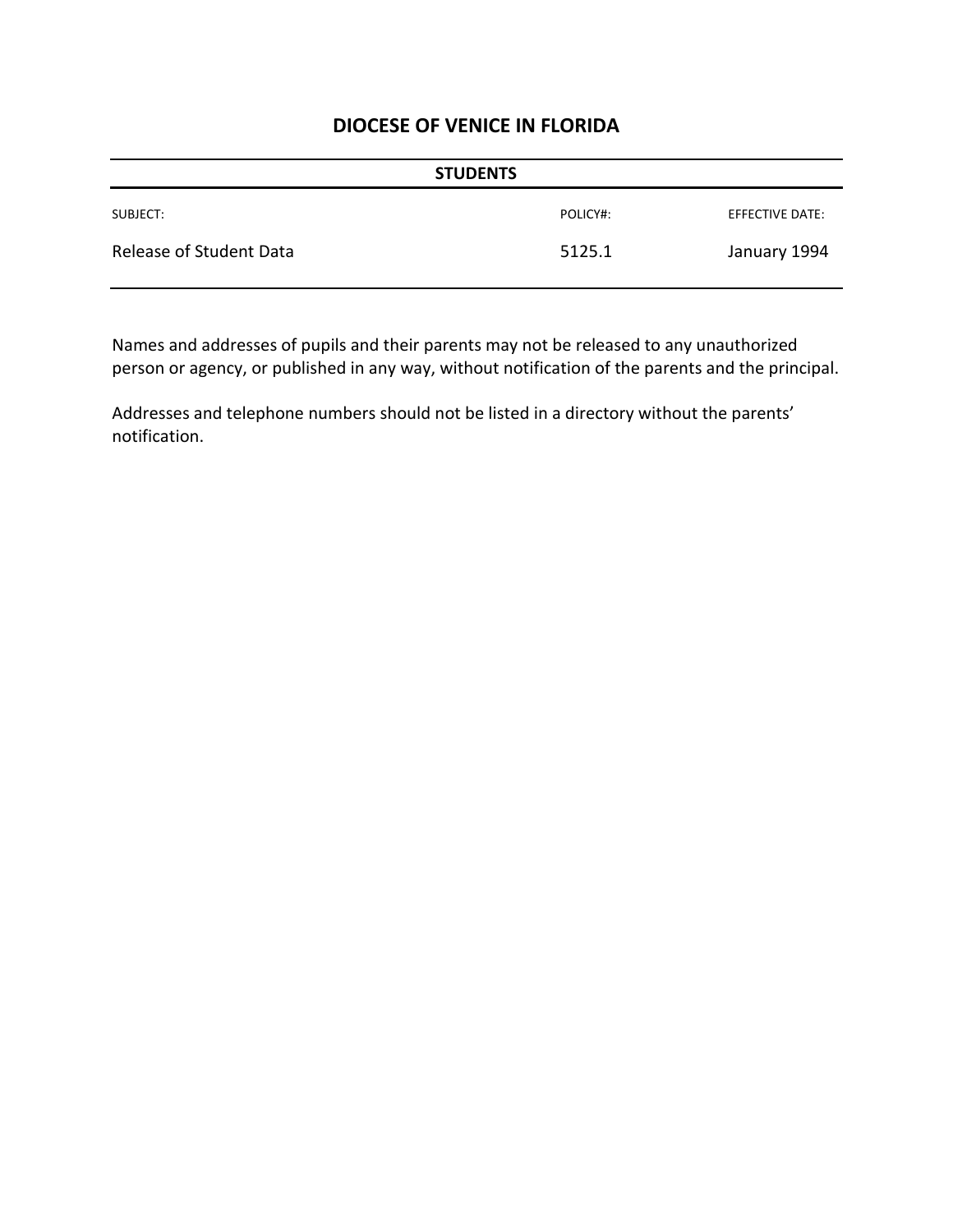| <b>STUDENTS</b>         |          |                 |
|-------------------------|----------|-----------------|
| SUBJECT:                | POLICY#: | EFFECTIVE DATE: |
| Release of Student Data | 5125.1   | January 1994    |

Names and addresses of pupils and their parents may not be released to any unauthorized person or agency, or published in any way, without notification of the parents and the principal.

Addresses and telephone numbers should not be listed in a directory without the parents' notification.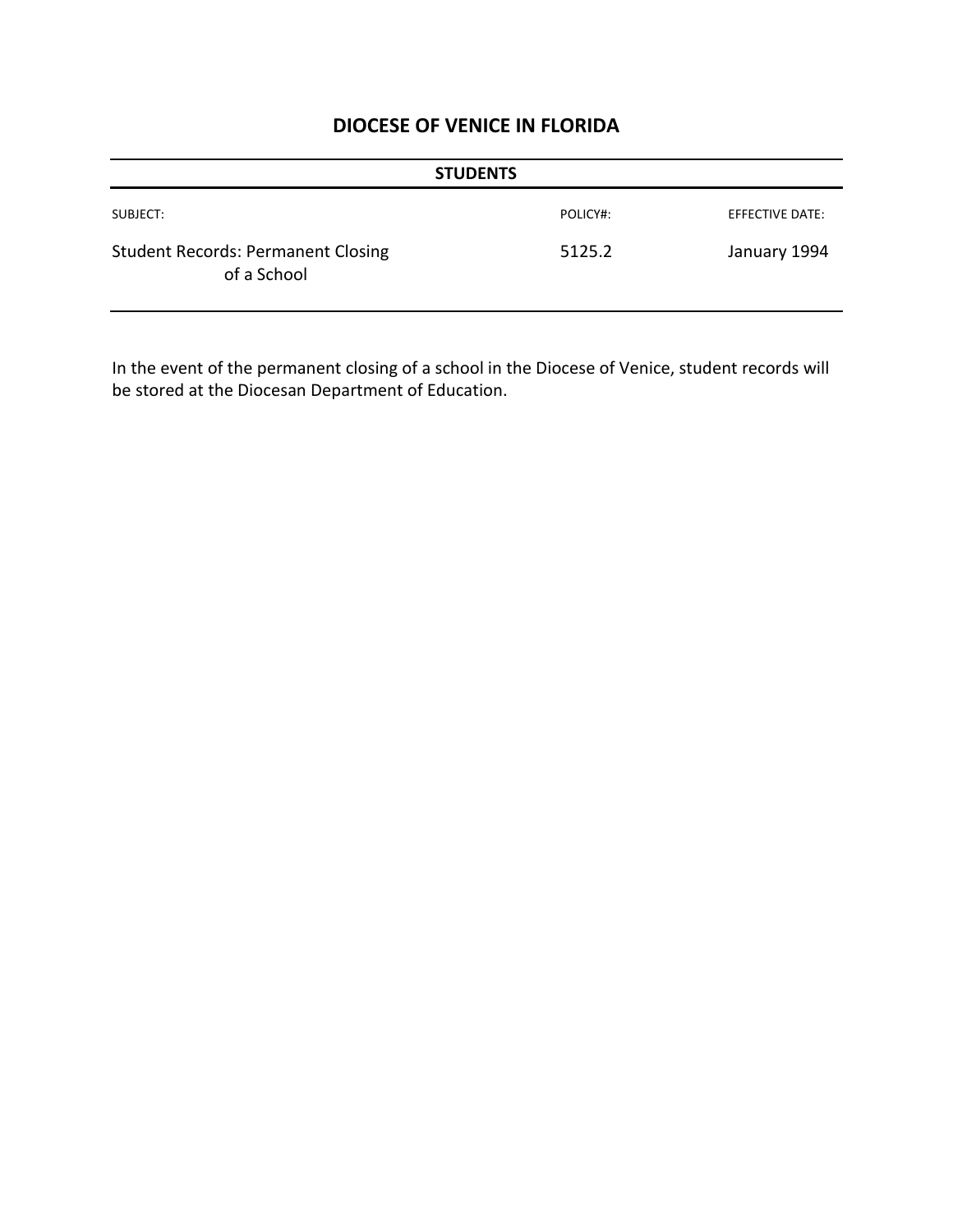|                                                          | <b>STUDENTS</b> |                 |
|----------------------------------------------------------|-----------------|-----------------|
| SUBJECT:                                                 | POLICY#:        | EFFECTIVE DATE: |
| <b>Student Records: Permanent Closing</b><br>of a School | 5125.2          | January 1994    |

In the event of the permanent closing of a school in the Diocese of Venice, student records will be stored at the Diocesan Department of Education.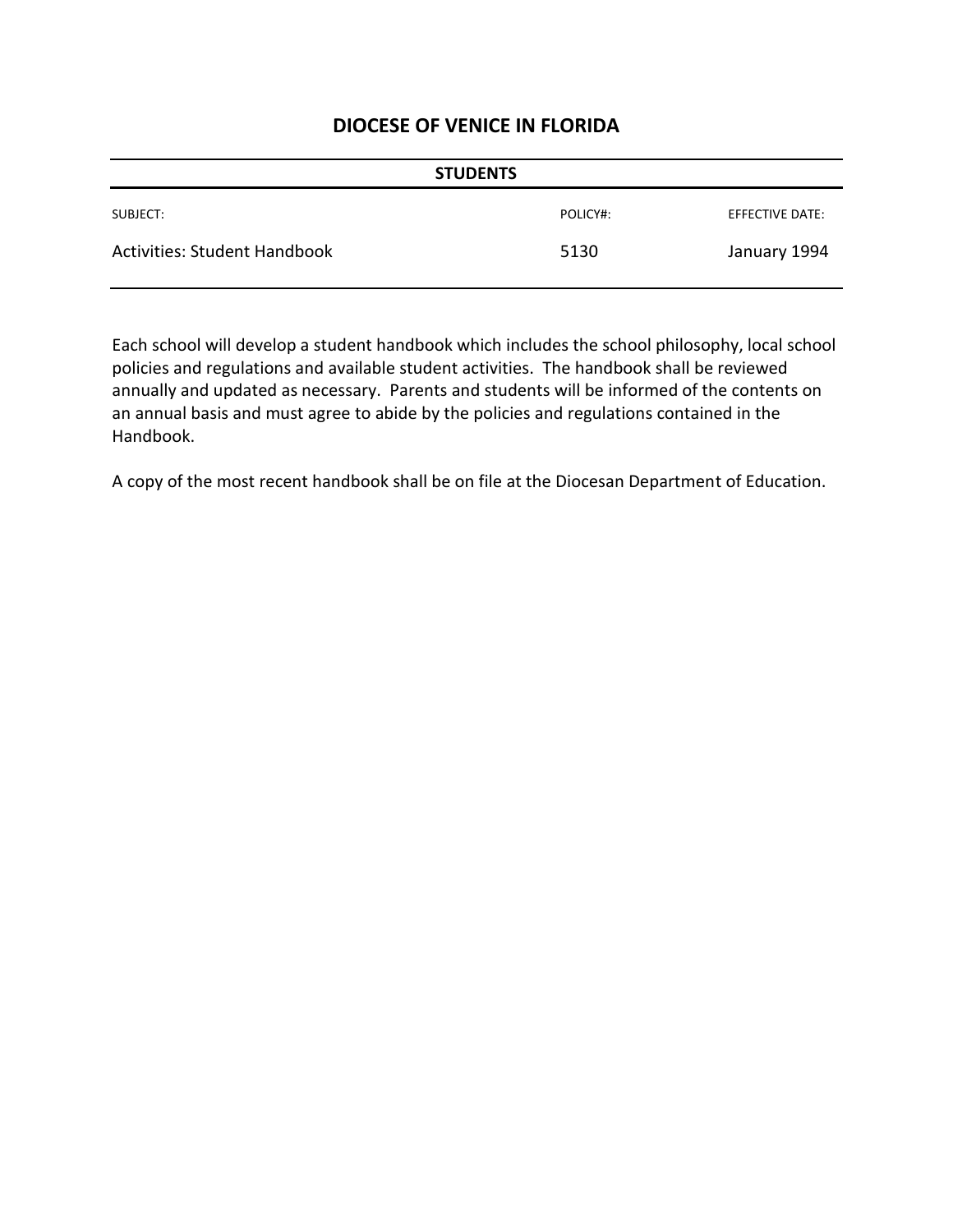| <b>STUDENTS</b>                     |          |                 |
|-------------------------------------|----------|-----------------|
| SUBJECT:                            | POLICY#: | EFFECTIVE DATE: |
| <b>Activities: Student Handbook</b> | 5130     | January 1994    |

Each school will develop a student handbook which includes the school philosophy, local school policies and regulations and available student activities. The handbook shall be reviewed annually and updated as necessary. Parents and students will be informed of the contents on an annual basis and must agree to abide by the policies and regulations contained in the Handbook.

A copy of the most recent handbook shall be on file at the Diocesan Department of Education.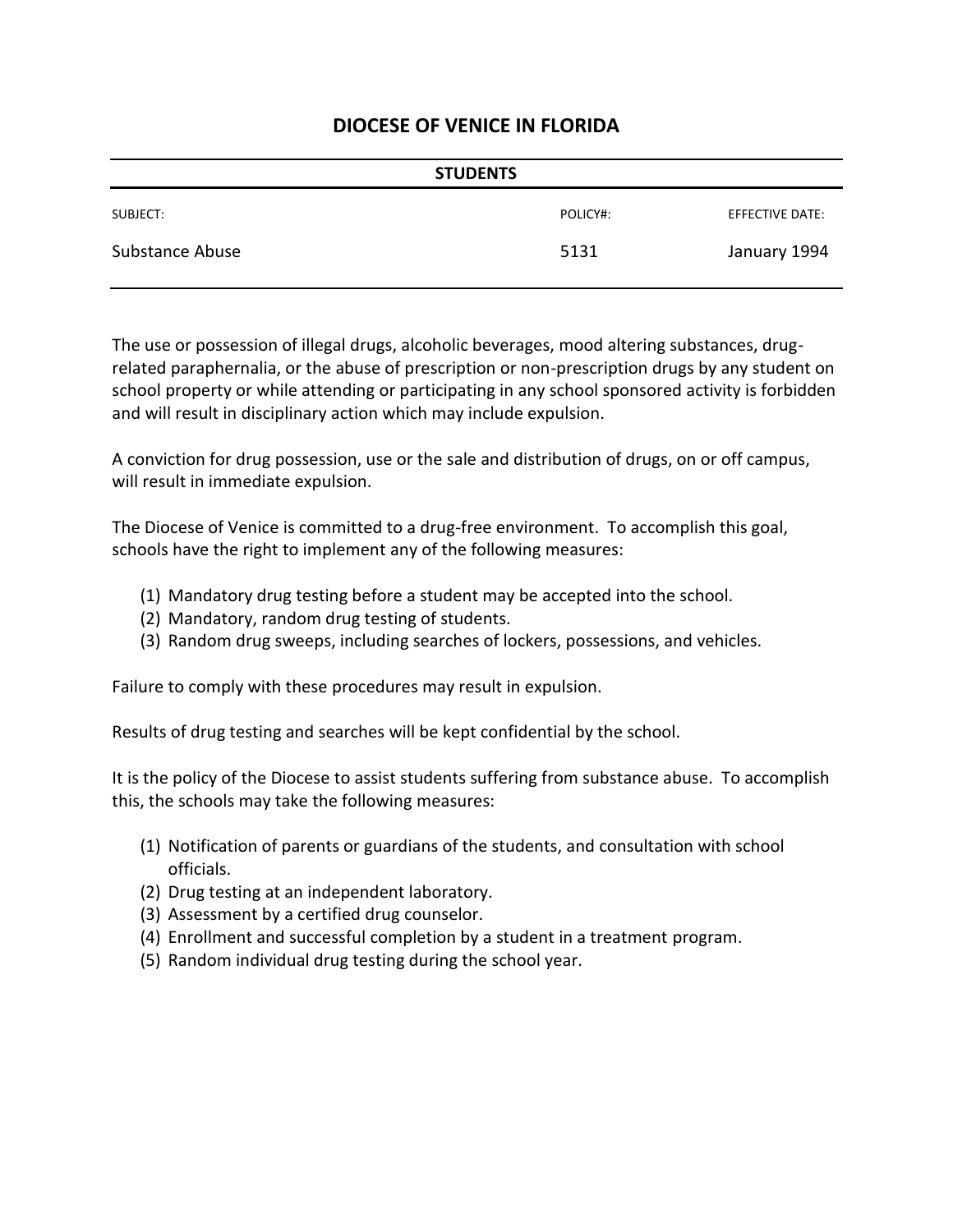|                 | <b>STUDENTS</b> |                 |
|-----------------|-----------------|-----------------|
| SUBJECT:        | POLICY#:        | EFFECTIVE DATE: |
| Substance Abuse | 5131            | January 1994    |

The use or possession of illegal drugs, alcoholic beverages, mood altering substances, drugrelated paraphernalia, or the abuse of prescription or non-prescription drugs by any student on school property or while attending or participating in any school sponsored activity is forbidden and will result in disciplinary action which may include expulsion.

A conviction for drug possession, use or the sale and distribution of drugs, on or off campus, will result in immediate expulsion.

The Diocese of Venice is committed to a drug-free environment. To accomplish this goal, schools have the right to implement any of the following measures:

- (1) Mandatory drug testing before a student may be accepted into the school.
- (2) Mandatory, random drug testing of students.
- (3) Random drug sweeps, including searches of lockers, possessions, and vehicles.

Failure to comply with these procedures may result in expulsion.

Results of drug testing and searches will be kept confidential by the school.

It is the policy of the Diocese to assist students suffering from substance abuse. To accomplish this, the schools may take the following measures:

- (1) Notification of parents or guardians of the students, and consultation with school officials.
- (2) Drug testing at an independent laboratory.
- (3) Assessment by a certified drug counselor.
- (4) Enrollment and successful completion by a student in a treatment program.
- (5) Random individual drug testing during the school year.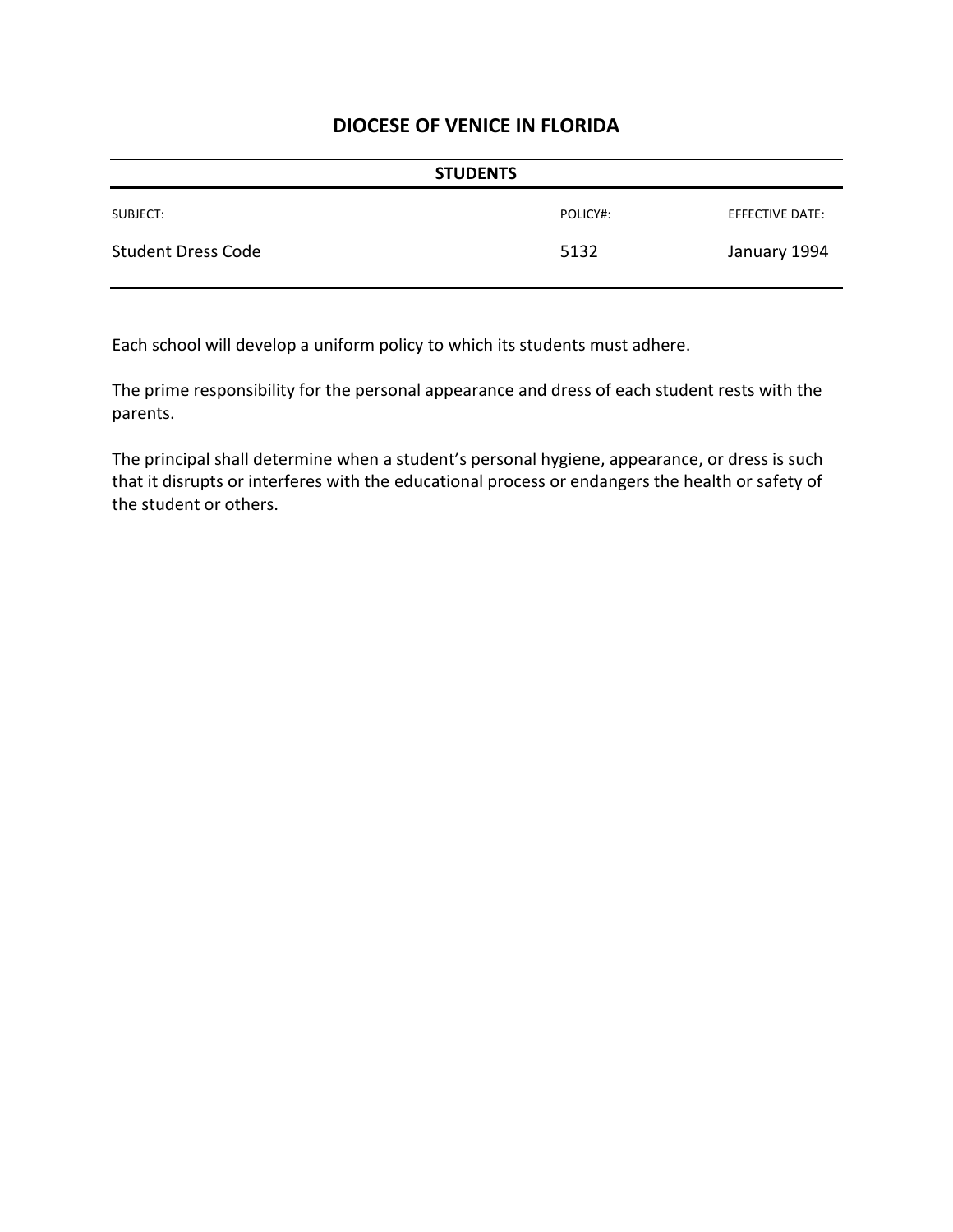|                           | <b>STUDENTS</b> |                 |
|---------------------------|-----------------|-----------------|
| SUBJECT:                  | POLICY#:        | EFFECTIVE DATE: |
| <b>Student Dress Code</b> | 5132            | January 1994    |

Each school will develop a uniform policy to which its students must adhere.

The prime responsibility for the personal appearance and dress of each student rests with the parents.

The principal shall determine when a student's personal hygiene, appearance, or dress is such that it disrupts or interferes with the educational process or endangers the health or safety of the student or others.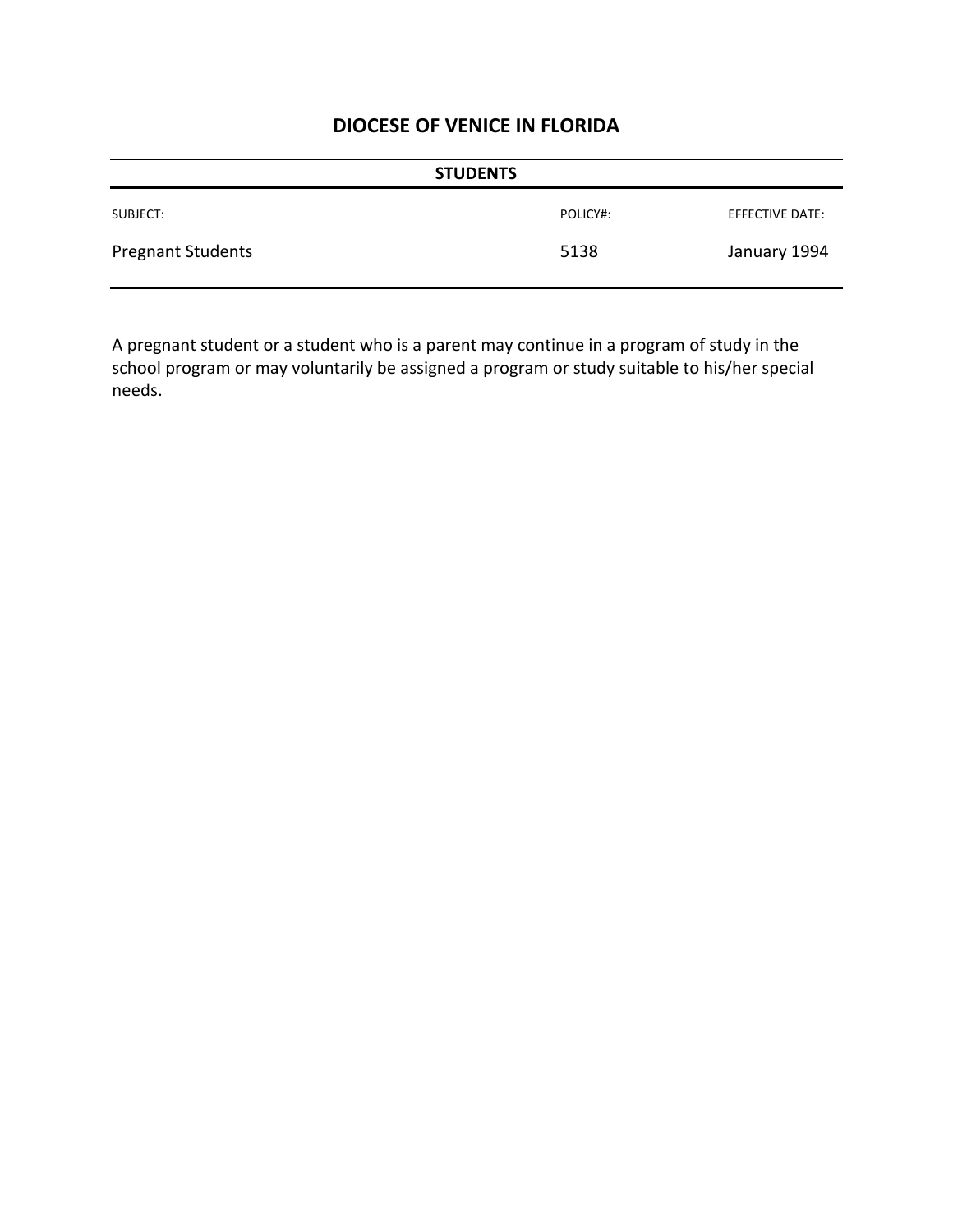| <b>STUDENTS</b>          |          |                 |
|--------------------------|----------|-----------------|
| SUBJECT:                 | POLICY#: | EFFECTIVE DATE: |
| <b>Pregnant Students</b> | 5138     | January 1994    |

A pregnant student or a student who is a parent may continue in a program of study in the school program or may voluntarily be assigned a program or study suitable to his/her special needs.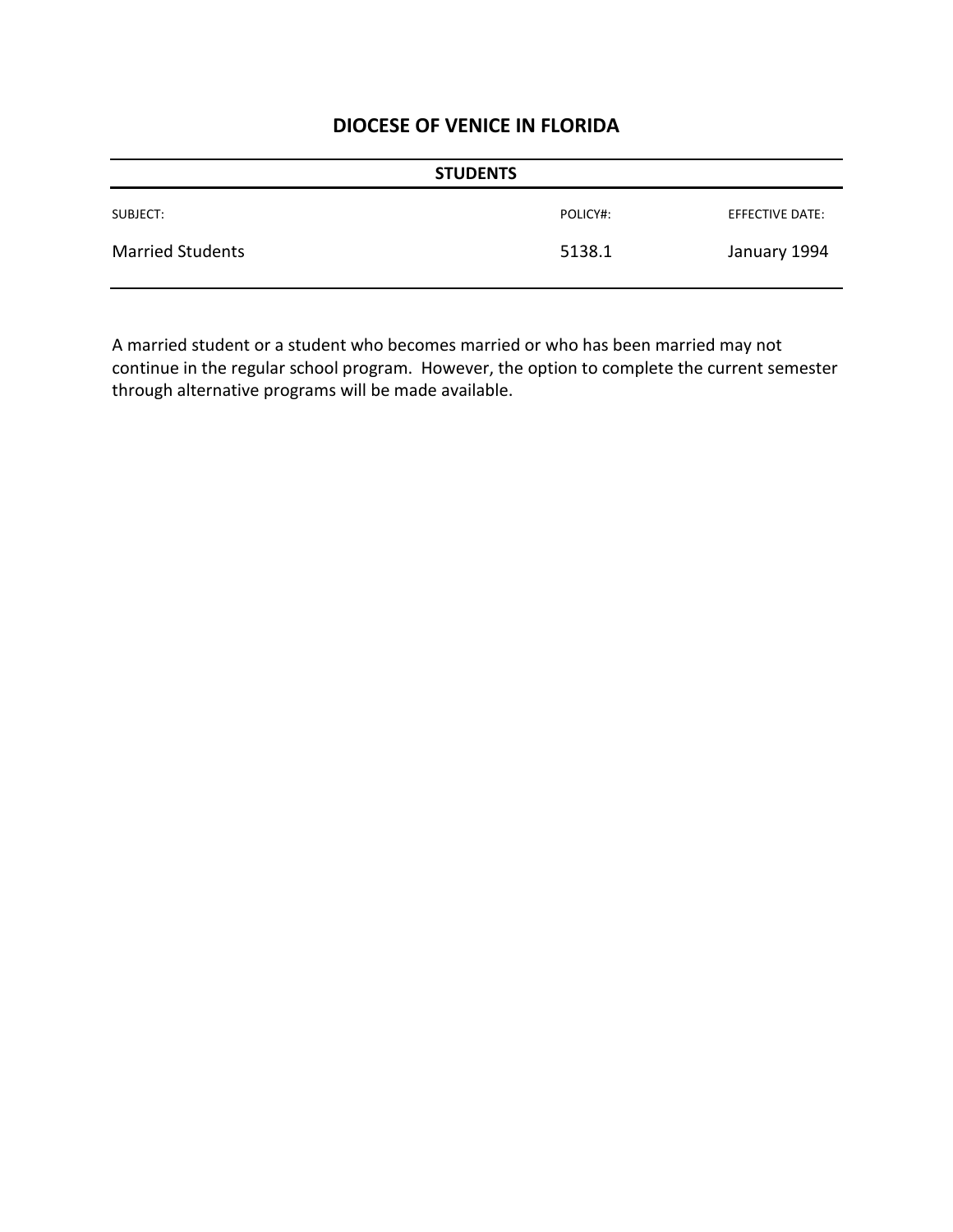|                         | <b>STUDENTS</b> |                 |
|-------------------------|-----------------|-----------------|
| SUBJECT:                | POLICY#:        | EFFECTIVE DATE: |
| <b>Married Students</b> | 5138.1          | January 1994    |

A married student or a student who becomes married or who has been married may not continue in the regular school program. However, the option to complete the current semester through alternative programs will be made available.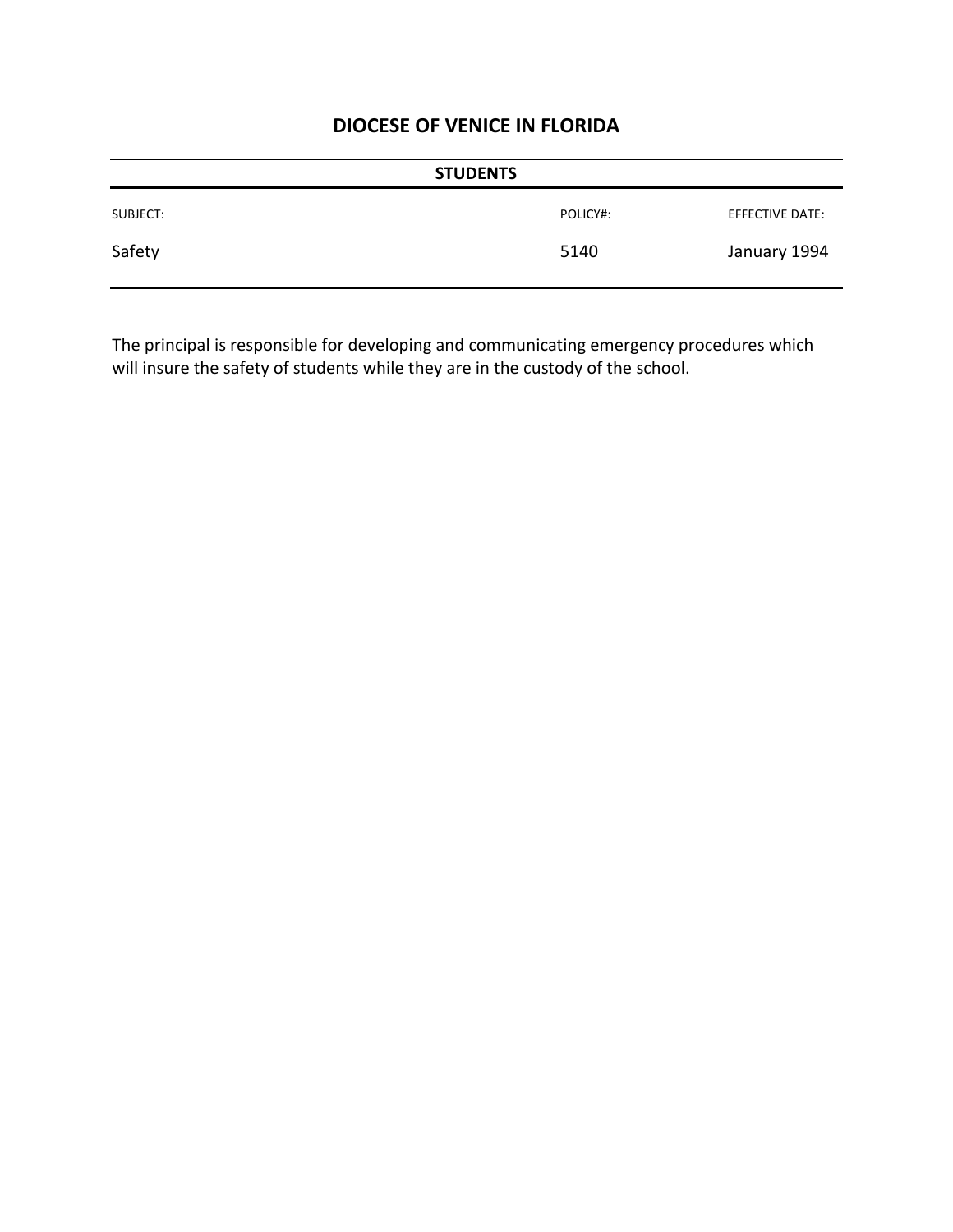|          | <b>STUDENTS</b> |                 |
|----------|-----------------|-----------------|
| SUBJECT: | POLICY#:        | EFFECTIVE DATE: |
| Safety   | 5140            | January 1994    |

The principal is responsible for developing and communicating emergency procedures which will insure the safety of students while they are in the custody of the school.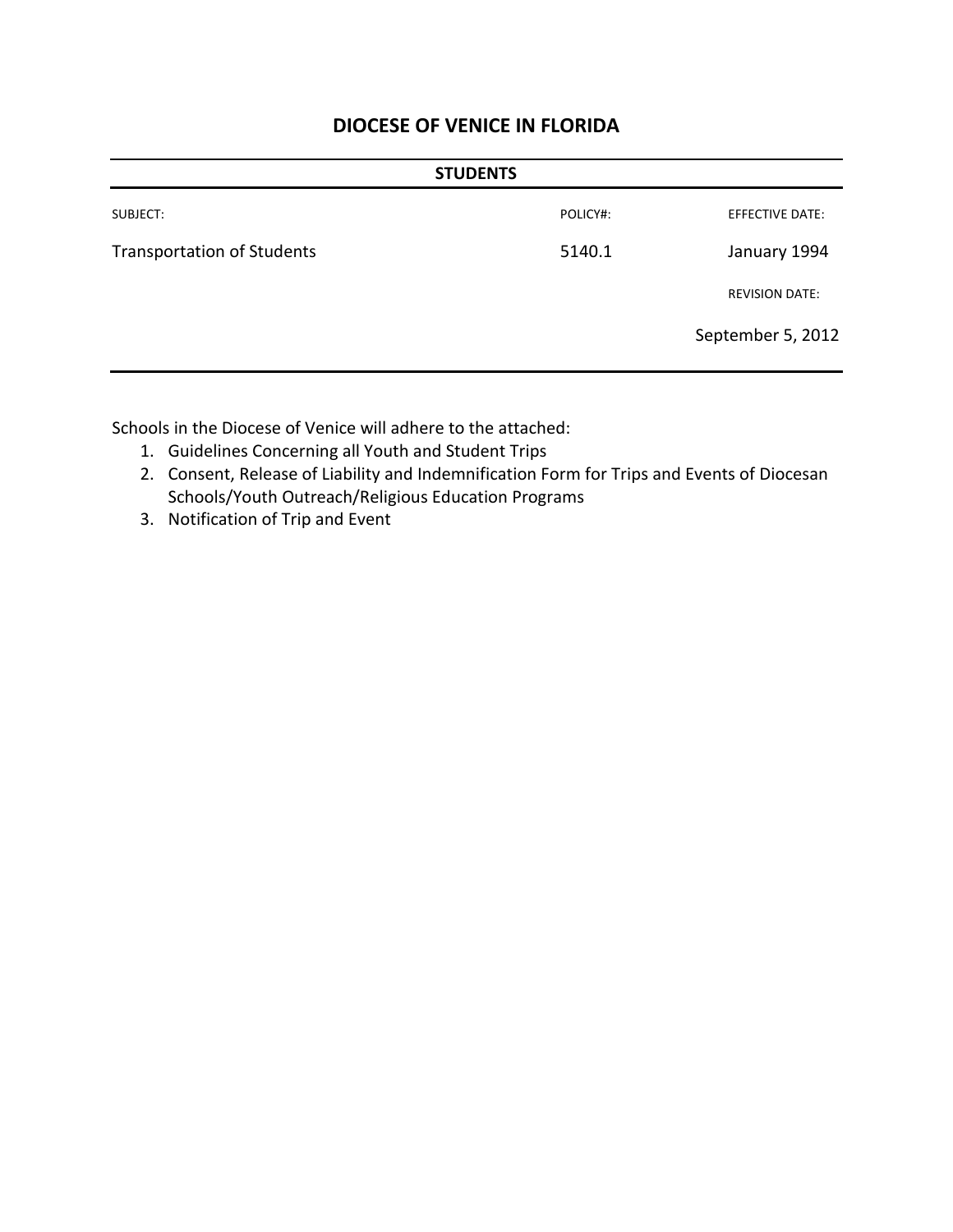| <b>STUDENTS</b>                   |          |                       |
|-----------------------------------|----------|-----------------------|
| SUBJECT:                          | POLICY#: | EFFECTIVE DATE:       |
| <b>Transportation of Students</b> | 5140.1   | January 1994          |
|                                   |          | <b>REVISION DATE:</b> |
|                                   |          | September 5, 2012     |
|                                   |          |                       |

Schools in the Diocese of Venice will adhere to the attached:

- 1. Guidelines Concerning all Youth and Student Trips
- 2. Consent, Release of Liability and Indemnification Form for Trips and Events of Diocesan Schools/Youth Outreach/Religious Education Programs
- 3. Notification of Trip and Event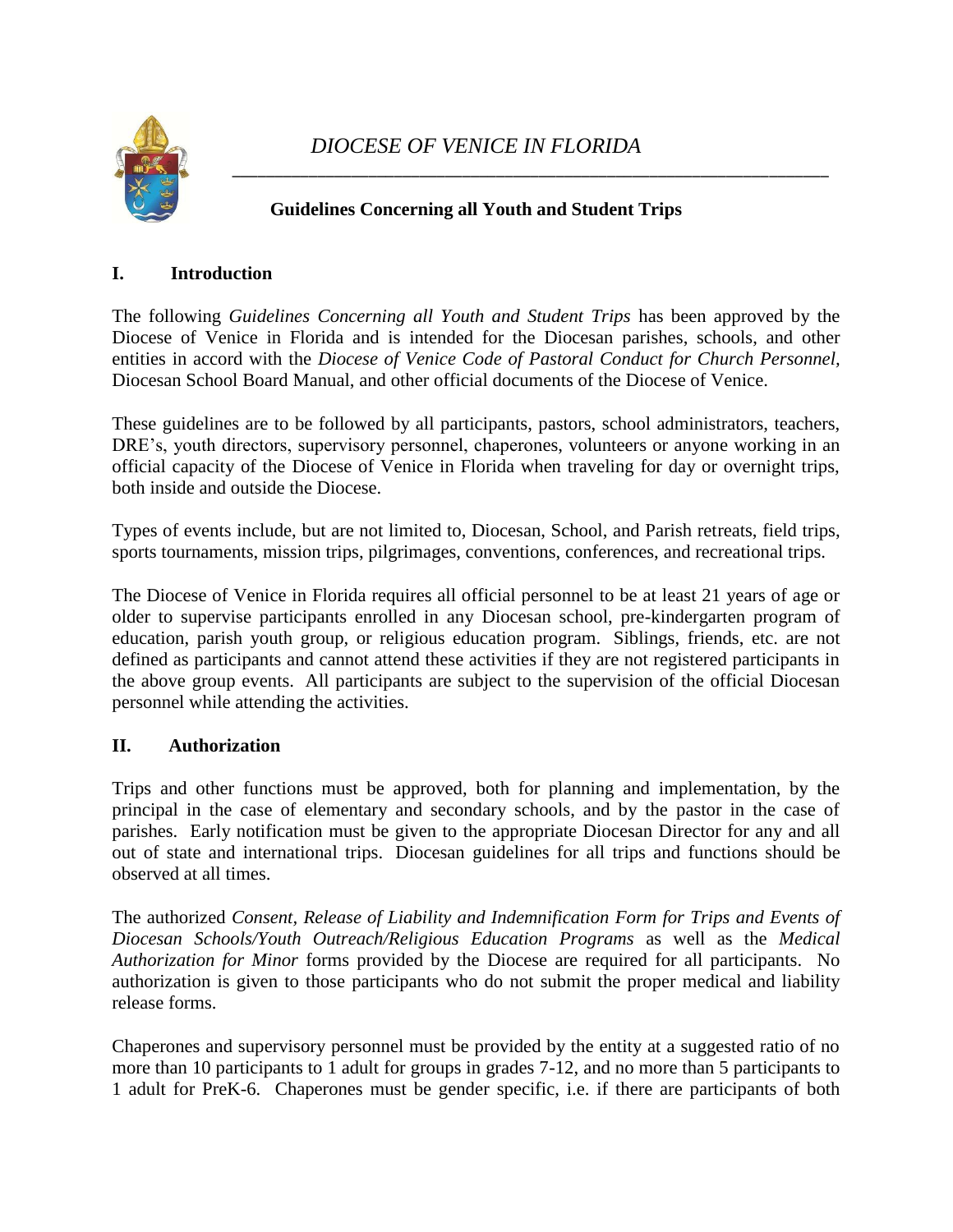

### **Guidelines Concerning all Youth and Student Trips**

#### **I. Introduction**

The following *Guidelines Concerning all Youth and Student Trips* has been approved by the Diocese of Venice in Florida and is intended for the Diocesan parishes, schools, and other entities in accord with the *Diocese of Venice Code of Pastoral Conduct for Church Personnel,*  Diocesan School Board Manual, and other official documents of the Diocese of Venice.

These guidelines are to be followed by all participants, pastors, school administrators, teachers, DRE's, youth directors, supervisory personnel, chaperones, volunteers or anyone working in an official capacity of the Diocese of Venice in Florida when traveling for day or overnight trips, both inside and outside the Diocese.

Types of events include, but are not limited to, Diocesan, School, and Parish retreats, field trips, sports tournaments, mission trips, pilgrimages, conventions, conferences, and recreational trips.

The Diocese of Venice in Florida requires all official personnel to be at least 21 years of age or older to supervise participants enrolled in any Diocesan school, pre-kindergarten program of education, parish youth group, or religious education program. Siblings, friends, etc. are not defined as participants and cannot attend these activities if they are not registered participants in the above group events. All participants are subject to the supervision of the official Diocesan personnel while attending the activities.

#### **II. Authorization**

Trips and other functions must be approved, both for planning and implementation, by the principal in the case of elementary and secondary schools, and by the pastor in the case of parishes. Early notification must be given to the appropriate Diocesan Director for any and all out of state and international trips. Diocesan guidelines for all trips and functions should be observed at all times.

The authorized *Consent, Release of Liability and Indemnification Form for Trips and Events of Diocesan Schools/Youth Outreach/Religious Education Programs* as well as the *Medical Authorization for Minor* forms provided by the Diocese are required for all participants. No authorization is given to those participants who do not submit the proper medical and liability release forms.

Chaperones and supervisory personnel must be provided by the entity at a suggested ratio of no more than 10 participants to 1 adult for groups in grades 7-12, and no more than 5 participants to 1 adult for PreK-6. Chaperones must be gender specific, i.e. if there are participants of both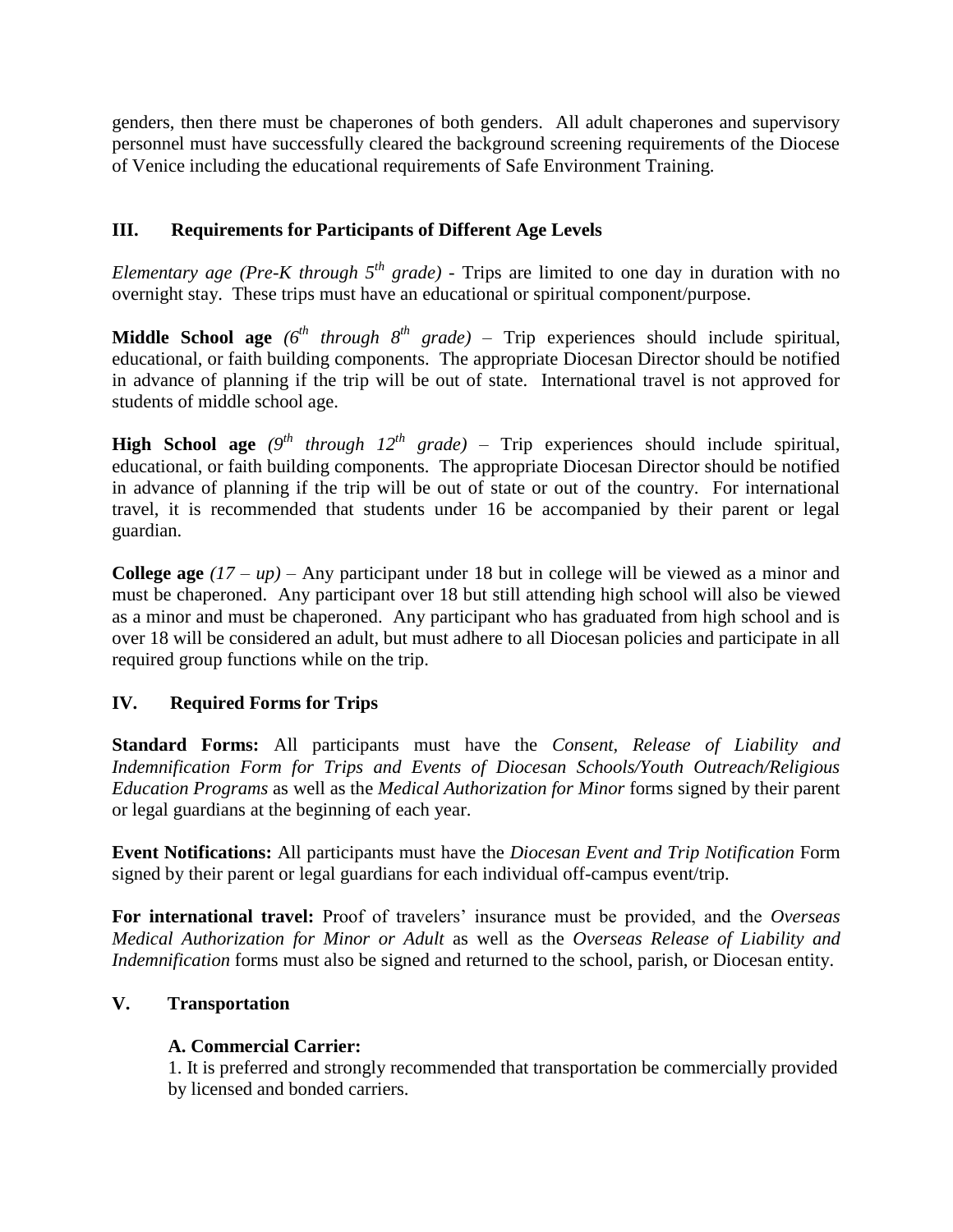genders, then there must be chaperones of both genders. All adult chaperones and supervisory personnel must have successfully cleared the background screening requirements of the Diocese of Venice including the educational requirements of Safe Environment Training.

# **III. Requirements for Participants of Different Age Levels**

*Elementary age (Pre-K through*  $5<sup>th</sup>$  *grade)* - Trips are limited to one day in duration with no overnight stay. These trips must have an educational or spiritual component/purpose.

**Middle School age**  $(6^{th}$  *through*  $8^{th}$  *grade*) – Trip experiences should include spiritual, educational, or faith building components. The appropriate Diocesan Director should be notified in advance of planning if the trip will be out of state. International travel is not approved for students of middle school age.

**High School age**  $(9^{th}$  *through 12<sup>th</sup> grade*) – Trip experiences should include spiritual, educational, or faith building components. The appropriate Diocesan Director should be notified in advance of planning if the trip will be out of state or out of the country. For international travel, it is recommended that students under 16 be accompanied by their parent or legal guardian.

**College age** *(17 – up)* – Any participant under 18 but in college will be viewed as a minor and must be chaperoned. Any participant over 18 but still attending high school will also be viewed as a minor and must be chaperoned. Any participant who has graduated from high school and is over 18 will be considered an adult, but must adhere to all Diocesan policies and participate in all required group functions while on the trip.

### **IV. Required Forms for Trips**

**Standard Forms:** All participants must have the *Consent, Release of Liability and Indemnification Form for Trips and Events of Diocesan Schools/Youth Outreach/Religious Education Programs* as well as the *Medical Authorization for Minor* forms signed by their parent or legal guardians at the beginning of each year.

**Event Notifications:** All participants must have the *Diocesan Event and Trip Notification* Form signed by their parent or legal guardians for each individual off-campus event/trip.

**For international travel:** Proof of travelers' insurance must be provided, and the *Overseas Medical Authorization for Minor or Adult* as well as the *Overseas Release of Liability and Indemnification* forms must also be signed and returned to the school, parish, or Diocesan entity.

### **V. Transportation**

### **A. Commercial Carrier:**

1. It is preferred and strongly recommended that transportation be commercially provided by licensed and bonded carriers.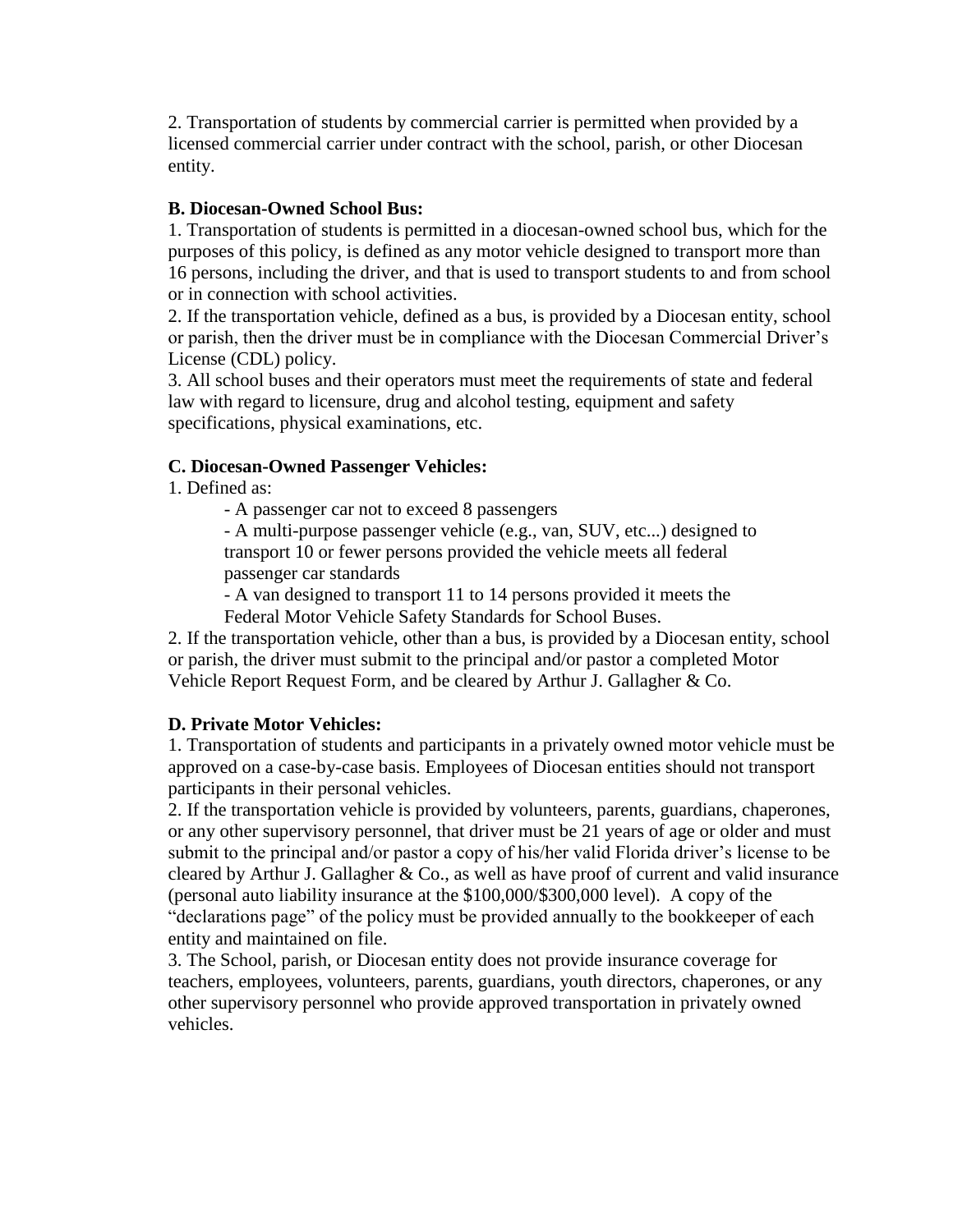2. Transportation of students by commercial carrier is permitted when provided by a licensed commercial carrier under contract with the school, parish, or other Diocesan entity.

#### **B. Diocesan-Owned School Bus:**

1. Transportation of students is permitted in a diocesan-owned school bus, which for the purposes of this policy, is defined as any motor vehicle designed to transport more than 16 persons, including the driver, and that is used to transport students to and from school or in connection with school activities.

2. If the transportation vehicle, defined as a bus, is provided by a Diocesan entity, school or parish, then the driver must be in compliance with the Diocesan Commercial Driver's License (CDL) policy.

3. All school buses and their operators must meet the requirements of state and federal law with regard to licensure, drug and alcohol testing, equipment and safety specifications, physical examinations, etc.

#### **C. Diocesan-Owned Passenger Vehicles:**

1. Defined as:

- A passenger car not to exceed 8 passengers

- A multi-purpose passenger vehicle (e.g., van, SUV, etc...) designed to transport 10 or fewer persons provided the vehicle meets all federal passenger car standards

- A van designed to transport 11 to 14 persons provided it meets the

Federal Motor Vehicle Safety Standards for School Buses.

2. If the transportation vehicle, other than a bus, is provided by a Diocesan entity, school or parish, the driver must submit to the principal and/or pastor a completed Motor Vehicle Report Request Form, and be cleared by Arthur J. Gallagher & Co.

#### **D. Private Motor Vehicles:**

1. Transportation of students and participants in a privately owned motor vehicle must be approved on a case-by-case basis. Employees of Diocesan entities should not transport participants in their personal vehicles.

2. If the transportation vehicle is provided by volunteers, parents, guardians, chaperones, or any other supervisory personnel, that driver must be 21 years of age or older and must submit to the principal and/or pastor a copy of his/her valid Florida driver's license to be cleared by Arthur J. Gallagher & Co., as well as have proof of current and valid insurance (personal auto liability insurance at the \$100,000/\$300,000 level). A copy of the "declarations page" of the policy must be provided annually to the bookkeeper of each entity and maintained on file.

3. The School, parish, or Diocesan entity does not provide insurance coverage for teachers, employees, volunteers, parents, guardians, youth directors, chaperones, or any other supervisory personnel who provide approved transportation in privately owned vehicles.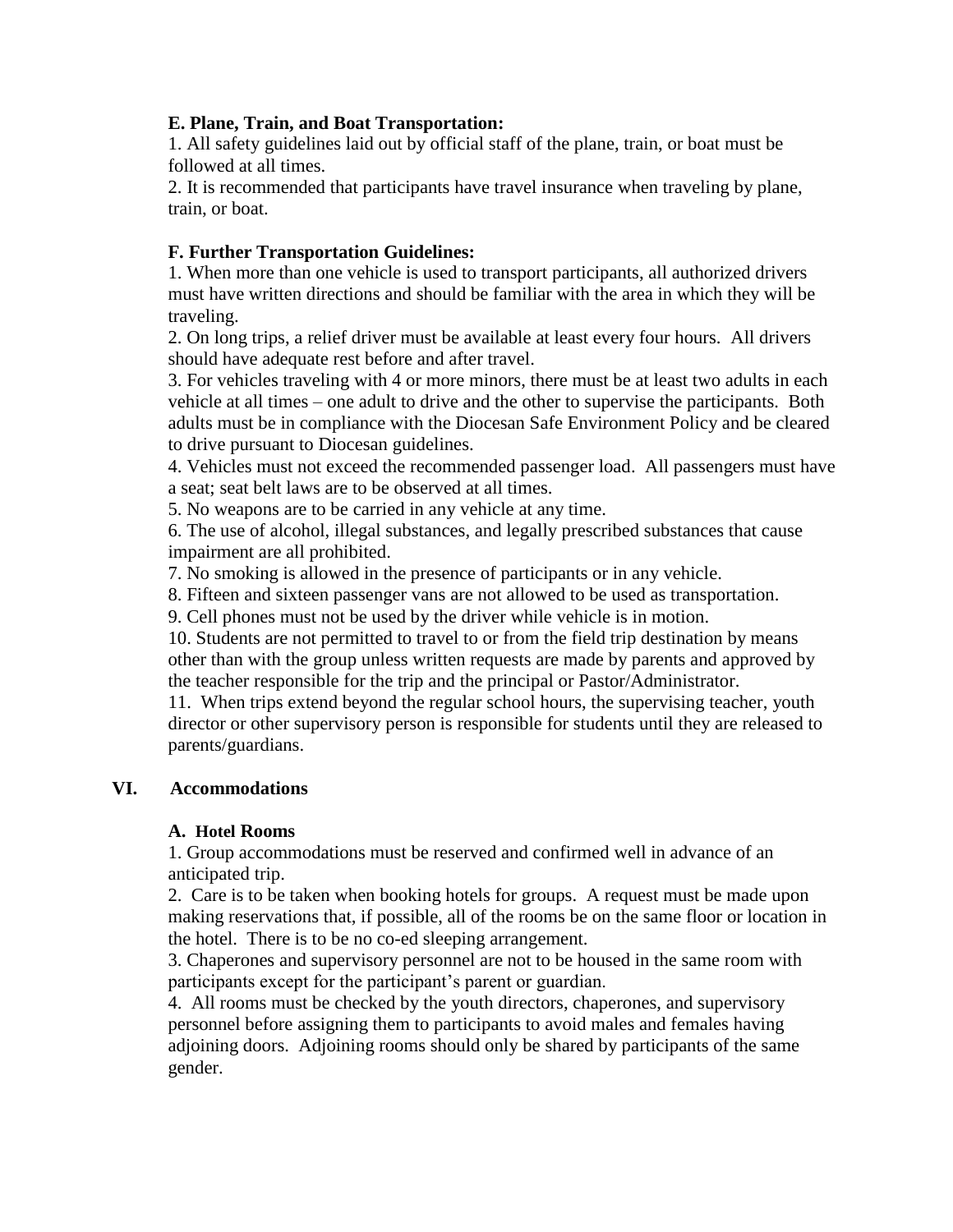#### **E. Plane, Train, and Boat Transportation:**

1. All safety guidelines laid out by official staff of the plane, train, or boat must be followed at all times.

2. It is recommended that participants have travel insurance when traveling by plane, train, or boat.

#### **F. Further Transportation Guidelines:**

1. When more than one vehicle is used to transport participants, all authorized drivers must have written directions and should be familiar with the area in which they will be traveling.

2. On long trips, a relief driver must be available at least every four hours. All drivers should have adequate rest before and after travel.

3. For vehicles traveling with 4 or more minors, there must be at least two adults in each vehicle at all times – one adult to drive and the other to supervise the participants. Both adults must be in compliance with the Diocesan Safe Environment Policy and be cleared to drive pursuant to Diocesan guidelines.

4. Vehicles must not exceed the recommended passenger load. All passengers must have a seat; seat belt laws are to be observed at all times.

5. No weapons are to be carried in any vehicle at any time.

6. The use of alcohol, illegal substances, and legally prescribed substances that cause impairment are all prohibited.

7. No smoking is allowed in the presence of participants or in any vehicle.

8. Fifteen and sixteen passenger vans are not allowed to be used as transportation.

9. Cell phones must not be used by the driver while vehicle is in motion.

10. Students are not permitted to travel to or from the field trip destination by means other than with the group unless written requests are made by parents and approved by the teacher responsible for the trip and the principal or Pastor/Administrator.

11. When trips extend beyond the regular school hours, the supervising teacher, youth director or other supervisory person is responsible for students until they are released to parents/guardians.

#### **VI. Accommodations**

#### **A. Hotel Rooms**

1. Group accommodations must be reserved and confirmed well in advance of an anticipated trip.

 2. Care is to be taken when booking hotels for groups. A request must be made upon making reservations that, if possible, all of the rooms be on the same floor or location in the hotel. There is to be no co-ed sleeping arrangement.

3. Chaperones and supervisory personnel are not to be housed in the same room with participants except for the participant's parent or guardian.

4. All rooms must be checked by the youth directors, chaperones, and supervisory personnel before assigning them to participants to avoid males and females having adjoining doors. Adjoining rooms should only be shared by participants of the same gender.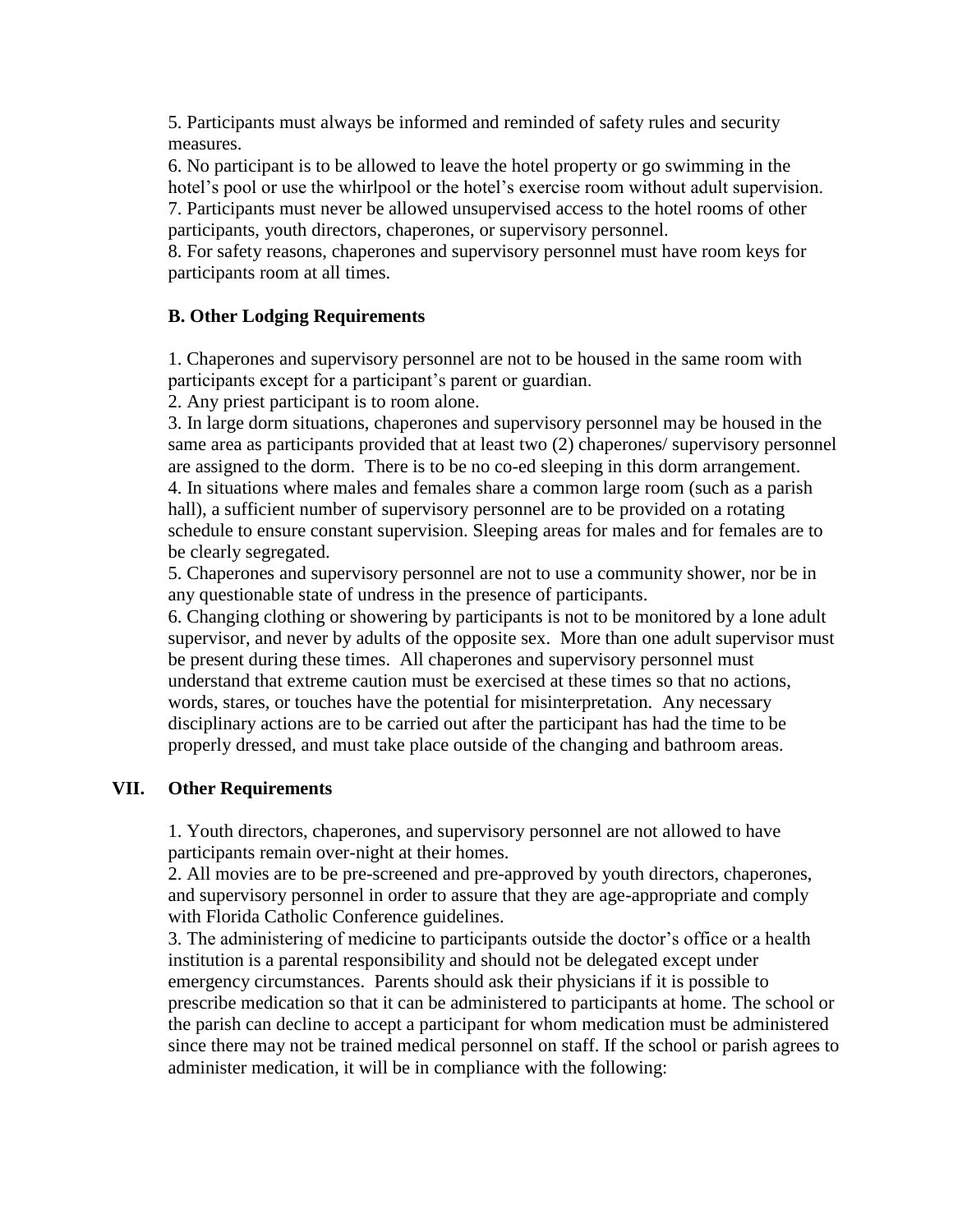5. Participants must always be informed and reminded of safety rules and security measures.

6. No participant is to be allowed to leave the hotel property or go swimming in the hotel's pool or use the whirlpool or the hotel's exercise room without adult supervision. 7. Participants must never be allowed unsupervised access to the hotel rooms of other participants, youth directors, chaperones, or supervisory personnel.

8. For safety reasons, chaperones and supervisory personnel must have room keys for participants room at all times.

#### **B. Other Lodging Requirements**

1. Chaperones and supervisory personnel are not to be housed in the same room with participants except for a participant's parent or guardian.

2. Any priest participant is to room alone.

3. In large dorm situations, chaperones and supervisory personnel may be housed in the same area as participants provided that at least two (2) chaperones/ supervisory personnel are assigned to the dorm. There is to be no co-ed sleeping in this dorm arrangement. 4. In situations where males and females share a common large room (such as a parish hall), a sufficient number of supervisory personnel are to be provided on a rotating schedule to ensure constant supervision. Sleeping areas for males and for females are to be clearly segregated.

5. Chaperones and supervisory personnel are not to use a community shower, nor be in any questionable state of undress in the presence of participants.

6. Changing clothing or showering by participants is not to be monitored by a lone adult supervisor, and never by adults of the opposite sex. More than one adult supervisor must be present during these times. All chaperones and supervisory personnel must understand that extreme caution must be exercised at these times so that no actions, words, stares, or touches have the potential for misinterpretation. Any necessary disciplinary actions are to be carried out after the participant has had the time to be properly dressed, and must take place outside of the changing and bathroom areas.

#### **VII. Other Requirements**

1. Youth directors, chaperones, and supervisory personnel are not allowed to have participants remain over-night at their homes.

2. All movies are to be pre-screened and pre-approved by youth directors, chaperones, and supervisory personnel in order to assure that they are age-appropriate and comply with Florida Catholic Conference guidelines.

3. The administering of medicine to participants outside the doctor's office or a health institution is a parental responsibility and should not be delegated except under emergency circumstances. Parents should ask their physicians if it is possible to prescribe medication so that it can be administered to participants at home. The school or the parish can decline to accept a participant for whom medication must be administered since there may not be trained medical personnel on staff. If the school or parish agrees to administer medication, it will be in compliance with the following: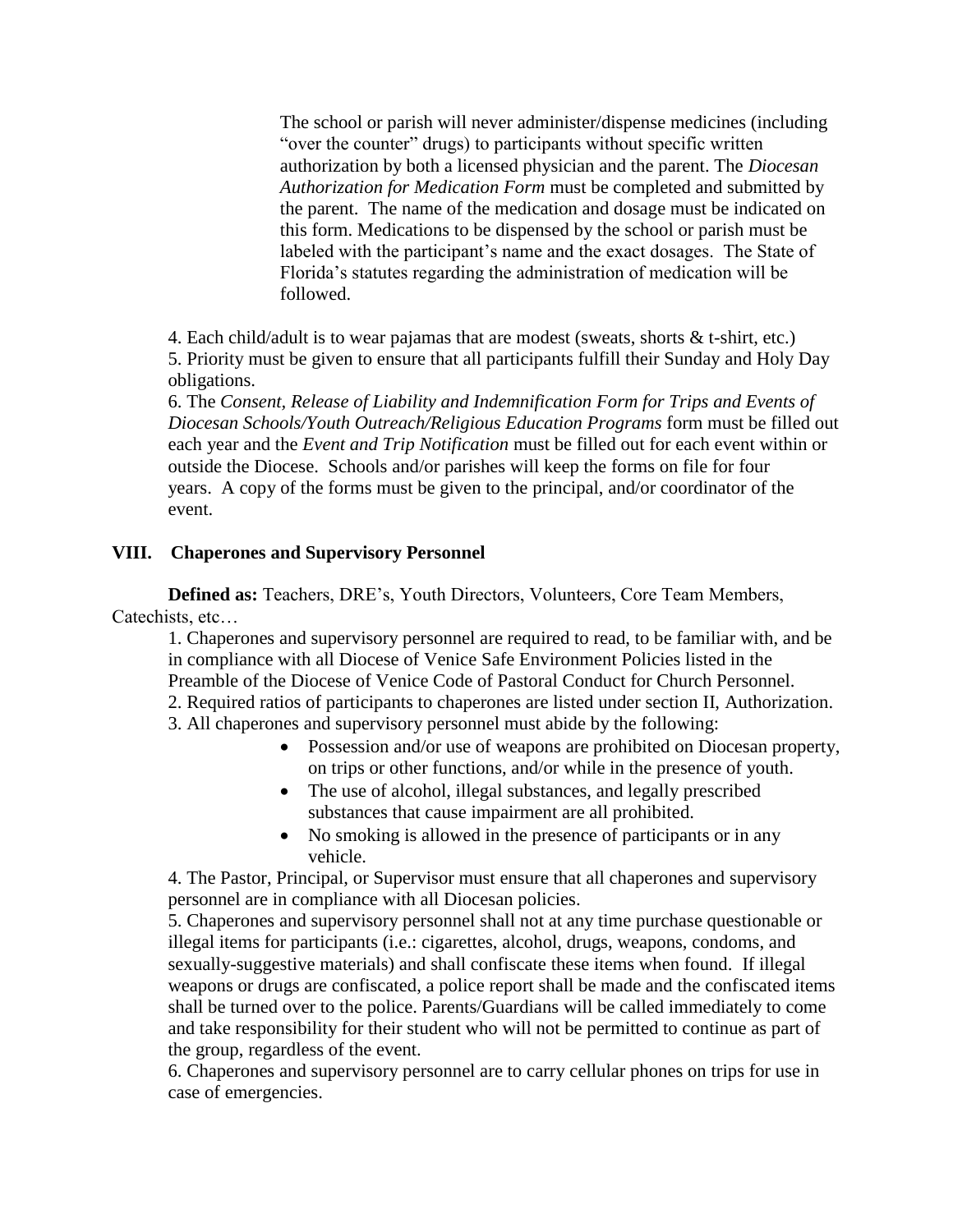The school or parish will never administer/dispense medicines (including "over the counter" drugs) to participants without specific written authorization by both a licensed physician and the parent. The *Diocesan Authorization for Medication Form* must be completed and submitted by the parent. The name of the medication and dosage must be indicated on this form. Medications to be dispensed by the school or parish must be labeled with the participant's name and the exact dosages. The State of Florida's statutes regarding the administration of medication will be followed.

4. Each child/adult is to wear pajamas that are modest (sweats, shorts & t-shirt, etc.) 5. Priority must be given to ensure that all participants fulfill their Sunday and Holy Day obligations.

6. The *Consent, Release of Liability and Indemnification Form for Trips and Events of Diocesan Schools/Youth Outreach/Religious Education Programs* form must be filled out each year and the *Event and Trip Notification* must be filled out for each event within or outside the Diocese. Schools and/or parishes will keep the forms on file for four years. A copy of the forms must be given to the principal, and/or coordinator of the event.

#### **VIII. Chaperones and Supervisory Personnel**

**Defined as:** Teachers, DRE's, Youth Directors, Volunteers, Core Team Members, Catechists, etc…

1. Chaperones and supervisory personnel are required to read, to be familiar with, and be in compliance with all Diocese of Venice Safe Environment Policies listed in the Preamble of the Diocese of Venice Code of Pastoral Conduct for Church Personnel. 2. Required ratios of participants to chaperones are listed under section II, Authorization.

- 3. All chaperones and supervisory personnel must abide by the following:
	- Possession and/or use of weapons are prohibited on Diocesan property, on trips or other functions, and/or while in the presence of youth.
	- The use of alcohol, illegal substances, and legally prescribed substances that cause impairment are all prohibited.
	- No smoking is allowed in the presence of participants or in any vehicle.

4. The Pastor, Principal, or Supervisor must ensure that all chaperones and supervisory personnel are in compliance with all Diocesan policies.

5. Chaperones and supervisory personnel shall not at any time purchase questionable or illegal items for participants (i.e.: cigarettes, alcohol, drugs, weapons, condoms, and sexually-suggestive materials) and shall confiscate these items when found. If illegal weapons or drugs are confiscated, a police report shall be made and the confiscated items shall be turned over to the police. Parents/Guardians will be called immediately to come and take responsibility for their student who will not be permitted to continue as part of the group, regardless of the event.

6. Chaperones and supervisory personnel are to carry cellular phones on trips for use in case of emergencies.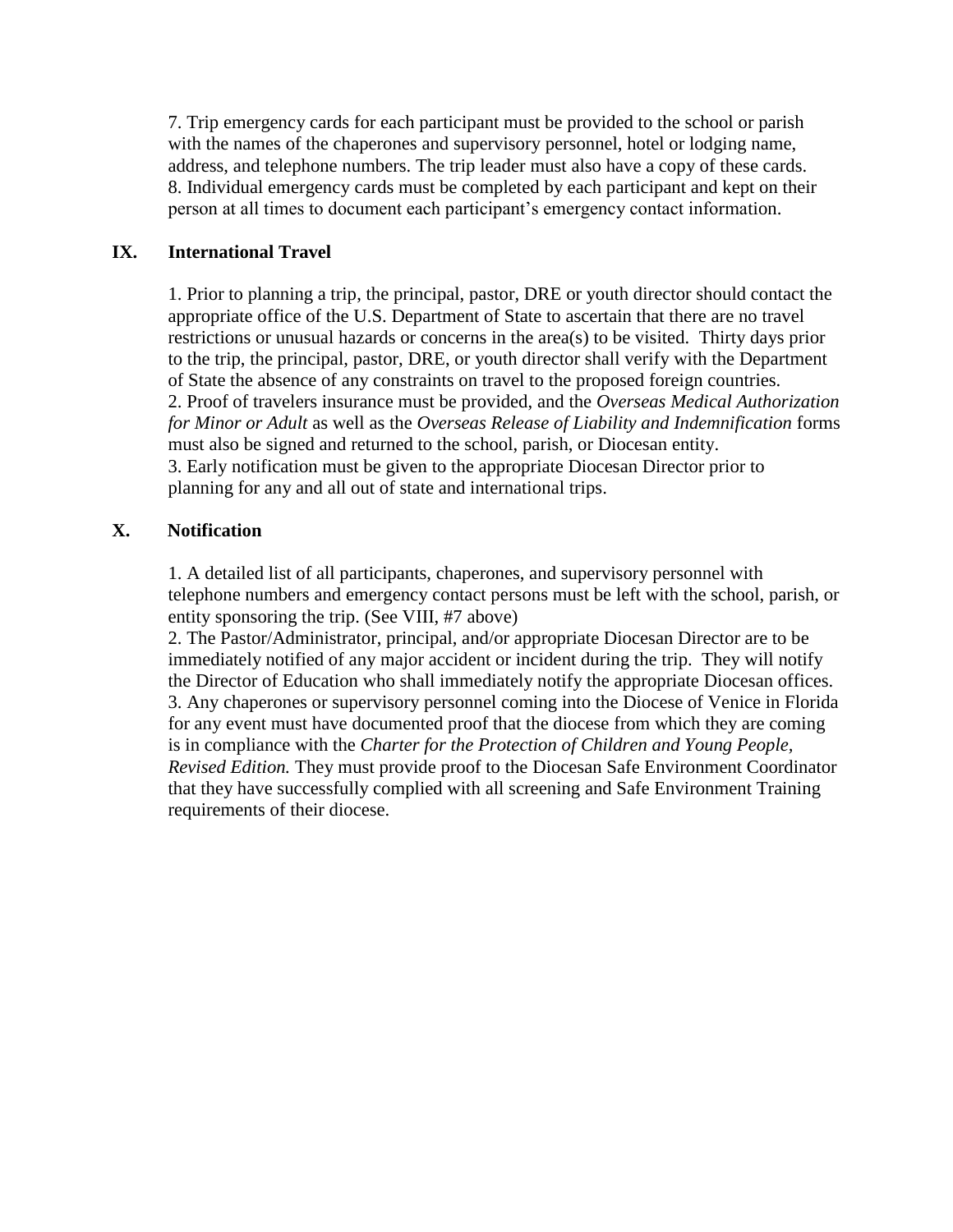7. Trip emergency cards for each participant must be provided to the school or parish with the names of the chaperones and supervisory personnel, hotel or lodging name, address, and telephone numbers. The trip leader must also have a copy of these cards. 8. Individual emergency cards must be completed by each participant and kept on their person at all times to document each participant's emergency contact information.

#### **IX. International Travel**

1. Prior to planning a trip, the principal, pastor, DRE or youth director should contact the appropriate office of the U.S. Department of State to ascertain that there are no travel restrictions or unusual hazards or concerns in the area(s) to be visited. Thirty days prior to the trip, the principal, pastor, DRE, or youth director shall verify with the Department of State the absence of any constraints on travel to the proposed foreign countries. 2. Proof of travelers insurance must be provided, and the *Overseas Medical Authorization for Minor or Adult* as well as the *Overseas Release of Liability and Indemnification* forms must also be signed and returned to the school, parish, or Diocesan entity. 3. Early notification must be given to the appropriate Diocesan Director prior to planning for any and all out of state and international trips.

#### **X. Notification**

1. A detailed list of all participants, chaperones, and supervisory personnel with telephone numbers and emergency contact persons must be left with the school, parish, or entity sponsoring the trip. (See VIII, #7 above)

2. The Pastor/Administrator, principal, and/or appropriate Diocesan Director are to be immediately notified of any major accident or incident during the trip. They will notify the Director of Education who shall immediately notify the appropriate Diocesan offices. 3. Any chaperones or supervisory personnel coming into the Diocese of Venice in Florida for any event must have documented proof that the diocese from which they are coming is in compliance with the *Charter for the Protection of Children and Young People, Revised Edition.* They must provide proof to the Diocesan Safe Environment Coordinator that they have successfully complied with all screening and Safe Environment Training requirements of their diocese.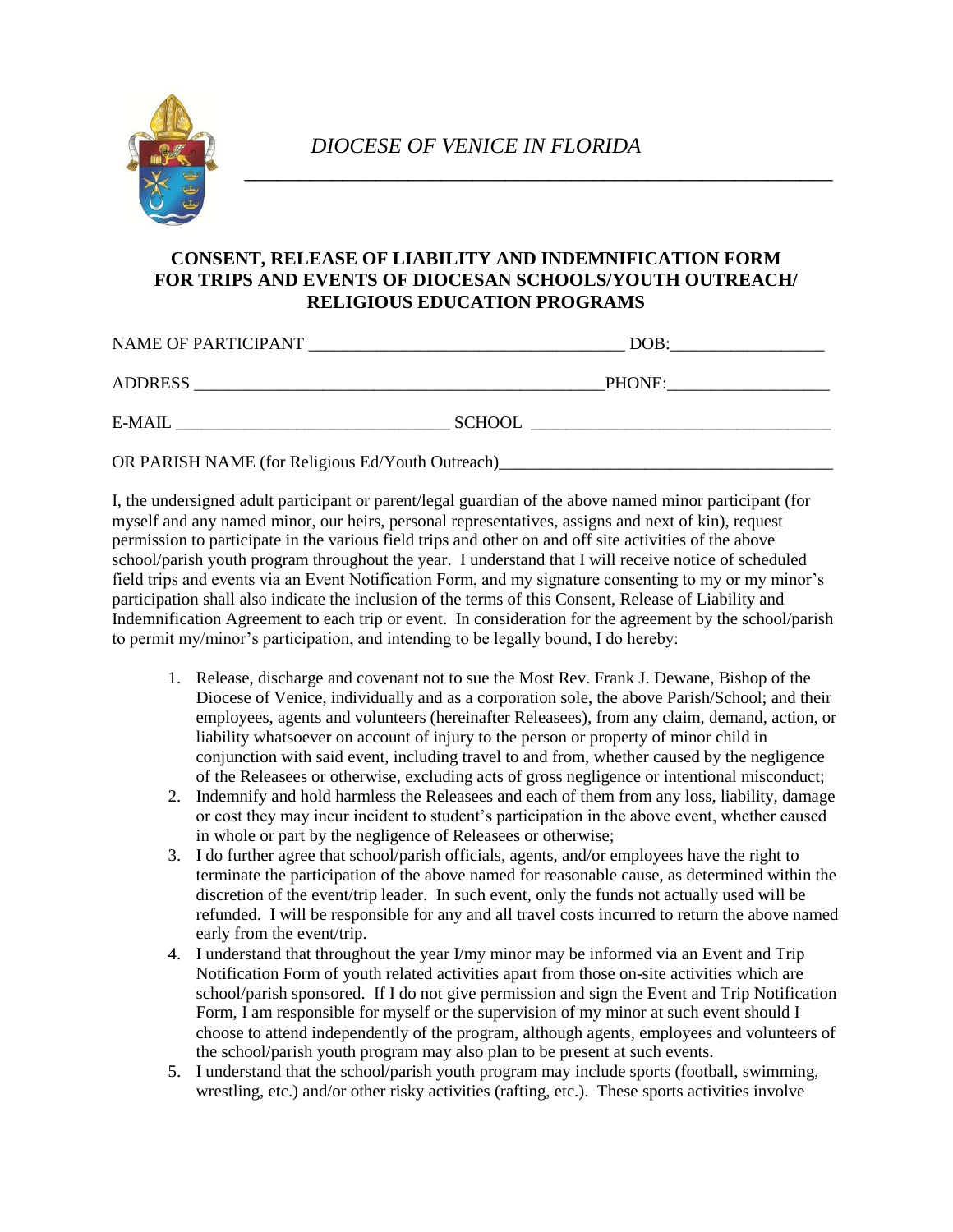

#### **CONSENT, RELEASE OF LIABILITY AND INDEMNIFICATION FORM FOR TRIPS AND EVENTS OF DIOCESAN SCHOOLS/YOUTH OUTREACH/ RELIGIOUS EDUCATION PROGRAMS**

| DOB:                                                                                                                                   |
|----------------------------------------------------------------------------------------------------------------------------------------|
| PHONE:                                                                                                                                 |
| <b>SCHOOL</b><br><u> 1980 - Jan Barbara Barbara, maso a popular establecidad e a contrador de la contrador de la contrador de la c</u> |
|                                                                                                                                        |

OR PARISH NAME (for Religious Ed/Youth Outreach)\_

I, the undersigned adult participant or parent/legal guardian of the above named minor participant (for myself and any named minor, our heirs, personal representatives, assigns and next of kin), request permission to participate in the various field trips and other on and off site activities of the above school/parish youth program throughout the year. I understand that I will receive notice of scheduled field trips and events via an Event Notification Form, and my signature consenting to my or my minor's participation shall also indicate the inclusion of the terms of this Consent, Release of Liability and Indemnification Agreement to each trip or event. In consideration for the agreement by the school/parish to permit my/minor's participation, and intending to be legally bound, I do hereby:

- 1. Release, discharge and covenant not to sue the Most Rev. Frank J. Dewane, Bishop of the Diocese of Venice, individually and as a corporation sole, the above Parish/School; and their employees, agents and volunteers (hereinafter Releasees), from any claim, demand, action, or liability whatsoever on account of injury to the person or property of minor child in conjunction with said event, including travel to and from, whether caused by the negligence of the Releasees or otherwise, excluding acts of gross negligence or intentional misconduct;
- 2. Indemnify and hold harmless the Releasees and each of them from any loss, liability, damage or cost they may incur incident to student's participation in the above event, whether caused in whole or part by the negligence of Releasees or otherwise;
- 3. I do further agree that school/parish officials, agents, and/or employees have the right to terminate the participation of the above named for reasonable cause, as determined within the discretion of the event/trip leader. In such event, only the funds not actually used will be refunded. I will be responsible for any and all travel costs incurred to return the above named early from the event/trip.
- 4. I understand that throughout the year I/my minor may be informed via an Event and Trip Notification Form of youth related activities apart from those on-site activities which are school/parish sponsored. If I do not give permission and sign the Event and Trip Notification Form, I am responsible for myself or the supervision of my minor at such event should I choose to attend independently of the program, although agents, employees and volunteers of the school/parish youth program may also plan to be present at such events.
- 5. I understand that the school/parish youth program may include sports (football, swimming, wrestling, etc.) and/or other risky activities (rafting, etc.). These sports activities involve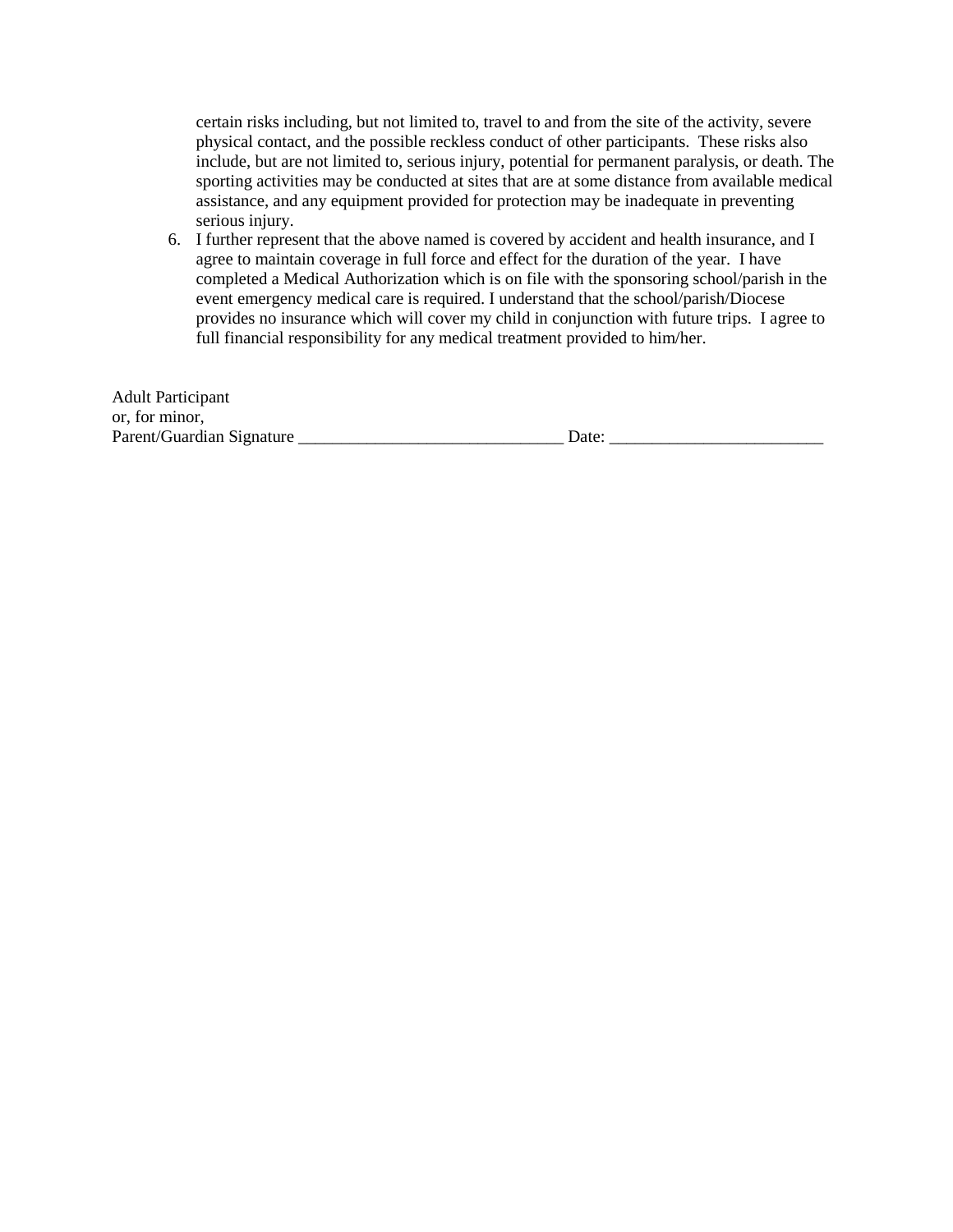certain risks including, but not limited to, travel to and from the site of the activity, severe physical contact, and the possible reckless conduct of other participants. These risks also include, but are not limited to, serious injury, potential for permanent paralysis, or death. The sporting activities may be conducted at sites that are at some distance from available medical assistance, and any equipment provided for protection may be inadequate in preventing serious injury.

6. I further represent that the above named is covered by accident and health insurance, and I agree to maintain coverage in full force and effect for the duration of the year. I have completed a Medical Authorization which is on file with the sponsoring school/parish in the event emergency medical care is required. I understand that the school/parish/Diocese provides no insurance which will cover my child in conjunction with future trips. I agree to full financial responsibility for any medical treatment provided to him/her.

| <b>Adult Participant</b>  |       |  |
|---------------------------|-------|--|
| or, for minor,            |       |  |
| Parent/Guardian Signature | Date: |  |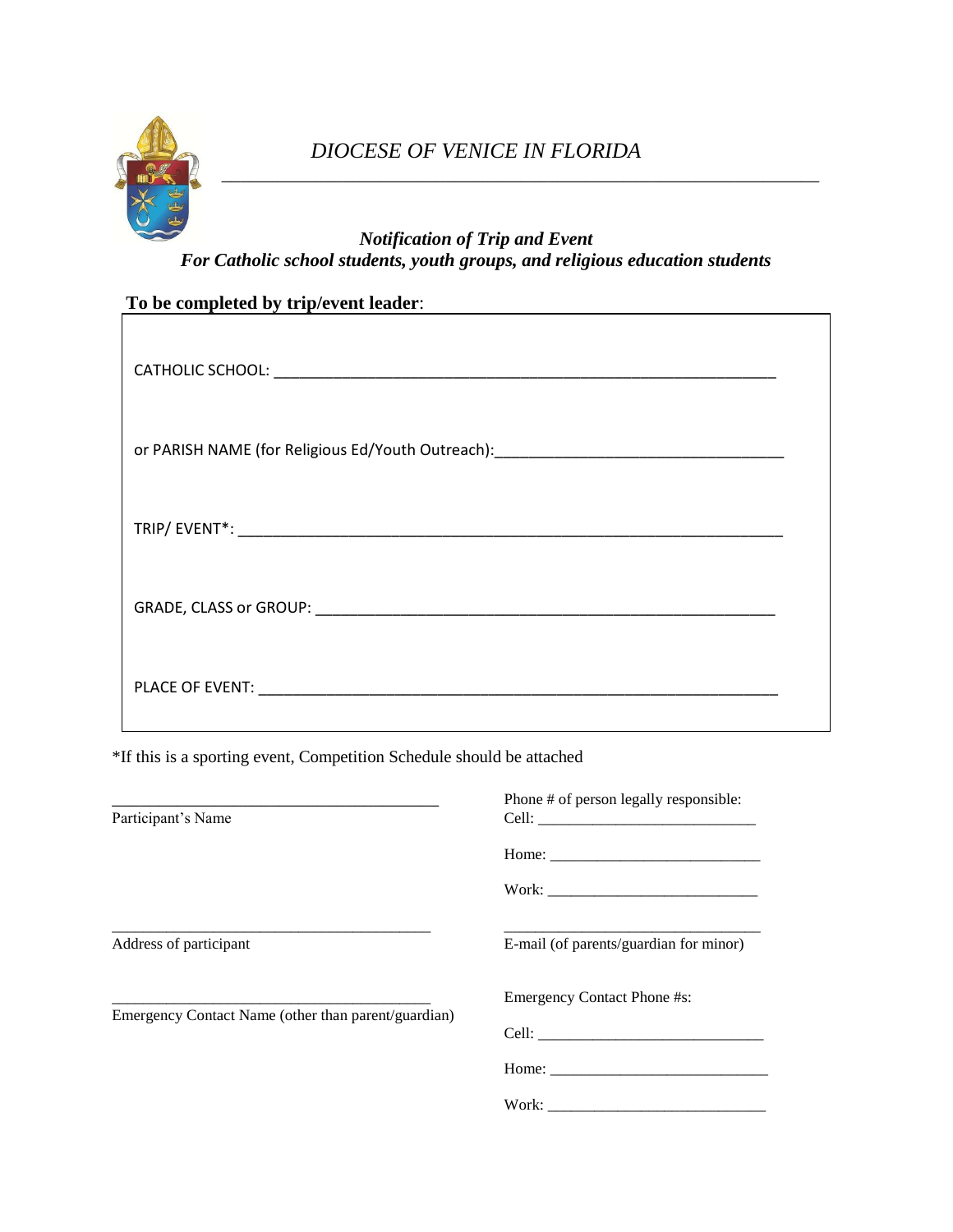

# *Notification of Trip and Event For Catholic school students, youth groups, and religious education students*

# **To be completed by trip/event leader**:

| or PARISH NAME (for Religious Ed/Youth Outreach): _______________________________ |  |
|-----------------------------------------------------------------------------------|--|
|                                                                                   |  |
|                                                                                   |  |
|                                                                                   |  |

\*If this is a sporting event, Competition Schedule should be attached

| Participant's Name                                  | Phone # of person legally responsible:                                                                                                                                                                                                                                                                                                                                                                        |  |
|-----------------------------------------------------|---------------------------------------------------------------------------------------------------------------------------------------------------------------------------------------------------------------------------------------------------------------------------------------------------------------------------------------------------------------------------------------------------------------|--|
|                                                     | Home: $\frac{1}{\sqrt{1-\frac{1}{2}}\sqrt{1-\frac{1}{2}}\sqrt{1-\frac{1}{2}}\sqrt{1-\frac{1}{2}}\sqrt{1-\frac{1}{2}}\sqrt{1-\frac{1}{2}}\sqrt{1-\frac{1}{2}}\sqrt{1-\frac{1}{2}}\sqrt{1-\frac{1}{2}}\sqrt{1-\frac{1}{2}}\sqrt{1-\frac{1}{2}}\sqrt{1-\frac{1}{2}}\sqrt{1-\frac{1}{2}}\sqrt{1-\frac{1}{2}}\sqrt{1-\frac{1}{2}}\sqrt{1-\frac{1}{2}}\sqrt{1-\frac{1}{2}}\sqrt{1-\frac{1}{2}}\sqrt{1-\frac{1}{2}}$ |  |
|                                                     |                                                                                                                                                                                                                                                                                                                                                                                                               |  |
| Address of participant                              | E-mail (of parents/guardian for minor)                                                                                                                                                                                                                                                                                                                                                                        |  |
| Emergency Contact Name (other than parent/guardian) | <b>Emergency Contact Phone #s:</b>                                                                                                                                                                                                                                                                                                                                                                            |  |
|                                                     | Cell: the contract of the contract of the contract of the contract of the contract of the contract of the contract of the contract of the contract of the contract of the contract of the contract of the contract of the cont                                                                                                                                                                                |  |
|                                                     | Home: $\frac{1}{\sqrt{1-\frac{1}{2}}\sqrt{1-\frac{1}{2}}\sqrt{1-\frac{1}{2}}\sqrt{1-\frac{1}{2}}\sqrt{1-\frac{1}{2}}\sqrt{1-\frac{1}{2}}\sqrt{1-\frac{1}{2}}\sqrt{1-\frac{1}{2}}\sqrt{1-\frac{1}{2}}\sqrt{1-\frac{1}{2}}\sqrt{1-\frac{1}{2}}\sqrt{1-\frac{1}{2}}\sqrt{1-\frac{1}{2}}\sqrt{1-\frac{1}{2}}\sqrt{1-\frac{1}{2}}\sqrt{1-\frac{1}{2}}\sqrt{1-\frac{1}{2}}\sqrt{1-\frac{1}{2}}\sqrt{1-\frac{1}{2}}$ |  |
|                                                     |                                                                                                                                                                                                                                                                                                                                                                                                               |  |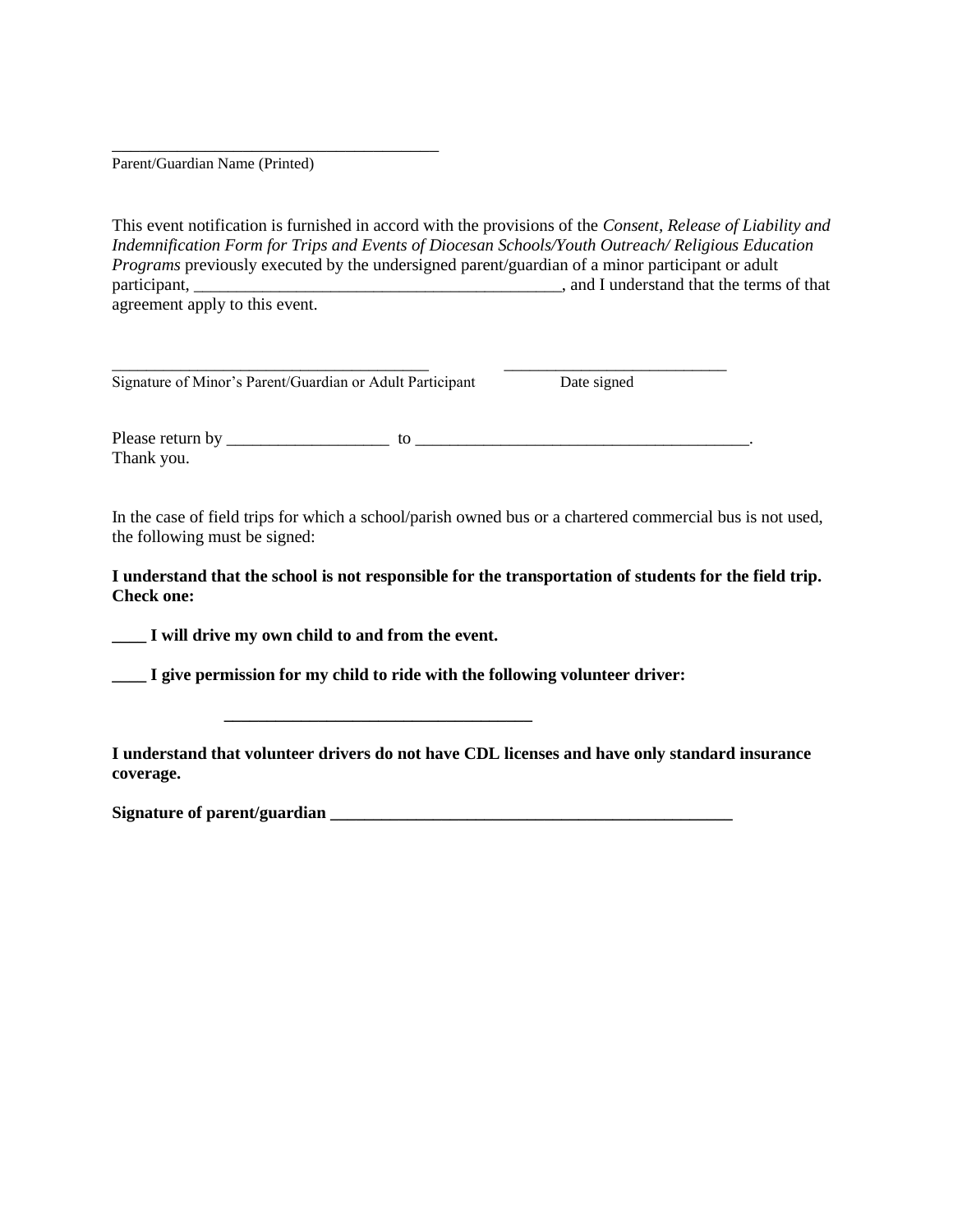Parent/Guardian Name (Printed)

\_\_\_\_\_\_\_\_\_\_\_\_\_\_\_\_\_\_\_\_\_\_\_\_\_\_\_\_\_\_\_\_\_\_\_

This event notification is furnished in accord with the provisions of the *Consent, Release of Liability and Indemnification Form for Trips and Events of Diocesan Schools/Youth Outreach/ Religious Education Programs* previously executed by the undersigned parent/guardian of a minor participant or adult participant,  $\blacksquare$  and I understand that the terms of that agreement apply to this event.

| Signature of Minor's Parent/Guardian or Adult Participant |    | Date signed |  |
|-----------------------------------------------------------|----|-------------|--|
| Please return by<br>Thank you.                            | tΩ |             |  |

In the case of field trips for which a school/parish owned bus or a chartered commercial bus is not used, the following must be signed:

**I understand that the school is not responsible for the transportation of students for the field trip. Check one:**

**\_\_\_\_ I will drive my own child to and from the event.**

**\_\_\_\_ I give permission for my child to ride with the following volunteer driver:**

**\_\_\_\_\_\_\_\_\_\_\_\_\_\_\_\_\_\_\_\_\_\_\_\_\_\_\_\_\_\_\_\_\_\_\_\_**

**I understand that volunteer drivers do not have CDL licenses and have only standard insurance coverage.**

**Signature of parent/guardian \_\_\_\_\_\_\_\_\_\_\_\_\_\_\_\_\_\_\_\_\_\_\_\_\_\_\_\_\_\_\_\_\_\_\_\_\_\_\_\_\_\_\_\_\_\_\_**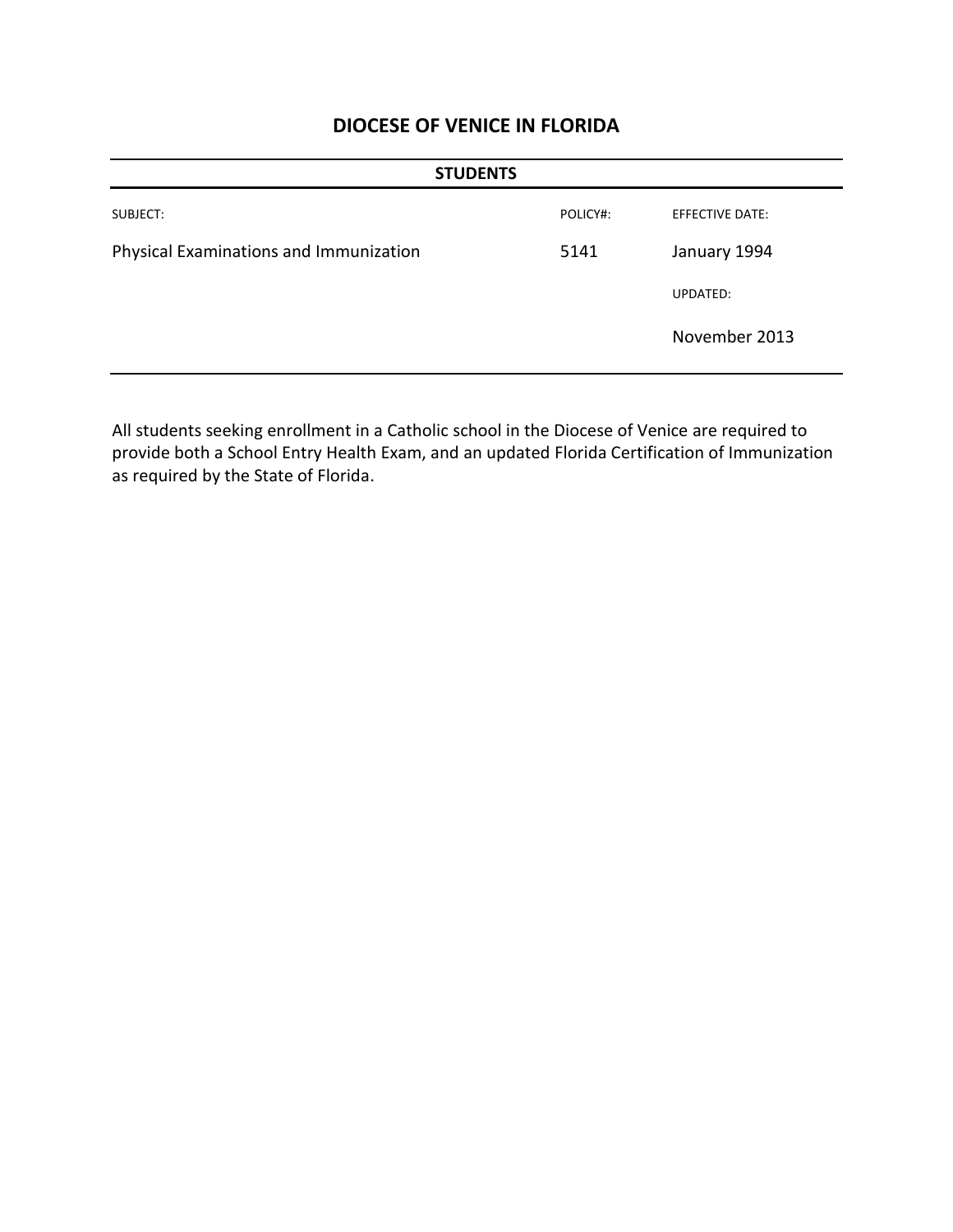| <b>STUDENTS</b>                        |          |                        |  |
|----------------------------------------|----------|------------------------|--|
| SUBJECT:                               | POLICY#: | <b>EFFECTIVE DATE:</b> |  |
| Physical Examinations and Immunization | 5141     | January 1994           |  |
|                                        |          | UPDATED:               |  |
|                                        |          | November 2013          |  |

All students seeking enrollment in a Catholic school in the Diocese of Venice are required to provide both a School Entry Health Exam, and an updated Florida Certification of Immunization as required by the State of Florida.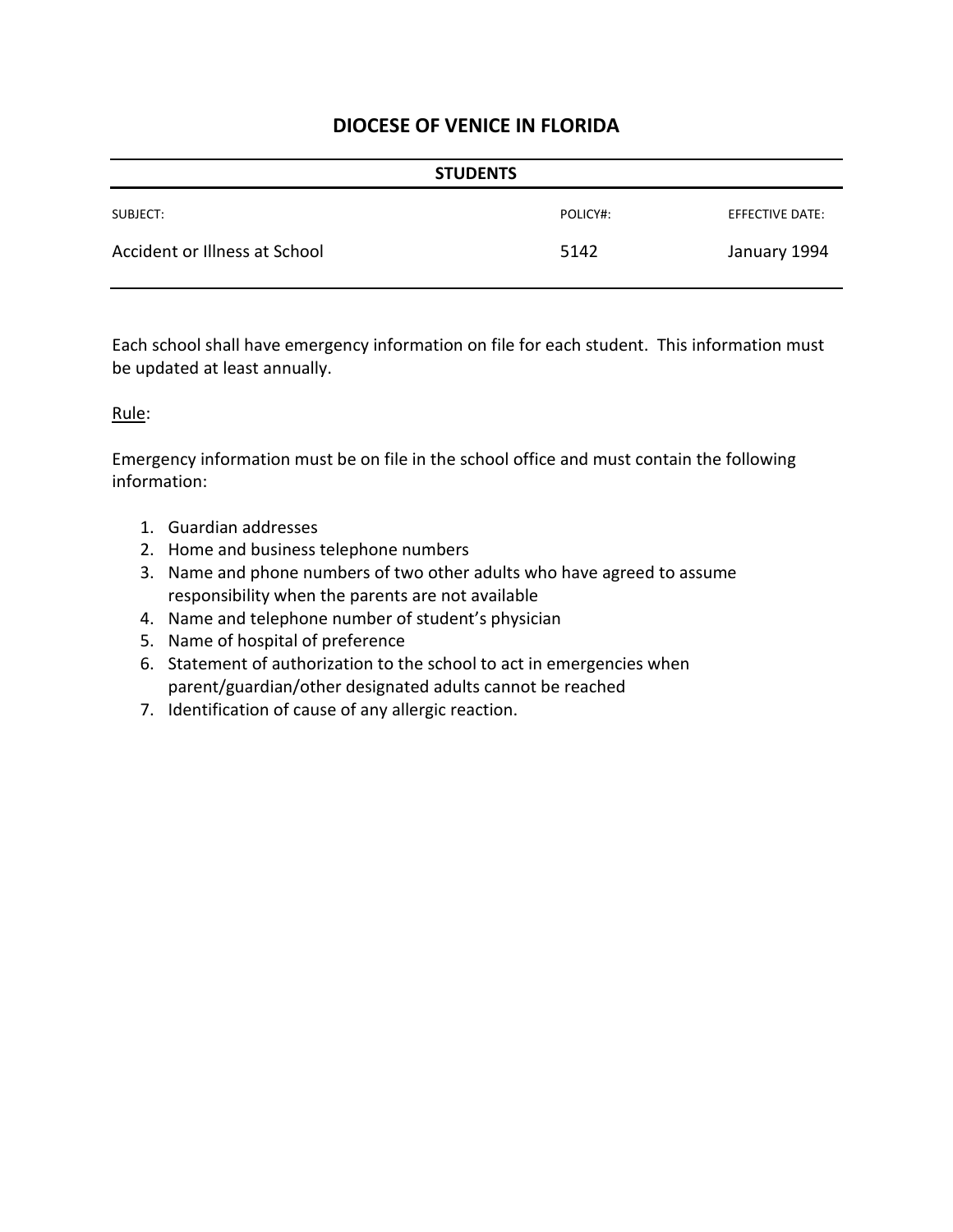| <b>STUDENTS</b>               |          |                 |  |
|-------------------------------|----------|-----------------|--|
| SUBJECT:                      | POLICY#: | EFFECTIVE DATE: |  |
| Accident or Illness at School | 5142     | January 1994    |  |

Each school shall have emergency information on file for each student. This information must be updated at least annually.

#### Rule:

Emergency information must be on file in the school office and must contain the following information:

- 1. Guardian addresses
- 2. Home and business telephone numbers
- 3. Name and phone numbers of two other adults who have agreed to assume responsibility when the parents are not available
- 4. Name and telephone number of student's physician
- 5. Name of hospital of preference
- 6. Statement of authorization to the school to act in emergencies when parent/guardian/other designated adults cannot be reached
- 7. Identification of cause of any allergic reaction.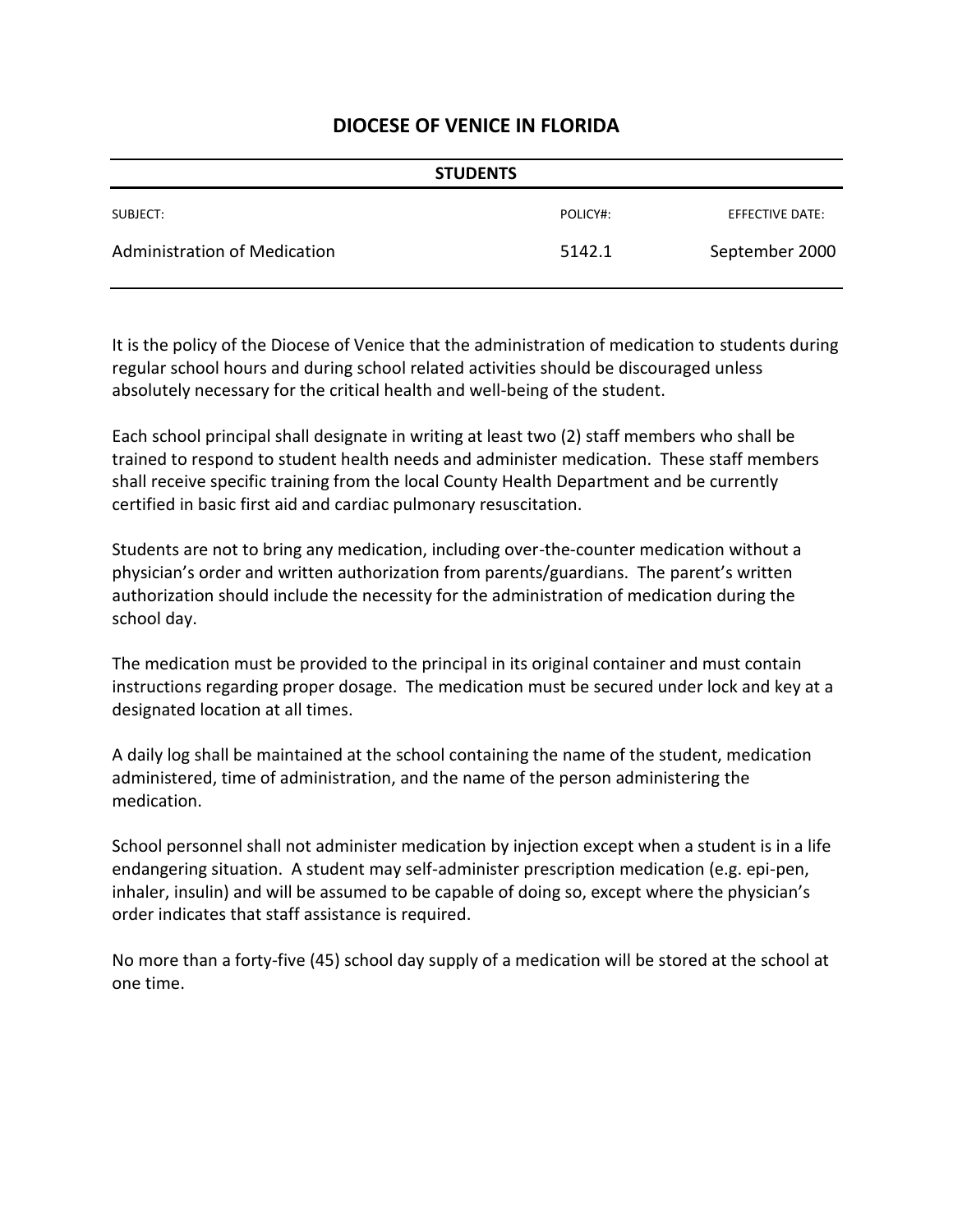| <b>STUDENTS</b>              |          |                 |  |
|------------------------------|----------|-----------------|--|
| SUBJECT:                     | POLICY#: | EFFECTIVE DATE: |  |
| Administration of Medication | 5142.1   | September 2000  |  |

It is the policy of the Diocese of Venice that the administration of medication to students during regular school hours and during school related activities should be discouraged unless absolutely necessary for the critical health and well-being of the student.

Each school principal shall designate in writing at least two (2) staff members who shall be trained to respond to student health needs and administer medication. These staff members shall receive specific training from the local County Health Department and be currently certified in basic first aid and cardiac pulmonary resuscitation.

Students are not to bring any medication, including over-the-counter medication without a physician's order and written authorization from parents/guardians. The parent's written authorization should include the necessity for the administration of medication during the school day.

The medication must be provided to the principal in its original container and must contain instructions regarding proper dosage. The medication must be secured under lock and key at a designated location at all times.

A daily log shall be maintained at the school containing the name of the student, medication administered, time of administration, and the name of the person administering the medication.

School personnel shall not administer medication by injection except when a student is in a life endangering situation. A student may self-administer prescription medication (e.g. epi-pen, inhaler, insulin) and will be assumed to be capable of doing so, except where the physician's order indicates that staff assistance is required.

No more than a forty-five (45) school day supply of a medication will be stored at the school at one time.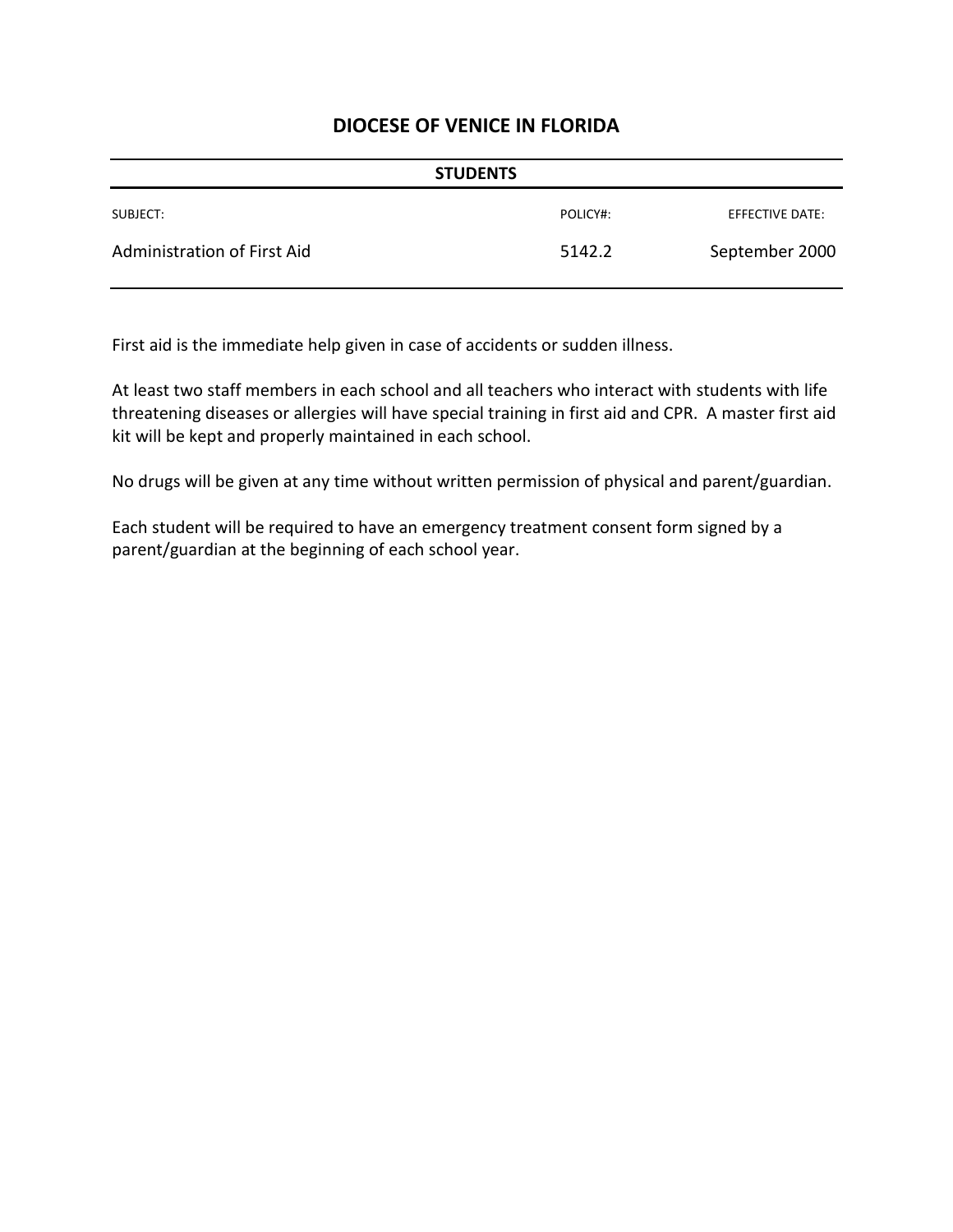| <b>STUDENTS</b>             |          |                 |  |
|-----------------------------|----------|-----------------|--|
| SUBJECT:                    | POLICY#: | EFFECTIVE DATE: |  |
| Administration of First Aid | 5142.2   | September 2000  |  |

First aid is the immediate help given in case of accidents or sudden illness.

At least two staff members in each school and all teachers who interact with students with life threatening diseases or allergies will have special training in first aid and CPR. A master first aid kit will be kept and properly maintained in each school.

No drugs will be given at any time without written permission of physical and parent/guardian.

Each student will be required to have an emergency treatment consent form signed by a parent/guardian at the beginning of each school year.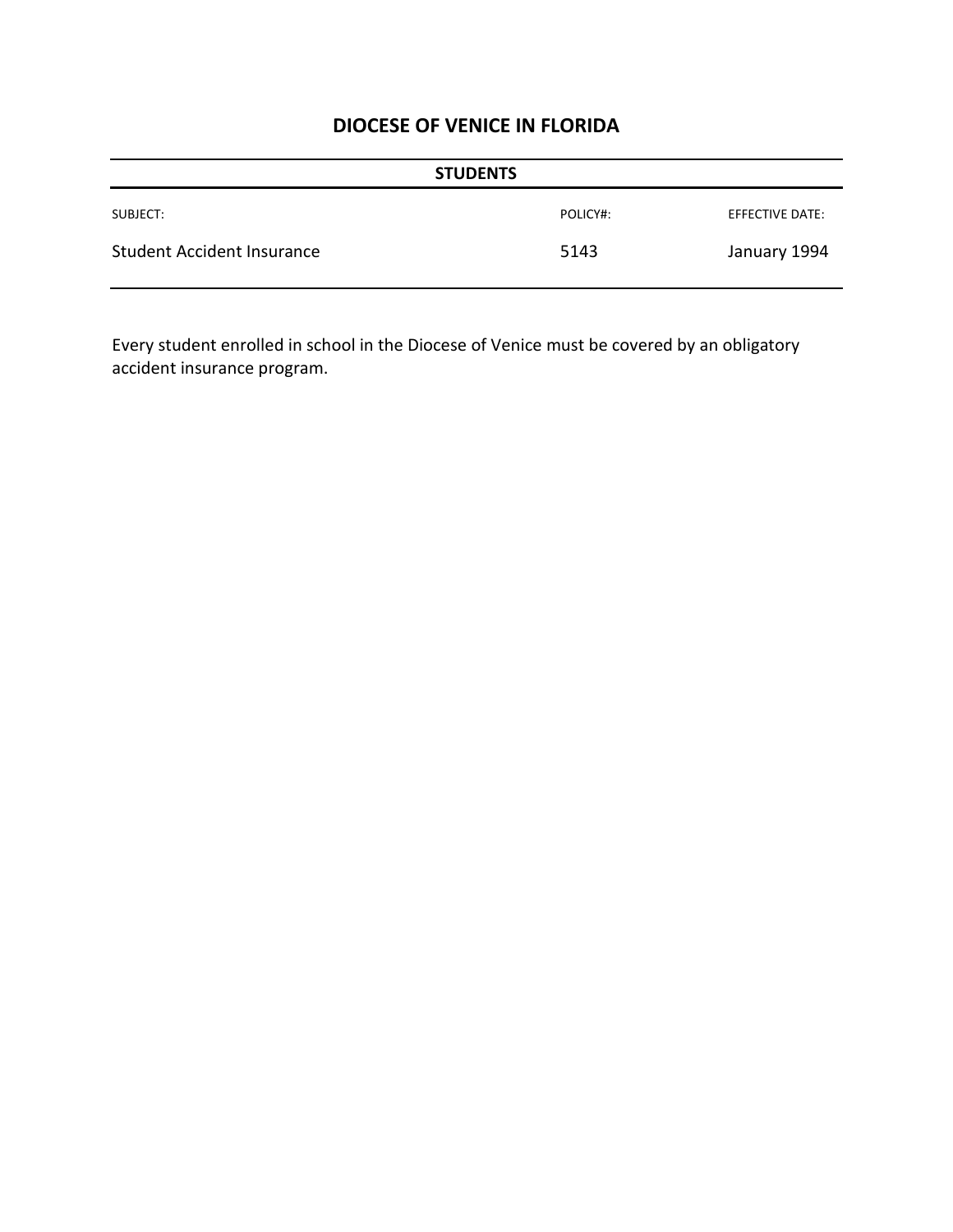|                                   | <b>STUDENTS</b> |                 |
|-----------------------------------|-----------------|-----------------|
| SUBJECT:                          | POLICY#:        | EFFECTIVE DATE: |
| <b>Student Accident Insurance</b> | 5143            | January 1994    |

Every student enrolled in school in the Diocese of Venice must be covered by an obligatory accident insurance program.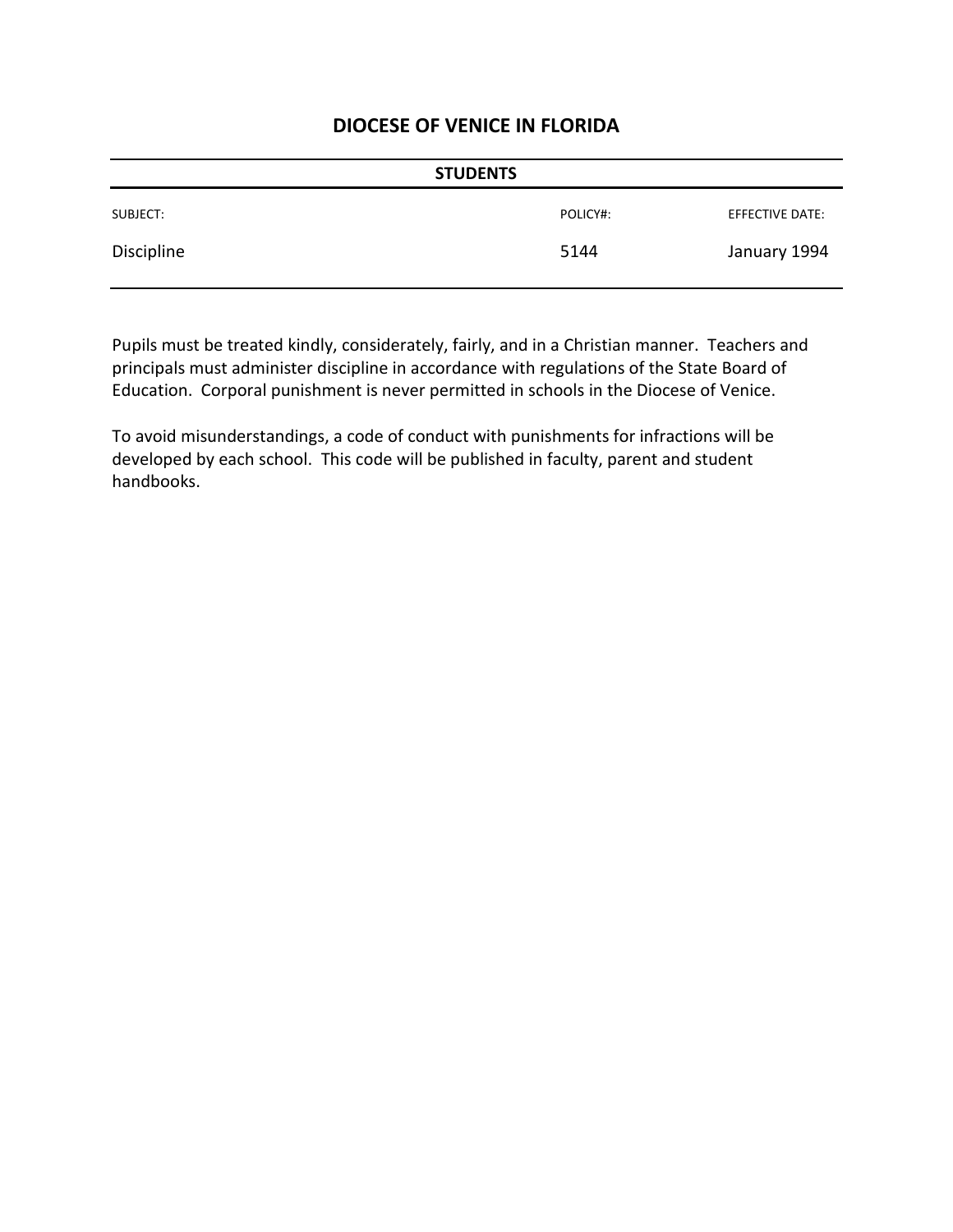| <b>STUDENTS</b> |          |                 |
|-----------------|----------|-----------------|
| SUBJECT:        | POLICY#: | EFFECTIVE DATE: |
| Discipline      | 5144     | January 1994    |

Pupils must be treated kindly, considerately, fairly, and in a Christian manner. Teachers and principals must administer discipline in accordance with regulations of the State Board of Education. Corporal punishment is never permitted in schools in the Diocese of Venice.

To avoid misunderstandings, a code of conduct with punishments for infractions will be developed by each school. This code will be published in faculty, parent and student handbooks.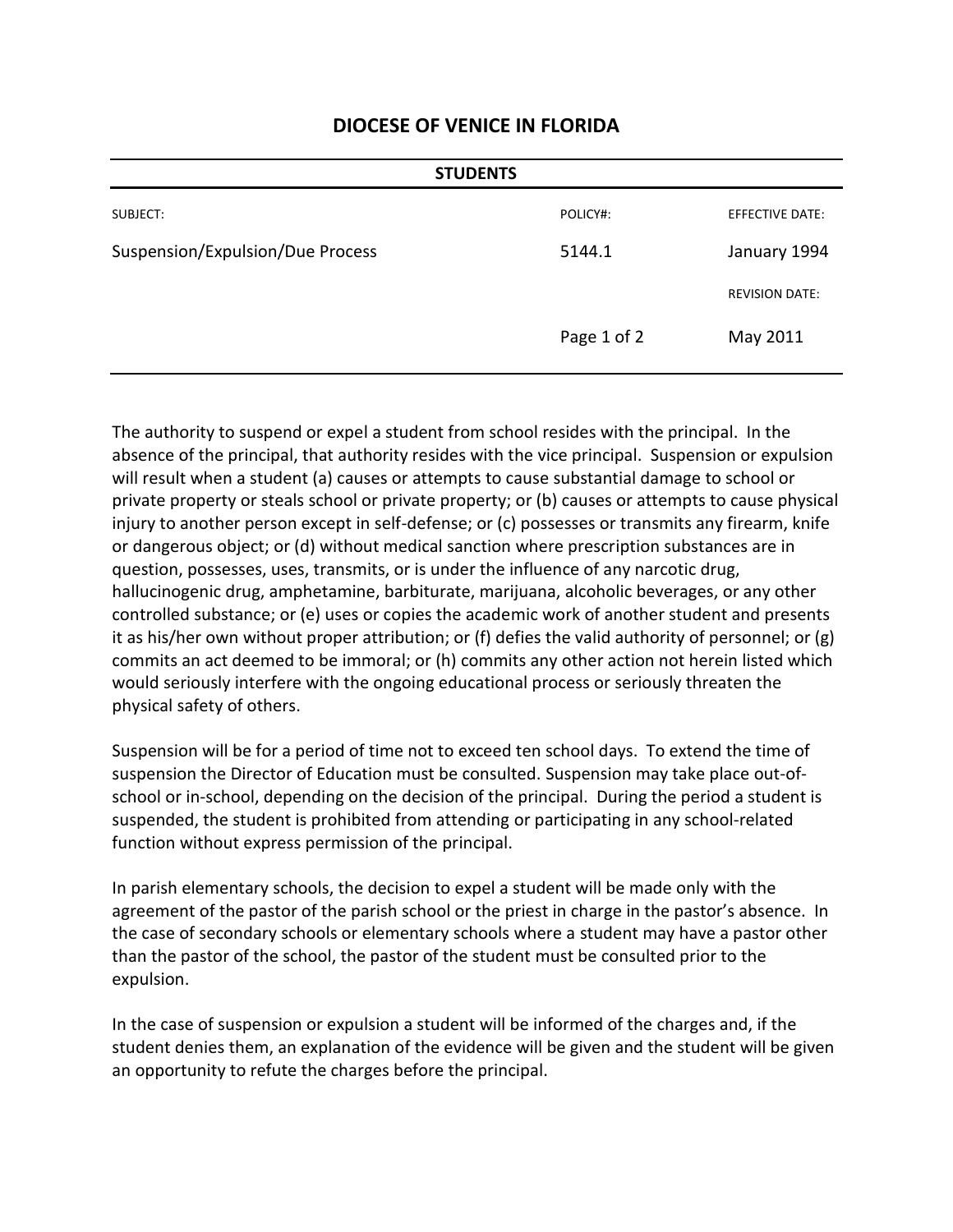| <b>STUDENTS</b>                  |             |                        |
|----------------------------------|-------------|------------------------|
| SUBJECT:                         | POLICY#:    | <b>EFFECTIVE DATE:</b> |
| Suspension/Expulsion/Due Process | 5144.1      | January 1994           |
|                                  |             | <b>REVISION DATE:</b>  |
|                                  | Page 1 of 2 | May 2011               |

The authority to suspend or expel a student from school resides with the principal. In the absence of the principal, that authority resides with the vice principal. Suspension or expulsion will result when a student (a) causes or attempts to cause substantial damage to school or private property or steals school or private property; or (b) causes or attempts to cause physical injury to another person except in self-defense; or (c) possesses or transmits any firearm, knife or dangerous object; or (d) without medical sanction where prescription substances are in question, possesses, uses, transmits, or is under the influence of any narcotic drug, hallucinogenic drug, amphetamine, barbiturate, marijuana, alcoholic beverages, or any other controlled substance; or (e) uses or copies the academic work of another student and presents it as his/her own without proper attribution; or (f) defies the valid authority of personnel; or (g) commits an act deemed to be immoral; or (h) commits any other action not herein listed which would seriously interfere with the ongoing educational process or seriously threaten the physical safety of others.

Suspension will be for a period of time not to exceed ten school days. To extend the time of suspension the Director of Education must be consulted. Suspension may take place out-ofschool or in-school, depending on the decision of the principal. During the period a student is suspended, the student is prohibited from attending or participating in any school-related function without express permission of the principal.

In parish elementary schools, the decision to expel a student will be made only with the agreement of the pastor of the parish school or the priest in charge in the pastor's absence. In the case of secondary schools or elementary schools where a student may have a pastor other than the pastor of the school, the pastor of the student must be consulted prior to the expulsion.

In the case of suspension or expulsion a student will be informed of the charges and, if the student denies them, an explanation of the evidence will be given and the student will be given an opportunity to refute the charges before the principal.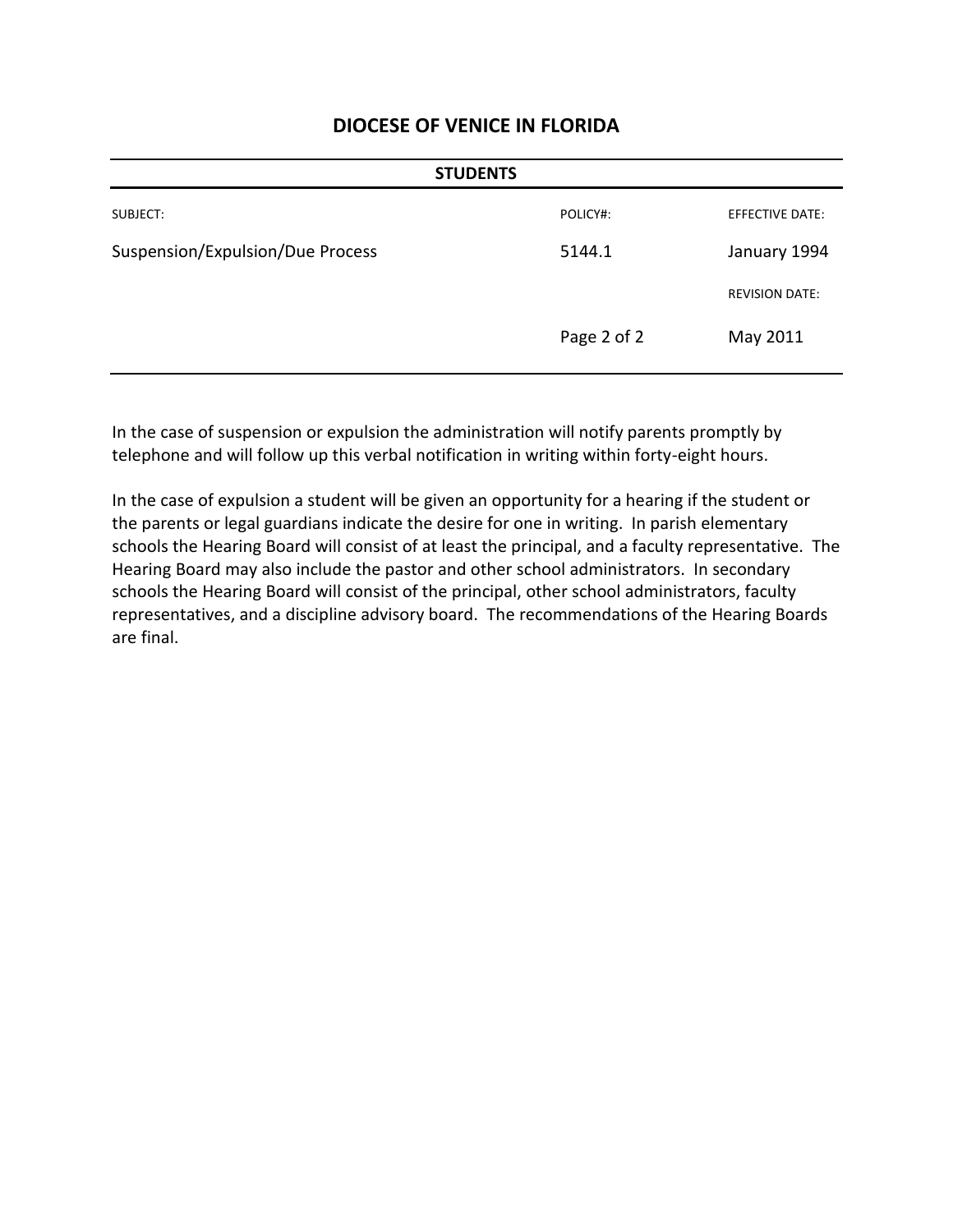| <b>STUDENTS</b>                  |             |                        |
|----------------------------------|-------------|------------------------|
| SUBJECT:                         | POLICY#:    | <b>EFFECTIVE DATE:</b> |
| Suspension/Expulsion/Due Process | 5144.1      | January 1994           |
|                                  |             | <b>REVISION DATE:</b>  |
|                                  | Page 2 of 2 | May 2011               |

In the case of suspension or expulsion the administration will notify parents promptly by telephone and will follow up this verbal notification in writing within forty-eight hours.

In the case of expulsion a student will be given an opportunity for a hearing if the student or the parents or legal guardians indicate the desire for one in writing. In parish elementary schools the Hearing Board will consist of at least the principal, and a faculty representative. The Hearing Board may also include the pastor and other school administrators. In secondary schools the Hearing Board will consist of the principal, other school administrators, faculty representatives, and a discipline advisory board. The recommendations of the Hearing Boards are final.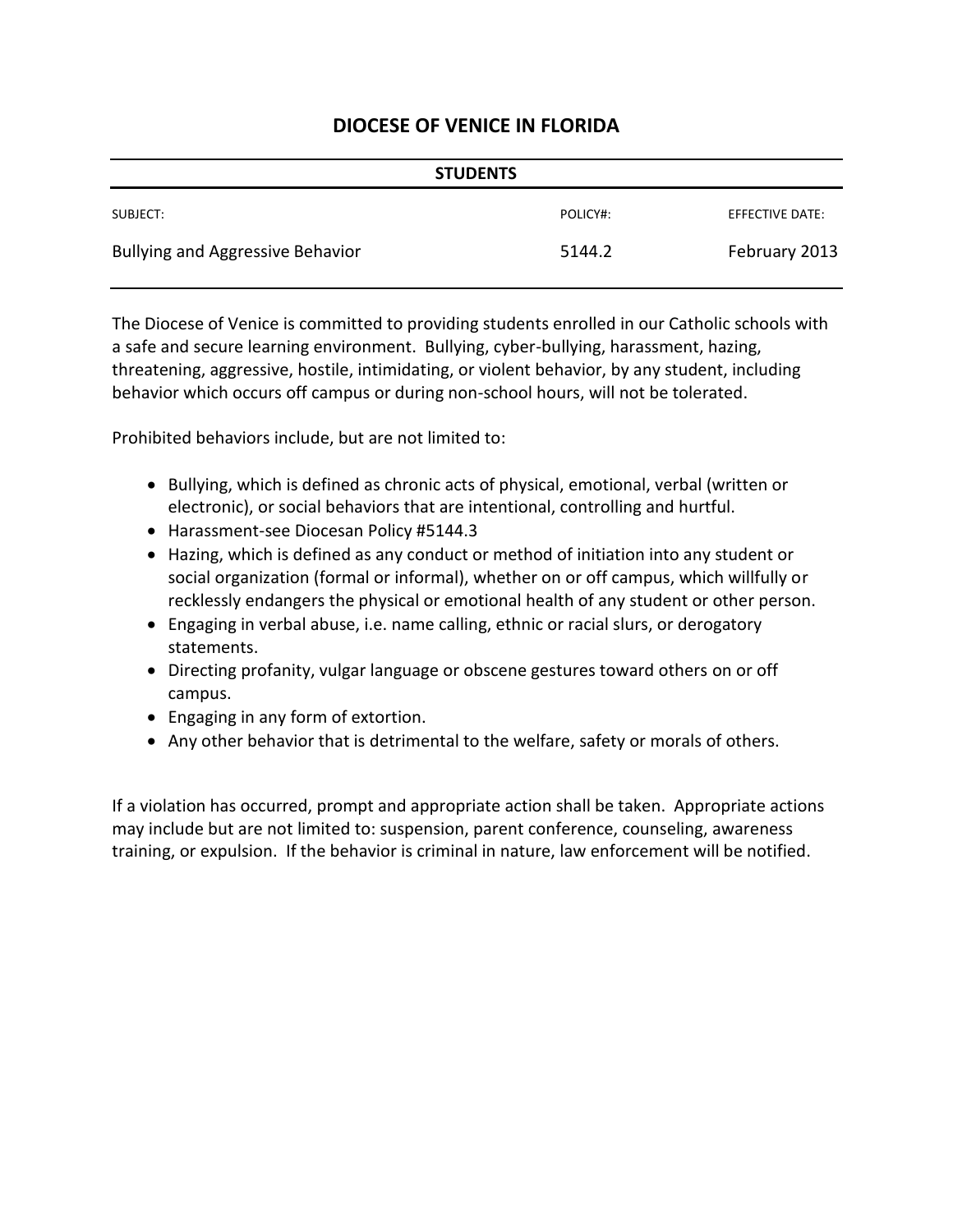|                                         | <b>STUDENTS</b> |                 |
|-----------------------------------------|-----------------|-----------------|
| SUBJECT:                                | POLICY#:        | EFFECTIVE DATE: |
| <b>Bullying and Aggressive Behavior</b> | 5144.2          | February 2013   |

The Diocese of Venice is committed to providing students enrolled in our Catholic schools with a safe and secure learning environment. Bullying, cyber-bullying, harassment, hazing, threatening, aggressive, hostile, intimidating, or violent behavior, by any student, including behavior which occurs off campus or during non-school hours, will not be tolerated.

Prohibited behaviors include, but are not limited to:

- Bullying, which is defined as chronic acts of physical, emotional, verbal (written or electronic), or social behaviors that are intentional, controlling and hurtful.
- Harassment-see Diocesan Policy #5144.3
- Hazing, which is defined as any conduct or method of initiation into any student or social organization (formal or informal), whether on or off campus, which willfully or recklessly endangers the physical or emotional health of any student or other person.
- Engaging in verbal abuse, i.e. name calling, ethnic or racial slurs, or derogatory statements.
- Directing profanity, vulgar language or obscene gestures toward others on or off campus.
- Engaging in any form of extortion.
- Any other behavior that is detrimental to the welfare, safety or morals of others.

If a violation has occurred, prompt and appropriate action shall be taken. Appropriate actions may include but are not limited to: suspension, parent conference, counseling, awareness training, or expulsion. If the behavior is criminal in nature, law enforcement will be notified.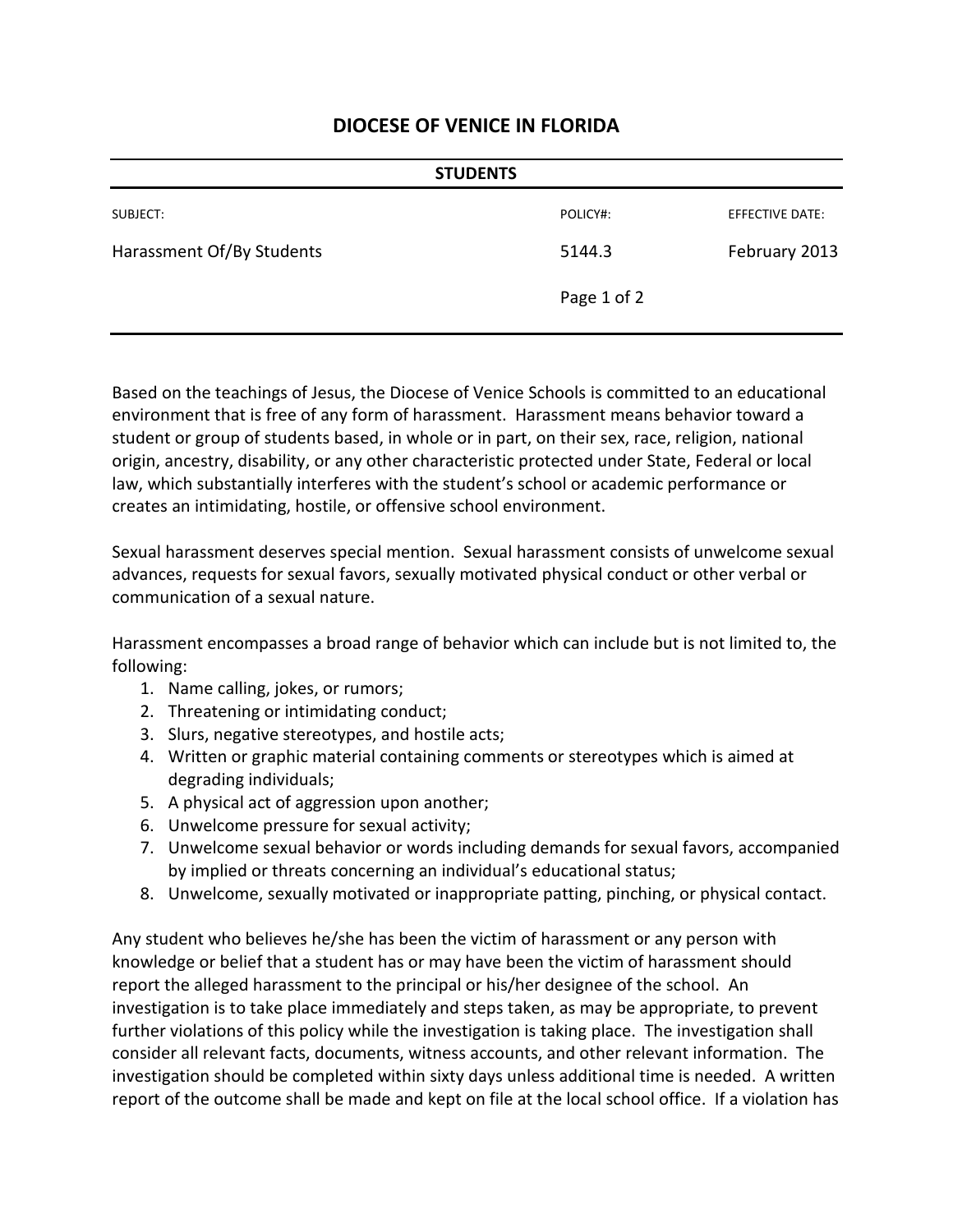| <b>STUDENTS</b>           |             |                 |
|---------------------------|-------------|-----------------|
| SUBJECT:                  | POLICY#:    | EFFECTIVE DATE: |
| Harassment Of/By Students | 5144.3      | February 2013   |
|                           | Page 1 of 2 |                 |

Based on the teachings of Jesus, the Diocese of Venice Schools is committed to an educational environment that is free of any form of harassment. Harassment means behavior toward a student or group of students based, in whole or in part, on their sex, race, religion, national origin, ancestry, disability, or any other characteristic protected under State, Federal or local law, which substantially interferes with the student's school or academic performance or creates an intimidating, hostile, or offensive school environment.

Sexual harassment deserves special mention. Sexual harassment consists of unwelcome sexual advances, requests for sexual favors, sexually motivated physical conduct or other verbal or communication of a sexual nature.

Harassment encompasses a broad range of behavior which can include but is not limited to, the following:

- 1. Name calling, jokes, or rumors;
- 2. Threatening or intimidating conduct;
- 3. Slurs, negative stereotypes, and hostile acts;
- 4. Written or graphic material containing comments or stereotypes which is aimed at degrading individuals;
- 5. A physical act of aggression upon another;
- 6. Unwelcome pressure for sexual activity;
- 7. Unwelcome sexual behavior or words including demands for sexual favors, accompanied by implied or threats concerning an individual's educational status;
- 8. Unwelcome, sexually motivated or inappropriate patting, pinching, or physical contact.

Any student who believes he/she has been the victim of harassment or any person with knowledge or belief that a student has or may have been the victim of harassment should report the alleged harassment to the principal or his/her designee of the school. An investigation is to take place immediately and steps taken, as may be appropriate, to prevent further violations of this policy while the investigation is taking place. The investigation shall consider all relevant facts, documents, witness accounts, and other relevant information. The investigation should be completed within sixty days unless additional time is needed. A written report of the outcome shall be made and kept on file at the local school office. If a violation has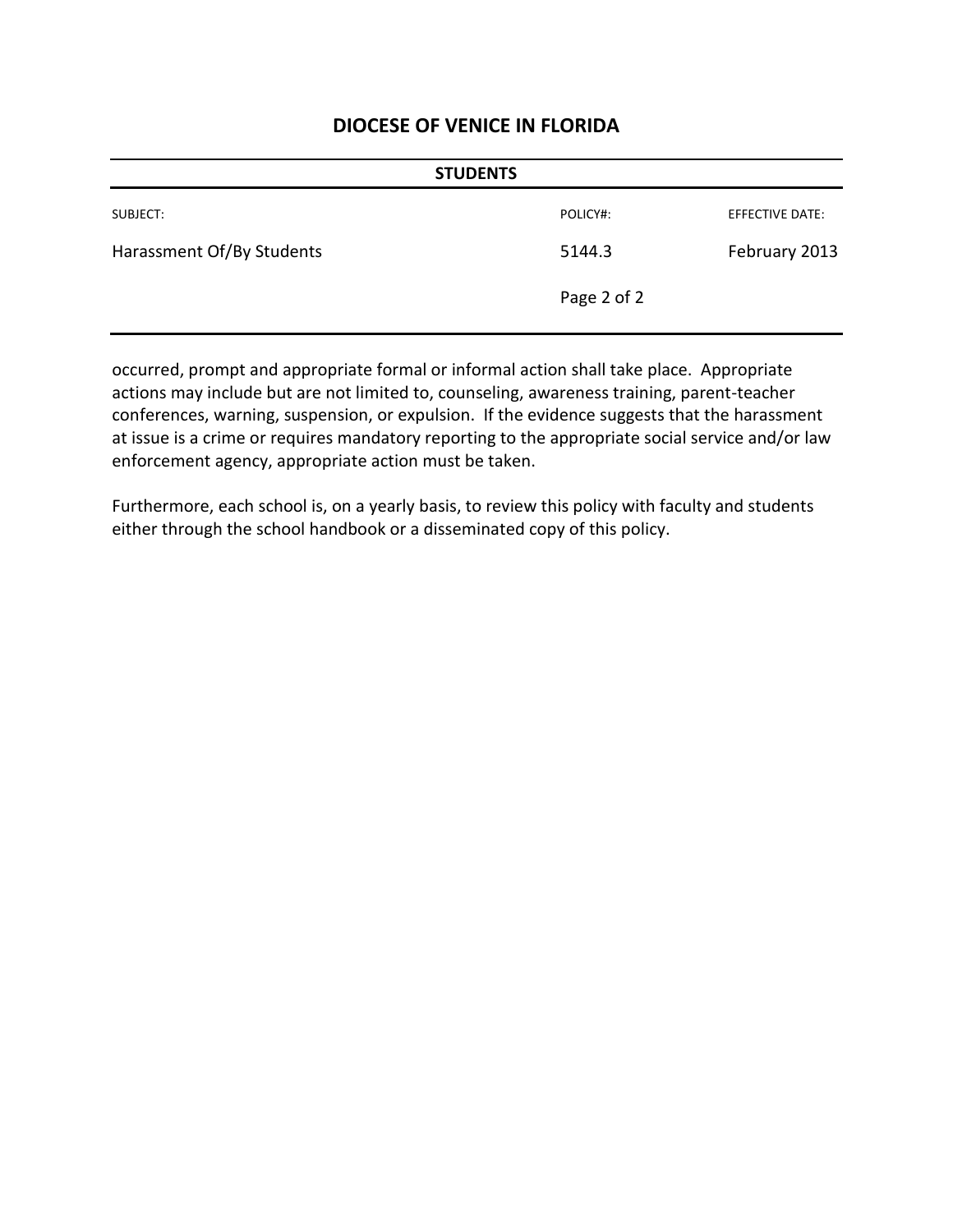| <b>STUDENTS</b>           |             |                 |
|---------------------------|-------------|-----------------|
| SUBJECT:                  | POLICY#:    | EFFECTIVE DATE: |
| Harassment Of/By Students | 5144.3      | February 2013   |
|                           | Page 2 of 2 |                 |

occurred, prompt and appropriate formal or informal action shall take place. Appropriate actions may include but are not limited to, counseling, awareness training, parent-teacher conferences, warning, suspension, or expulsion. If the evidence suggests that the harassment at issue is a crime or requires mandatory reporting to the appropriate social service and/or law enforcement agency, appropriate action must be taken.

Furthermore, each school is, on a yearly basis, to review this policy with faculty and students either through the school handbook or a disseminated copy of this policy.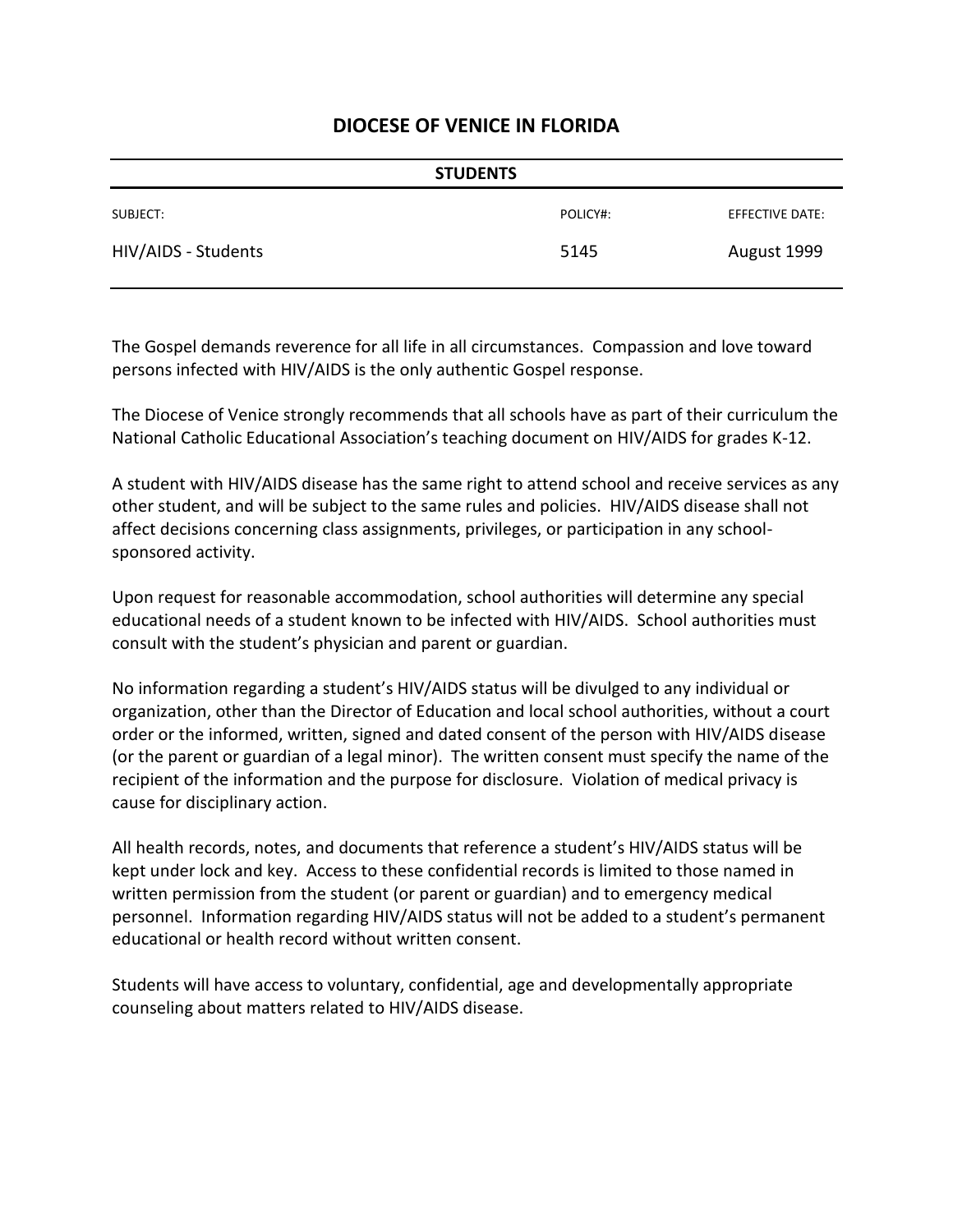| <b>STUDENTS</b>     |          |                 |
|---------------------|----------|-----------------|
| SUBJECT:            | POLICY#: | EFFECTIVE DATE: |
| HIV/AIDS - Students | 5145     | August 1999     |

The Gospel demands reverence for all life in all circumstances. Compassion and love toward persons infected with HIV/AIDS is the only authentic Gospel response.

The Diocese of Venice strongly recommends that all schools have as part of their curriculum the National Catholic Educational Association's teaching document on HIV/AIDS for grades K-12.

A student with HIV/AIDS disease has the same right to attend school and receive services as any other student, and will be subject to the same rules and policies. HIV/AIDS disease shall not affect decisions concerning class assignments, privileges, or participation in any schoolsponsored activity.

Upon request for reasonable accommodation, school authorities will determine any special educational needs of a student known to be infected with HIV/AIDS. School authorities must consult with the student's physician and parent or guardian.

No information regarding a student's HIV/AIDS status will be divulged to any individual or organization, other than the Director of Education and local school authorities, without a court order or the informed, written, signed and dated consent of the person with HIV/AIDS disease (or the parent or guardian of a legal minor). The written consent must specify the name of the recipient of the information and the purpose for disclosure. Violation of medical privacy is cause for disciplinary action.

All health records, notes, and documents that reference a student's HIV/AIDS status will be kept under lock and key. Access to these confidential records is limited to those named in written permission from the student (or parent or guardian) and to emergency medical personnel. Information regarding HIV/AIDS status will not be added to a student's permanent educational or health record without written consent.

Students will have access to voluntary, confidential, age and developmentally appropriate counseling about matters related to HIV/AIDS disease.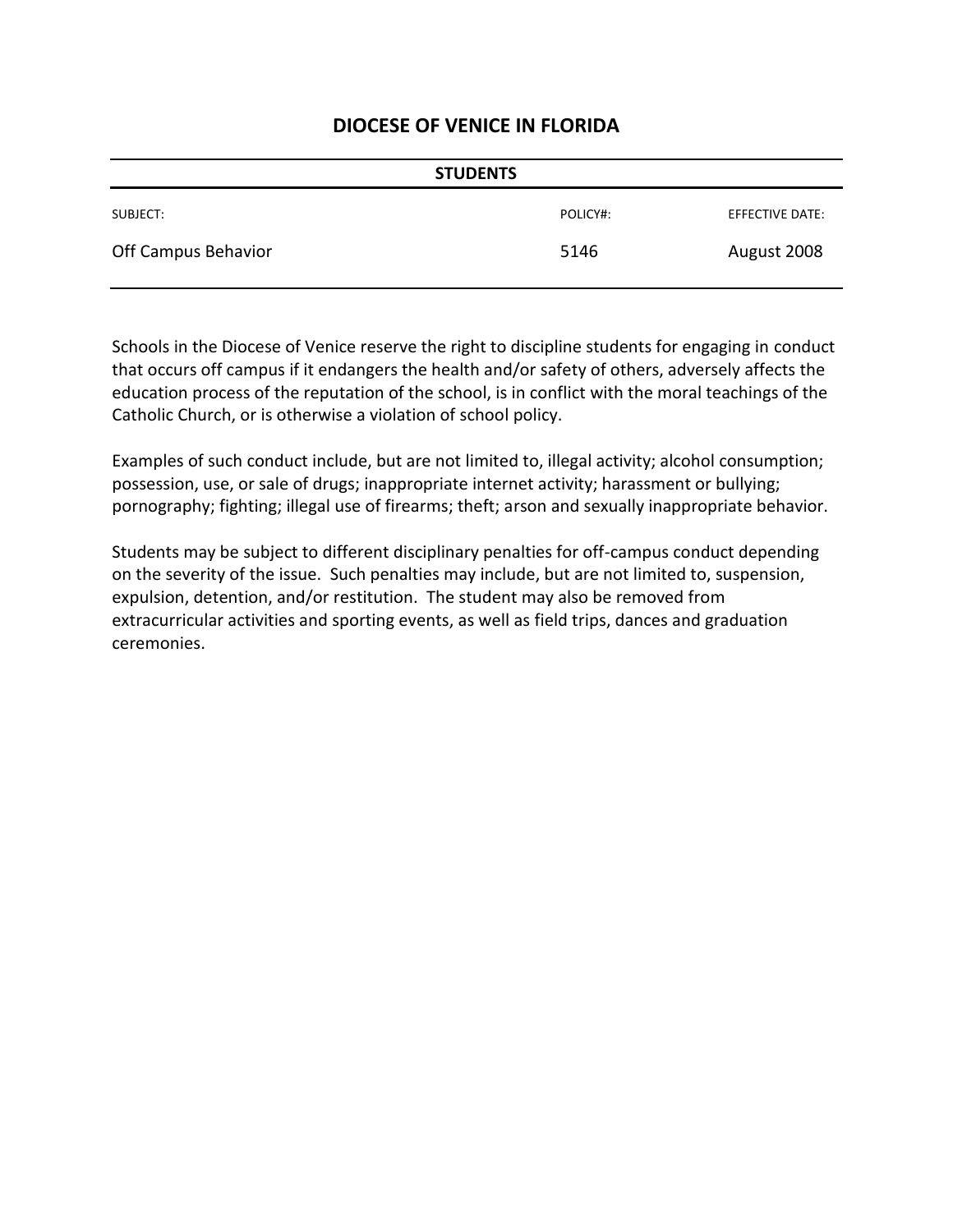| <b>STUDENTS</b>     |          |                 |
|---------------------|----------|-----------------|
| SUBJECT:            | POLICY#: | EFFECTIVE DATE: |
| Off Campus Behavior | 5146     | August 2008     |

Schools in the Diocese of Venice reserve the right to discipline students for engaging in conduct that occurs off campus if it endangers the health and/or safety of others, adversely affects the education process of the reputation of the school, is in conflict with the moral teachings of the Catholic Church, or is otherwise a violation of school policy.

Examples of such conduct include, but are not limited to, illegal activity; alcohol consumption; possession, use, or sale of drugs; inappropriate internet activity; harassment or bullying; pornography; fighting; illegal use of firearms; theft; arson and sexually inappropriate behavior.

Students may be subject to different disciplinary penalties for off-campus conduct depending on the severity of the issue. Such penalties may include, but are not limited to, suspension, expulsion, detention, and/or restitution. The student may also be removed from extracurricular activities and sporting events, as well as field trips, dances and graduation ceremonies.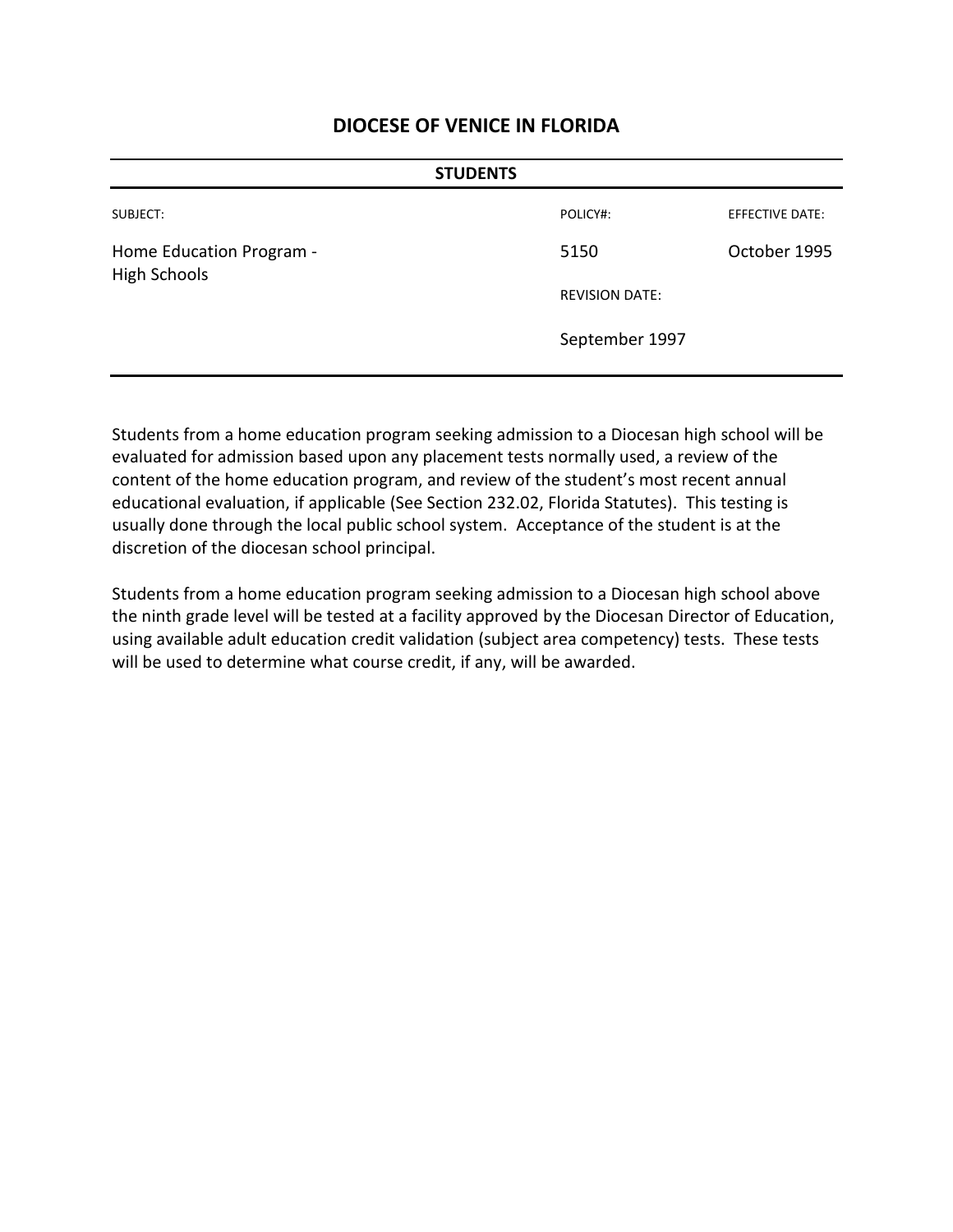| <b>STUDENTS</b>                                 |                       |                        |
|-------------------------------------------------|-----------------------|------------------------|
| SUBJECT:                                        | POLICY#:              | <b>EFFECTIVE DATE:</b> |
| Home Education Program -<br><b>High Schools</b> | 5150                  | October 1995           |
|                                                 | <b>REVISION DATE:</b> |                        |
|                                                 | September 1997        |                        |
|                                                 |                       |                        |

Students from a home education program seeking admission to a Diocesan high school will be evaluated for admission based upon any placement tests normally used, a review of the content of the home education program, and review of the student's most recent annual educational evaluation, if applicable (See Section 232.02, Florida Statutes). This testing is usually done through the local public school system. Acceptance of the student is at the discretion of the diocesan school principal.

Students from a home education program seeking admission to a Diocesan high school above the ninth grade level will be tested at a facility approved by the Diocesan Director of Education, using available adult education credit validation (subject area competency) tests. These tests will be used to determine what course credit, if any, will be awarded.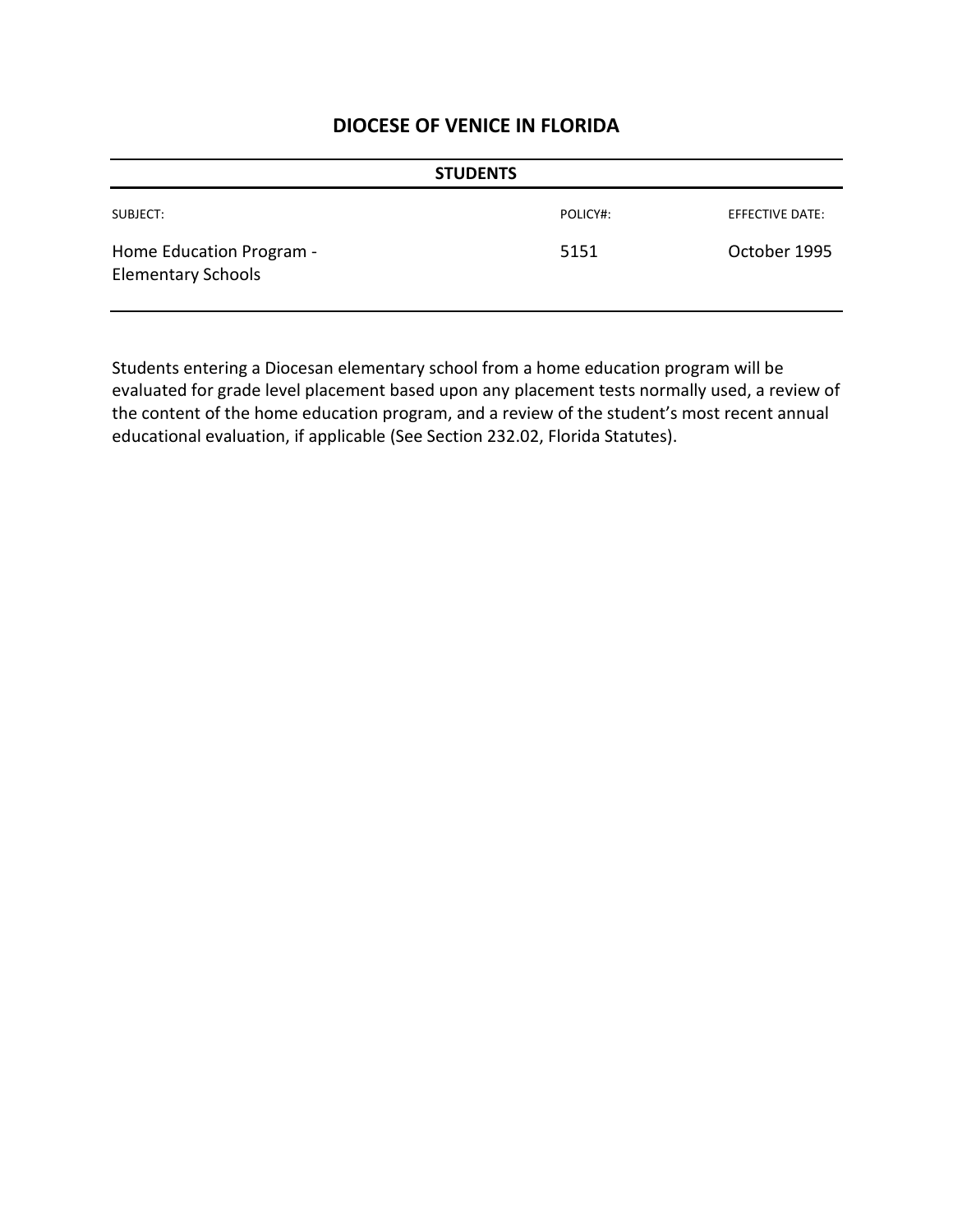| <b>STUDENTS</b>                                       |          |                        |
|-------------------------------------------------------|----------|------------------------|
| SUBJECT:                                              | POLICY#: | <b>EFFECTIVE DATE:</b> |
| Home Education Program -<br><b>Elementary Schools</b> | 5151     | October 1995           |

Students entering a Diocesan elementary school from a home education program will be evaluated for grade level placement based upon any placement tests normally used, a review of the content of the home education program, and a review of the student's most recent annual educational evaluation, if applicable (See Section 232.02, Florida Statutes).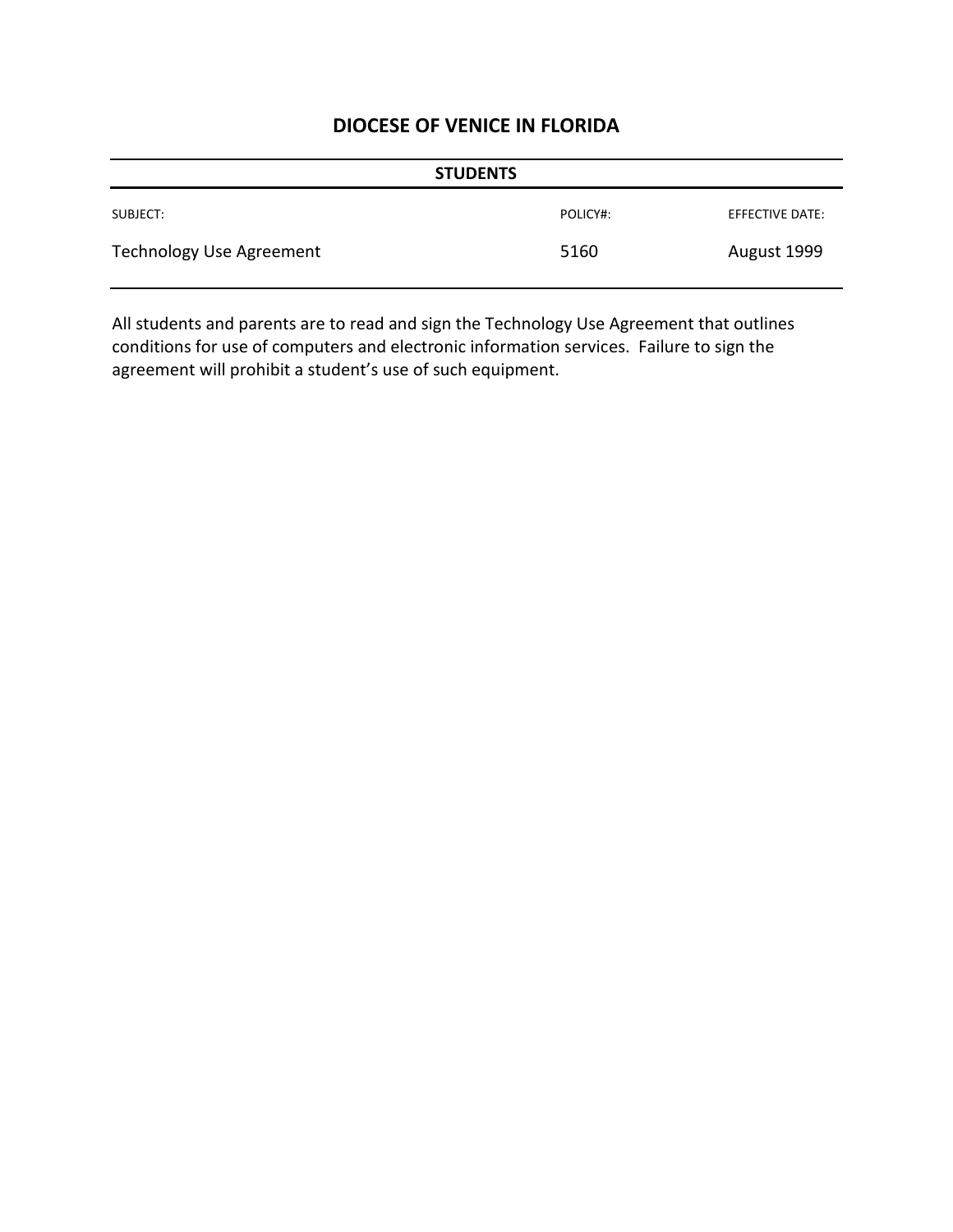| <b>STUDENTS</b>          |          |                 |
|--------------------------|----------|-----------------|
| SUBJECT:                 | POLICY#: | EFFECTIVE DATE: |
| Technology Use Agreement | 5160     | August 1999     |

All students and parents are to read and sign the Technology Use Agreement that outlines conditions for use of computers and electronic information services. Failure to sign the agreement will prohibit a student's use of such equipment.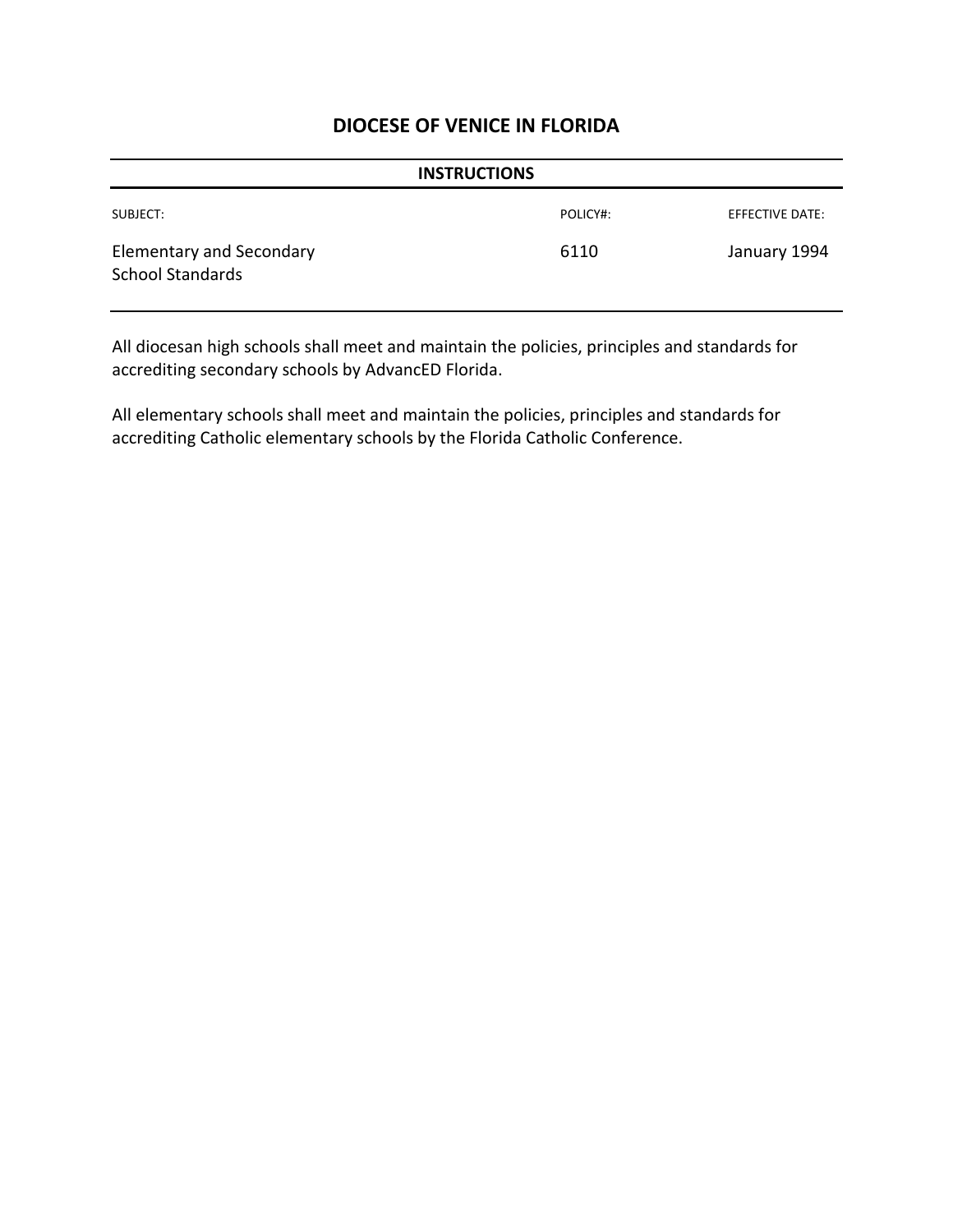| <b>INSTRUCTIONS</b>                                        |          |                        |
|------------------------------------------------------------|----------|------------------------|
| SUBJECT:                                                   | POLICY#: | <b>EFFECTIVE DATE:</b> |
| <b>Elementary and Secondary</b><br><b>School Standards</b> | 6110     | January 1994           |

All diocesan high schools shall meet and maintain the policies, principles and standards for accrediting secondary schools by AdvancED Florida.

All elementary schools shall meet and maintain the policies, principles and standards for accrediting Catholic elementary schools by the Florida Catholic Conference.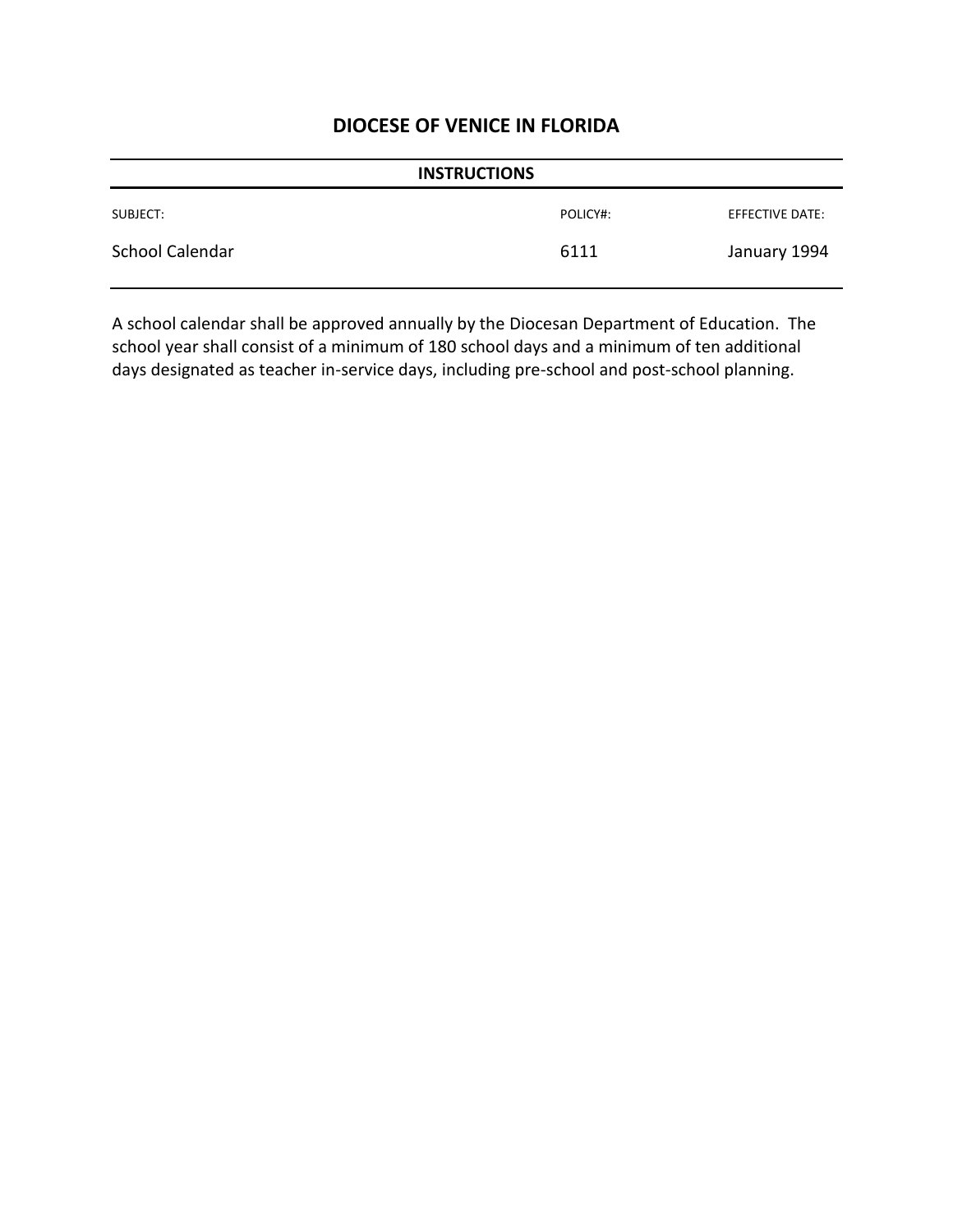| <b>INSTRUCTIONS</b> |          |                 |
|---------------------|----------|-----------------|
| SUBJECT:            | POLICY#: | EFFECTIVE DATE: |
| School Calendar     | 6111     | January 1994    |

A school calendar shall be approved annually by the Diocesan Department of Education. The school year shall consist of a minimum of 180 school days and a minimum of ten additional days designated as teacher in-service days, including pre-school and post-school planning.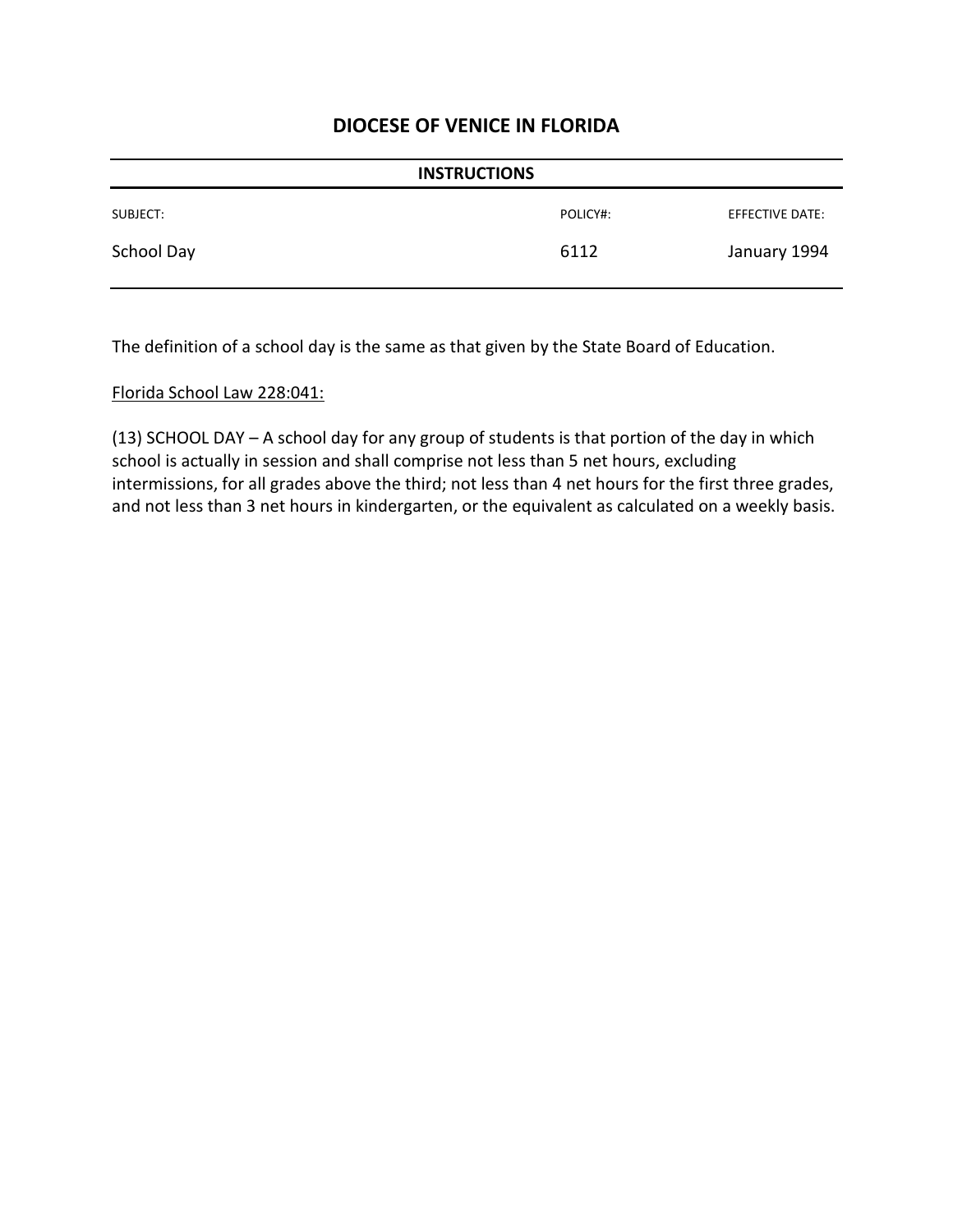| <b>INSTRUCTIONS</b> |          |                 |
|---------------------|----------|-----------------|
| SUBJECT:            | POLICY#: | EFFECTIVE DATE: |
| School Day          | 6112     | January 1994    |

The definition of a school day is the same as that given by the State Board of Education.

#### Florida School Law 228:041:

(13) SCHOOL DAY – A school day for any group of students is that portion of the day in which school is actually in session and shall comprise not less than 5 net hours, excluding intermissions, for all grades above the third; not less than 4 net hours for the first three grades, and not less than 3 net hours in kindergarten, or the equivalent as calculated on a weekly basis.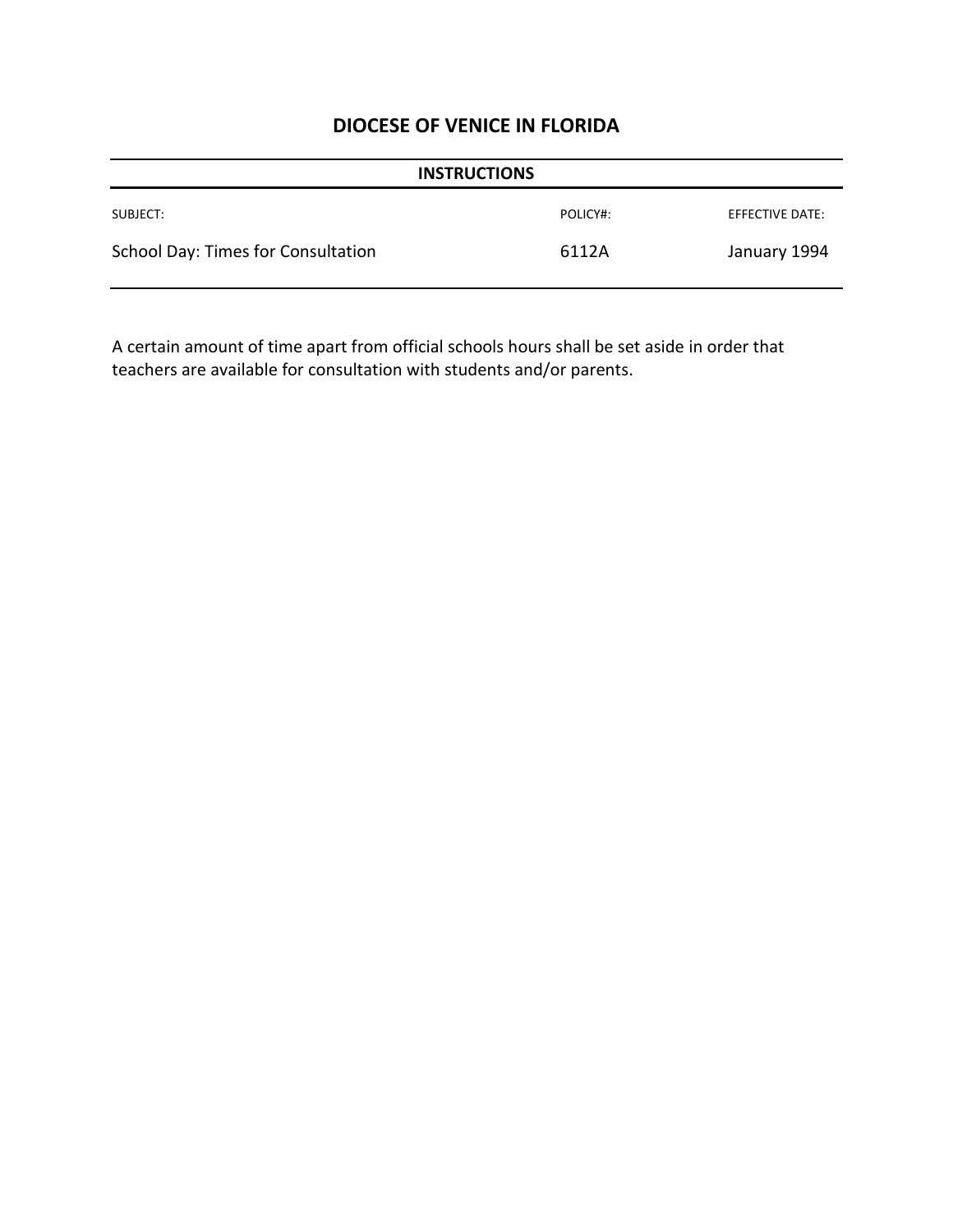| <b>INSTRUCTIONS</b>                |          |                 |
|------------------------------------|----------|-----------------|
| SUBJECT:                           | POLICY#: | EFFECTIVE DATE: |
| School Day: Times for Consultation | 6112A    | January 1994    |

A certain amount of time apart from official schools hours shall be set aside in order that teachers are available for consultation with students and/or parents.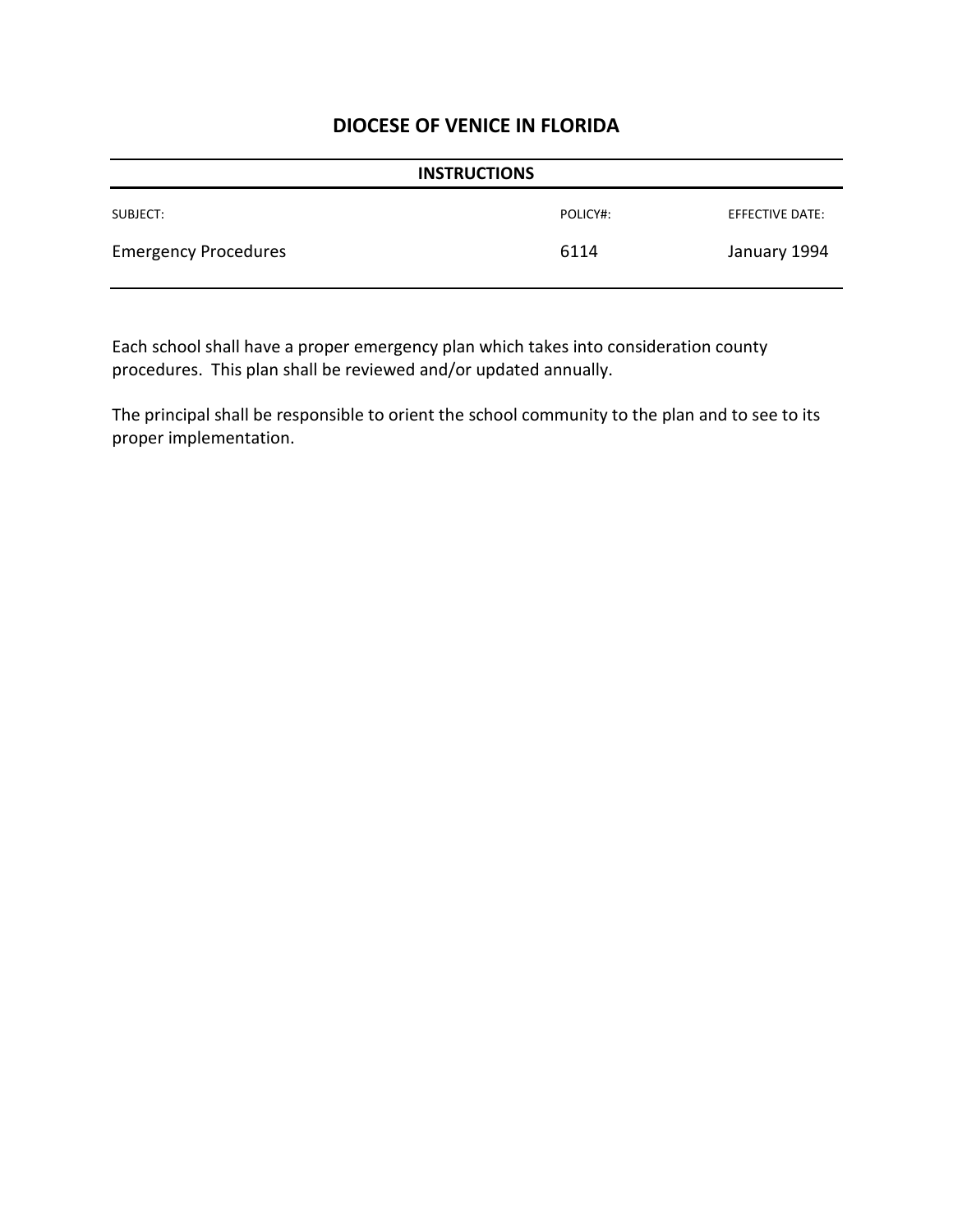| <b>INSTRUCTIONS</b>         |          |                 |
|-----------------------------|----------|-----------------|
| SUBJECT:                    | POLICY#: | EFFECTIVE DATE: |
| <b>Emergency Procedures</b> | 6114     | January 1994    |

Each school shall have a proper emergency plan which takes into consideration county procedures. This plan shall be reviewed and/or updated annually.

The principal shall be responsible to orient the school community to the plan and to see to its proper implementation.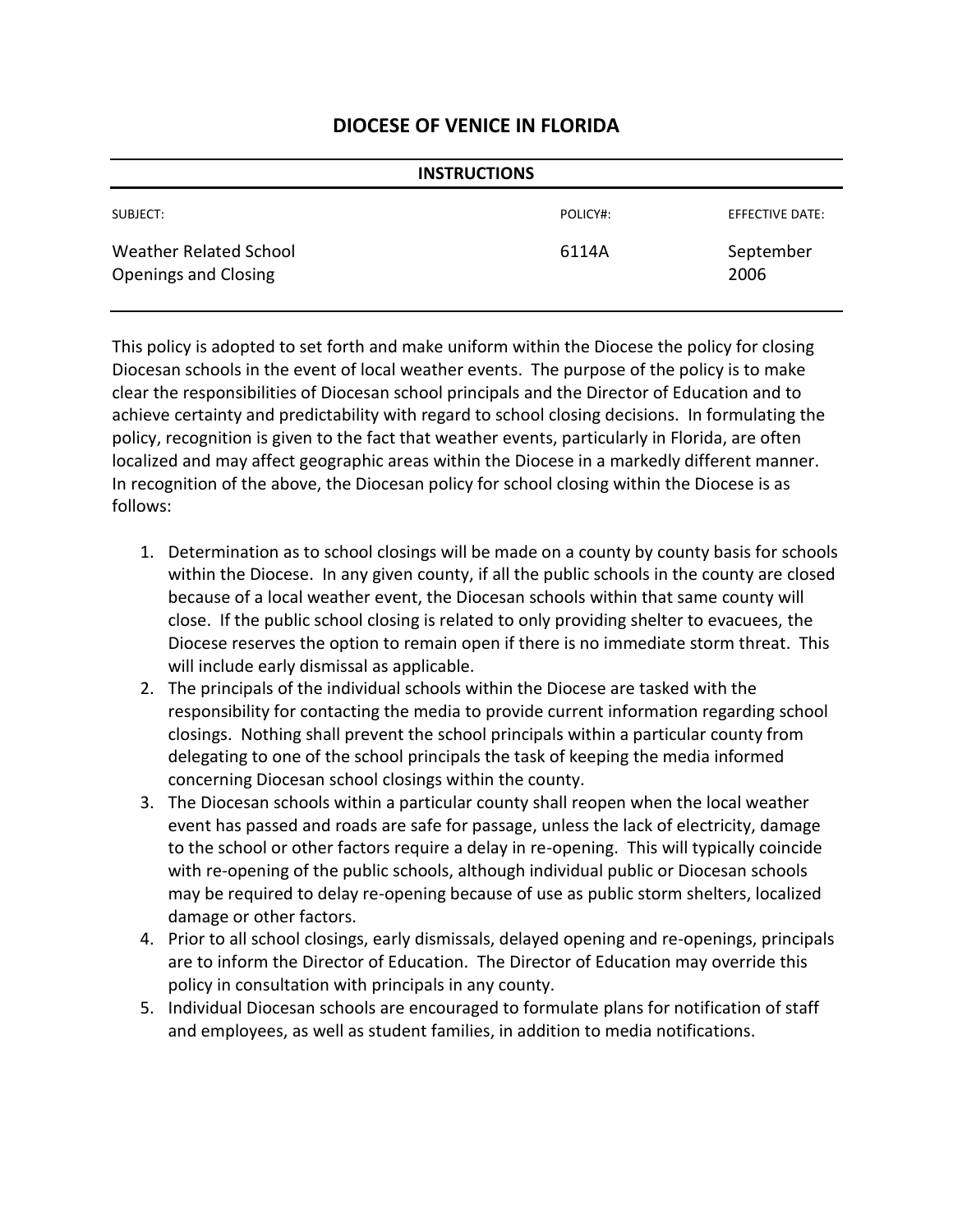| <b>INSTRUCTIONS</b>                                   |          |                        |
|-------------------------------------------------------|----------|------------------------|
| SUBJECT:                                              | POLICY#: | <b>EFFECTIVE DATE:</b> |
| Weather Related School<br><b>Openings and Closing</b> | 6114A    | September<br>2006      |

This policy is adopted to set forth and make uniform within the Diocese the policy for closing Diocesan schools in the event of local weather events. The purpose of the policy is to make clear the responsibilities of Diocesan school principals and the Director of Education and to achieve certainty and predictability with regard to school closing decisions. In formulating the policy, recognition is given to the fact that weather events, particularly in Florida, are often localized and may affect geographic areas within the Diocese in a markedly different manner. In recognition of the above, the Diocesan policy for school closing within the Diocese is as follows:

- 1. Determination as to school closings will be made on a county by county basis for schools within the Diocese. In any given county, if all the public schools in the county are closed because of a local weather event, the Diocesan schools within that same county will close. If the public school closing is related to only providing shelter to evacuees, the Diocese reserves the option to remain open if there is no immediate storm threat. This will include early dismissal as applicable.
- 2. The principals of the individual schools within the Diocese are tasked with the responsibility for contacting the media to provide current information regarding school closings. Nothing shall prevent the school principals within a particular county from delegating to one of the school principals the task of keeping the media informed concerning Diocesan school closings within the county.
- 3. The Diocesan schools within a particular county shall reopen when the local weather event has passed and roads are safe for passage, unless the lack of electricity, damage to the school or other factors require a delay in re-opening. This will typically coincide with re-opening of the public schools, although individual public or Diocesan schools may be required to delay re-opening because of use as public storm shelters, localized damage or other factors.
- 4. Prior to all school closings, early dismissals, delayed opening and re-openings, principals are to inform the Director of Education. The Director of Education may override this policy in consultation with principals in any county.
- 5. Individual Diocesan schools are encouraged to formulate plans for notification of staff and employees, as well as student families, in addition to media notifications.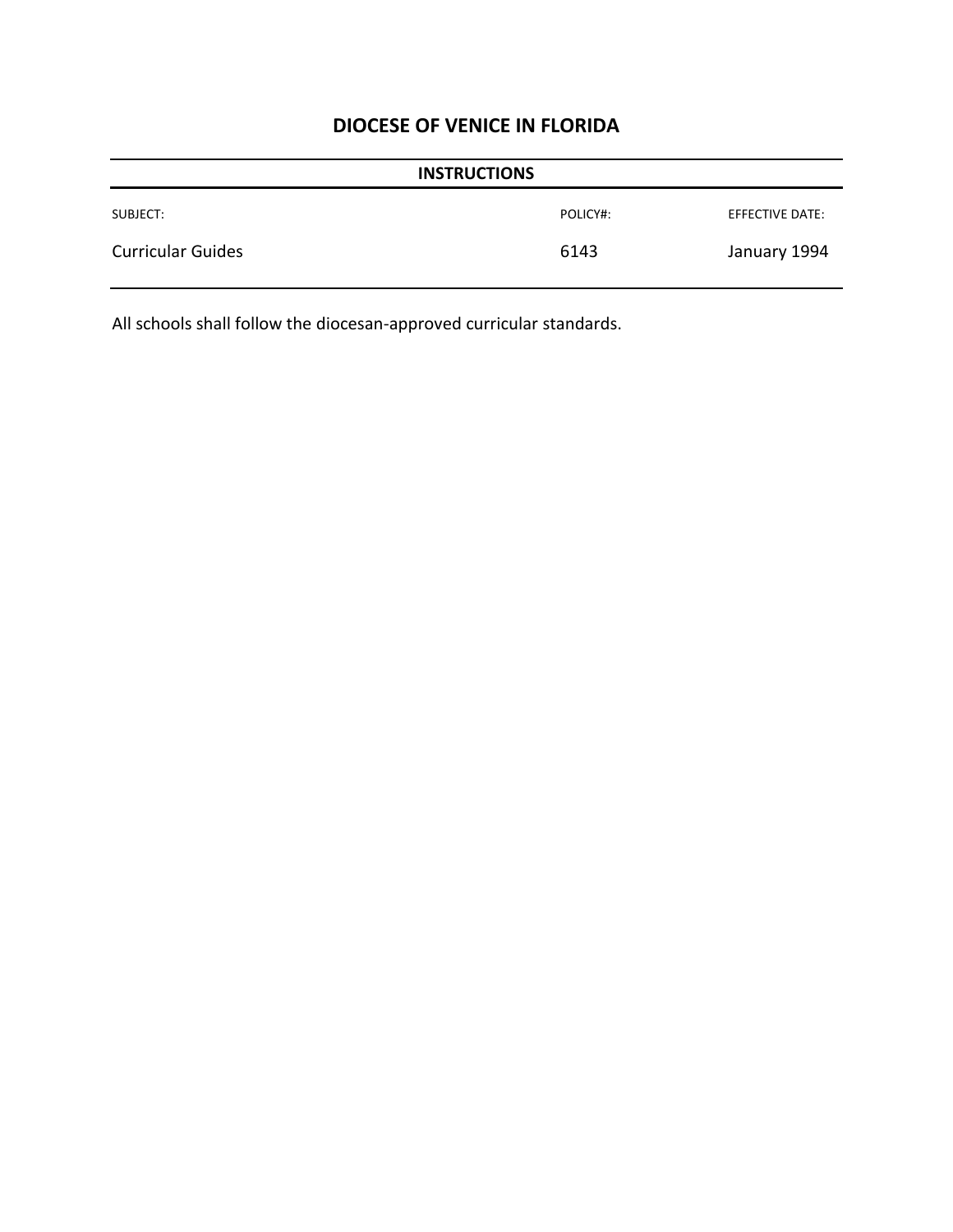| <b>INSTRUCTIONS</b>      |          |                 |
|--------------------------|----------|-----------------|
| SUBJECT:                 | POLICY#: | EFFECTIVE DATE: |
| <b>Curricular Guides</b> | 6143     | January 1994    |

All schools shall follow the diocesan-approved curricular standards.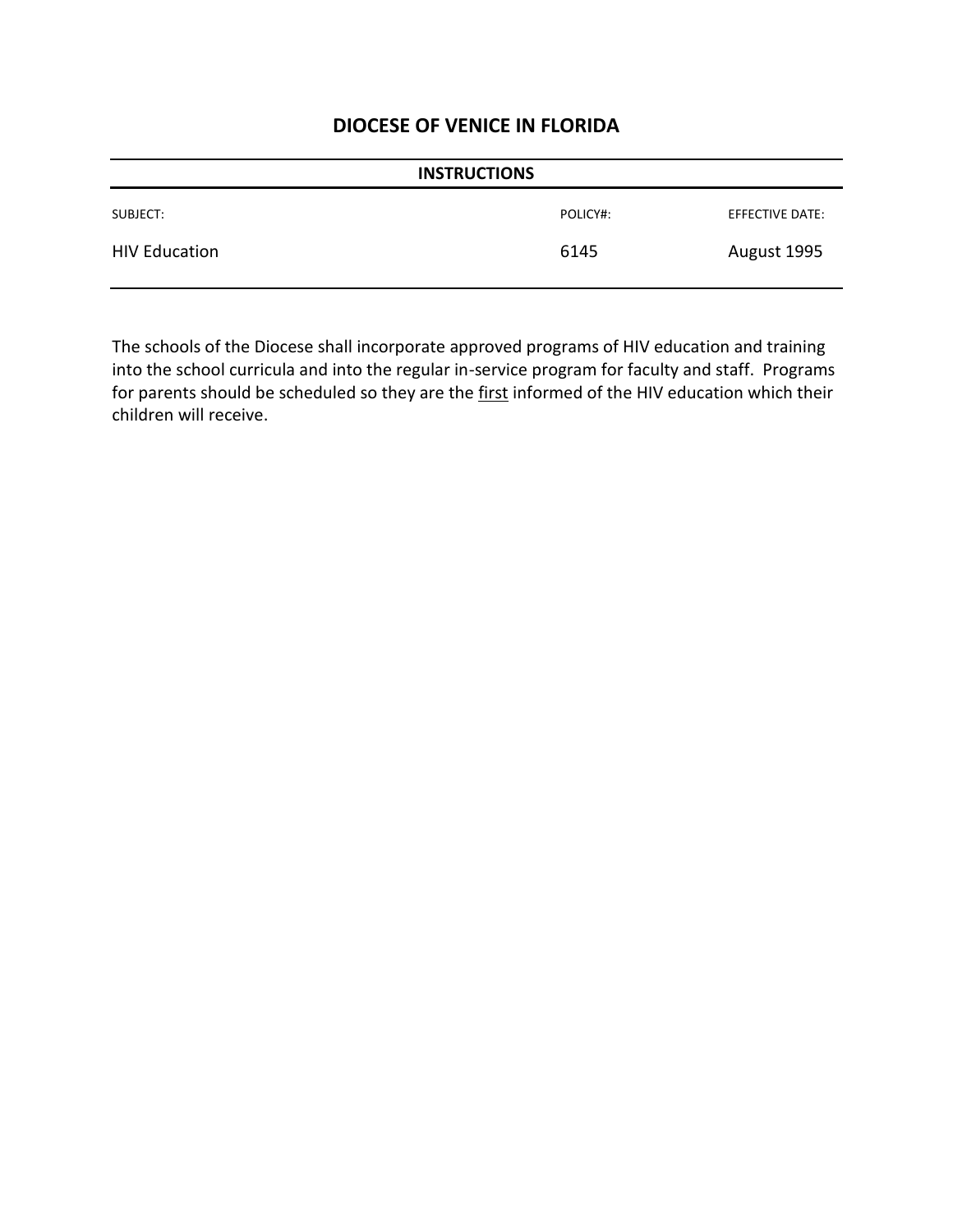| <b>INSTRUCTIONS</b>  |          |                 |
|----------------------|----------|-----------------|
| SUBJECT:             | POLICY#: | EFFECTIVE DATE: |
| <b>HIV Education</b> | 6145     | August 1995     |

The schools of the Diocese shall incorporate approved programs of HIV education and training into the school curricula and into the regular in-service program for faculty and staff. Programs for parents should be scheduled so they are the first informed of the HIV education which their children will receive.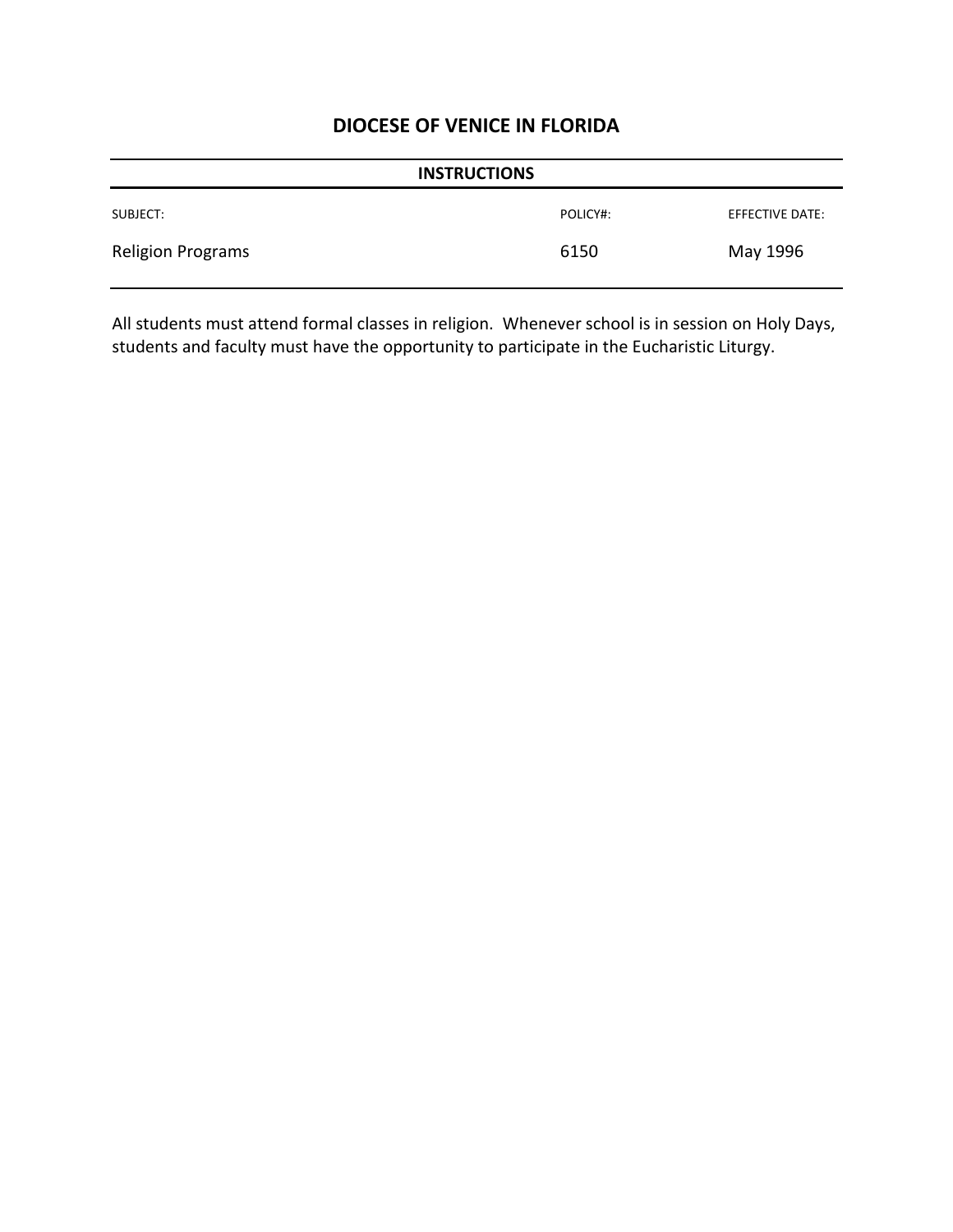| <b>INSTRUCTIONS</b>      |          |                 |
|--------------------------|----------|-----------------|
| SUBJECT:                 | POLICY#: | EFFECTIVE DATE: |
| <b>Religion Programs</b> | 6150     | May 1996        |

All students must attend formal classes in religion. Whenever school is in session on Holy Days, students and faculty must have the opportunity to participate in the Eucharistic Liturgy.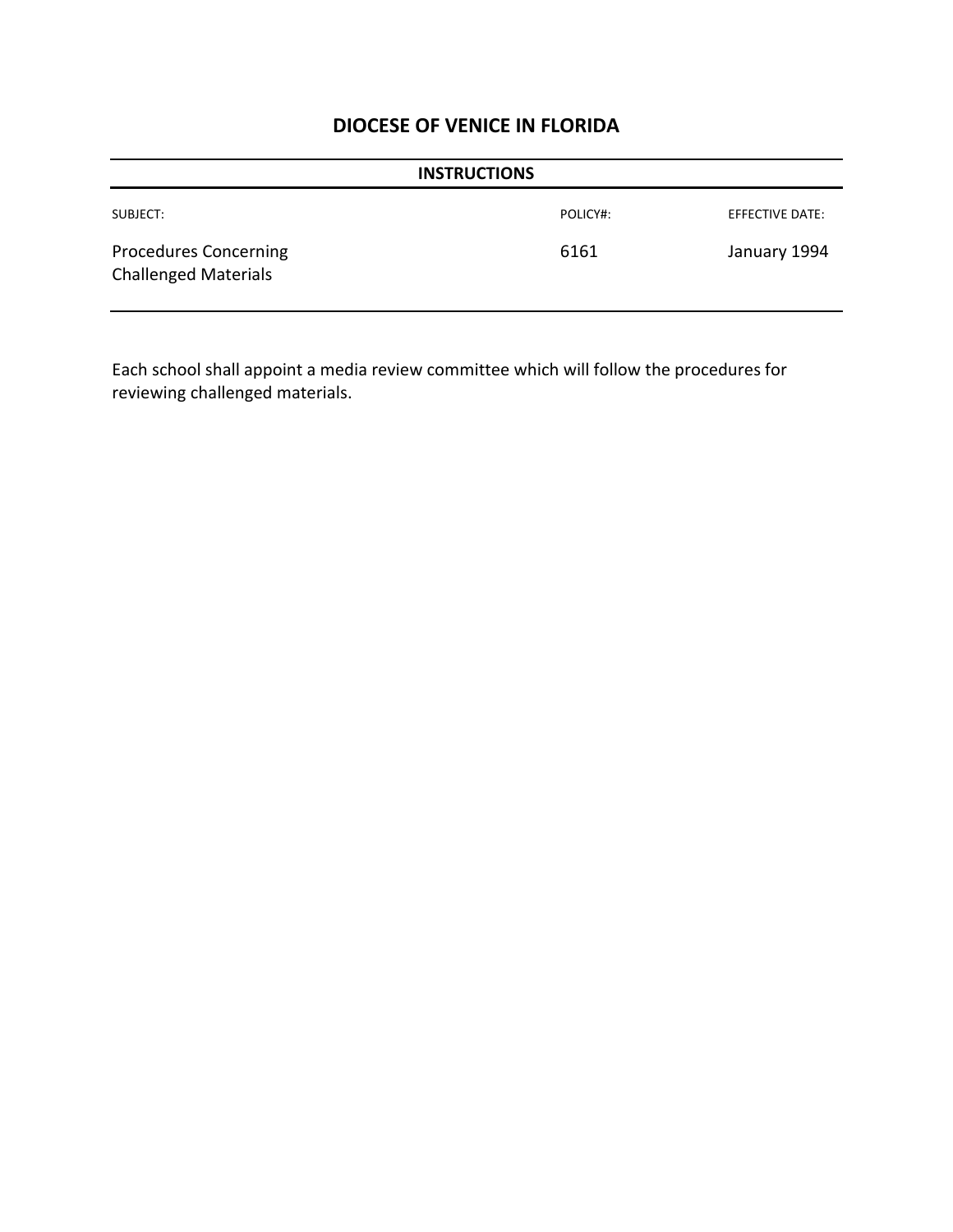| <b>INSTRUCTIONS</b>                                         |          |                 |
|-------------------------------------------------------------|----------|-----------------|
| SUBJECT:                                                    | POLICY#: | EFFECTIVE DATE: |
| <b>Procedures Concerning</b><br><b>Challenged Materials</b> | 6161     | January 1994    |

Each school shall appoint a media review committee which will follow the procedures for reviewing challenged materials.